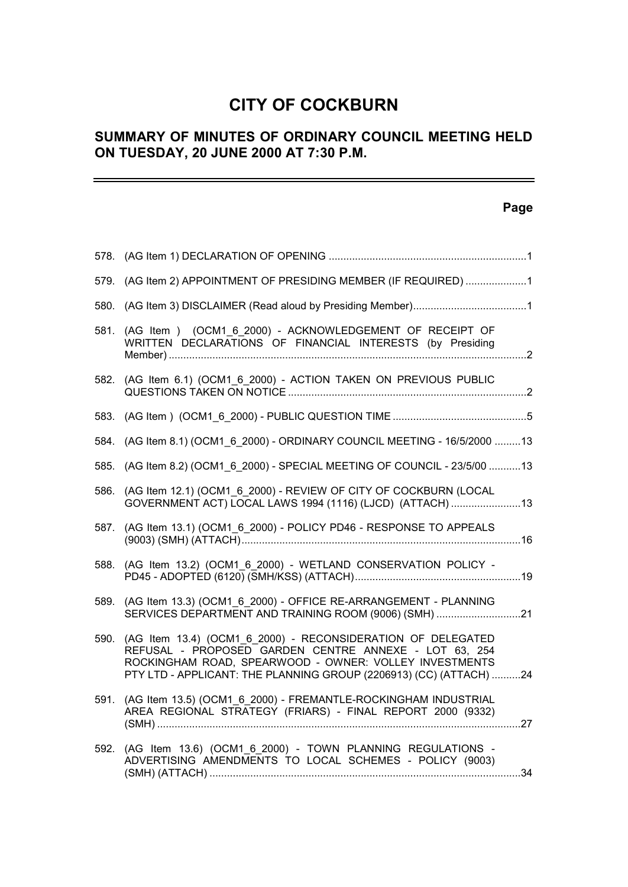# **CITY OF COCKBURN**

# **SUMMARY OF MINUTES OF ORDINARY COUNCIL MEETING HELD ON TUESDAY, 20 JUNE 2000 AT 7:30 P.M.**

## **Page**

-

| 579. (AG Item 2) APPOINTMENT OF PRESIDING MEMBER (IF REQUIRED) 1<br>(AG Item ) (OCM1 6 2000) - ACKNOWLEDGEMENT OF RECEIPT OF<br>581.<br>WRITTEN DECLARATIONS OF FINANCIAL INTERESTS (by Presiding<br>582. (AG Item 6.1) (OCM1 6 2000) - ACTION TAKEN ON PREVIOUS PUBLIC<br>584. (AG Item 8.1) (OCM1 6 2000) - ORDINARY COUNCIL MEETING - 16/5/2000 13<br>(AG Item 8.2) (OCM1 6 2000) - SPECIAL MEETING OF COUNCIL - 23/5/00 13<br>585.<br>(AG Item 12.1) (OCM1 6 2000) - REVIEW OF CITY OF COCKBURN (LOCAL<br>586.<br>GOVERNMENT ACT) LOCAL LAWS 1994 (1116) (LJCD) (ATTACH) 13<br>(AG Item 13.1) (OCM1 6 2000) - POLICY PD46 - RESPONSE TO APPEALS<br>587.<br>(AG Item 13.2) (OCM1_6_2000) - WETLAND CONSERVATION POLICY -<br>588.<br>(AG Item 13.3) (OCM1 6 2000) - OFFICE RE-ARRANGEMENT - PLANNING<br>589.<br>SERVICES DEPARTMENT AND TRAINING ROOM (9006) (SMH) 21<br>(AG Item 13.4) (OCM1_6_2000) - RECONSIDERATION OF DELEGATED<br>590.<br>REFUSAL - PROPOSED GARDEN CENTRE ANNEXE - LOT 63, 254<br>ROCKINGHAM ROAD, SPEARWOOD - OWNER: VOLLEY INVESTMENTS<br>PTY LTD - APPLICANT: THE PLANNING GROUP (2206913) (CC) (ATTACH) 24<br>(AG Item 13.5) (OCM1 6 2000) - FREMANTLE-ROCKINGHAM INDUSTRIAL<br>591.<br>AREA REGIONAL STRATEGY (FRIARS) - FINAL REPORT 2000 (9332)<br>(AG Item 13.6) (OCM1_6_2000) - TOWN PLANNING REGULATIONS -<br>592.<br>ADVERTISING AMENDMENTS TO LOCAL SCHEMES - POLICY (9003) |  |  |
|------------------------------------------------------------------------------------------------------------------------------------------------------------------------------------------------------------------------------------------------------------------------------------------------------------------------------------------------------------------------------------------------------------------------------------------------------------------------------------------------------------------------------------------------------------------------------------------------------------------------------------------------------------------------------------------------------------------------------------------------------------------------------------------------------------------------------------------------------------------------------------------------------------------------------------------------------------------------------------------------------------------------------------------------------------------------------------------------------------------------------------------------------------------------------------------------------------------------------------------------------------------------------------------------------------------------------------------------------------------------------------------------------------------|--|--|
|                                                                                                                                                                                                                                                                                                                                                                                                                                                                                                                                                                                                                                                                                                                                                                                                                                                                                                                                                                                                                                                                                                                                                                                                                                                                                                                                                                                                                  |  |  |
|                                                                                                                                                                                                                                                                                                                                                                                                                                                                                                                                                                                                                                                                                                                                                                                                                                                                                                                                                                                                                                                                                                                                                                                                                                                                                                                                                                                                                  |  |  |
|                                                                                                                                                                                                                                                                                                                                                                                                                                                                                                                                                                                                                                                                                                                                                                                                                                                                                                                                                                                                                                                                                                                                                                                                                                                                                                                                                                                                                  |  |  |
|                                                                                                                                                                                                                                                                                                                                                                                                                                                                                                                                                                                                                                                                                                                                                                                                                                                                                                                                                                                                                                                                                                                                                                                                                                                                                                                                                                                                                  |  |  |
|                                                                                                                                                                                                                                                                                                                                                                                                                                                                                                                                                                                                                                                                                                                                                                                                                                                                                                                                                                                                                                                                                                                                                                                                                                                                                                                                                                                                                  |  |  |
|                                                                                                                                                                                                                                                                                                                                                                                                                                                                                                                                                                                                                                                                                                                                                                                                                                                                                                                                                                                                                                                                                                                                                                                                                                                                                                                                                                                                                  |  |  |
|                                                                                                                                                                                                                                                                                                                                                                                                                                                                                                                                                                                                                                                                                                                                                                                                                                                                                                                                                                                                                                                                                                                                                                                                                                                                                                                                                                                                                  |  |  |
|                                                                                                                                                                                                                                                                                                                                                                                                                                                                                                                                                                                                                                                                                                                                                                                                                                                                                                                                                                                                                                                                                                                                                                                                                                                                                                                                                                                                                  |  |  |
|                                                                                                                                                                                                                                                                                                                                                                                                                                                                                                                                                                                                                                                                                                                                                                                                                                                                                                                                                                                                                                                                                                                                                                                                                                                                                                                                                                                                                  |  |  |
|                                                                                                                                                                                                                                                                                                                                                                                                                                                                                                                                                                                                                                                                                                                                                                                                                                                                                                                                                                                                                                                                                                                                                                                                                                                                                                                                                                                                                  |  |  |
|                                                                                                                                                                                                                                                                                                                                                                                                                                                                                                                                                                                                                                                                                                                                                                                                                                                                                                                                                                                                                                                                                                                                                                                                                                                                                                                                                                                                                  |  |  |
|                                                                                                                                                                                                                                                                                                                                                                                                                                                                                                                                                                                                                                                                                                                                                                                                                                                                                                                                                                                                                                                                                                                                                                                                                                                                                                                                                                                                                  |  |  |
|                                                                                                                                                                                                                                                                                                                                                                                                                                                                                                                                                                                                                                                                                                                                                                                                                                                                                                                                                                                                                                                                                                                                                                                                                                                                                                                                                                                                                  |  |  |
|                                                                                                                                                                                                                                                                                                                                                                                                                                                                                                                                                                                                                                                                                                                                                                                                                                                                                                                                                                                                                                                                                                                                                                                                                                                                                                                                                                                                                  |  |  |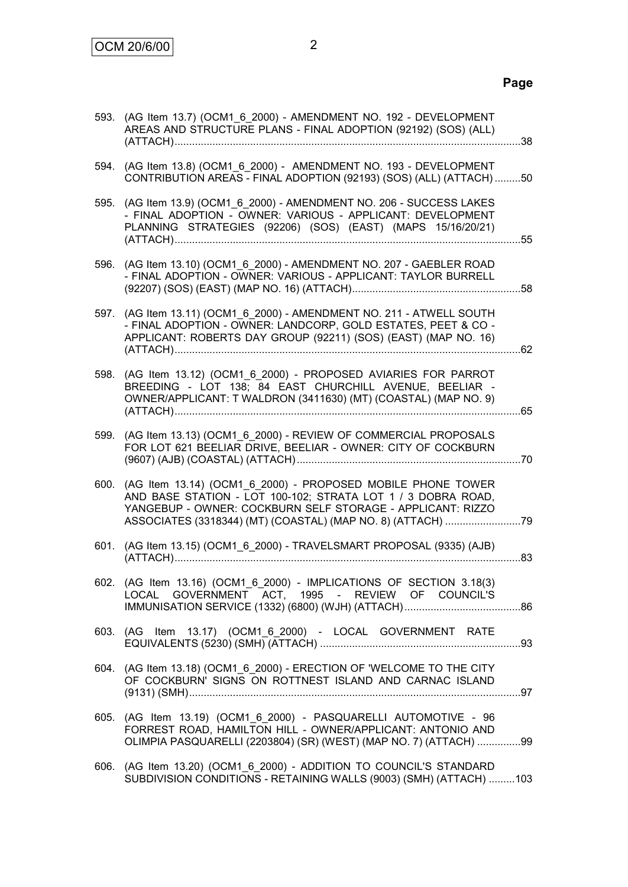|      | 593. (AG Item 13.7) (OCM1 6 2000) - AMENDMENT NO. 192 - DEVELOPMENT<br>AREAS AND STRUCTURE PLANS - FINAL ADOPTION (92192) (SOS) (ALL)                                                                                                                    |  |
|------|----------------------------------------------------------------------------------------------------------------------------------------------------------------------------------------------------------------------------------------------------------|--|
| 594. | (AG Item 13.8) (OCM1_6_2000) - AMENDMENT NO. 193 - DEVELOPMENT<br>CONTRIBUTION AREAS - FINAL ADOPTION (92193) (SOS) (ALL) (ATTACH) 50                                                                                                                    |  |
| 595. | (AG Item 13.9) (OCM1_6_2000) - AMENDMENT NO. 206 - SUCCESS LAKES<br>- FINAL ADOPTION - OWNER: VARIOUS - APPLICANT: DEVELOPMENT<br>PLANNING STRATEGIES (92206) (SOS) (EAST) (MAPS 15/16/20/21)                                                            |  |
|      | 596. (AG Item 13.10) (OCM1_6_2000) - AMENDMENT NO. 207 - GAEBLER ROAD<br>- FINAL ADOPTION - OWNER: VARIOUS - APPLICANT: TAYLOR BURRELL                                                                                                                   |  |
| 597. | (AG Item 13.11) (OCM1 6 2000) - AMENDMENT NO. 211 - ATWELL SOUTH<br>- FINAL ADOPTION - OWNER: LANDCORP, GOLD ESTATES, PEET & CO -<br>APPLICANT: ROBERTS DAY GROUP (92211) (SOS) (EAST) (MAP NO. 16)                                                      |  |
| 598. | (AG Item 13.12) (OCM1_6_2000) - PROPOSED AVIARIES FOR PARROT<br>BREEDING - LOT 138; 84 EAST CHURCHILL AVENUE, BEELIAR -<br>OWNER/APPLICANT: T WALDRON (3411630) (MT) (COASTAL) (MAP NO. 9)                                                               |  |
| 599. | (AG Item 13.13) (OCM1 6 2000) - REVIEW OF COMMERCIAL PROPOSALS<br>FOR LOT 621 BEELIAR DRIVE, BEELIAR - OWNER: CITY OF COCKBURN                                                                                                                           |  |
| 600. | (AG Item 13.14) (OCM1 6 2000) - PROPOSED MOBILE PHONE TOWER<br>AND BASE STATION - LOT 100-102; STRATA LOT 1 / 3 DOBRA ROAD,<br>YANGEBUP - OWNER: COCKBURN SELF STORAGE - APPLICANT: RIZZO<br>ASSOCIATES (3318344) (MT) (COASTAL) (MAP NO. 8) (ATTACH) 79 |  |
| 601. | (AG Item 13.15) (OCM1_6_2000) - TRAVELSMART PROPOSAL (9335) (AJB)                                                                                                                                                                                        |  |
|      | 602. (AG Item 13.16) (OCM1_6_2000) - IMPLICATIONS OF SECTION 3.18(3)<br>LOCAL GOVERNMENT ACT, 1995 - REVIEW OF COUNCIL'S                                                                                                                                 |  |
|      | 603. (AG Item 13.17) (OCM1_6_2000) - LOCAL GOVERNMENT RATE                                                                                                                                                                                               |  |
|      | 604. (AG Item 13.18) (OCM1_6_2000) - ERECTION OF 'WELCOME TO THE CITY<br>OF COCKBURN' SIGNS ON ROTTNEST ISLAND AND CARNAC ISLAND                                                                                                                         |  |
|      | 605. (AG Item 13.19) (OCM1 6 2000) - PASQUARELLI AUTOMOTIVE - 96<br>FORREST ROAD, HAMILTON HILL - OWNER/APPLICANT: ANTONIO AND<br>OLIMPIA PASQUARELLI (2203804) (SR) (WEST) (MAP NO. 7) (ATTACH) 99                                                      |  |
| 606. | (AG Item 13.20) (OCM1_6_2000) - ADDITION TO COUNCIL'S STANDARD<br>SUBDIVISION CONDITIONS - RETAINING WALLS (9003) (SMH) (ATTACH) 103                                                                                                                     |  |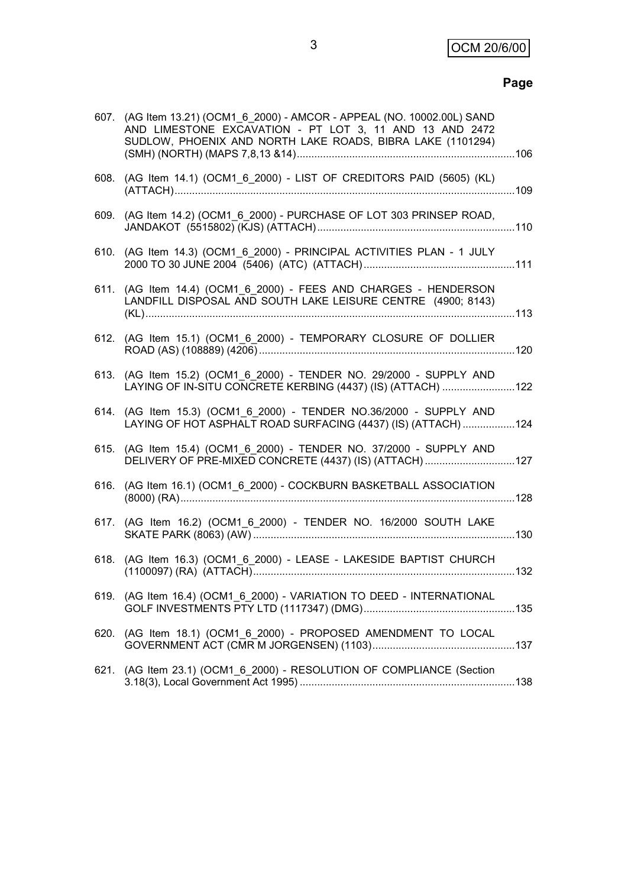# **Page**

|      | 607. (AG Item 13.21) (OCM1_6_2000) - AMCOR - APPEAL (NO. 10002.00L) SAND<br>AND LIMESTONE EXCAVATION - PT LOT 3, 11 AND 13 AND 2472<br>SUDLOW, PHOENIX AND NORTH LAKE ROADS, BIBRA LAKE (1101294) |  |
|------|---------------------------------------------------------------------------------------------------------------------------------------------------------------------------------------------------|--|
|      | 608. (AG Item 14.1) (OCM1_6_2000) - LIST OF CREDITORS PAID (5605) (KL)                                                                                                                            |  |
|      | 609. (AG Item 14.2) (OCM1_6_2000) - PURCHASE OF LOT 303 PRINSEP ROAD,                                                                                                                             |  |
|      | 610. (AG Item 14.3) (OCM1_6_2000) - PRINCIPAL ACTIVITIES PLAN - 1 JULY                                                                                                                            |  |
|      | 611. (AG Item 14.4) (OCM1 6 2000) - FEES AND CHARGES - HENDERSON<br>LANDFILL DISPOSAL AND SOUTH LAKE LEISURE CENTRE (4900; 8143)                                                                  |  |
|      | 612. (AG Item 15.1) (OCM1_6_2000) - TEMPORARY CLOSURE OF DOLLIER                                                                                                                                  |  |
|      | 613. (AG Item 15.2) (OCM1 6 2000) - TENDER NO. 29/2000 - SUPPLY AND<br>LAYING OF IN-SITU CONCRETE KERBING (4437) (IS) (ATTACH)  122                                                               |  |
|      | 614. (AG Item 15.3) (OCM1 6 2000) - TENDER NO.36/2000 - SUPPLY AND<br>LAYING OF HOT ASPHALT ROAD SURFACING (4437) (IS) (ATTACH) 124                                                               |  |
| 615. | (AG Item 15.4) (OCM1 6 2000) - TENDER NO. 37/2000 - SUPPLY AND<br>DELIVERY OF PRE-MIXED CONCRETE (4437) (IS) (ATTACH) 127                                                                         |  |
| 616. | (AG Item 16.1) (OCM1_6_2000) - COCKBURN BASKETBALL ASSOCIATION                                                                                                                                    |  |
| 617. | (AG Item 16.2) (OCM1_6_2000) - TENDER NO. 16/2000 SOUTH LAKE                                                                                                                                      |  |
| 618. | (AG Item 16.3) (OCM1_6_2000) - LEASE - LAKESIDE BAPTIST CHURCH                                                                                                                                    |  |
|      | 619. (AG Item 16.4) (OCM1 6 2000) - VARIATION TO DEED - INTERNATIONAL                                                                                                                             |  |
|      | 620. (AG Item 18.1) (OCM1_6_2000) - PROPOSED AMENDMENT TO LOCAL                                                                                                                                   |  |
| 621. | (AG Item 23.1) (OCM1_6_2000) - RESOLUTION OF COMPLIANCE (Section                                                                                                                                  |  |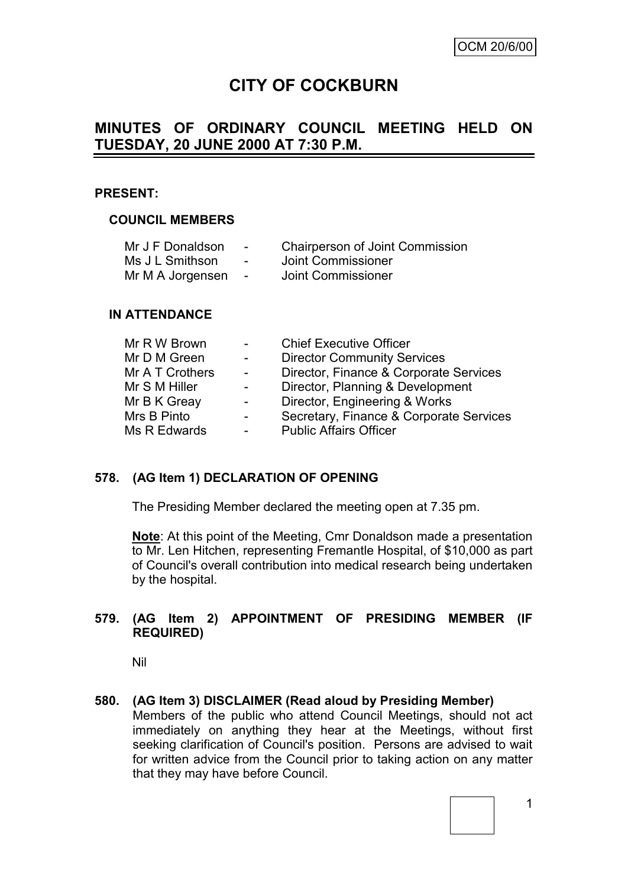# **CITY OF COCKBURN**

# **MINUTES OF ORDINARY COUNCIL MEETING HELD ON TUESDAY, 20 JUNE 2000 AT 7:30 P.M.**

#### **PRESENT:**

#### **COUNCIL MEMBERS**

| Mr J F Donaldson |                          | <b>Chairperson of Joint Commission</b> |
|------------------|--------------------------|----------------------------------------|
| Ms J L Smithson  | $\overline{\phantom{0}}$ | Joint Commissioner                     |

Mr M A Jorgensen - Joint Commissioner

#### **IN ATTENDANCE**

| Mr R W Brown    |        | <b>Chief Executive Officer</b>          |
|-----------------|--------|-----------------------------------------|
| Mr D M Green    | $\sim$ | <b>Director Community Services</b>      |
| Mr A T Crothers | $\sim$ | Director, Finance & Corporate Services  |
| Mr S M Hiller   |        | Director, Planning & Development        |
| Mr B K Greay    |        | Director, Engineering & Works           |
| Mrs B Pinto     |        | Secretary, Finance & Corporate Services |
| Ms R Edwards    |        | <b>Public Affairs Officer</b>           |
|                 |        |                                         |

#### **578. (AG Item 1) DECLARATION OF OPENING**

The Presiding Member declared the meeting open at 7.35 pm.

**Note**: At this point of the Meeting, Cmr Donaldson made a presentation to Mr. Len Hitchen, representing Fremantle Hospital, of \$10,000 as part of Council's overall contribution into medical research being undertaken by the hospital.

#### **579. (AG Item 2) APPOINTMENT OF PRESIDING MEMBER (IF REQUIRED)**

Nil

#### **580. (AG Item 3) DISCLAIMER (Read aloud by Presiding Member)**

Members of the public who attend Council Meetings, should not act immediately on anything they hear at the Meetings, without first seeking clarification of Council's position. Persons are advised to wait for written advice from the Council prior to taking action on any matter that they may have before Council.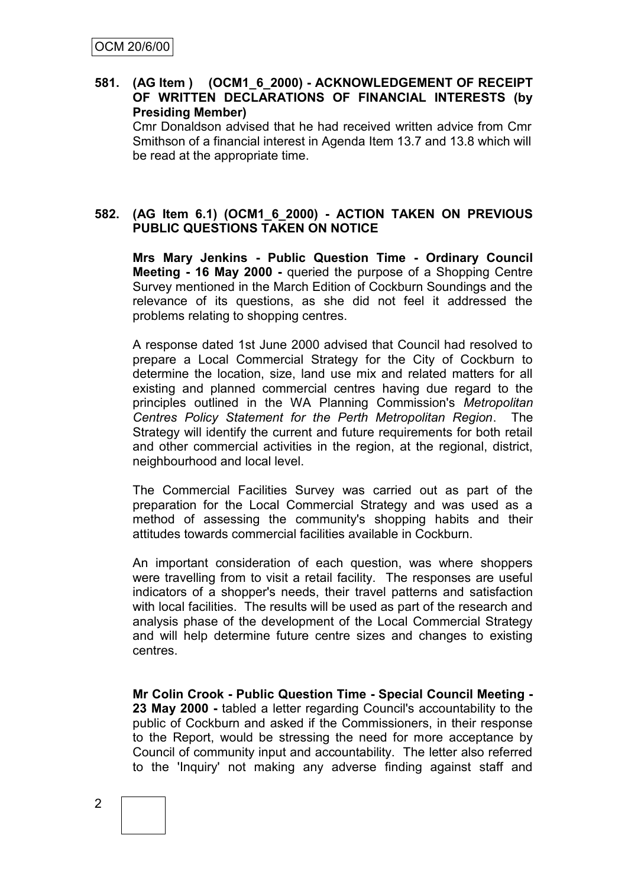#### **581. (AG Item ) (OCM1\_6\_2000) - ACKNOWLEDGEMENT OF RECEIPT OF WRITTEN DECLARATIONS OF FINANCIAL INTERESTS (by Presiding Member)**

Cmr Donaldson advised that he had received written advice from Cmr Smithson of a financial interest in Agenda Item 13.7 and 13.8 which will be read at the appropriate time.

#### **582. (AG Item 6.1) (OCM1\_6\_2000) - ACTION TAKEN ON PREVIOUS PUBLIC QUESTIONS TAKEN ON NOTICE**

**Mrs Mary Jenkins - Public Question Time - Ordinary Council Meeting - 16 May 2000 -** queried the purpose of a Shopping Centre Survey mentioned in the March Edition of Cockburn Soundings and the relevance of its questions, as she did not feel it addressed the problems relating to shopping centres.

A response dated 1st June 2000 advised that Council had resolved to prepare a Local Commercial Strategy for the City of Cockburn to determine the location, size, land use mix and related matters for all existing and planned commercial centres having due regard to the principles outlined in the WA Planning Commission's *Metropolitan Centres Policy Statement for the Perth Metropolitan Region*. The Strategy will identify the current and future requirements for both retail and other commercial activities in the region, at the regional, district, neighbourhood and local level.

The Commercial Facilities Survey was carried out as part of the preparation for the Local Commercial Strategy and was used as a method of assessing the community's shopping habits and their attitudes towards commercial facilities available in Cockburn.

An important consideration of each question, was where shoppers were travelling from to visit a retail facility. The responses are useful indicators of a shopper's needs, their travel patterns and satisfaction with local facilities. The results will be used as part of the research and analysis phase of the development of the Local Commercial Strategy and will help determine future centre sizes and changes to existing centres.

**Mr Colin Crook - Public Question Time - Special Council Meeting - 23 May 2000 -** tabled a letter regarding Council's accountability to the public of Cockburn and asked if the Commissioners, in their response to the Report, would be stressing the need for more acceptance by Council of community input and accountability. The letter also referred to the 'Inquiry' not making any adverse finding against staff and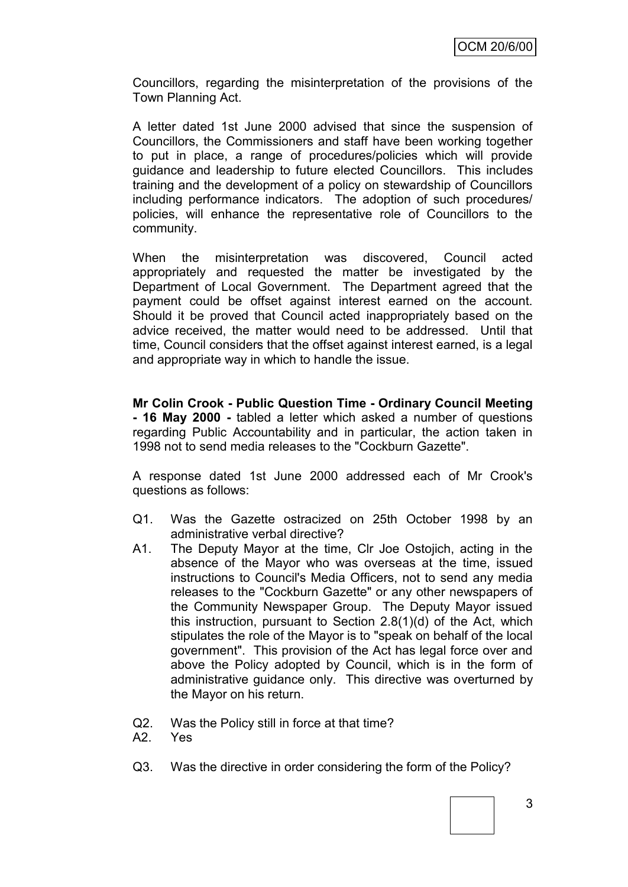Councillors, regarding the misinterpretation of the provisions of the Town Planning Act.

A letter dated 1st June 2000 advised that since the suspension of Councillors, the Commissioners and staff have been working together to put in place, a range of procedures/policies which will provide guidance and leadership to future elected Councillors. This includes training and the development of a policy on stewardship of Councillors including performance indicators. The adoption of such procedures/ policies, will enhance the representative role of Councillors to the community.

When the misinterpretation was discovered, Council acted appropriately and requested the matter be investigated by the Department of Local Government. The Department agreed that the payment could be offset against interest earned on the account. Should it be proved that Council acted inappropriately based on the advice received, the matter would need to be addressed. Until that time, Council considers that the offset against interest earned, is a legal and appropriate way in which to handle the issue.

**Mr Colin Crook - Public Question Time - Ordinary Council Meeting - 16 May 2000 -** tabled a letter which asked a number of questions regarding Public Accountability and in particular, the action taken in 1998 not to send media releases to the "Cockburn Gazette".

A response dated 1st June 2000 addressed each of Mr Crook's questions as follows:

- Q1. Was the Gazette ostracized on 25th October 1998 by an administrative verbal directive?
- A1. The Deputy Mayor at the time, Clr Joe Ostojich, acting in the absence of the Mayor who was overseas at the time, issued instructions to Council's Media Officers, not to send any media releases to the "Cockburn Gazette" or any other newspapers of the Community Newspaper Group. The Deputy Mayor issued this instruction, pursuant to Section 2.8(1)(d) of the Act, which stipulates the role of the Mayor is to "speak on behalf of the local government". This provision of the Act has legal force over and above the Policy adopted by Council, which is in the form of administrative guidance only. This directive was overturned by the Mayor on his return.
- Q2. Was the Policy still in force at that time?
- A2. Yes
- Q3. Was the directive in order considering the form of the Policy?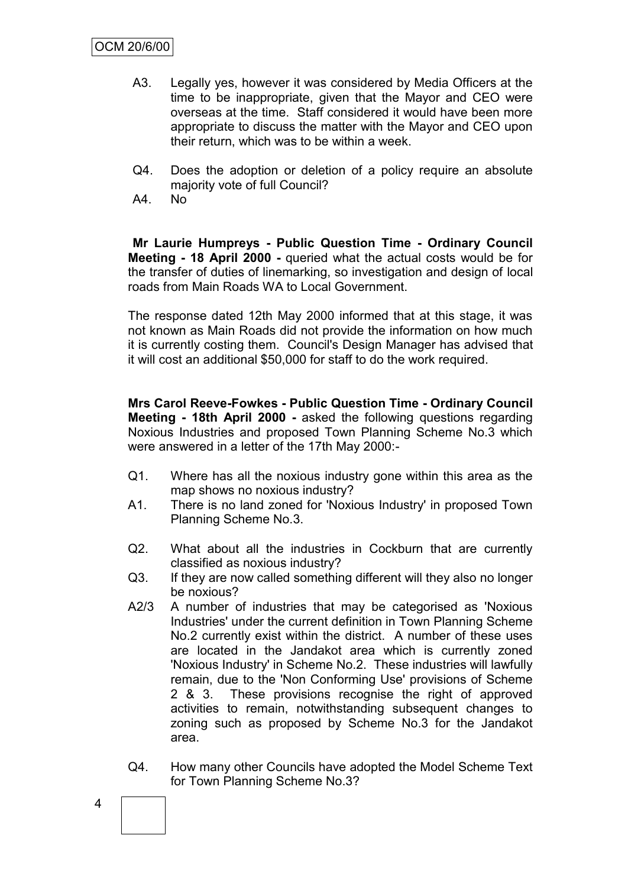- A3. Legally yes, however it was considered by Media Officers at the time to be inappropriate, given that the Mayor and CEO were overseas at the time. Staff considered it would have been more appropriate to discuss the matter with the Mayor and CEO upon their return, which was to be within a week.
- Q4. Does the adoption or deletion of a policy require an absolute majority vote of full Council?
- A4. No

**Mr Laurie Humpreys - Public Question Time - Ordinary Council Meeting - 18 April 2000 -** queried what the actual costs would be for the transfer of duties of linemarking, so investigation and design of local roads from Main Roads WA to Local Government.

The response dated 12th May 2000 informed that at this stage, it was not known as Main Roads did not provide the information on how much it is currently costing them. Council's Design Manager has advised that it will cost an additional \$50,000 for staff to do the work required.

**Mrs Carol Reeve-Fowkes - Public Question Time - Ordinary Council Meeting - 18th April 2000 -** asked the following questions regarding Noxious Industries and proposed Town Planning Scheme No.3 which were answered in a letter of the 17th May 2000:-

- Q1. Where has all the noxious industry gone within this area as the map shows no noxious industry?
- A1. There is no land zoned for 'Noxious Industry' in proposed Town Planning Scheme No.3.
- Q2. What about all the industries in Cockburn that are currently classified as noxious industry?
- Q3. If they are now called something different will they also no longer be noxious?
- A2/3 A number of industries that may be categorised as 'Noxious Industries' under the current definition in Town Planning Scheme No.2 currently exist within the district. A number of these uses are located in the Jandakot area which is currently zoned 'Noxious Industry' in Scheme No.2. These industries will lawfully remain, due to the 'Non Conforming Use' provisions of Scheme 2 & 3. These provisions recognise the right of approved activities to remain, notwithstanding subsequent changes to zoning such as proposed by Scheme No.3 for the Jandakot area.
- Q4. How many other Councils have adopted the Model Scheme Text for Town Planning Scheme No.3?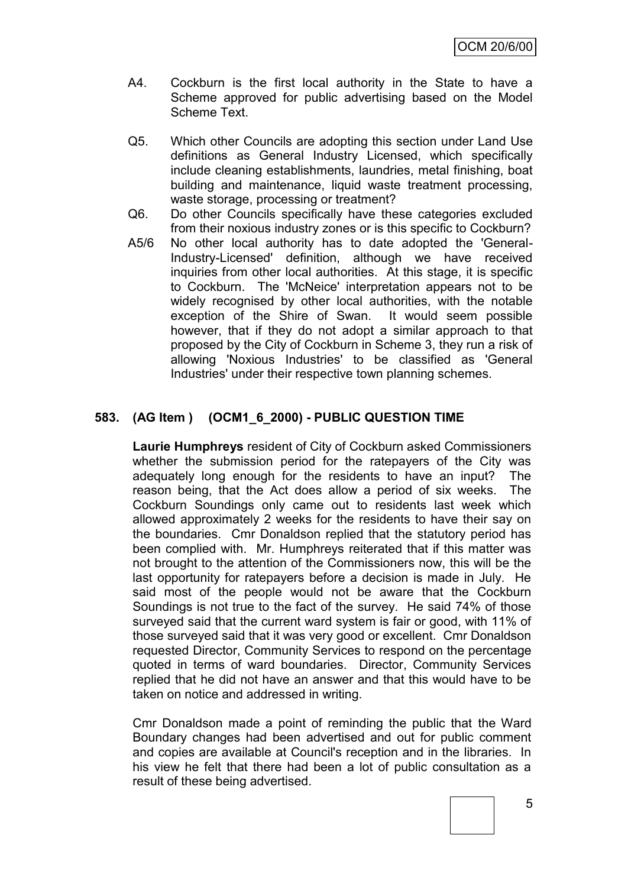- A4. Cockburn is the first local authority in the State to have a Scheme approved for public advertising based on the Model Scheme Text.
- Q5. Which other Councils are adopting this section under Land Use definitions as General Industry Licensed, which specifically include cleaning establishments, laundries, metal finishing, boat building and maintenance, liquid waste treatment processing, waste storage, processing or treatment?
- Q6. Do other Councils specifically have these categories excluded from their noxious industry zones or is this specific to Cockburn?
- A5/6 No other local authority has to date adopted the 'General-Industry-Licensed' definition, although we have received inquiries from other local authorities. At this stage, it is specific to Cockburn. The 'McNeice' interpretation appears not to be widely recognised by other local authorities, with the notable exception of the Shire of Swan. It would seem possible however, that if they do not adopt a similar approach to that proposed by the City of Cockburn in Scheme 3, they run a risk of allowing 'Noxious Industries' to be classified as 'General Industries' under their respective town planning schemes.

#### **583. (AG Item ) (OCM1\_6\_2000) - PUBLIC QUESTION TIME**

**Laurie Humphreys** resident of City of Cockburn asked Commissioners whether the submission period for the ratepayers of the City was adequately long enough for the residents to have an input? The reason being, that the Act does allow a period of six weeks. The Cockburn Soundings only came out to residents last week which allowed approximately 2 weeks for the residents to have their say on the boundaries. Cmr Donaldson replied that the statutory period has been complied with. Mr. Humphreys reiterated that if this matter was not brought to the attention of the Commissioners now, this will be the last opportunity for ratepayers before a decision is made in July. He said most of the people would not be aware that the Cockburn Soundings is not true to the fact of the survey. He said 74% of those surveyed said that the current ward system is fair or good, with 11% of those surveyed said that it was very good or excellent. Cmr Donaldson requested Director, Community Services to respond on the percentage quoted in terms of ward boundaries. Director, Community Services replied that he did not have an answer and that this would have to be taken on notice and addressed in writing.

Cmr Donaldson made a point of reminding the public that the Ward Boundary changes had been advertised and out for public comment and copies are available at Council's reception and in the libraries. In his view he felt that there had been a lot of public consultation as a result of these being advertised.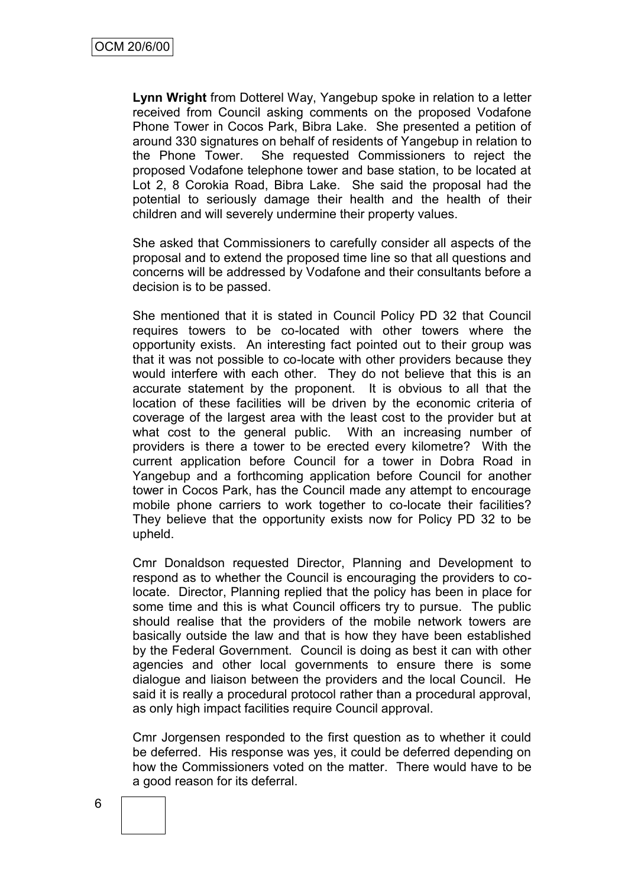**Lynn Wright** from Dotterel Way, Yangebup spoke in relation to a letter received from Council asking comments on the proposed Vodafone Phone Tower in Cocos Park, Bibra Lake. She presented a petition of around 330 signatures on behalf of residents of Yangebup in relation to the Phone Tower. She requested Commissioners to reject the proposed Vodafone telephone tower and base station, to be located at Lot 2, 8 Corokia Road, Bibra Lake. She said the proposal had the potential to seriously damage their health and the health of their children and will severely undermine their property values.

She asked that Commissioners to carefully consider all aspects of the proposal and to extend the proposed time line so that all questions and concerns will be addressed by Vodafone and their consultants before a decision is to be passed.

She mentioned that it is stated in Council Policy PD 32 that Council requires towers to be co-located with other towers where the opportunity exists. An interesting fact pointed out to their group was that it was not possible to co-locate with other providers because they would interfere with each other. They do not believe that this is an accurate statement by the proponent. It is obvious to all that the location of these facilities will be driven by the economic criteria of coverage of the largest area with the least cost to the provider but at what cost to the general public. With an increasing number of providers is there a tower to be erected every kilometre? With the current application before Council for a tower in Dobra Road in Yangebup and a forthcoming application before Council for another tower in Cocos Park, has the Council made any attempt to encourage mobile phone carriers to work together to co-locate their facilities? They believe that the opportunity exists now for Policy PD 32 to be upheld.

Cmr Donaldson requested Director, Planning and Development to respond as to whether the Council is encouraging the providers to colocate. Director, Planning replied that the policy has been in place for some time and this is what Council officers try to pursue. The public should realise that the providers of the mobile network towers are basically outside the law and that is how they have been established by the Federal Government. Council is doing as best it can with other agencies and other local governments to ensure there is some dialogue and liaison between the providers and the local Council. He said it is really a procedural protocol rather than a procedural approval, as only high impact facilities require Council approval.

Cmr Jorgensen responded to the first question as to whether it could be deferred. His response was yes, it could be deferred depending on how the Commissioners voted on the matter. There would have to be a good reason for its deferral.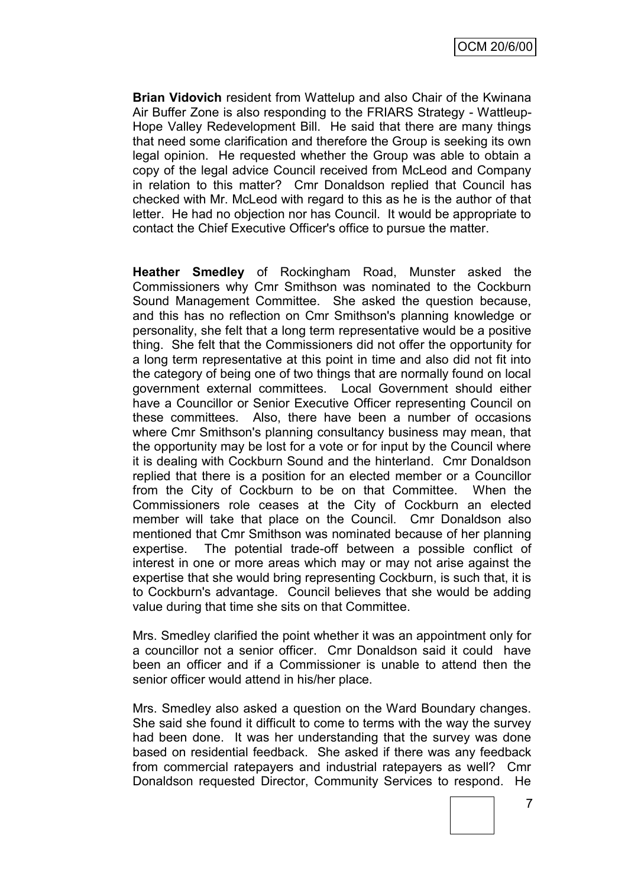OCM 20/6/00

**Brian Vidovich** resident from Wattelup and also Chair of the Kwinana Air Buffer Zone is also responding to the FRIARS Strategy - Wattleup-Hope Valley Redevelopment Bill. He said that there are many things that need some clarification and therefore the Group is seeking its own legal opinion. He requested whether the Group was able to obtain a copy of the legal advice Council received from McLeod and Company in relation to this matter? Cmr Donaldson replied that Council has checked with Mr. McLeod with regard to this as he is the author of that letter. He had no objection nor has Council. It would be appropriate to contact the Chief Executive Officer's office to pursue the matter.

**Heather Smedley** of Rockingham Road, Munster asked the Commissioners why Cmr Smithson was nominated to the Cockburn Sound Management Committee. She asked the question because, and this has no reflection on Cmr Smithson's planning knowledge or personality, she felt that a long term representative would be a positive thing. She felt that the Commissioners did not offer the opportunity for a long term representative at this point in time and also did not fit into the category of being one of two things that are normally found on local government external committees. Local Government should either have a Councillor or Senior Executive Officer representing Council on these committees. Also, there have been a number of occasions where Cmr Smithson's planning consultancy business may mean, that the opportunity may be lost for a vote or for input by the Council where it is dealing with Cockburn Sound and the hinterland. Cmr Donaldson replied that there is a position for an elected member or a Councillor from the City of Cockburn to be on that Committee. When the Commissioners role ceases at the City of Cockburn an elected member will take that place on the Council. Cmr Donaldson also mentioned that Cmr Smithson was nominated because of her planning expertise. The potential trade-off between a possible conflict of interest in one or more areas which may or may not arise against the expertise that she would bring representing Cockburn, is such that, it is to Cockburn's advantage. Council believes that she would be adding value during that time she sits on that Committee.

Mrs. Smedley clarified the point whether it was an appointment only for a councillor not a senior officer. Cmr Donaldson said it could have been an officer and if a Commissioner is unable to attend then the senior officer would attend in his/her place.

Mrs. Smedley also asked a question on the Ward Boundary changes. She said she found it difficult to come to terms with the way the survey had been done. It was her understanding that the survey was done based on residential feedback. She asked if there was any feedback from commercial ratepayers and industrial ratepayers as well? Cmr Donaldson requested Director, Community Services to respond. He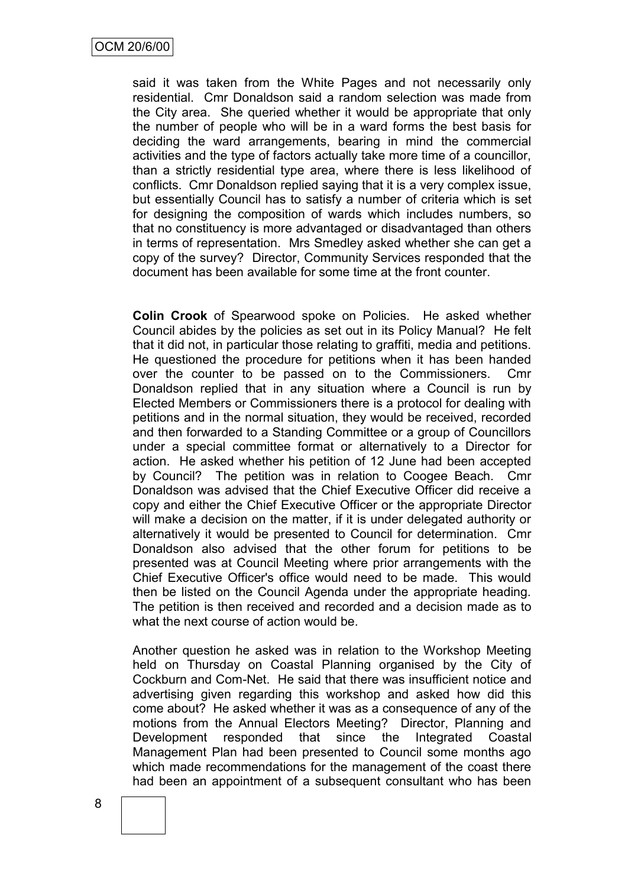said it was taken from the White Pages and not necessarily only residential. Cmr Donaldson said a random selection was made from the City area. She queried whether it would be appropriate that only the number of people who will be in a ward forms the best basis for deciding the ward arrangements, bearing in mind the commercial activities and the type of factors actually take more time of a councillor, than a strictly residential type area, where there is less likelihood of conflicts. Cmr Donaldson replied saying that it is a very complex issue, but essentially Council has to satisfy a number of criteria which is set for designing the composition of wards which includes numbers, so that no constituency is more advantaged or disadvantaged than others in terms of representation. Mrs Smedley asked whether she can get a copy of the survey? Director, Community Services responded that the document has been available for some time at the front counter.

**Colin Crook** of Spearwood spoke on Policies. He asked whether Council abides by the policies as set out in its Policy Manual? He felt that it did not, in particular those relating to graffiti, media and petitions. He questioned the procedure for petitions when it has been handed over the counter to be passed on to the Commissioners. Cmr Donaldson replied that in any situation where a Council is run by Elected Members or Commissioners there is a protocol for dealing with petitions and in the normal situation, they would be received, recorded and then forwarded to a Standing Committee or a group of Councillors under a special committee format or alternatively to a Director for action. He asked whether his petition of 12 June had been accepted by Council? The petition was in relation to Coogee Beach. Cmr Donaldson was advised that the Chief Executive Officer did receive a copy and either the Chief Executive Officer or the appropriate Director will make a decision on the matter, if it is under delegated authority or alternatively it would be presented to Council for determination. Cmr Donaldson also advised that the other forum for petitions to be presented was at Council Meeting where prior arrangements with the Chief Executive Officer's office would need to be made. This would then be listed on the Council Agenda under the appropriate heading. The petition is then received and recorded and a decision made as to what the next course of action would be.

Another question he asked was in relation to the Workshop Meeting held on Thursday on Coastal Planning organised by the City of Cockburn and Com-Net. He said that there was insufficient notice and advertising given regarding this workshop and asked how did this come about? He asked whether it was as a consequence of any of the motions from the Annual Electors Meeting? Director, Planning and Development responded that since the Integrated Coastal Management Plan had been presented to Council some months ago which made recommendations for the management of the coast there had been an appointment of a subsequent consultant who has been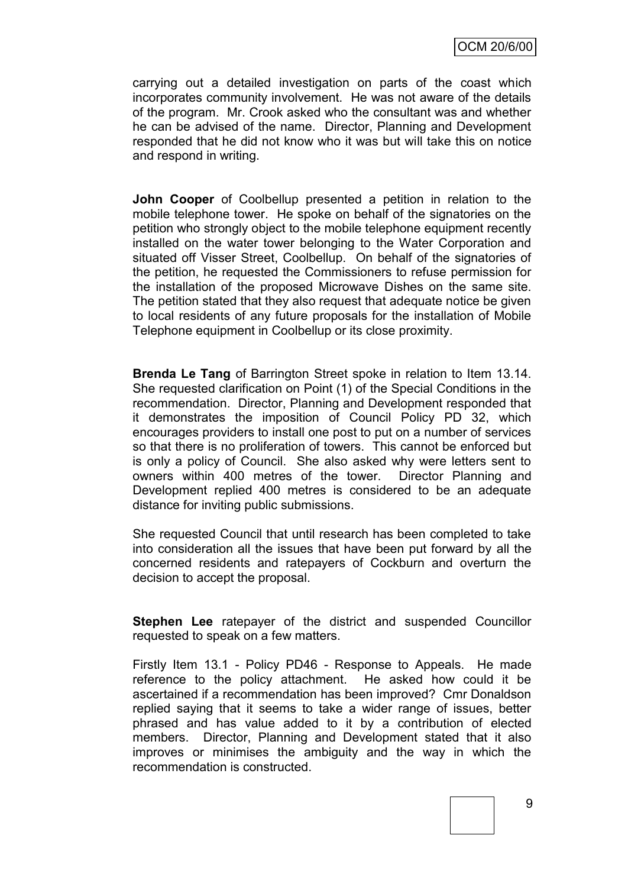carrying out a detailed investigation on parts of the coast which incorporates community involvement. He was not aware of the details of the program. Mr. Crook asked who the consultant was and whether he can be advised of the name. Director, Planning and Development responded that he did not know who it was but will take this on notice and respond in writing.

**John Cooper** of Coolbellup presented a petition in relation to the mobile telephone tower. He spoke on behalf of the signatories on the petition who strongly object to the mobile telephone equipment recently installed on the water tower belonging to the Water Corporation and situated off Visser Street, Coolbellup. On behalf of the signatories of the petition, he requested the Commissioners to refuse permission for the installation of the proposed Microwave Dishes on the same site. The petition stated that they also request that adequate notice be given to local residents of any future proposals for the installation of Mobile Telephone equipment in Coolbellup or its close proximity.

**Brenda Le Tang** of Barrington Street spoke in relation to Item 13.14. She requested clarification on Point (1) of the Special Conditions in the recommendation. Director, Planning and Development responded that it demonstrates the imposition of Council Policy PD 32, which encourages providers to install one post to put on a number of services so that there is no proliferation of towers. This cannot be enforced but is only a policy of Council. She also asked why were letters sent to owners within 400 metres of the tower. Director Planning and Development replied 400 metres is considered to be an adequate distance for inviting public submissions.

She requested Council that until research has been completed to take into consideration all the issues that have been put forward by all the concerned residents and ratepayers of Cockburn and overturn the decision to accept the proposal.

**Stephen Lee** ratepayer of the district and suspended Councillor requested to speak on a few matters.

Firstly Item 13.1 - Policy PD46 - Response to Appeals. He made reference to the policy attachment. He asked how could it be ascertained if a recommendation has been improved? Cmr Donaldson replied saying that it seems to take a wider range of issues, better phrased and has value added to it by a contribution of elected members. Director, Planning and Development stated that it also improves or minimises the ambiguity and the way in which the recommendation is constructed.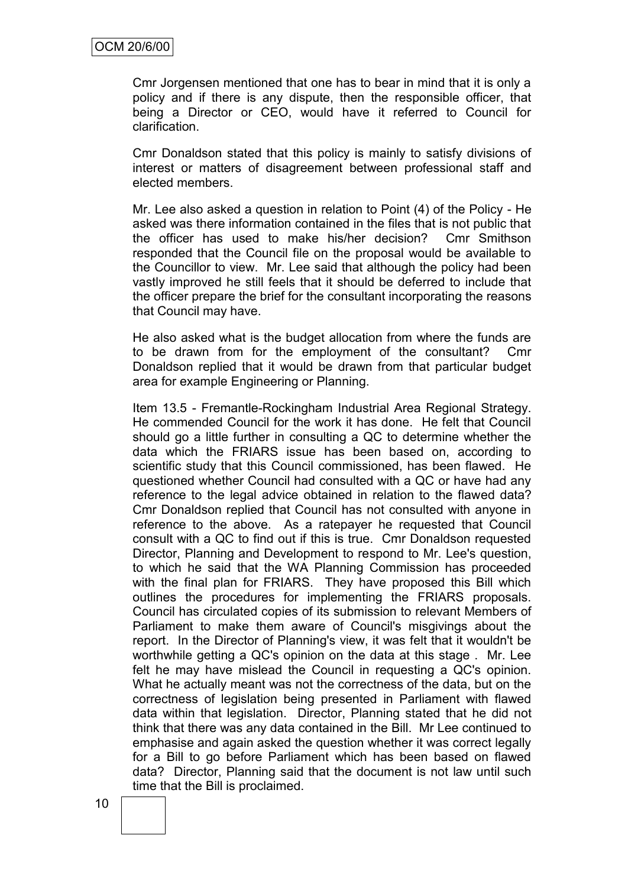Cmr Jorgensen mentioned that one has to bear in mind that it is only a policy and if there is any dispute, then the responsible officer, that being a Director or CEO, would have it referred to Council for clarification.

Cmr Donaldson stated that this policy is mainly to satisfy divisions of interest or matters of disagreement between professional staff and elected members.

Mr. Lee also asked a question in relation to Point (4) of the Policy - He asked was there information contained in the files that is not public that the officer has used to make his/her decision? Cmr Smithson responded that the Council file on the proposal would be available to the Councillor to view. Mr. Lee said that although the policy had been vastly improved he still feels that it should be deferred to include that the officer prepare the brief for the consultant incorporating the reasons that Council may have.

He also asked what is the budget allocation from where the funds are to be drawn from for the employment of the consultant? Cmr Donaldson replied that it would be drawn from that particular budget area for example Engineering or Planning.

Item 13.5 - Fremantle-Rockingham Industrial Area Regional Strategy. He commended Council for the work it has done. He felt that Council should go a little further in consulting a QC to determine whether the data which the FRIARS issue has been based on, according to scientific study that this Council commissioned, has been flawed. He questioned whether Council had consulted with a QC or have had any reference to the legal advice obtained in relation to the flawed data? Cmr Donaldson replied that Council has not consulted with anyone in reference to the above. As a ratepayer he requested that Council consult with a QC to find out if this is true. Cmr Donaldson requested Director, Planning and Development to respond to Mr. Lee's question, to which he said that the WA Planning Commission has proceeded with the final plan for FRIARS. They have proposed this Bill which outlines the procedures for implementing the FRIARS proposals. Council has circulated copies of its submission to relevant Members of Parliament to make them aware of Council's misgivings about the report. In the Director of Planning's view, it was felt that it wouldn't be worthwhile getting a QC's opinion on the data at this stage . Mr. Lee felt he may have mislead the Council in requesting a QC's opinion. What he actually meant was not the correctness of the data, but on the correctness of legislation being presented in Parliament with flawed data within that legislation. Director, Planning stated that he did not think that there was any data contained in the Bill. Mr Lee continued to emphasise and again asked the question whether it was correct legally for a Bill to go before Parliament which has been based on flawed data? Director, Planning said that the document is not law until such time that the Bill is proclaimed.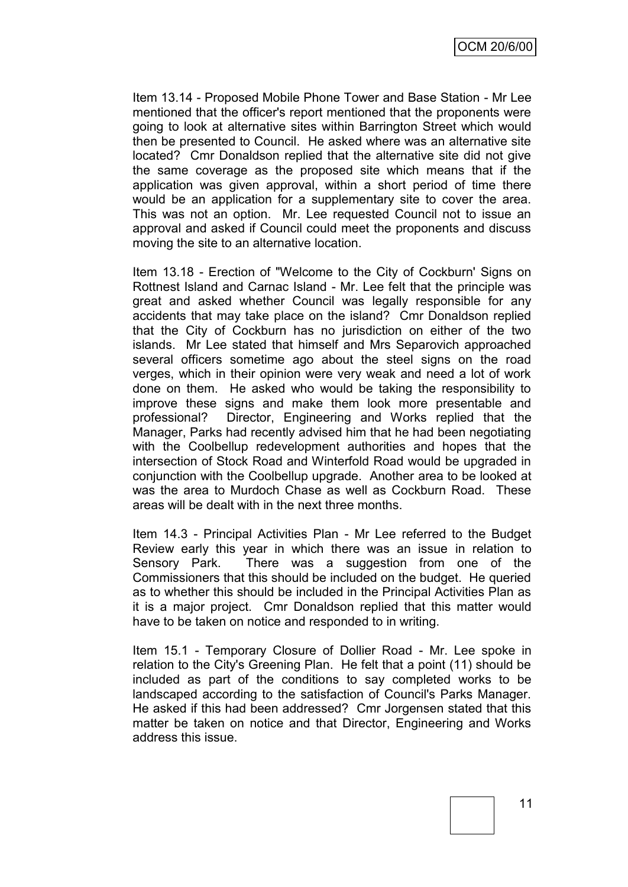Item 13.14 - Proposed Mobile Phone Tower and Base Station - Mr Lee mentioned that the officer's report mentioned that the proponents were going to look at alternative sites within Barrington Street which would then be presented to Council. He asked where was an alternative site located? Cmr Donaldson replied that the alternative site did not give the same coverage as the proposed site which means that if the application was given approval, within a short period of time there would be an application for a supplementary site to cover the area. This was not an option. Mr. Lee requested Council not to issue an approval and asked if Council could meet the proponents and discuss moving the site to an alternative location.

Item 13.18 - Erection of "Welcome to the City of Cockburn' Signs on Rottnest Island and Carnac Island - Mr. Lee felt that the principle was great and asked whether Council was legally responsible for any accidents that may take place on the island? Cmr Donaldson replied that the City of Cockburn has no jurisdiction on either of the two islands. Mr Lee stated that himself and Mrs Separovich approached several officers sometime ago about the steel signs on the road verges, which in their opinion were very weak and need a lot of work done on them. He asked who would be taking the responsibility to improve these signs and make them look more presentable and professional? Director, Engineering and Works replied that the Manager, Parks had recently advised him that he had been negotiating with the Coolbellup redevelopment authorities and hopes that the intersection of Stock Road and Winterfold Road would be upgraded in conjunction with the Coolbellup upgrade. Another area to be looked at was the area to Murdoch Chase as well as Cockburn Road. These areas will be dealt with in the next three months.

Item 14.3 - Principal Activities Plan - Mr Lee referred to the Budget Review early this year in which there was an issue in relation to Sensory Park. There was a suggestion from one of the Commissioners that this should be included on the budget. He queried as to whether this should be included in the Principal Activities Plan as it is a major project. Cmr Donaldson replied that this matter would have to be taken on notice and responded to in writing.

Item 15.1 - Temporary Closure of Dollier Road - Mr. Lee spoke in relation to the City's Greening Plan. He felt that a point (11) should be included as part of the conditions to say completed works to be landscaped according to the satisfaction of Council's Parks Manager. He asked if this had been addressed? Cmr Jorgensen stated that this matter be taken on notice and that Director, Engineering and Works address this issue.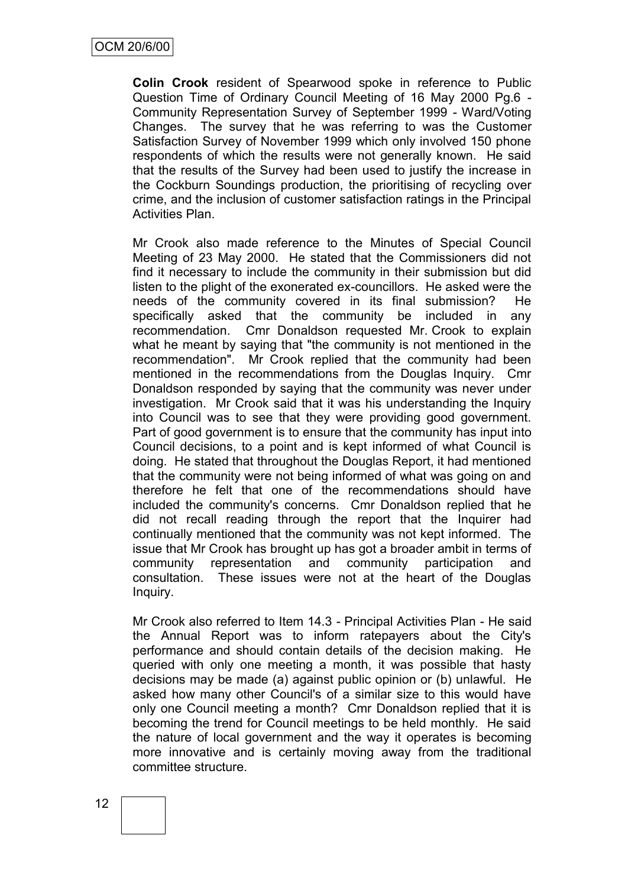**Colin Crook** resident of Spearwood spoke in reference to Public Question Time of Ordinary Council Meeting of 16 May 2000 Pg.6 - Community Representation Survey of September 1999 - Ward/Voting Changes. The survey that he was referring to was the Customer Satisfaction Survey of November 1999 which only involved 150 phone respondents of which the results were not generally known. He said that the results of the Survey had been used to justify the increase in the Cockburn Soundings production, the prioritising of recycling over crime, and the inclusion of customer satisfaction ratings in the Principal Activities Plan.

Mr Crook also made reference to the Minutes of Special Council Meeting of 23 May 2000. He stated that the Commissioners did not find it necessary to include the community in their submission but did listen to the plight of the exonerated ex-councillors. He asked were the needs of the community covered in its final submission? He specifically asked that the community be included in any recommendation. Cmr Donaldson requested Mr. Crook to explain what he meant by saying that "the community is not mentioned in the recommendation". Mr Crook replied that the community had been mentioned in the recommendations from the Douglas Inquiry. Cmr Donaldson responded by saying that the community was never under investigation. Mr Crook said that it was his understanding the Inquiry into Council was to see that they were providing good government. Part of good government is to ensure that the community has input into Council decisions, to a point and is kept informed of what Council is doing. He stated that throughout the Douglas Report, it had mentioned that the community were not being informed of what was going on and therefore he felt that one of the recommendations should have included the community's concerns. Cmr Donaldson replied that he did not recall reading through the report that the Inquirer had continually mentioned that the community was not kept informed. The issue that Mr Crook has brought up has got a broader ambit in terms of community representation and community participation and consultation. These issues were not at the heart of the Douglas Inquiry.

Mr Crook also referred to Item 14.3 - Principal Activities Plan - He said the Annual Report was to inform ratepayers about the City's performance and should contain details of the decision making. He queried with only one meeting a month, it was possible that hasty decisions may be made (a) against public opinion or (b) unlawful. He asked how many other Council's of a similar size to this would have only one Council meeting a month? Cmr Donaldson replied that it is becoming the trend for Council meetings to be held monthly. He said the nature of local government and the way it operates is becoming more innovative and is certainly moving away from the traditional committee structure.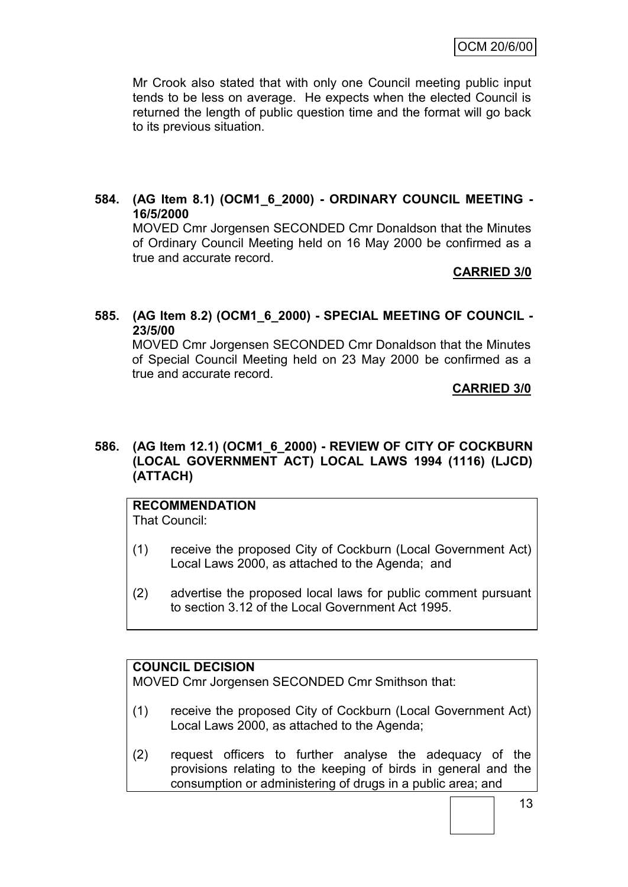Mr Crook also stated that with only one Council meeting public input tends to be less on average. He expects when the elected Council is returned the length of public question time and the format will go back to its previous situation.

#### **584. (AG Item 8.1) (OCM1\_6\_2000) - ORDINARY COUNCIL MEETING - 16/5/2000**

MOVED Cmr Jorgensen SECONDED Cmr Donaldson that the Minutes of Ordinary Council Meeting held on 16 May 2000 be confirmed as a true and accurate record.

#### **CARRIED 3/0**

**585. (AG Item 8.2) (OCM1\_6\_2000) - SPECIAL MEETING OF COUNCIL - 23/5/00**

MOVED Cmr Jorgensen SECONDED Cmr Donaldson that the Minutes of Special Council Meeting held on 23 May 2000 be confirmed as a true and accurate record.

#### **CARRIED 3/0**

#### **586. (AG Item 12.1) (OCM1\_6\_2000) - REVIEW OF CITY OF COCKBURN (LOCAL GOVERNMENT ACT) LOCAL LAWS 1994 (1116) (LJCD) (ATTACH)**

# **RECOMMENDATION**

That Council:

- (1) receive the proposed City of Cockburn (Local Government Act) Local Laws 2000, as attached to the Agenda; and
- (2) advertise the proposed local laws for public comment pursuant to section 3.12 of the Local Government Act 1995.

## **COUNCIL DECISION**

MOVED Cmr Jorgensen SECONDED Cmr Smithson that:

- (1) receive the proposed City of Cockburn (Local Government Act) Local Laws 2000, as attached to the Agenda;
- (2) request officers to further analyse the adequacy of the provisions relating to the keeping of birds in general and the consumption or administering of drugs in a public area; and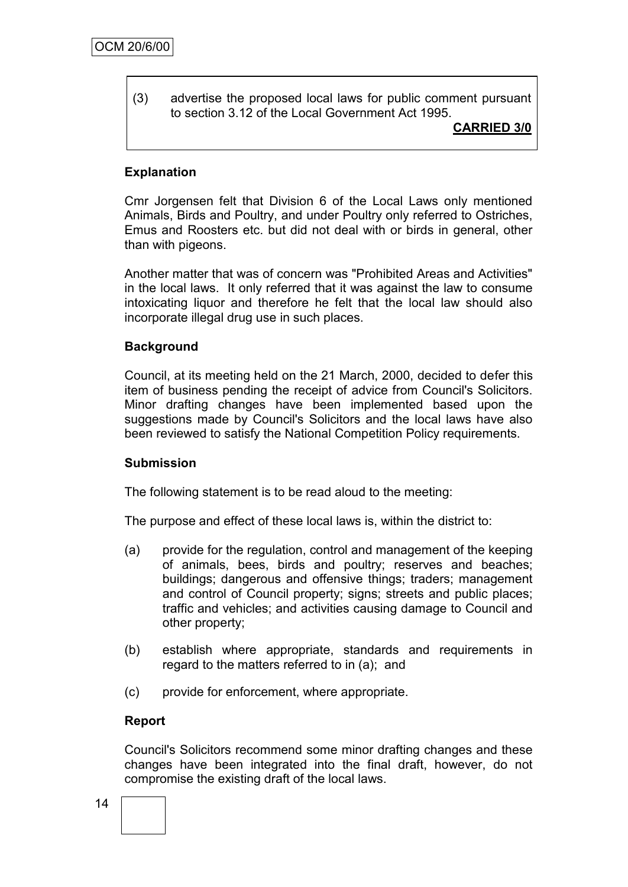(3) advertise the proposed local laws for public comment pursuant to section 3.12 of the Local Government Act 1995.

#### **CARRIED 3/0**

#### **Explanation**

Cmr Jorgensen felt that Division 6 of the Local Laws only mentioned Animals, Birds and Poultry, and under Poultry only referred to Ostriches, Emus and Roosters etc. but did not deal with or birds in general, other than with pigeons.

Another matter that was of concern was "Prohibited Areas and Activities" in the local laws. It only referred that it was against the law to consume intoxicating liquor and therefore he felt that the local law should also incorporate illegal drug use in such places.

#### **Background**

Council, at its meeting held on the 21 March, 2000, decided to defer this item of business pending the receipt of advice from Council's Solicitors. Minor drafting changes have been implemented based upon the suggestions made by Council's Solicitors and the local laws have also been reviewed to satisfy the National Competition Policy requirements.

#### **Submission**

The following statement is to be read aloud to the meeting:

The purpose and effect of these local laws is, within the district to:

- (a) provide for the regulation, control and management of the keeping of animals, bees, birds and poultry; reserves and beaches; buildings; dangerous and offensive things; traders; management and control of Council property; signs; streets and public places; traffic and vehicles; and activities causing damage to Council and other property;
- (b) establish where appropriate, standards and requirements in regard to the matters referred to in (a); and
- (c) provide for enforcement, where appropriate.

#### **Report**

Council's Solicitors recommend some minor drafting changes and these changes have been integrated into the final draft, however, do not compromise the existing draft of the local laws.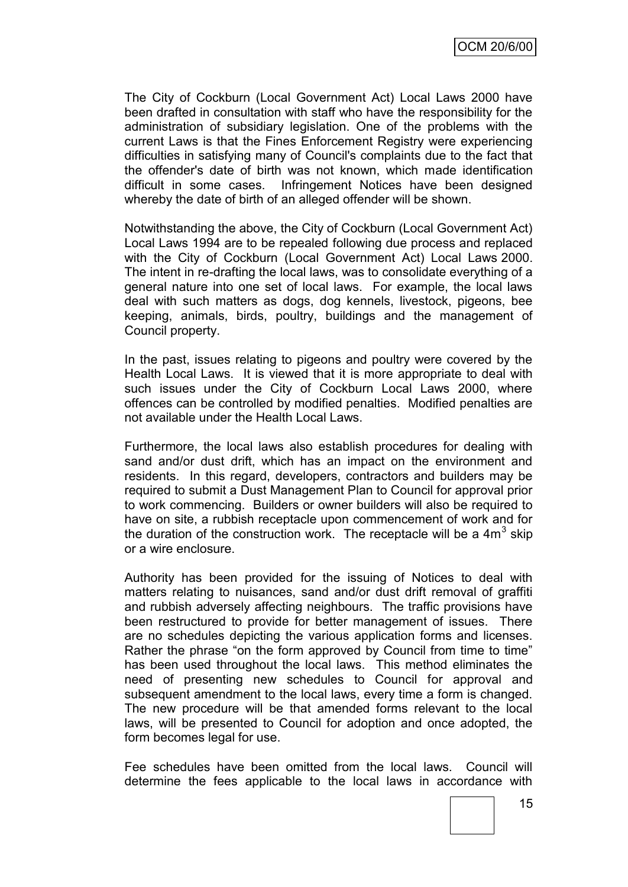The City of Cockburn (Local Government Act) Local Laws 2000 have been drafted in consultation with staff who have the responsibility for the administration of subsidiary legislation. One of the problems with the current Laws is that the Fines Enforcement Registry were experiencing difficulties in satisfying many of Council's complaints due to the fact that the offender's date of birth was not known, which made identification difficult in some cases. Infringement Notices have been designed whereby the date of birth of an alleged offender will be shown.

Notwithstanding the above, the City of Cockburn (Local Government Act) Local Laws 1994 are to be repealed following due process and replaced with the City of Cockburn (Local Government Act) Local Laws 2000. The intent in re-drafting the local laws, was to consolidate everything of a general nature into one set of local laws. For example, the local laws deal with such matters as dogs, dog kennels, livestock, pigeons, bee keeping, animals, birds, poultry, buildings and the management of Council property.

In the past, issues relating to pigeons and poultry were covered by the Health Local Laws. It is viewed that it is more appropriate to deal with such issues under the City of Cockburn Local Laws 2000, where offences can be controlled by modified penalties. Modified penalties are not available under the Health Local Laws.

Furthermore, the local laws also establish procedures for dealing with sand and/or dust drift, which has an impact on the environment and residents. In this regard, developers, contractors and builders may be required to submit a Dust Management Plan to Council for approval prior to work commencing. Builders or owner builders will also be required to have on site, a rubbish receptacle upon commencement of work and for the duration of the construction work. The receptacle will be a  $4m^3$  skip or a wire enclosure.

Authority has been provided for the issuing of Notices to deal with matters relating to nuisances, sand and/or dust drift removal of graffiti and rubbish adversely affecting neighbours. The traffic provisions have been restructured to provide for better management of issues. There are no schedules depicting the various application forms and licenses. Rather the phrase "on the form approved by Council from time to time" has been used throughout the local laws. This method eliminates the need of presenting new schedules to Council for approval and subsequent amendment to the local laws, every time a form is changed. The new procedure will be that amended forms relevant to the local laws, will be presented to Council for adoption and once adopted, the form becomes legal for use.

Fee schedules have been omitted from the local laws. Council will determine the fees applicable to the local laws in accordance with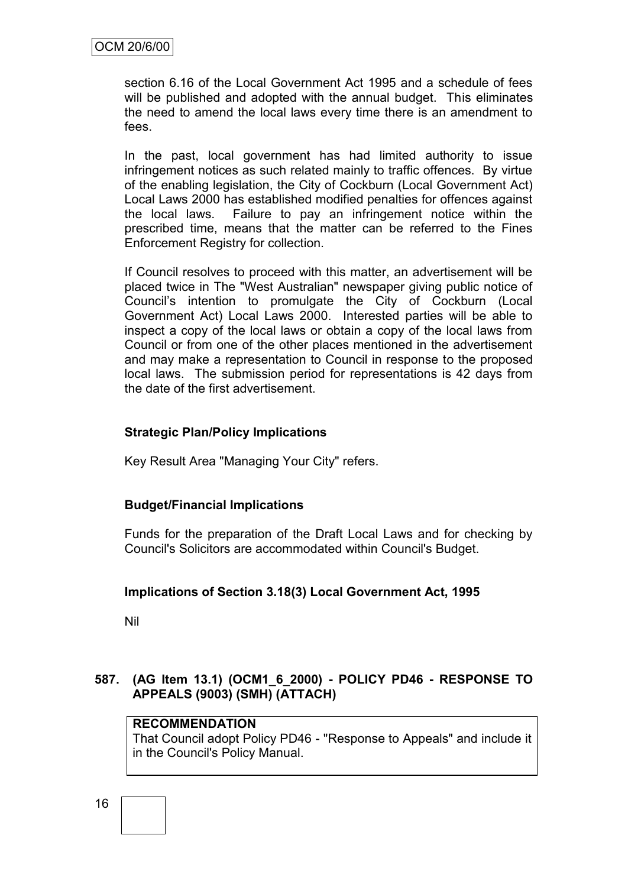section 6.16 of the Local Government Act 1995 and a schedule of fees will be published and adopted with the annual budget. This eliminates the need to amend the local laws every time there is an amendment to fees.

In the past, local government has had limited authority to issue infringement notices as such related mainly to traffic offences. By virtue of the enabling legislation, the City of Cockburn (Local Government Act) Local Laws 2000 has established modified penalties for offences against the local laws. Failure to pay an infringement notice within the prescribed time, means that the matter can be referred to the Fines Enforcement Registry for collection.

If Council resolves to proceed with this matter, an advertisement will be placed twice in The "West Australian" newspaper giving public notice of Council"s intention to promulgate the City of Cockburn (Local Government Act) Local Laws 2000. Interested parties will be able to inspect a copy of the local laws or obtain a copy of the local laws from Council or from one of the other places mentioned in the advertisement and may make a representation to Council in response to the proposed local laws. The submission period for representations is 42 days from the date of the first advertisement.

#### **Strategic Plan/Policy Implications**

Key Result Area "Managing Your City" refers.

#### **Budget/Financial Implications**

Funds for the preparation of the Draft Local Laws and for checking by Council's Solicitors are accommodated within Council's Budget.

#### **Implications of Section 3.18(3) Local Government Act, 1995**

Nil

#### **587. (AG Item 13.1) (OCM1\_6\_2000) - POLICY PD46 - RESPONSE TO APPEALS (9003) (SMH) (ATTACH)**

#### **RECOMMENDATION**

That Council adopt Policy PD46 - "Response to Appeals" and include it in the Council's Policy Manual.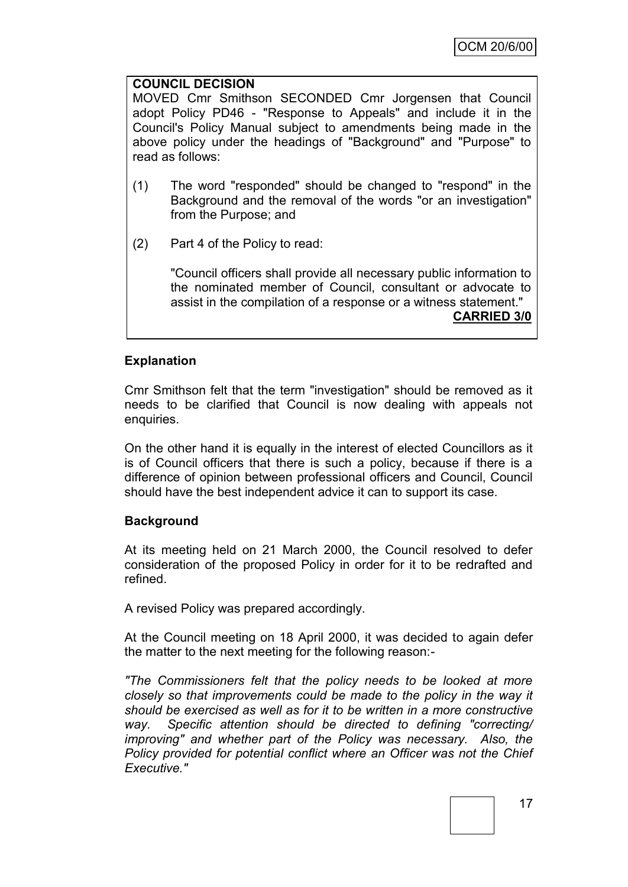#### **COUNCIL DECISION**

MOVED Cmr Smithson SECONDED Cmr Jorgensen that Council adopt Policy PD46 - "Response to Appeals" and include it in the Council's Policy Manual subject to amendments being made in the above policy under the headings of "Background" and "Purpose" to read as follows:

- (1) The word "responded" should be changed to "respond" in the Background and the removal of the words "or an investigation" from the Purpose; and
- (2) Part 4 of the Policy to read:

"Council officers shall provide all necessary public information to the nominated member of Council, consultant or advocate to assist in the compilation of a response or a witness statement." **CARRIED 3/0**

#### **Explanation**

Cmr Smithson felt that the term "investigation" should be removed as it needs to be clarified that Council is now dealing with appeals not enquiries.

On the other hand it is equally in the interest of elected Councillors as it is of Council officers that there is such a policy, because if there is a difference of opinion between professional officers and Council, Council should have the best independent advice it can to support its case.

#### **Background**

At its meeting held on 21 March 2000, the Council resolved to defer consideration of the proposed Policy in order for it to be redrafted and refined.

A revised Policy was prepared accordingly.

At the Council meeting on 18 April 2000, it was decided to again defer the matter to the next meeting for the following reason:-

*"The Commissioners felt that the policy needs to be looked at more closely so that improvements could be made to the policy in the way it should be exercised as well as for it to be written in a more constructive way. Specific attention should be directed to defining "correcting/ improving" and whether part of the Policy was necessary. Also, the Policy provided for potential conflict where an Officer was not the Chief Executive."*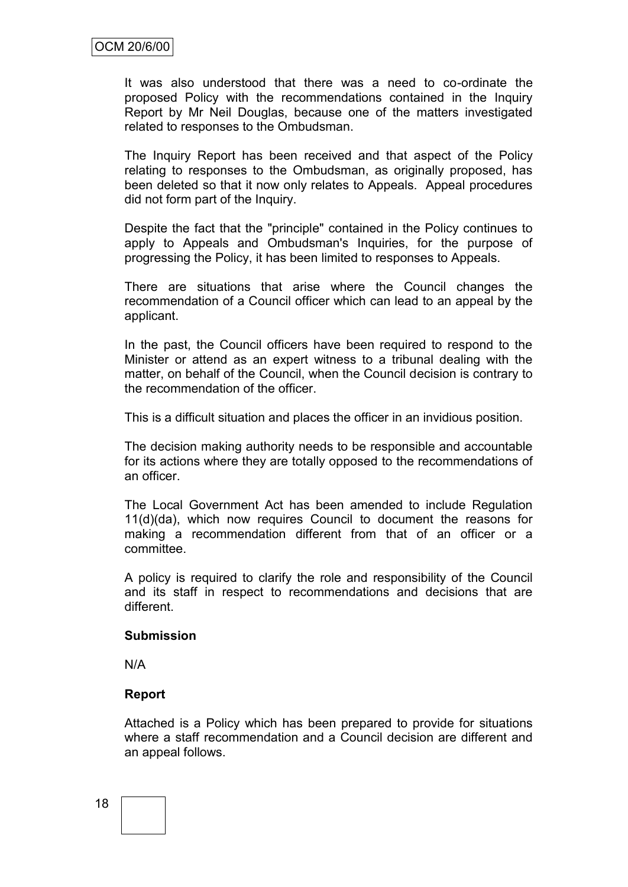It was also understood that there was a need to co-ordinate the proposed Policy with the recommendations contained in the Inquiry Report by Mr Neil Douglas, because one of the matters investigated related to responses to the Ombudsman.

The Inquiry Report has been received and that aspect of the Policy relating to responses to the Ombudsman, as originally proposed, has been deleted so that it now only relates to Appeals. Appeal procedures did not form part of the Inquiry.

Despite the fact that the "principle" contained in the Policy continues to apply to Appeals and Ombudsman's Inquiries, for the purpose of progressing the Policy, it has been limited to responses to Appeals.

There are situations that arise where the Council changes the recommendation of a Council officer which can lead to an appeal by the applicant.

In the past, the Council officers have been required to respond to the Minister or attend as an expert witness to a tribunal dealing with the matter, on behalf of the Council, when the Council decision is contrary to the recommendation of the officer.

This is a difficult situation and places the officer in an invidious position.

The decision making authority needs to be responsible and accountable for its actions where they are totally opposed to the recommendations of an officer.

The Local Government Act has been amended to include Regulation 11(d)(da), which now requires Council to document the reasons for making a recommendation different from that of an officer or a committee.

A policy is required to clarify the role and responsibility of the Council and its staff in respect to recommendations and decisions that are different.

#### **Submission**

N/A

#### **Report**

Attached is a Policy which has been prepared to provide for situations where a staff recommendation and a Council decision are different and an appeal follows.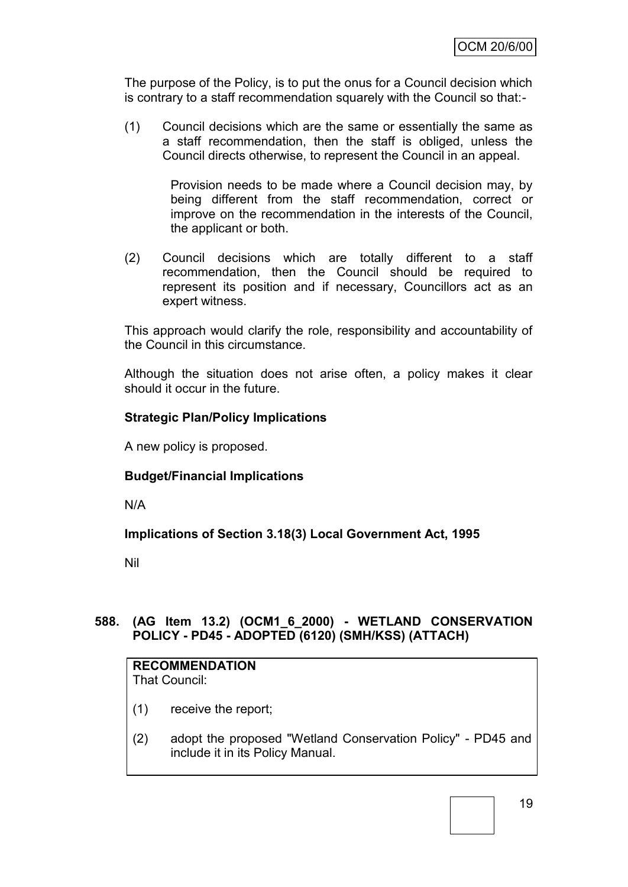The purpose of the Policy, is to put the onus for a Council decision which is contrary to a staff recommendation squarely with the Council so that:-

(1) Council decisions which are the same or essentially the same as a staff recommendation, then the staff is obliged, unless the Council directs otherwise, to represent the Council in an appeal.

> Provision needs to be made where a Council decision may, by being different from the staff recommendation, correct or improve on the recommendation in the interests of the Council, the applicant or both.

(2) Council decisions which are totally different to a staff recommendation, then the Council should be required to represent its position and if necessary, Councillors act as an expert witness.

This approach would clarify the role, responsibility and accountability of the Council in this circumstance.

Although the situation does not arise often, a policy makes it clear should it occur in the future.

#### **Strategic Plan/Policy Implications**

A new policy is proposed.

#### **Budget/Financial Implications**

N/A

#### **Implications of Section 3.18(3) Local Government Act, 1995**

Nil

## **588. (AG Item 13.2) (OCM1\_6\_2000) - WETLAND CONSERVATION POLICY - PD45 - ADOPTED (6120) (SMH/KSS) (ATTACH)**

| <b>RECOMMENDATION</b> |  |
|-----------------------|--|
| That Council:         |  |

- (1) receive the report;
- (2) adopt the proposed "Wetland Conservation Policy" PD45 and include it in its Policy Manual.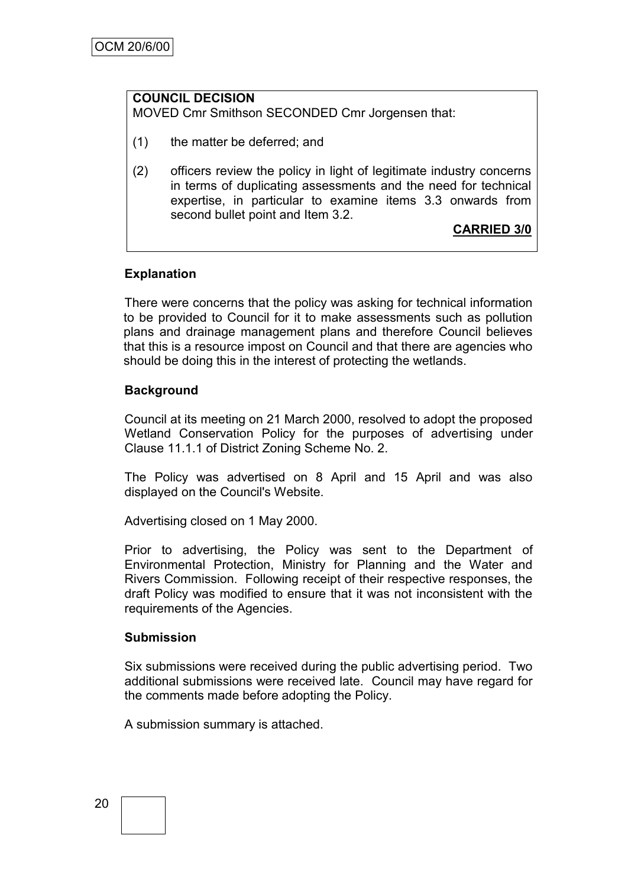# **COUNCIL DECISION**

MOVED Cmr Smithson SECONDED Cmr Jorgensen that:

- (1) the matter be deferred; and
- (2) officers review the policy in light of legitimate industry concerns in terms of duplicating assessments and the need for technical expertise, in particular to examine items 3.3 onwards from second bullet point and Item 3.2.

**CARRIED 3/0**

#### **Explanation**

There were concerns that the policy was asking for technical information to be provided to Council for it to make assessments such as pollution plans and drainage management plans and therefore Council believes that this is a resource impost on Council and that there are agencies who should be doing this in the interest of protecting the wetlands.

#### **Background**

Council at its meeting on 21 March 2000, resolved to adopt the proposed Wetland Conservation Policy for the purposes of advertising under Clause 11.1.1 of District Zoning Scheme No. 2.

The Policy was advertised on 8 April and 15 April and was also displayed on the Council's Website.

Advertising closed on 1 May 2000.

Prior to advertising, the Policy was sent to the Department of Environmental Protection, Ministry for Planning and the Water and Rivers Commission. Following receipt of their respective responses, the draft Policy was modified to ensure that it was not inconsistent with the requirements of the Agencies.

#### **Submission**

Six submissions were received during the public advertising period. Two additional submissions were received late. Council may have regard for the comments made before adopting the Policy.

A submission summary is attached.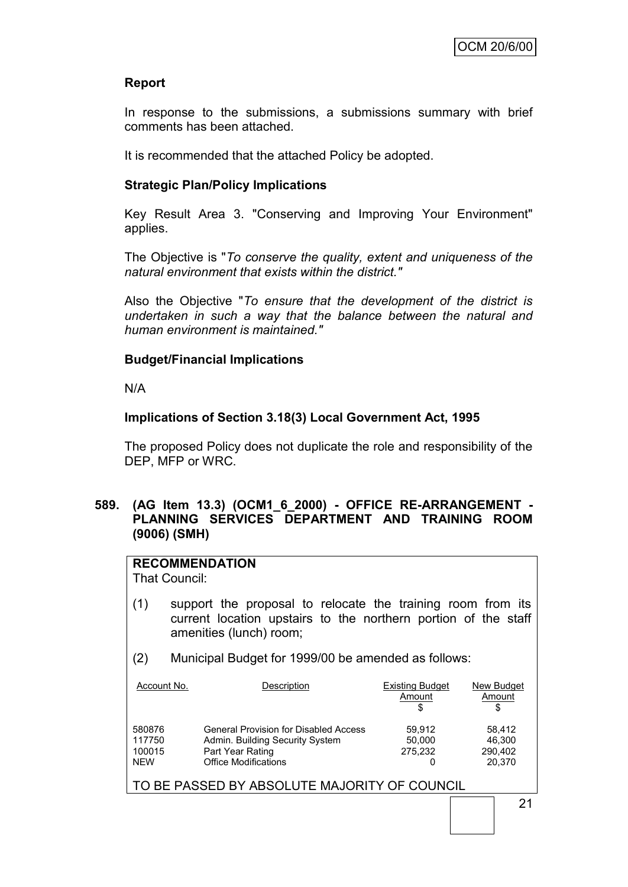#### **Report**

In response to the submissions, a submissions summary with brief comments has been attached.

It is recommended that the attached Policy be adopted.

#### **Strategic Plan/Policy Implications**

Key Result Area 3. "Conserving and Improving Your Environment" applies.

The Objective is "*To conserve the quality, extent and uniqueness of the natural environment that exists within the district."*

Also the Objective "*To ensure that the development of the district is undertaken in such a way that the balance between the natural and human environment is maintained."*

#### **Budget/Financial Implications**

N/A

#### **Implications of Section 3.18(3) Local Government Act, 1995**

The proposed Policy does not duplicate the role and responsibility of the DEP, MFP or WRC.

#### **589. (AG Item 13.3) (OCM1\_6\_2000) - OFFICE RE-ARRANGEMENT - PLANNING SERVICES DEPARTMENT AND TRAINING ROOM (9006) (SMH)**

#### **RECOMMENDATION**

That Council:

- (1) support the proposal to relocate the training room from its current location upstairs to the northern portion of the staff amenities (lunch) room;
- (2) Municipal Budget for 1999/00 be amended as follows:

| Account No. | Description                                  | <b>Existing Budget</b><br>Amount | New Budget<br>Amount<br>S |
|-------------|----------------------------------------------|----------------------------------|---------------------------|
| 580876      | <b>General Provision for Disabled Access</b> | 59.912                           | 58.412                    |
| 117750      | Admin. Building Security System              | 50,000                           | 46.300                    |
| 100015      | Part Year Rating                             | 275,232                          | 290.402                   |
| <b>NEW</b>  | <b>Office Modifications</b>                  | 0                                | 20.370                    |

TO BE PASSED BY ABSOLUTE MAJORITY OF COUNCIL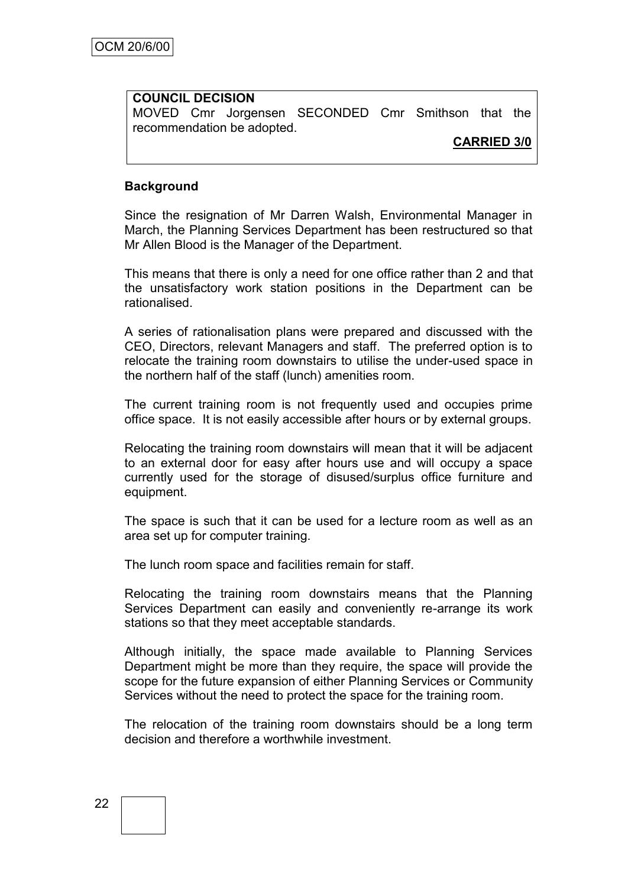## **COUNCIL DECISION** MOVED Cmr Jorgensen SECONDED Cmr Smithson that the recommendation be adopted.

#### **CARRIED 3/0**

#### **Background**

Since the resignation of Mr Darren Walsh, Environmental Manager in March, the Planning Services Department has been restructured so that Mr Allen Blood is the Manager of the Department.

This means that there is only a need for one office rather than 2 and that the unsatisfactory work station positions in the Department can be rationalised.

A series of rationalisation plans were prepared and discussed with the CEO, Directors, relevant Managers and staff. The preferred option is to relocate the training room downstairs to utilise the under-used space in the northern half of the staff (lunch) amenities room.

The current training room is not frequently used and occupies prime office space. It is not easily accessible after hours or by external groups.

Relocating the training room downstairs will mean that it will be adjacent to an external door for easy after hours use and will occupy a space currently used for the storage of disused/surplus office furniture and equipment.

The space is such that it can be used for a lecture room as well as an area set up for computer training.

The lunch room space and facilities remain for staff.

Relocating the training room downstairs means that the Planning Services Department can easily and conveniently re-arrange its work stations so that they meet acceptable standards.

Although initially, the space made available to Planning Services Department might be more than they require, the space will provide the scope for the future expansion of either Planning Services or Community Services without the need to protect the space for the training room.

The relocation of the training room downstairs should be a long term decision and therefore a worthwhile investment.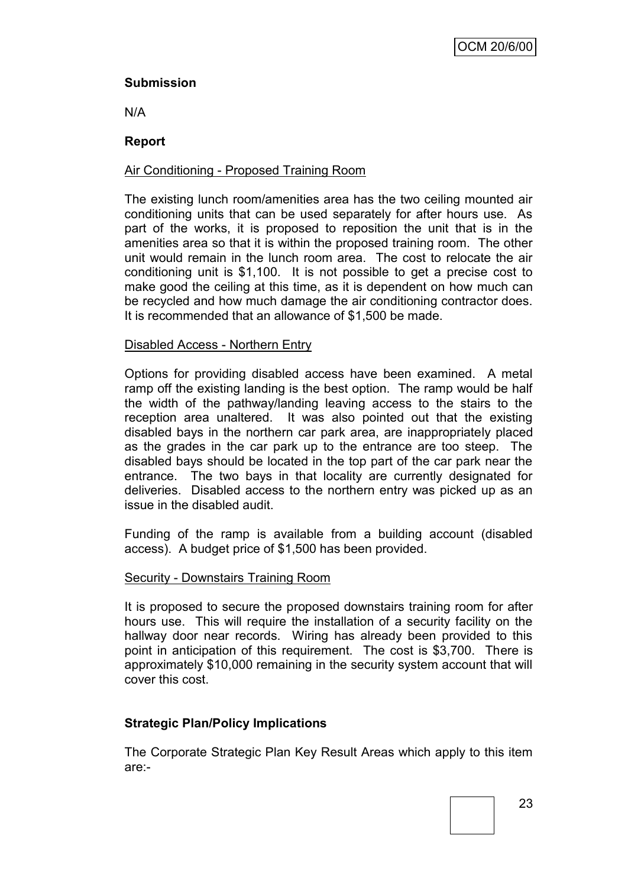#### **Submission**

N/A

#### **Report**

#### Air Conditioning - Proposed Training Room

The existing lunch room/amenities area has the two ceiling mounted air conditioning units that can be used separately for after hours use. As part of the works, it is proposed to reposition the unit that is in the amenities area so that it is within the proposed training room. The other unit would remain in the lunch room area. The cost to relocate the air conditioning unit is \$1,100. It is not possible to get a precise cost to make good the ceiling at this time, as it is dependent on how much can be recycled and how much damage the air conditioning contractor does. It is recommended that an allowance of \$1,500 be made.

#### Disabled Access - Northern Entry

Options for providing disabled access have been examined. A metal ramp off the existing landing is the best option. The ramp would be half the width of the pathway/landing leaving access to the stairs to the reception area unaltered. It was also pointed out that the existing disabled bays in the northern car park area, are inappropriately placed as the grades in the car park up to the entrance are too steep. The disabled bays should be located in the top part of the car park near the entrance. The two bays in that locality are currently designated for deliveries. Disabled access to the northern entry was picked up as an issue in the disabled audit.

Funding of the ramp is available from a building account (disabled access). A budget price of \$1,500 has been provided.

#### Security - Downstairs Training Room

It is proposed to secure the proposed downstairs training room for after hours use. This will require the installation of a security facility on the hallway door near records. Wiring has already been provided to this point in anticipation of this requirement. The cost is \$3,700. There is approximately \$10,000 remaining in the security system account that will cover this cost.

#### **Strategic Plan/Policy Implications**

The Corporate Strategic Plan Key Result Areas which apply to this item are:-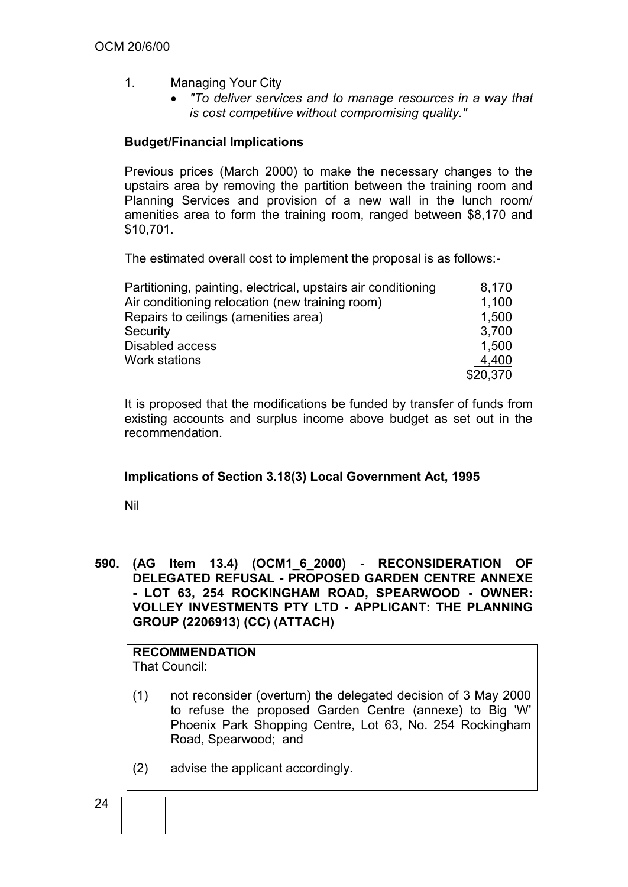- 1. Managing Your City
	- *"To deliver services and to manage resources in a way that is cost competitive without compromising quality."*

#### **Budget/Financial Implications**

Previous prices (March 2000) to make the necessary changes to the upstairs area by removing the partition between the training room and Planning Services and provision of a new wall in the lunch room/ amenities area to form the training room, ranged between \$8,170 and \$10,701.

The estimated overall cost to implement the proposal is as follows:-

| Partitioning, painting, electrical, upstairs air conditioning | 8,170    |
|---------------------------------------------------------------|----------|
| Air conditioning relocation (new training room)               | 1,100    |
| Repairs to ceilings (amenities area)                          | 1,500    |
| Security                                                      | 3.700    |
| Disabled access                                               | 1,500    |
| Work stations                                                 | 4,400    |
|                                                               | \$20,370 |

It is proposed that the modifications be funded by transfer of funds from existing accounts and surplus income above budget as set out in the recommendation.

#### **Implications of Section 3.18(3) Local Government Act, 1995**

Nil

**590. (AG Item 13.4) (OCM1\_6\_2000) - RECONSIDERATION OF DELEGATED REFUSAL - PROPOSED GARDEN CENTRE ANNEXE - LOT 63, 254 ROCKINGHAM ROAD, SPEARWOOD - OWNER: VOLLEY INVESTMENTS PTY LTD - APPLICANT: THE PLANNING GROUP (2206913) (CC) (ATTACH)**

# **RECOMMENDATION**

That Council:

- (1) not reconsider (overturn) the delegated decision of 3 May 2000 to refuse the proposed Garden Centre (annexe) to Big 'W' Phoenix Park Shopping Centre, Lot 63, No. 254 Rockingham Road, Spearwood; and
- (2) advise the applicant accordingly.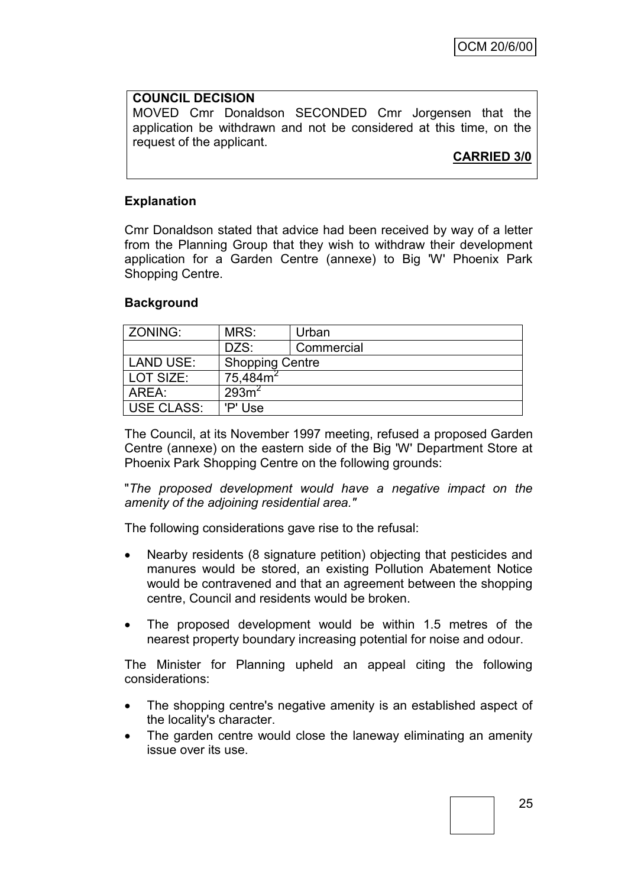#### **COUNCIL DECISION**

MOVED Cmr Donaldson SECONDED Cmr Jorgensen that the application be withdrawn and not be considered at this time, on the request of the applicant.

**CARRIED 3/0**

#### **Explanation**

Cmr Donaldson stated that advice had been received by way of a letter from the Planning Group that they wish to withdraw their development application for a Garden Centre (annexe) to Big 'W' Phoenix Park Shopping Centre.

#### **Background**

| <b>ZONING:</b>                             | MRS:    | Urban      |  |
|--------------------------------------------|---------|------------|--|
|                                            | DZS:    | Commercial |  |
| <b>LAND USE:</b><br><b>Shopping Centre</b> |         |            |  |
| $75,484m^2$<br>LOT SIZE:                   |         |            |  |
| 293m <sup>2</sup><br>AREA:                 |         |            |  |
| USE CLASS:                                 | 'P' Use |            |  |

The Council, at its November 1997 meeting, refused a proposed Garden Centre (annexe) on the eastern side of the Big 'W' Department Store at Phoenix Park Shopping Centre on the following grounds:

"*The proposed development would have a negative impact on the amenity of the adjoining residential area."*

The following considerations gave rise to the refusal:

- Nearby residents (8 signature petition) objecting that pesticides and manures would be stored, an existing Pollution Abatement Notice would be contravened and that an agreement between the shopping centre, Council and residents would be broken.
- The proposed development would be within 1.5 metres of the nearest property boundary increasing potential for noise and odour.

The Minister for Planning upheld an appeal citing the following considerations:

- The shopping centre's negative amenity is an established aspect of the locality's character.
- The garden centre would close the laneway eliminating an amenity issue over its use.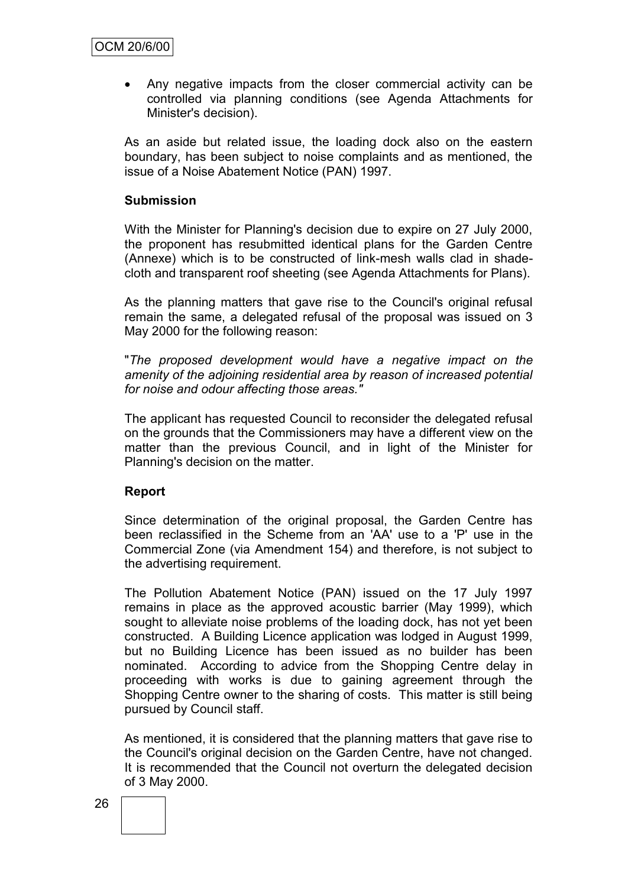Any negative impacts from the closer commercial activity can be controlled via planning conditions (see Agenda Attachments for Minister's decision).

As an aside but related issue, the loading dock also on the eastern boundary, has been subject to noise complaints and as mentioned, the issue of a Noise Abatement Notice (PAN) 1997.

#### **Submission**

With the Minister for Planning's decision due to expire on 27 July 2000, the proponent has resubmitted identical plans for the Garden Centre (Annexe) which is to be constructed of link-mesh walls clad in shadecloth and transparent roof sheeting (see Agenda Attachments for Plans).

As the planning matters that gave rise to the Council's original refusal remain the same, a delegated refusal of the proposal was issued on 3 May 2000 for the following reason:

"*The proposed development would have a negative impact on the amenity of the adjoining residential area by reason of increased potential for noise and odour affecting those areas."*

The applicant has requested Council to reconsider the delegated refusal on the grounds that the Commissioners may have a different view on the matter than the previous Council, and in light of the Minister for Planning's decision on the matter.

#### **Report**

Since determination of the original proposal, the Garden Centre has been reclassified in the Scheme from an 'AA' use to a 'P' use in the Commercial Zone (via Amendment 154) and therefore, is not subject to the advertising requirement.

The Pollution Abatement Notice (PAN) issued on the 17 July 1997 remains in place as the approved acoustic barrier (May 1999), which sought to alleviate noise problems of the loading dock, has not yet been constructed. A Building Licence application was lodged in August 1999, but no Building Licence has been issued as no builder has been nominated. According to advice from the Shopping Centre delay in proceeding with works is due to gaining agreement through the Shopping Centre owner to the sharing of costs. This matter is still being pursued by Council staff.

As mentioned, it is considered that the planning matters that gave rise to the Council's original decision on the Garden Centre, have not changed. It is recommended that the Council not overturn the delegated decision of 3 May 2000.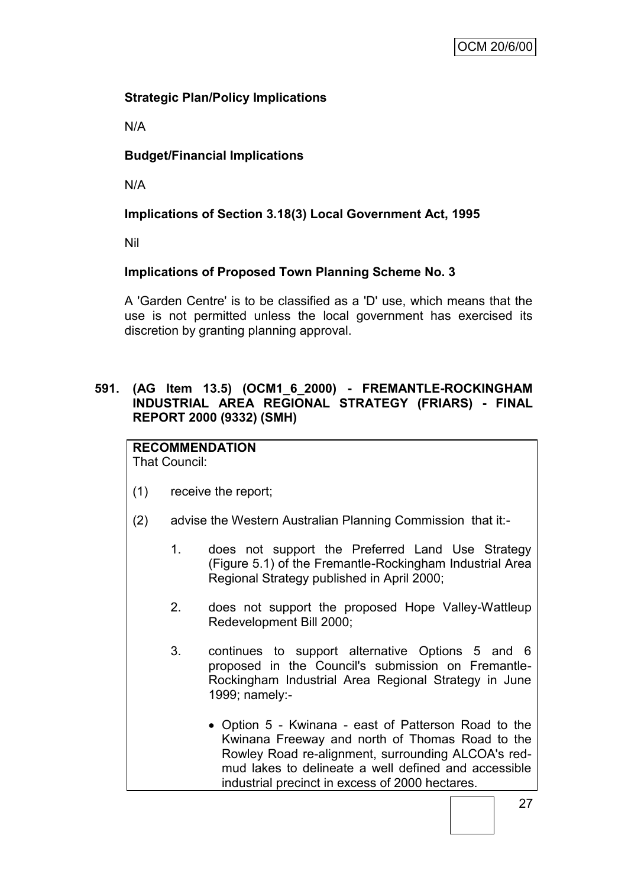# **Strategic Plan/Policy Implications**

N/A

# **Budget/Financial Implications**

N/A

# **Implications of Section 3.18(3) Local Government Act, 1995**

Nil

# **Implications of Proposed Town Planning Scheme No. 3**

A 'Garden Centre' is to be classified as a 'D' use, which means that the use is not permitted unless the local government has exercised its discretion by granting planning approval.

#### **591. (AG Item 13.5) (OCM1\_6\_2000) - FREMANTLE-ROCKINGHAM INDUSTRIAL AREA REGIONAL STRATEGY (FRIARS) - FINAL REPORT 2000 (9332) (SMH)**

**RECOMMENDATION** That Council:

- (1) receive the report;
- (2) advise the Western Australian Planning Commission that it:-
	- 1. does not support the Preferred Land Use Strategy (Figure 5.1) of the Fremantle-Rockingham Industrial Area Regional Strategy published in April 2000;
	- 2. does not support the proposed Hope Valley-Wattleup Redevelopment Bill 2000;
	- 3. continues to support alternative Options 5 and 6 proposed in the Council's submission on Fremantle-Rockingham Industrial Area Regional Strategy in June 1999; namely:-
		- Option 5 Kwinana east of Patterson Road to the Kwinana Freeway and north of Thomas Road to the Rowley Road re-alignment, surrounding ALCOA's redmud lakes to delineate a well defined and accessible industrial precinct in excess of 2000 hectares.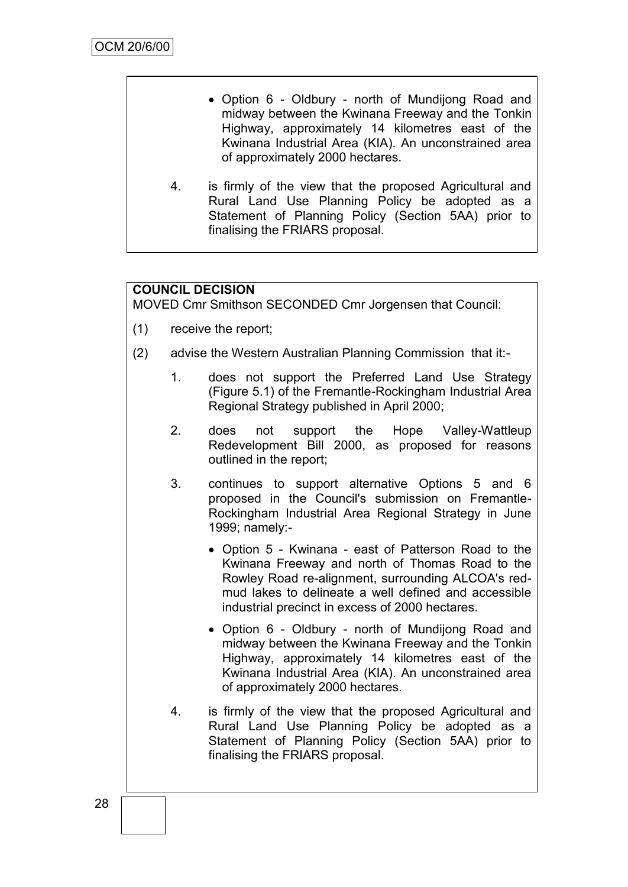- Option 6 Oldbury north of Mundijong Road and midway between the Kwinana Freeway and the Tonkin Highway, approximately 14 kilometres east of the Kwinana Industrial Area (KIA). An unconstrained area of approximately 2000 hectares.
- 4. is firmly of the view that the proposed Agricultural and Rural Land Use Planning Policy be adopted as a Statement of Planning Policy (Section 5AA) prior to finalising the FRIARS proposal.

# **COUNCIL DECISION**

MOVED Cmr Smithson SECONDED Cmr Jorgensen that Council:

- (1) receive the report;
- (2) advise the Western Australian Planning Commission that it:-
	- 1. does not support the Preferred Land Use Strategy (Figure 5.1) of the Fremantle-Rockingham Industrial Area Regional Strategy published in April 2000;
	- 2. does not support the Hope Valley-Wattleup Redevelopment Bill 2000, as proposed for reasons outlined in the report;
	- 3. continues to support alternative Options 5 and 6 proposed in the Council's submission on Fremantle-Rockingham Industrial Area Regional Strategy in June 1999; namely:-
		- Option 5 Kwinana east of Patterson Road to the Kwinana Freeway and north of Thomas Road to the Rowley Road re-alignment, surrounding ALCOA's redmud lakes to delineate a well defined and accessible industrial precinct in excess of 2000 hectares.
		- Option 6 Oldbury north of Mundijong Road and midway between the Kwinana Freeway and the Tonkin Highway, approximately 14 kilometres east of the Kwinana Industrial Area (KIA). An unconstrained area of approximately 2000 hectares.
	- 4. is firmly of the view that the proposed Agricultural and Rural Land Use Planning Policy be adopted as a Statement of Planning Policy (Section 5AA) prior to finalising the FRIARS proposal.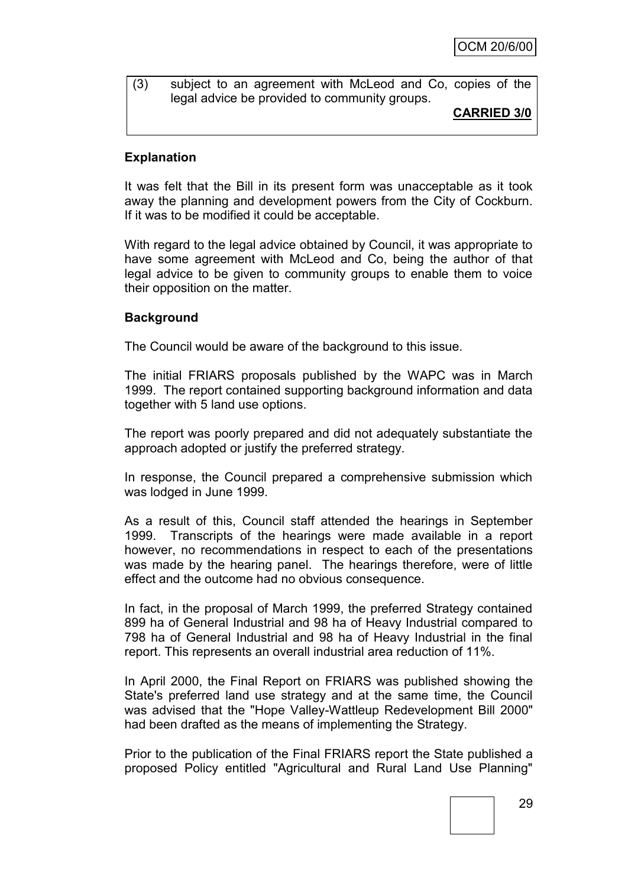#### (3) subject to an agreement with McLeod and Co, copies of the legal advice be provided to community groups.

**CARRIED 3/0**

#### **Explanation**

It was felt that the Bill in its present form was unacceptable as it took away the planning and development powers from the City of Cockburn. If it was to be modified it could be acceptable.

With regard to the legal advice obtained by Council, it was appropriate to have some agreement with McLeod and Co, being the author of that legal advice to be given to community groups to enable them to voice their opposition on the matter.

#### **Background**

The Council would be aware of the background to this issue.

The initial FRIARS proposals published by the WAPC was in March 1999. The report contained supporting background information and data together with 5 land use options.

The report was poorly prepared and did not adequately substantiate the approach adopted or justify the preferred strategy.

In response, the Council prepared a comprehensive submission which was lodged in June 1999.

As a result of this, Council staff attended the hearings in September 1999. Transcripts of the hearings were made available in a report however, no recommendations in respect to each of the presentations was made by the hearing panel. The hearings therefore, were of little effect and the outcome had no obvious consequence.

In fact, in the proposal of March 1999, the preferred Strategy contained 899 ha of General Industrial and 98 ha of Heavy Industrial compared to 798 ha of General Industrial and 98 ha of Heavy Industrial in the final report. This represents an overall industrial area reduction of 11%.

In April 2000, the Final Report on FRIARS was published showing the State's preferred land use strategy and at the same time, the Council was advised that the "Hope Valley-Wattleup Redevelopment Bill 2000" had been drafted as the means of implementing the Strategy.

Prior to the publication of the Final FRIARS report the State published a proposed Policy entitled "Agricultural and Rural Land Use Planning"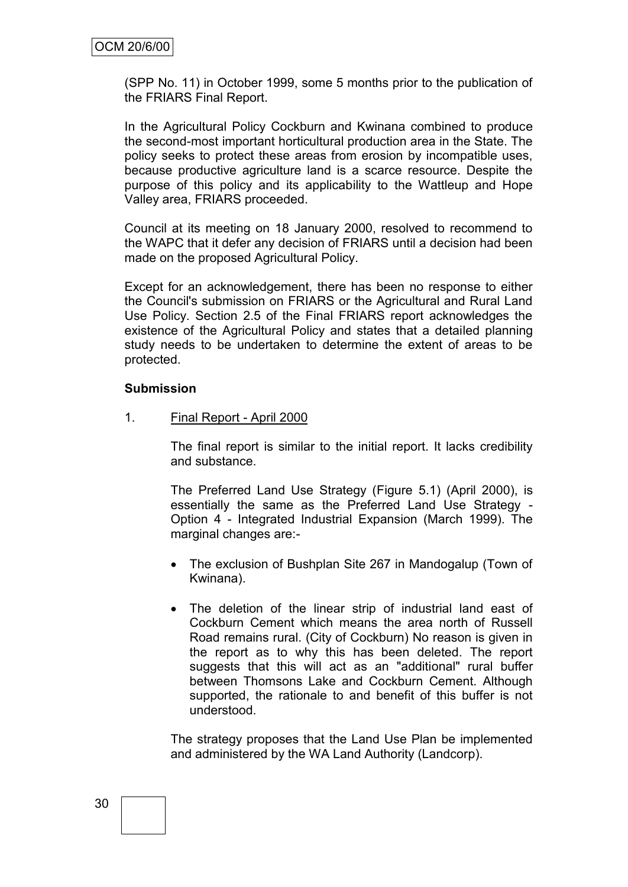(SPP No. 11) in October 1999, some 5 months prior to the publication of the FRIARS Final Report.

In the Agricultural Policy Cockburn and Kwinana combined to produce the second-most important horticultural production area in the State. The policy seeks to protect these areas from erosion by incompatible uses, because productive agriculture land is a scarce resource. Despite the purpose of this policy and its applicability to the Wattleup and Hope Valley area, FRIARS proceeded.

Council at its meeting on 18 January 2000, resolved to recommend to the WAPC that it defer any decision of FRIARS until a decision had been made on the proposed Agricultural Policy.

Except for an acknowledgement, there has been no response to either the Council's submission on FRIARS or the Agricultural and Rural Land Use Policy. Section 2.5 of the Final FRIARS report acknowledges the existence of the Agricultural Policy and states that a detailed planning study needs to be undertaken to determine the extent of areas to be protected.

#### **Submission**

1. Final Report - April 2000

The final report is similar to the initial report. It lacks credibility and substance.

The Preferred Land Use Strategy (Figure 5.1) (April 2000), is essentially the same as the Preferred Land Use Strategy - Option 4 - Integrated Industrial Expansion (March 1999). The marginal changes are:-

- The exclusion of Bushplan Site 267 in Mandogalup (Town of Kwinana).
- The deletion of the linear strip of industrial land east of Cockburn Cement which means the area north of Russell Road remains rural. (City of Cockburn) No reason is given in the report as to why this has been deleted. The report suggests that this will act as an "additional" rural buffer between Thomsons Lake and Cockburn Cement. Although supported, the rationale to and benefit of this buffer is not understood.

The strategy proposes that the Land Use Plan be implemented and administered by the WA Land Authority (Landcorp).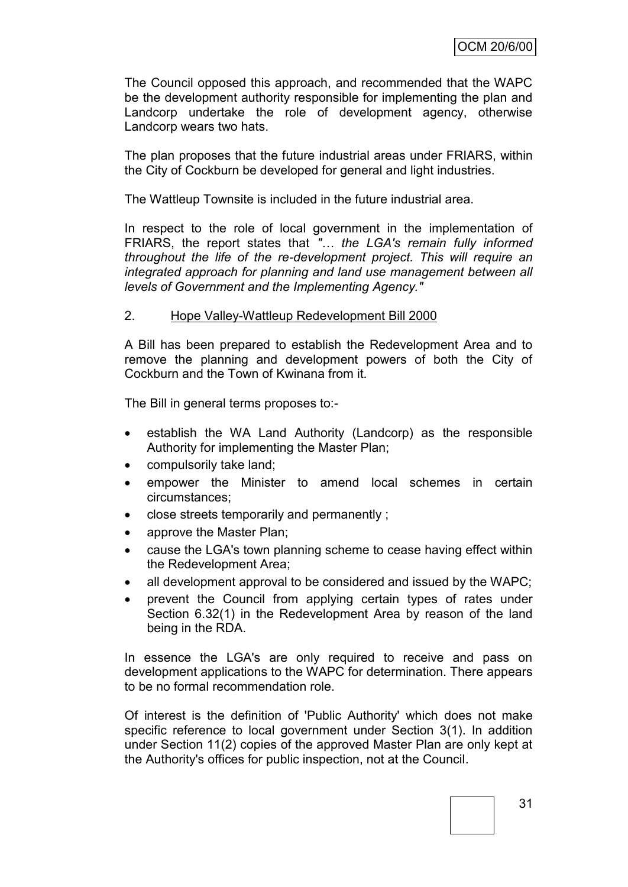The Council opposed this approach, and recommended that the WAPC be the development authority responsible for implementing the plan and Landcorp undertake the role of development agency, otherwise Landcorp wears two hats.

The plan proposes that the future industrial areas under FRIARS, within the City of Cockburn be developed for general and light industries.

The Wattleup Townsite is included in the future industrial area.

In respect to the role of local government in the implementation of FRIARS, the report states that *"… the LGA's remain fully informed throughout the life of the re-development project. This will require an integrated approach for planning and land use management between all levels of Government and the Implementing Agency."*

#### 2. Hope Valley-Wattleup Redevelopment Bill 2000

A Bill has been prepared to establish the Redevelopment Area and to remove the planning and development powers of both the City of Cockburn and the Town of Kwinana from it.

The Bill in general terms proposes to:-

- establish the WA Land Authority (Landcorp) as the responsible Authority for implementing the Master Plan;
- compulsorily take land;
- empower the Minister to amend local schemes in certain circumstances;
- close streets temporarily and permanently ;
- approve the Master Plan;
- cause the LGA's town planning scheme to cease having effect within the Redevelopment Area;
- all development approval to be considered and issued by the WAPC;
- prevent the Council from applying certain types of rates under Section 6.32(1) in the Redevelopment Area by reason of the land being in the RDA.

In essence the LGA's are only required to receive and pass on development applications to the WAPC for determination. There appears to be no formal recommendation role.

Of interest is the definition of 'Public Authority' which does not make specific reference to local government under Section 3(1). In addition under Section 11(2) copies of the approved Master Plan are only kept at the Authority's offices for public inspection, not at the Council.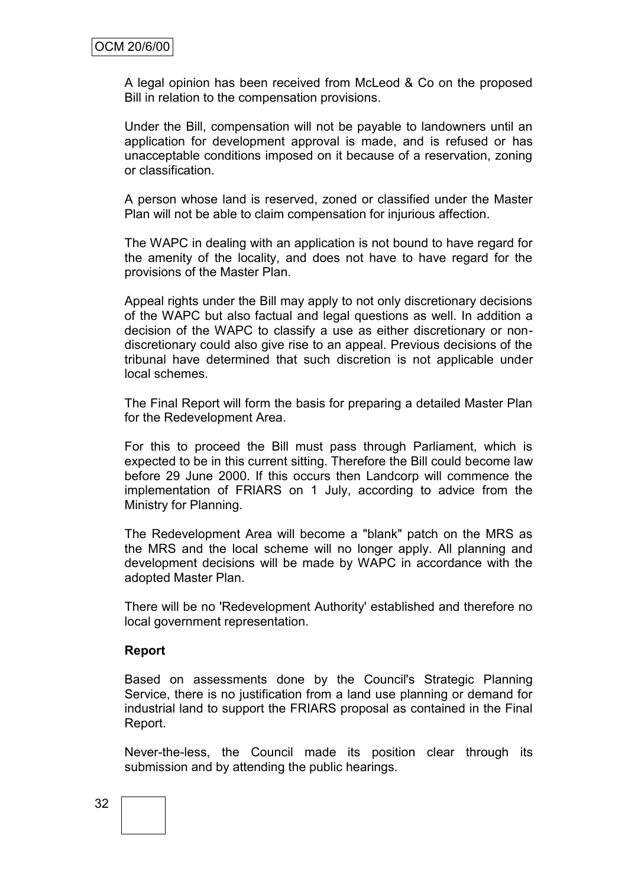A legal opinion has been received from McLeod & Co on the proposed Bill in relation to the compensation provisions.

Under the Bill, compensation will not be payable to landowners until an application for development approval is made, and is refused or has unacceptable conditions imposed on it because of a reservation, zoning or classification.

A person whose land is reserved, zoned or classified under the Master Plan will not be able to claim compensation for injurious affection.

The WAPC in dealing with an application is not bound to have regard for the amenity of the locality, and does not have to have regard for the provisions of the Master Plan.

Appeal rights under the Bill may apply to not only discretionary decisions of the WAPC but also factual and legal questions as well. In addition a decision of the WAPC to classify a use as either discretionary or nondiscretionary could also give rise to an appeal. Previous decisions of the tribunal have determined that such discretion is not applicable under local schemes.

The Final Report will form the basis for preparing a detailed Master Plan for the Redevelopment Area.

For this to proceed the Bill must pass through Parliament, which is expected to be in this current sitting. Therefore the Bill could become law before 29 June 2000. If this occurs then Landcorp will commence the implementation of FRIARS on 1 July, according to advice from the Ministry for Planning.

The Redevelopment Area will become a "blank" patch on the MRS as the MRS and the local scheme will no longer apply. All planning and development decisions will be made by WAPC in accordance with the adopted Master Plan.

There will be no 'Redevelopment Authority' established and therefore no local government representation.

#### **Report**

Based on assessments done by the Council's Strategic Planning Service, there is no justification from a land use planning or demand for industrial land to support the FRIARS proposal as contained in the Final Report.

Never-the-less, the Council made its position clear through its submission and by attending the public hearings.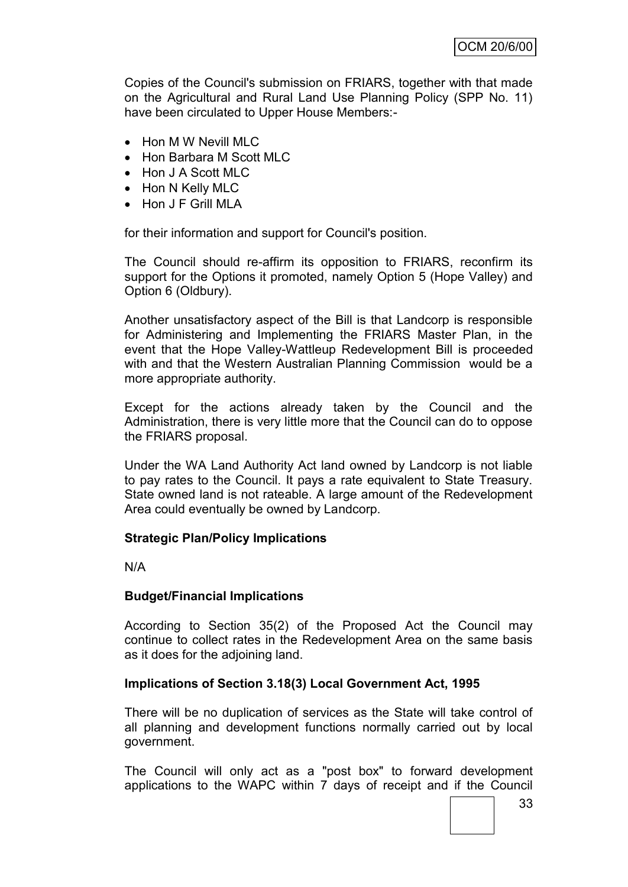Copies of the Council's submission on FRIARS, together with that made on the Agricultural and Rural Land Use Planning Policy (SPP No. 11) have been circulated to Upper House Members:-

- Hon M W Nevill MLC
- Hon Barbara M Scott MLC
- Hon J A Scott MLC
- Hon N Kelly MLC
- Hon J F Grill MLA

for their information and support for Council's position.

The Council should re-affirm its opposition to FRIARS, reconfirm its support for the Options it promoted, namely Option 5 (Hope Valley) and Option 6 (Oldbury).

Another unsatisfactory aspect of the Bill is that Landcorp is responsible for Administering and Implementing the FRIARS Master Plan, in the event that the Hope Valley-Wattleup Redevelopment Bill is proceeded with and that the Western Australian Planning Commission would be a more appropriate authority.

Except for the actions already taken by the Council and the Administration, there is very little more that the Council can do to oppose the FRIARS proposal.

Under the WA Land Authority Act land owned by Landcorp is not liable to pay rates to the Council. It pays a rate equivalent to State Treasury. State owned land is not rateable. A large amount of the Redevelopment Area could eventually be owned by Landcorp.

#### **Strategic Plan/Policy Implications**

N/A

#### **Budget/Financial Implications**

According to Section 35(2) of the Proposed Act the Council may continue to collect rates in the Redevelopment Area on the same basis as it does for the adjoining land.

#### **Implications of Section 3.18(3) Local Government Act, 1995**

There will be no duplication of services as the State will take control of all planning and development functions normally carried out by local government.

The Council will only act as a "post box" to forward development applications to the WAPC within 7 days of receipt and if the Council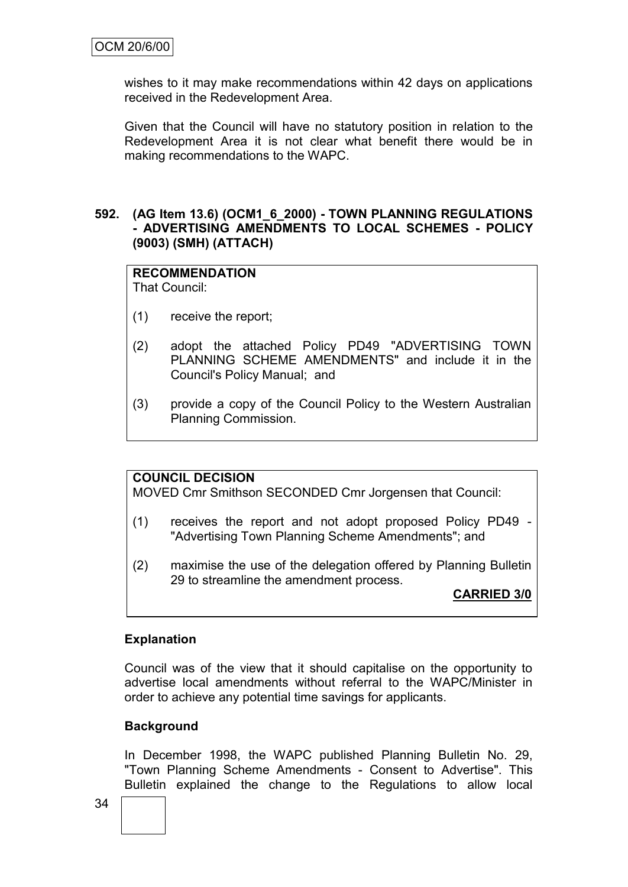wishes to it may make recommendations within 42 days on applications received in the Redevelopment Area.

Given that the Council will have no statutory position in relation to the Redevelopment Area it is not clear what benefit there would be in making recommendations to the WAPC.

#### **592. (AG Item 13.6) (OCM1\_6\_2000) - TOWN PLANNING REGULATIONS - ADVERTISING AMENDMENTS TO LOCAL SCHEMES - POLICY (9003) (SMH) (ATTACH)**

# **RECOMMENDATION**

That Council:

- (1) receive the report;
- (2) adopt the attached Policy PD49 "ADVERTISING TOWN PLANNING SCHEME AMENDMENTS" and include it in the Council's Policy Manual; and
- (3) provide a copy of the Council Policy to the Western Australian Planning Commission.

#### **COUNCIL DECISION**

MOVED Cmr Smithson SECONDED Cmr Jorgensen that Council:

- (1) receives the report and not adopt proposed Policy PD49 "Advertising Town Planning Scheme Amendments"; and
- (2) maximise the use of the delegation offered by Planning Bulletin 29 to streamline the amendment process.

**CARRIED 3/0**

#### **Explanation**

Council was of the view that it should capitalise on the opportunity to advertise local amendments without referral to the WAPC/Minister in order to achieve any potential time savings for applicants.

#### **Background**

In December 1998, the WAPC published Planning Bulletin No. 29, "Town Planning Scheme Amendments - Consent to Advertise". This Bulletin explained the change to the Regulations to allow local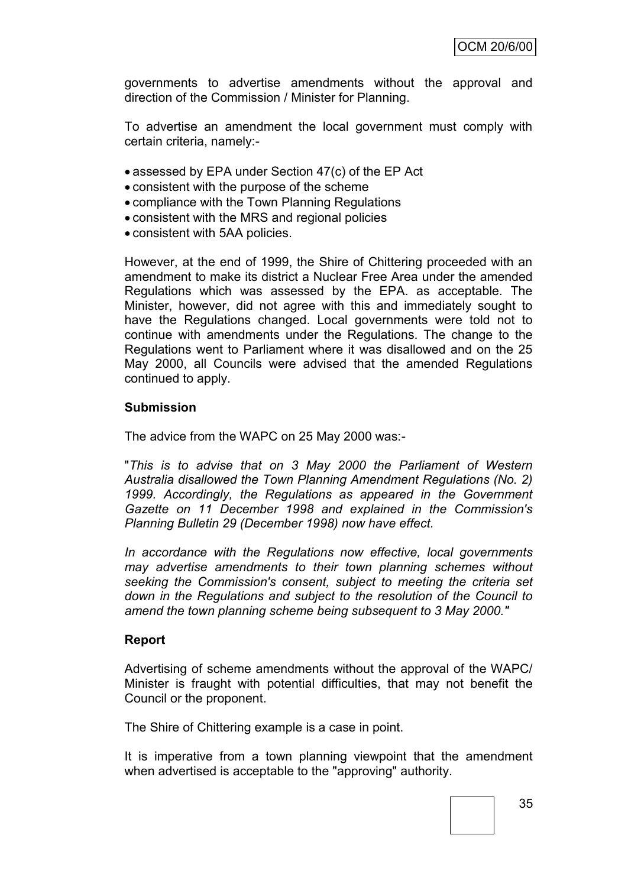governments to advertise amendments without the approval and direction of the Commission / Minister for Planning.

To advertise an amendment the local government must comply with certain criteria, namely:-

- assessed by EPA under Section 47(c) of the EP Act
- consistent with the purpose of the scheme
- compliance with the Town Planning Regulations
- consistent with the MRS and regional policies
- consistent with 5AA policies.

However, at the end of 1999, the Shire of Chittering proceeded with an amendment to make its district a Nuclear Free Area under the amended Regulations which was assessed by the EPA. as acceptable. The Minister, however, did not agree with this and immediately sought to have the Regulations changed. Local governments were told not to continue with amendments under the Regulations. The change to the Regulations went to Parliament where it was disallowed and on the 25 May 2000, all Councils were advised that the amended Regulations continued to apply.

#### **Submission**

The advice from the WAPC on 25 May 2000 was:-

"*This is to advise that on 3 May 2000 the Parliament of Western Australia disallowed the Town Planning Amendment Regulations (No. 2) 1999. Accordingly, the Regulations as appeared in the Government Gazette on 11 December 1998 and explained in the Commission's Planning Bulletin 29 (December 1998) now have effect.*

*In accordance with the Regulations now effective, local governments may advertise amendments to their town planning schemes without seeking the Commission's consent, subject to meeting the criteria set down in the Regulations and subject to the resolution of the Council to amend the town planning scheme being subsequent to 3 May 2000."*

#### **Report**

Advertising of scheme amendments without the approval of the WAPC/ Minister is fraught with potential difficulties, that may not benefit the Council or the proponent.

The Shire of Chittering example is a case in point.

It is imperative from a town planning viewpoint that the amendment when advertised is acceptable to the "approving" authority.

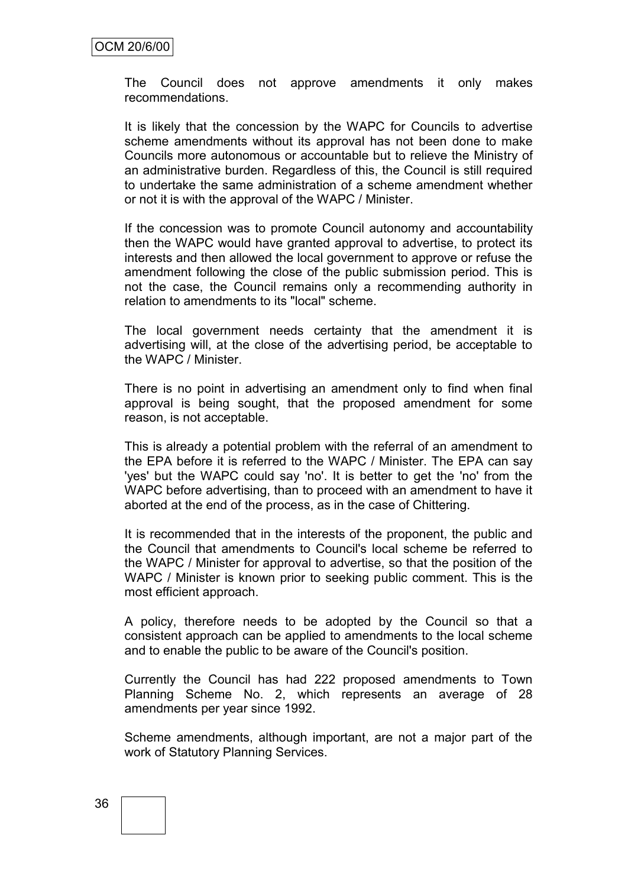The Council does not approve amendments it only makes recommendations.

It is likely that the concession by the WAPC for Councils to advertise scheme amendments without its approval has not been done to make Councils more autonomous or accountable but to relieve the Ministry of an administrative burden. Regardless of this, the Council is still required to undertake the same administration of a scheme amendment whether or not it is with the approval of the WAPC / Minister.

If the concession was to promote Council autonomy and accountability then the WAPC would have granted approval to advertise, to protect its interests and then allowed the local government to approve or refuse the amendment following the close of the public submission period. This is not the case, the Council remains only a recommending authority in relation to amendments to its "local" scheme.

The local government needs certainty that the amendment it is advertising will, at the close of the advertising period, be acceptable to the WAPC / Minister.

There is no point in advertising an amendment only to find when final approval is being sought, that the proposed amendment for some reason, is not acceptable.

This is already a potential problem with the referral of an amendment to the EPA before it is referred to the WAPC / Minister. The EPA can say 'yes' but the WAPC could say 'no'. It is better to get the 'no' from the WAPC before advertising, than to proceed with an amendment to have it aborted at the end of the process, as in the case of Chittering.

It is recommended that in the interests of the proponent, the public and the Council that amendments to Council's local scheme be referred to the WAPC / Minister for approval to advertise, so that the position of the WAPC / Minister is known prior to seeking public comment. This is the most efficient approach.

A policy, therefore needs to be adopted by the Council so that a consistent approach can be applied to amendments to the local scheme and to enable the public to be aware of the Council's position.

Currently the Council has had 222 proposed amendments to Town Planning Scheme No. 2, which represents an average of 28 amendments per year since 1992.

Scheme amendments, although important, are not a major part of the work of Statutory Planning Services.

# 36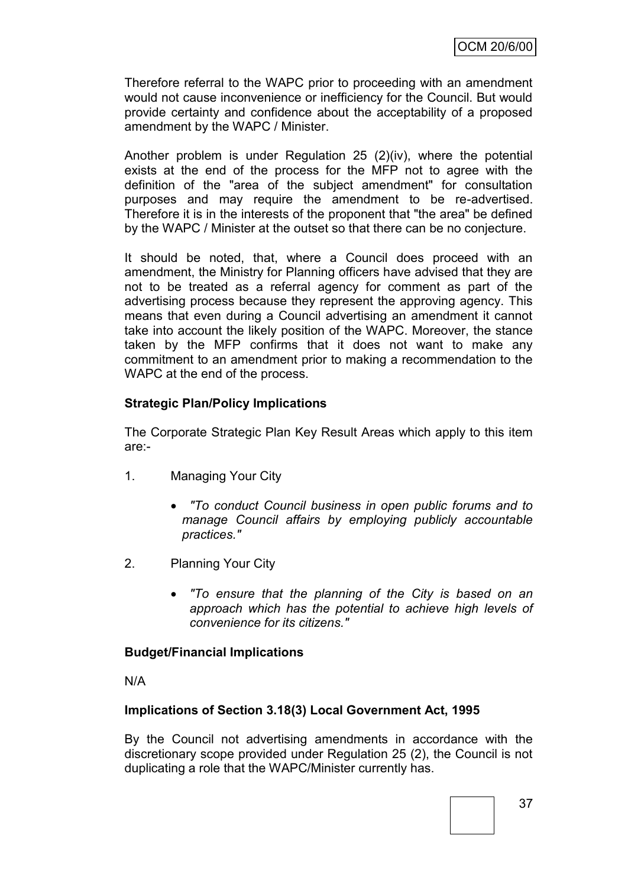Therefore referral to the WAPC prior to proceeding with an amendment would not cause inconvenience or inefficiency for the Council. But would provide certainty and confidence about the acceptability of a proposed amendment by the WAPC / Minister.

Another problem is under Regulation 25 (2)(iv), where the potential exists at the end of the process for the MFP not to agree with the definition of the "area of the subject amendment" for consultation purposes and may require the amendment to be re-advertised. Therefore it is in the interests of the proponent that "the area" be defined by the WAPC / Minister at the outset so that there can be no conjecture.

It should be noted, that, where a Council does proceed with an amendment, the Ministry for Planning officers have advised that they are not to be treated as a referral agency for comment as part of the advertising process because they represent the approving agency. This means that even during a Council advertising an amendment it cannot take into account the likely position of the WAPC. Moreover, the stance taken by the MFP confirms that it does not want to make any commitment to an amendment prior to making a recommendation to the WAPC at the end of the process.

## **Strategic Plan/Policy Implications**

The Corporate Strategic Plan Key Result Areas which apply to this item are:-

- 1. Managing Your City
	- *"To conduct Council business in open public forums and to manage Council affairs by employing publicly accountable practices."*
- 2. Planning Your City
	- *"To ensure that the planning of the City is based on an approach which has the potential to achieve high levels of convenience for its citizens."*

#### **Budget/Financial Implications**

N/A

#### **Implications of Section 3.18(3) Local Government Act, 1995**

By the Council not advertising amendments in accordance with the discretionary scope provided under Regulation 25 (2), the Council is not duplicating a role that the WAPC/Minister currently has.

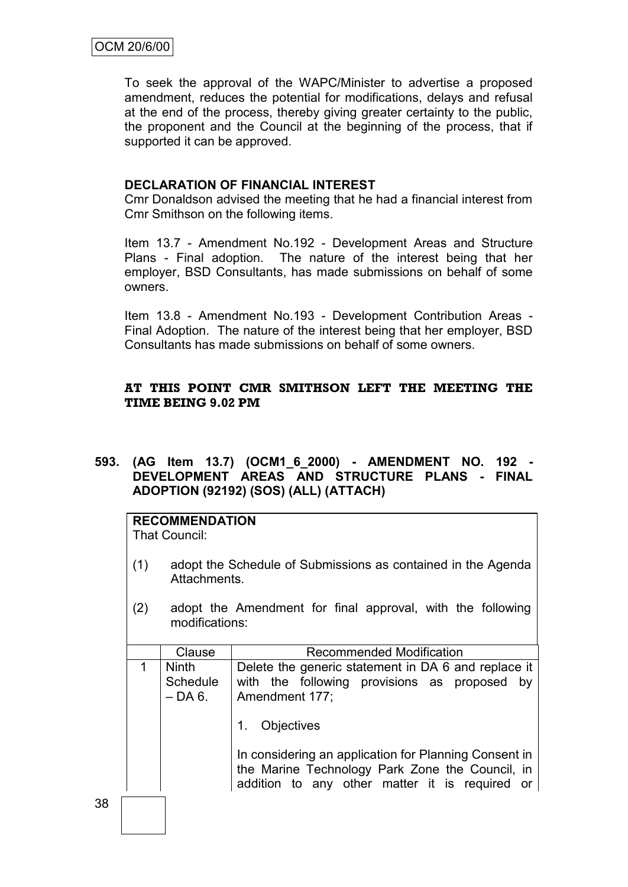To seek the approval of the WAPC/Minister to advertise a proposed amendment, reduces the potential for modifications, delays and refusal at the end of the process, thereby giving greater certainty to the public, the proponent and the Council at the beginning of the process, that if supported it can be approved.

## **DECLARATION OF FINANCIAL INTEREST**

Cmr Donaldson advised the meeting that he had a financial interest from Cmr Smithson on the following items.

Item 13.7 - Amendment No.192 - Development Areas and Structure Plans - Final adoption. The nature of the interest being that her employer, BSD Consultants, has made submissions on behalf of some owners.

Item 13.8 - Amendment No.193 - Development Contribution Areas - Final Adoption. The nature of the interest being that her employer, BSD Consultants has made submissions on behalf of some owners.

## **AT THIS POINT CMR SMITHSON LEFT THE MEETING THE TIME BEING 9.02 PM**

**593. (AG Item 13.7) (OCM1\_6\_2000) - AMENDMENT NO. 192 - DEVELOPMENT AREAS AND STRUCTURE PLANS - FINAL ADOPTION (92192) (SOS) (ALL) (ATTACH)**

|     | <b>RECOMMENDATION</b><br>That Council:                                                                                                                     |                                                                                                                                              |  |  |
|-----|------------------------------------------------------------------------------------------------------------------------------------------------------------|----------------------------------------------------------------------------------------------------------------------------------------------|--|--|
| (1) | adopt the Schedule of Submissions as contained in the Agenda<br>Attachments.                                                                               |                                                                                                                                              |  |  |
| (2) | adopt the Amendment for final approval, with the following<br>modifications:                                                                               |                                                                                                                                              |  |  |
|     | Recommended Modification<br>Clause                                                                                                                         |                                                                                                                                              |  |  |
| 1   | <b>Ninth</b><br>Schedule<br>– DA 6.                                                                                                                        | Delete the generic statement in DA 6 and replace it<br>with the following provisions as proposed<br>by<br>Amendment 177;<br>Objectives<br>1. |  |  |
|     | In considering an application for Planning Consent in<br>the Marine Technology Park Zone the Council, in<br>addition to any other matter it is required or |                                                                                                                                              |  |  |
|     |                                                                                                                                                            |                                                                                                                                              |  |  |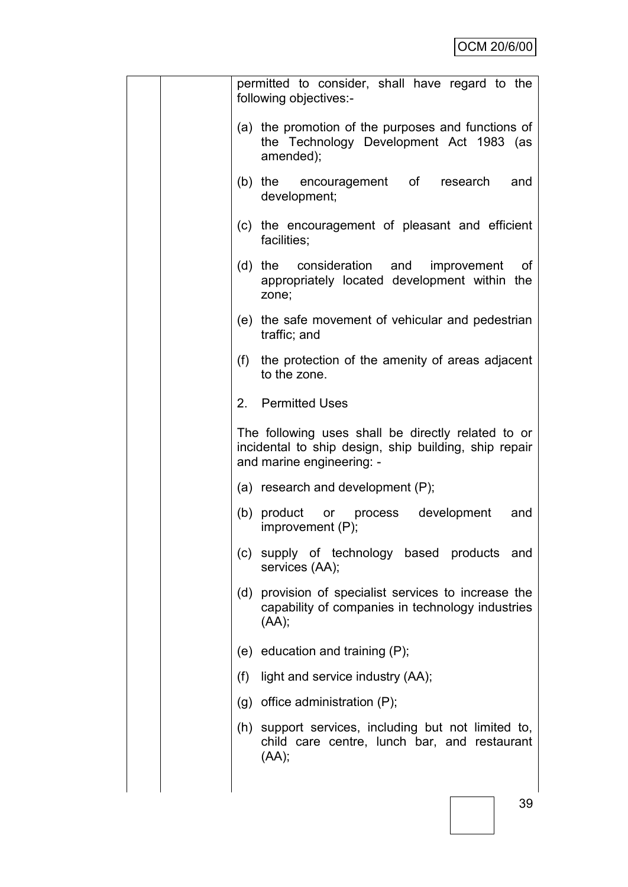|     | permitted to consider, shall have regard to the<br>following objectives:-                                                                |  |  |
|-----|------------------------------------------------------------------------------------------------------------------------------------------|--|--|
|     | (a) the promotion of the purposes and functions of<br>the Technology Development Act 1983 (as<br>amended);                               |  |  |
|     | (b) the encouragement of research<br>and<br>development;                                                                                 |  |  |
|     | (c) the encouragement of pleasant and efficient<br>facilities;                                                                           |  |  |
|     | (d) the consideration and improvement<br>οf<br>appropriately located development within the<br>zone;                                     |  |  |
|     | (e) the safe movement of vehicular and pedestrian<br>traffic; and                                                                        |  |  |
|     | (f) the protection of the amenity of areas adjacent<br>to the zone.                                                                      |  |  |
|     | 2. Permitted Uses                                                                                                                        |  |  |
|     | The following uses shall be directly related to or<br>incidental to ship design, ship building, ship repair<br>and marine engineering: - |  |  |
|     | (a) research and development $(P)$ ;                                                                                                     |  |  |
|     | (b) product<br>development<br>or process<br>and<br>improvement $(P)$ ;                                                                   |  |  |
| (C) | supply of technology based products<br>and<br>services (AA);                                                                             |  |  |
| (d) | provision of specialist services to increase the<br>capability of companies in technology industries<br>(AA);                            |  |  |
|     | (e) education and training $(P)$ ;                                                                                                       |  |  |
| (f) | light and service industry (AA);                                                                                                         |  |  |
|     | $(g)$ office administration $(P)$ ;                                                                                                      |  |  |
| (h) | support services, including but not limited to,<br>child care centre, lunch bar, and restaurant<br>(AA);                                 |  |  |
|     |                                                                                                                                          |  |  |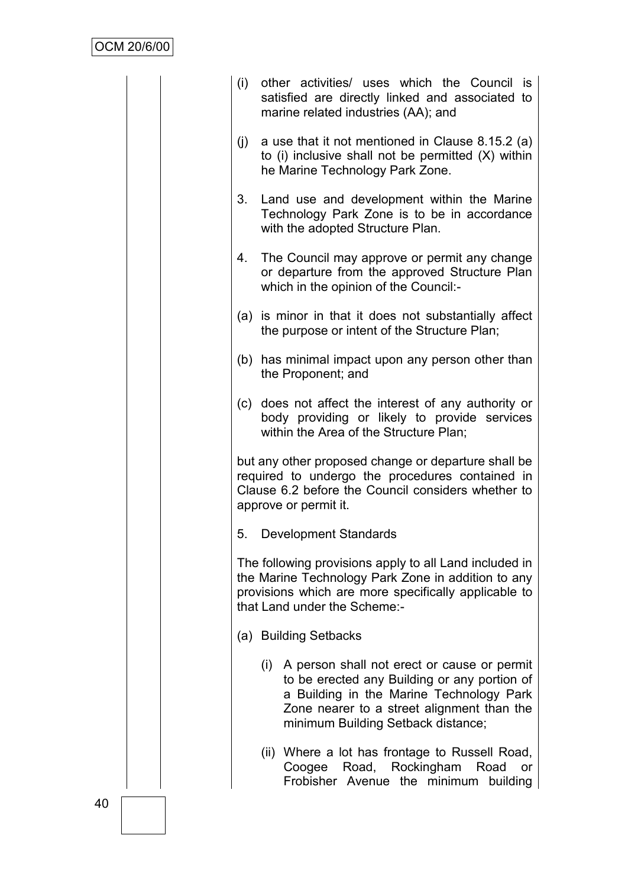| (i) | other activities/ uses which the Council is<br>satisfied are directly linked and associated to<br>marine related industries (AA); and                                                                                       |
|-----|-----------------------------------------------------------------------------------------------------------------------------------------------------------------------------------------------------------------------------|
| (i) | a use that it not mentioned in Clause 8.15.2 (a)<br>to (i) inclusive shall not be permitted (X) within<br>he Marine Technology Park Zone.                                                                                   |
| 3.  | Land use and development within the Marine<br>Technology Park Zone is to be in accordance<br>with the adopted Structure Plan.                                                                                               |
| 4.  | The Council may approve or permit any change<br>or departure from the approved Structure Plan<br>which in the opinion of the Council:-                                                                                      |
|     | (a) is minor in that it does not substantially affect<br>the purpose or intent of the Structure Plan;                                                                                                                       |
|     | (b) has minimal impact upon any person other than<br>the Proponent; and                                                                                                                                                     |
|     | (c) does not affect the interest of any authority or<br>body providing or likely to provide services<br>within the Area of the Structure Plan;                                                                              |
|     | but any other proposed change or departure shall be<br>required to undergo the procedures contained in<br>Clause 6.2 before the Council considers whether to<br>approve or permit it.                                       |
| 5.  | <b>Development Standards</b>                                                                                                                                                                                                |
|     | The following provisions apply to all Land included in<br>the Marine Technology Park Zone in addition to any<br>provisions which are more specifically applicable to<br>that Land under the Scheme:-                        |
|     | (a) Building Setbacks                                                                                                                                                                                                       |
| (i) | A person shall not erect or cause or permit<br>to be erected any Building or any portion of<br>a Building in the Marine Technology Park<br>Zone nearer to a street alignment than the<br>minimum Building Setback distance; |
|     | (ii) Where a lot has frontage to Russell Road,<br>Road, Rockingham<br>Coogee<br>Road<br>or<br>Frobisher Avenue the minimum<br>building                                                                                      |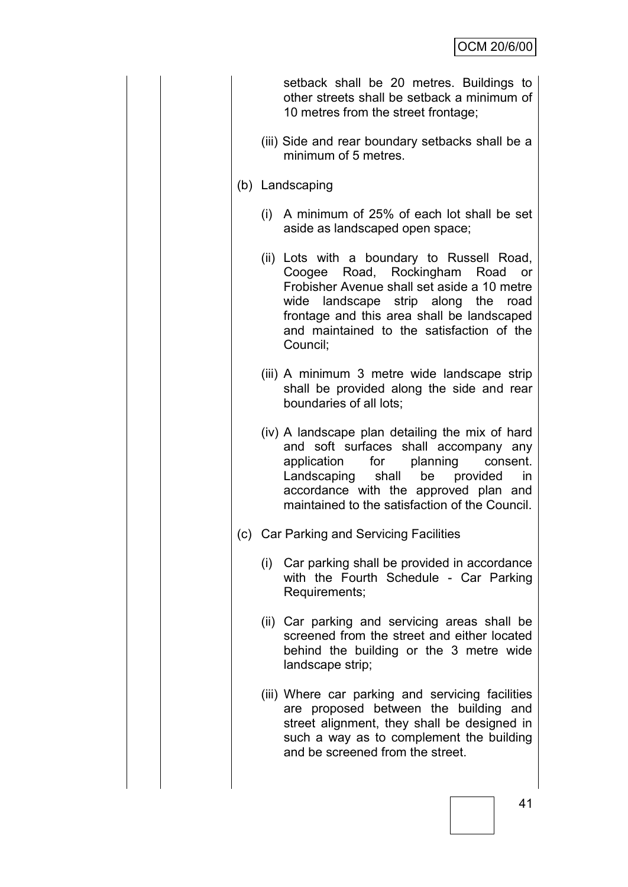| setback shall be 20 metres. Buildings to<br>other streets shall be setback a minimum of<br>10 metres from the street frontage;                                                                                                                                                 |
|--------------------------------------------------------------------------------------------------------------------------------------------------------------------------------------------------------------------------------------------------------------------------------|
| (iii) Side and rear boundary setbacks shall be a<br>minimum of 5 metres.                                                                                                                                                                                                       |
| (b) Landscaping                                                                                                                                                                                                                                                                |
| (i) A minimum of 25% of each lot shall be set<br>aside as landscaped open space;                                                                                                                                                                                               |
| (ii) Lots with a boundary to Russell Road,<br>Coogee Road, Rockingham Road<br>or<br>Frobisher Avenue shall set aside a 10 metre<br>wide landscape strip along the road<br>frontage and this area shall be landscaped<br>and maintained to the satisfaction of the<br>Council;  |
| (iii) A minimum 3 metre wide landscape strip<br>shall be provided along the side and rear<br>boundaries of all lots;                                                                                                                                                           |
| (iv) A landscape plan detailing the mix of hard<br>and soft surfaces shall accompany any<br>for planning<br>application<br>consent.<br>Landscaping<br>shall<br>be<br>provided<br>in<br>accordance with the approved plan and<br>maintained to the satisfaction of the Council. |
| (c) Car Parking and Servicing Facilities                                                                                                                                                                                                                                       |
| (i) Car parking shall be provided in accordance<br>with the Fourth Schedule - Car Parking<br>Requirements;                                                                                                                                                                     |
| (ii) Car parking and servicing areas shall be<br>screened from the street and either located<br>behind the building or the 3 metre wide<br>landscape strip;                                                                                                                    |
| (iii) Where car parking and servicing facilities<br>are proposed between the building and<br>street alignment, they shall be designed in<br>such a way as to complement the building<br>and be screened from the street.                                                       |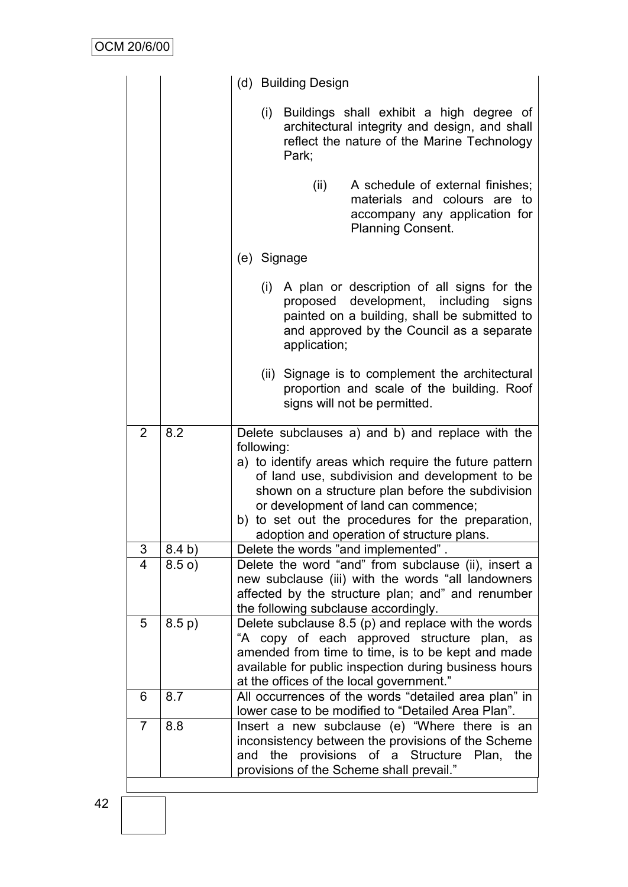|                         |        | (d) Building Design                                                                                                                                                                                                                                                                                                                                                         |  |  |
|-------------------------|--------|-----------------------------------------------------------------------------------------------------------------------------------------------------------------------------------------------------------------------------------------------------------------------------------------------------------------------------------------------------------------------------|--|--|
|                         |        | (i) Buildings shall exhibit a high degree of<br>architectural integrity and design, and shall<br>reflect the nature of the Marine Technology<br>Park;                                                                                                                                                                                                                       |  |  |
|                         |        | (ii)<br>A schedule of external finishes;<br>materials and colours are to<br>accompany any application for<br><b>Planning Consent.</b>                                                                                                                                                                                                                                       |  |  |
|                         |        | (e) Signage                                                                                                                                                                                                                                                                                                                                                                 |  |  |
|                         |        | A plan or description of all signs for the<br>(i)<br>proposed development, including signs<br>painted on a building, shall be submitted to<br>and approved by the Council as a separate<br>application;                                                                                                                                                                     |  |  |
|                         |        | (ii) Signage is to complement the architectural<br>proportion and scale of the building. Roof<br>signs will not be permitted.                                                                                                                                                                                                                                               |  |  |
| $\overline{2}$          | 8.2    | Delete subclauses a) and b) and replace with the<br>following:<br>a) to identify areas which require the future pattern<br>of land use, subdivision and development to be<br>shown on a structure plan before the subdivision<br>or development of land can commence;<br>to set out the procedures for the preparation,<br>b)<br>adoption and operation of structure plans. |  |  |
| 3                       | 8.4 b) | Delete the words "and implemented".                                                                                                                                                                                                                                                                                                                                         |  |  |
| $\overline{\mathbf{4}}$ | 8.5o)  | Delete the word "and" from subclause (ii), insert a<br>new subclause (iii) with the words "all landowners<br>affected by the structure plan; and" and renumber<br>the following subclause accordingly.                                                                                                                                                                      |  |  |
| 5                       | 8.5 p) | Delete subclause $8.5$ (p) and replace with the words<br>"A copy of each approved structure plan, as<br>amended from time to time, is to be kept and made<br>available for public inspection during business hours<br>at the offices of the local government."                                                                                                              |  |  |
| 6                       | 8.7    | All occurrences of the words "detailed area plan" in                                                                                                                                                                                                                                                                                                                        |  |  |
| $\overline{7}$          | 8.8    | lower case to be modified to "Detailed Area Plan".<br>Insert a new subclause (e) "Where there is an<br>inconsistency between the provisions of the Scheme<br>provisions of a Structure<br>and the<br>Plan,<br>the<br>provisions of the Scheme shall prevail."                                                                                                               |  |  |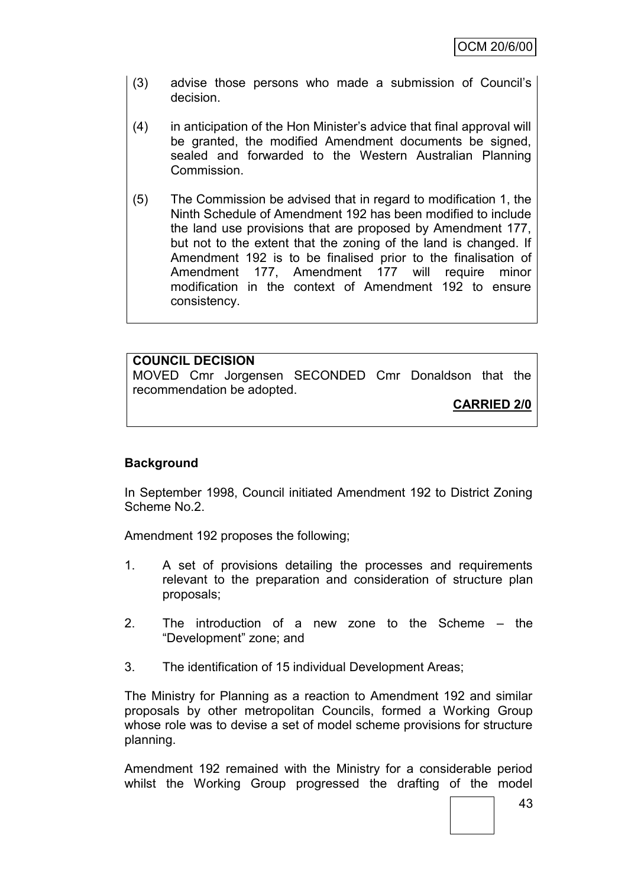- (3) advise those persons who made a submission of Council"s decision.
- (4) in anticipation of the Hon Minister"s advice that final approval will be granted, the modified Amendment documents be signed, sealed and forwarded to the Western Australian Planning Commission.
- (5) The Commission be advised that in regard to modification 1, the Ninth Schedule of Amendment 192 has been modified to include the land use provisions that are proposed by Amendment 177, but not to the extent that the zoning of the land is changed. If Amendment 192 is to be finalised prior to the finalisation of Amendment 177, Amendment 177 will require minor modification in the context of Amendment 192 to ensure consistency.

# **COUNCIL DECISION**

MOVED Cmr Jorgensen SECONDED Cmr Donaldson that the recommendation be adopted.

**CARRIED 2/0**

# **Background**

In September 1998, Council initiated Amendment 192 to District Zoning Scheme No.2.

Amendment 192 proposes the following;

- 1. A set of provisions detailing the processes and requirements relevant to the preparation and consideration of structure plan proposals;
- 2. The introduction of a new zone to the Scheme the "Development" zone; and
- 3. The identification of 15 individual Development Areas;

The Ministry for Planning as a reaction to Amendment 192 and similar proposals by other metropolitan Councils, formed a Working Group whose role was to devise a set of model scheme provisions for structure planning.

Amendment 192 remained with the Ministry for a considerable period whilst the Working Group progressed the drafting of the model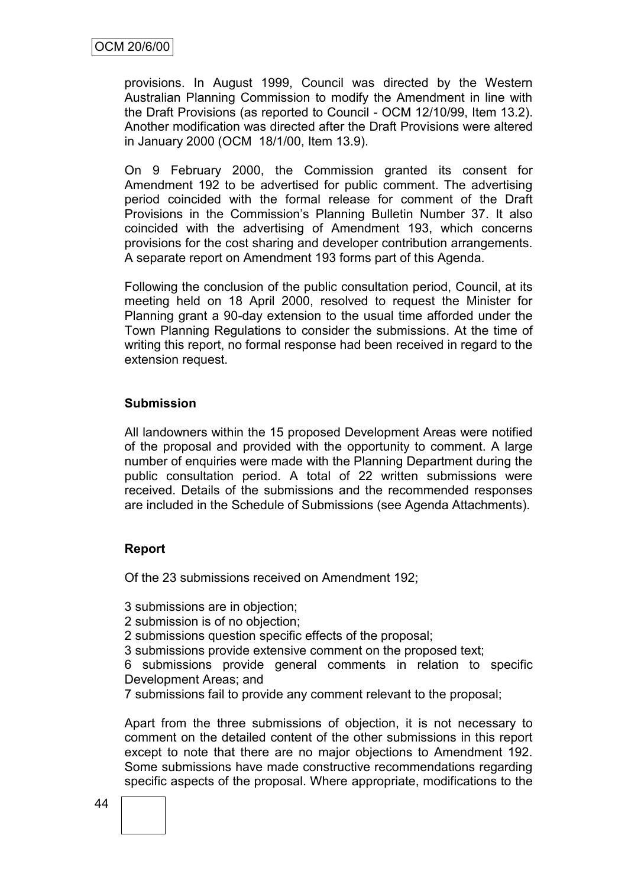provisions. In August 1999, Council was directed by the Western Australian Planning Commission to modify the Amendment in line with the Draft Provisions (as reported to Council - OCM 12/10/99, Item 13.2). Another modification was directed after the Draft Provisions were altered in January 2000 (OCM 18/1/00, Item 13.9).

On 9 February 2000, the Commission granted its consent for Amendment 192 to be advertised for public comment. The advertising period coincided with the formal release for comment of the Draft Provisions in the Commission"s Planning Bulletin Number 37. It also coincided with the advertising of Amendment 193, which concerns provisions for the cost sharing and developer contribution arrangements. A separate report on Amendment 193 forms part of this Agenda.

Following the conclusion of the public consultation period, Council, at its meeting held on 18 April 2000, resolved to request the Minister for Planning grant a 90-day extension to the usual time afforded under the Town Planning Regulations to consider the submissions. At the time of writing this report, no formal response had been received in regard to the extension request.

#### **Submission**

All landowners within the 15 proposed Development Areas were notified of the proposal and provided with the opportunity to comment. A large number of enquiries were made with the Planning Department during the public consultation period. A total of 22 written submissions were received. Details of the submissions and the recommended responses are included in the Schedule of Submissions (see Agenda Attachments).

#### **Report**

Of the 23 submissions received on Amendment 192;

3 submissions are in objection;

- 2 submission is of no objection;
- 2 submissions question specific effects of the proposal;
- 3 submissions provide extensive comment on the proposed text;

6 submissions provide general comments in relation to specific Development Areas; and

7 submissions fail to provide any comment relevant to the proposal;

Apart from the three submissions of objection, it is not necessary to comment on the detailed content of the other submissions in this report except to note that there are no major objections to Amendment 192. Some submissions have made constructive recommendations regarding specific aspects of the proposal. Where appropriate, modifications to the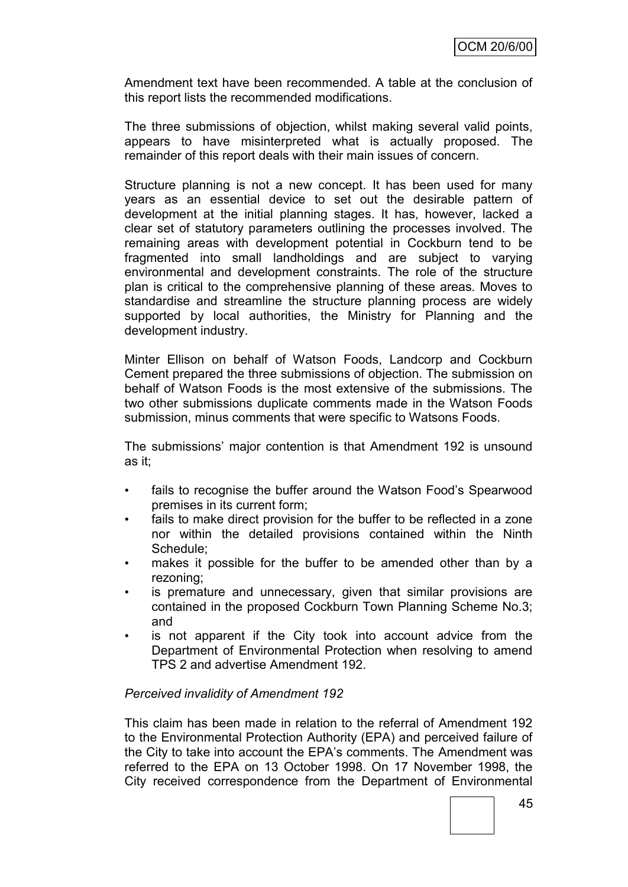Amendment text have been recommended. A table at the conclusion of this report lists the recommended modifications.

The three submissions of objection, whilst making several valid points, appears to have misinterpreted what is actually proposed. The remainder of this report deals with their main issues of concern.

Structure planning is not a new concept. It has been used for many years as an essential device to set out the desirable pattern of development at the initial planning stages. It has, however, lacked a clear set of statutory parameters outlining the processes involved. The remaining areas with development potential in Cockburn tend to be fragmented into small landholdings and are subject to varying environmental and development constraints. The role of the structure plan is critical to the comprehensive planning of these areas. Moves to standardise and streamline the structure planning process are widely supported by local authorities, the Ministry for Planning and the development industry.

Minter Ellison on behalf of Watson Foods, Landcorp and Cockburn Cement prepared the three submissions of objection. The submission on behalf of Watson Foods is the most extensive of the submissions. The two other submissions duplicate comments made in the Watson Foods submission, minus comments that were specific to Watsons Foods.

The submissions" major contention is that Amendment 192 is unsound as it;

- fails to recognise the buffer around the Watson Food's Spearwood premises in its current form;
- fails to make direct provision for the buffer to be reflected in a zone nor within the detailed provisions contained within the Ninth Schedule;
- makes it possible for the buffer to be amended other than by a rezoning;
- is premature and unnecessary, given that similar provisions are contained in the proposed Cockburn Town Planning Scheme No.3; and
- is not apparent if the City took into account advice from the Department of Environmental Protection when resolving to amend TPS 2 and advertise Amendment 192.

#### *Perceived invalidity of Amendment 192*

This claim has been made in relation to the referral of Amendment 192 to the Environmental Protection Authority (EPA) and perceived failure of the City to take into account the EPA"s comments. The Amendment was referred to the EPA on 13 October 1998. On 17 November 1998, the City received correspondence from the Department of Environmental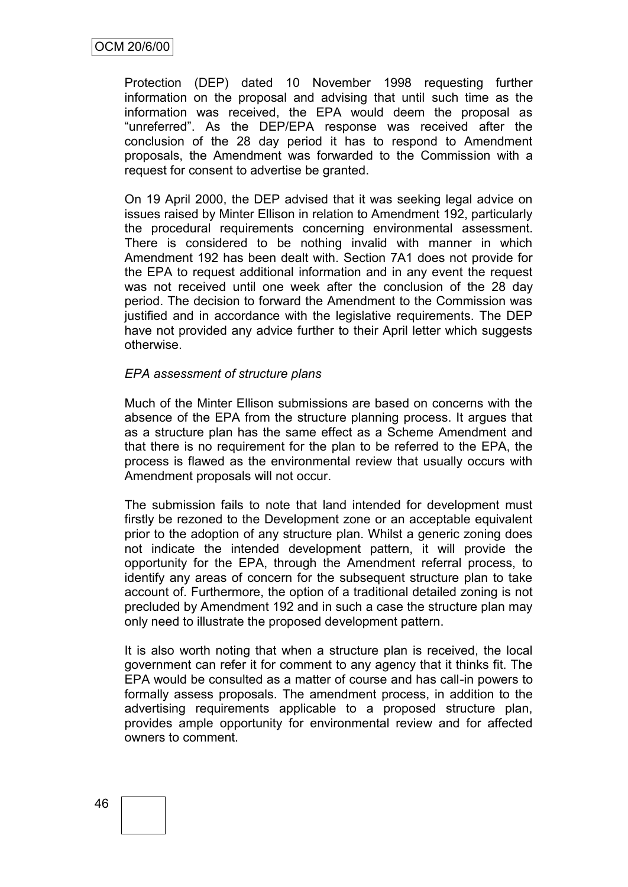Protection (DEP) dated 10 November 1998 requesting further information on the proposal and advising that until such time as the information was received, the EPA would deem the proposal as "unreferred". As the DEP/EPA response was received after the conclusion of the 28 day period it has to respond to Amendment proposals, the Amendment was forwarded to the Commission with a request for consent to advertise be granted.

On 19 April 2000, the DEP advised that it was seeking legal advice on issues raised by Minter Ellison in relation to Amendment 192, particularly the procedural requirements concerning environmental assessment. There is considered to be nothing invalid with manner in which Amendment 192 has been dealt with. Section 7A1 does not provide for the EPA to request additional information and in any event the request was not received until one week after the conclusion of the 28 day period. The decision to forward the Amendment to the Commission was justified and in accordance with the legislative requirements. The DEP have not provided any advice further to their April letter which suggests otherwise.

#### *EPA assessment of structure plans*

Much of the Minter Ellison submissions are based on concerns with the absence of the EPA from the structure planning process. It argues that as a structure plan has the same effect as a Scheme Amendment and that there is no requirement for the plan to be referred to the EPA, the process is flawed as the environmental review that usually occurs with Amendment proposals will not occur.

The submission fails to note that land intended for development must firstly be rezoned to the Development zone or an acceptable equivalent prior to the adoption of any structure plan. Whilst a generic zoning does not indicate the intended development pattern, it will provide the opportunity for the EPA, through the Amendment referral process, to identify any areas of concern for the subsequent structure plan to take account of. Furthermore, the option of a traditional detailed zoning is not precluded by Amendment 192 and in such a case the structure plan may only need to illustrate the proposed development pattern.

It is also worth noting that when a structure plan is received, the local government can refer it for comment to any agency that it thinks fit. The EPA would be consulted as a matter of course and has call-in powers to formally assess proposals. The amendment process, in addition to the advertising requirements applicable to a proposed structure plan, provides ample opportunity for environmental review and for affected owners to comment.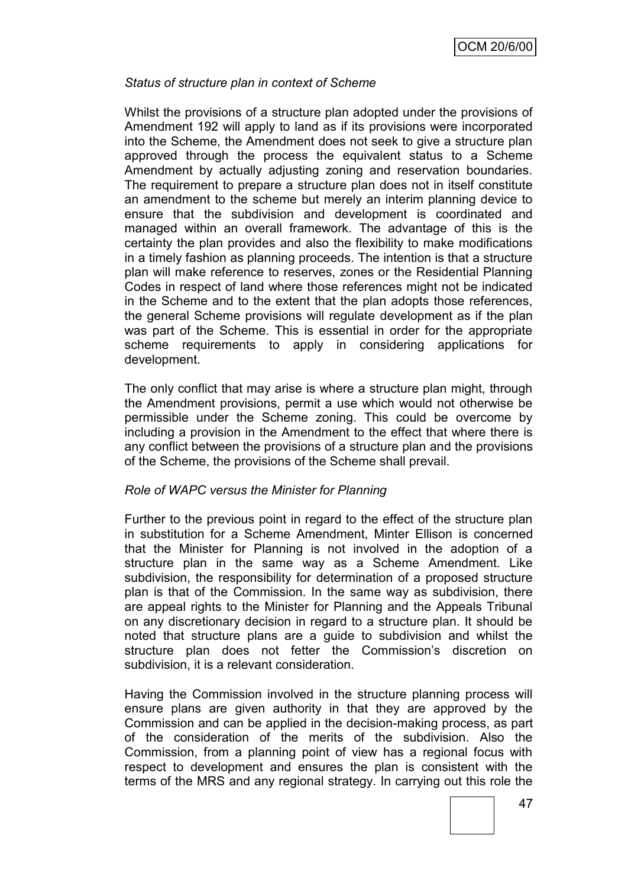#### *Status of structure plan in context of Scheme*

Whilst the provisions of a structure plan adopted under the provisions of Amendment 192 will apply to land as if its provisions were incorporated into the Scheme, the Amendment does not seek to give a structure plan approved through the process the equivalent status to a Scheme Amendment by actually adjusting zoning and reservation boundaries. The requirement to prepare a structure plan does not in itself constitute an amendment to the scheme but merely an interim planning device to ensure that the subdivision and development is coordinated and managed within an overall framework. The advantage of this is the certainty the plan provides and also the flexibility to make modifications in a timely fashion as planning proceeds. The intention is that a structure plan will make reference to reserves, zones or the Residential Planning Codes in respect of land where those references might not be indicated in the Scheme and to the extent that the plan adopts those references, the general Scheme provisions will regulate development as if the plan was part of the Scheme. This is essential in order for the appropriate scheme requirements to apply in considering applications for development.

The only conflict that may arise is where a structure plan might, through the Amendment provisions, permit a use which would not otherwise be permissible under the Scheme zoning. This could be overcome by including a provision in the Amendment to the effect that where there is any conflict between the provisions of a structure plan and the provisions of the Scheme, the provisions of the Scheme shall prevail.

#### *Role of WAPC versus the Minister for Planning*

Further to the previous point in regard to the effect of the structure plan in substitution for a Scheme Amendment, Minter Ellison is concerned that the Minister for Planning is not involved in the adoption of a structure plan in the same way as a Scheme Amendment. Like subdivision, the responsibility for determination of a proposed structure plan is that of the Commission. In the same way as subdivision, there are appeal rights to the Minister for Planning and the Appeals Tribunal on any discretionary decision in regard to a structure plan. It should be noted that structure plans are a guide to subdivision and whilst the structure plan does not fetter the Commission's discretion on subdivision, it is a relevant consideration.

Having the Commission involved in the structure planning process will ensure plans are given authority in that they are approved by the Commission and can be applied in the decision-making process, as part of the consideration of the merits of the subdivision. Also the Commission, from a planning point of view has a regional focus with respect to development and ensures the plan is consistent with the terms of the MRS and any regional strategy. In carrying out this role the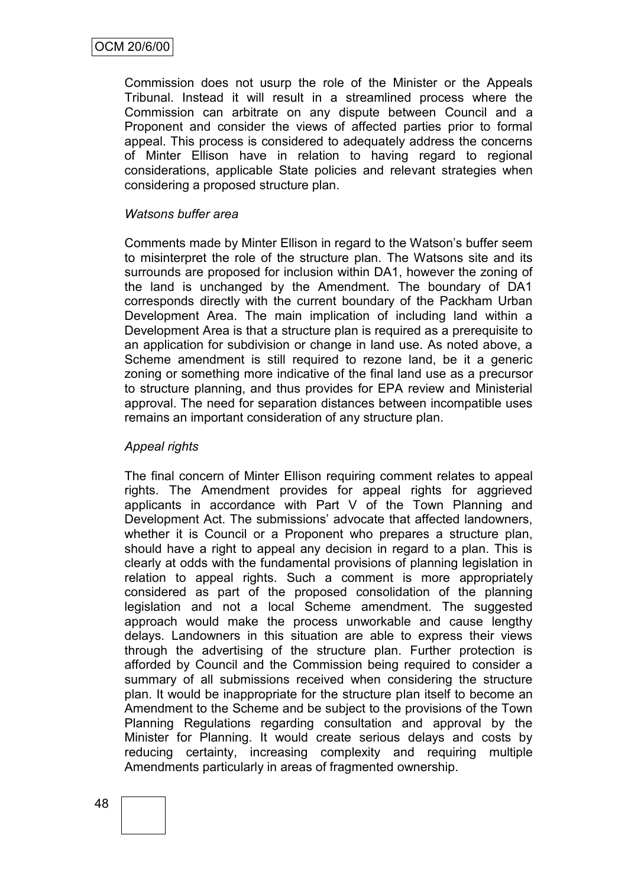Commission does not usurp the role of the Minister or the Appeals Tribunal. Instead it will result in a streamlined process where the Commission can arbitrate on any dispute between Council and a Proponent and consider the views of affected parties prior to formal appeal. This process is considered to adequately address the concerns of Minter Ellison have in relation to having regard to regional considerations, applicable State policies and relevant strategies when considering a proposed structure plan.

#### *Watsons buffer area*

Comments made by Minter Ellison in regard to the Watson"s buffer seem to misinterpret the role of the structure plan. The Watsons site and its surrounds are proposed for inclusion within DA1, however the zoning of the land is unchanged by the Amendment. The boundary of DA1 corresponds directly with the current boundary of the Packham Urban Development Area. The main implication of including land within a Development Area is that a structure plan is required as a prerequisite to an application for subdivision or change in land use. As noted above, a Scheme amendment is still required to rezone land, be it a generic zoning or something more indicative of the final land use as a precursor to structure planning, and thus provides for EPA review and Ministerial approval. The need for separation distances between incompatible uses remains an important consideration of any structure plan.

#### *Appeal rights*

The final concern of Minter Ellison requiring comment relates to appeal rights. The Amendment provides for appeal rights for aggrieved applicants in accordance with Part V of the Town Planning and Development Act. The submissions" advocate that affected landowners, whether it is Council or a Proponent who prepares a structure plan, should have a right to appeal any decision in regard to a plan. This is clearly at odds with the fundamental provisions of planning legislation in relation to appeal rights. Such a comment is more appropriately considered as part of the proposed consolidation of the planning legislation and not a local Scheme amendment. The suggested approach would make the process unworkable and cause lengthy delays. Landowners in this situation are able to express their views through the advertising of the structure plan. Further protection is afforded by Council and the Commission being required to consider a summary of all submissions received when considering the structure plan. It would be inappropriate for the structure plan itself to become an Amendment to the Scheme and be subject to the provisions of the Town Planning Regulations regarding consultation and approval by the Minister for Planning. It would create serious delays and costs by reducing certainty, increasing complexity and requiring multiple Amendments particularly in areas of fragmented ownership.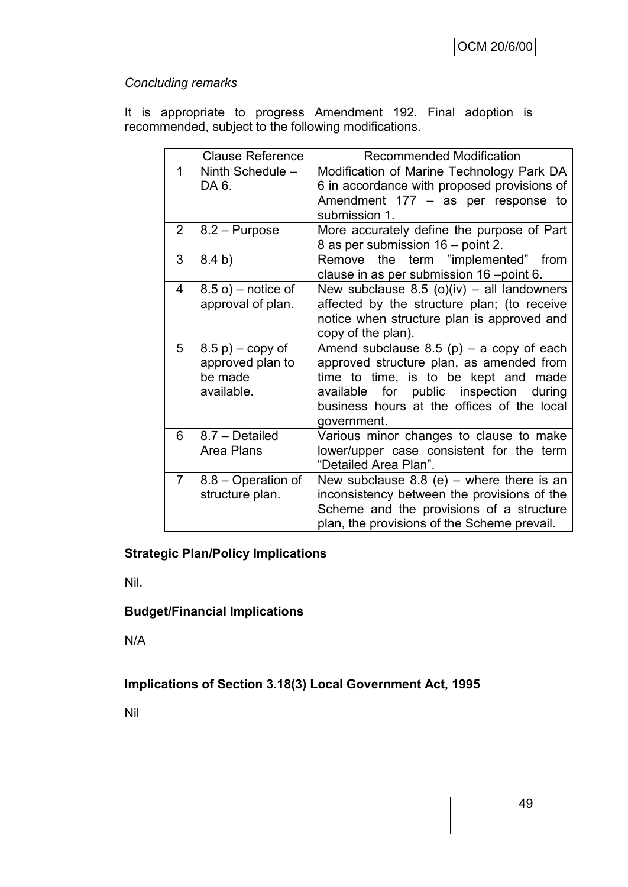# *Concluding remarks*

It is appropriate to progress Amendment 192. Final adoption is recommended, subject to the following modifications.

|                | <b>Clause Reference</b>                                          | <b>Recommended Modification</b>                                                                                                                                                                                                          |
|----------------|------------------------------------------------------------------|------------------------------------------------------------------------------------------------------------------------------------------------------------------------------------------------------------------------------------------|
| 1              | Ninth Schedule -<br>DA 6.                                        | Modification of Marine Technology Park DA<br>6 in accordance with proposed provisions of<br>Amendment $177 - as$ per response to<br>submission 1.                                                                                        |
| $\overline{2}$ | 8.2 – Purpose                                                    | More accurately define the purpose of Part<br>8 as per submission 16 – point 2.                                                                                                                                                          |
| 3              | 8.4 b)                                                           | Remove the term "implemented" from<br>clause in as per submission 16 -point 6.                                                                                                                                                           |
| 4              | $8.5$ o) – notice of<br>approval of plan.                        | New subclause $8.5$ (o)(iv) – all landowners<br>affected by the structure plan; (to receive<br>notice when structure plan is approved and<br>copy of the plan).                                                                          |
| 5              | $(8.5 p)$ – copy of<br>approved plan to<br>be made<br>available. | Amend subclause $8.5$ (p) – a copy of each<br>approved structure plan, as amended from<br>time to time, is to be kept and made<br>available for public inspection<br>during<br>business hours at the offices of the local<br>government. |
| 6              | 8.7 - Detailed<br>Area Plans                                     | Various minor changes to clause to make<br>lower/upper case consistent for the term<br>"Detailed Area Plan".                                                                                                                             |
| $\overline{7}$ | 8.8 – Operation of<br>structure plan.                            | New subclause $8.8$ (e) – where there is an<br>inconsistency between the provisions of the<br>Scheme and the provisions of a structure<br>plan, the provisions of the Scheme prevail.                                                    |

# **Strategic Plan/Policy Implications**

Nil.

## **Budget/Financial Implications**

N/A

# **Implications of Section 3.18(3) Local Government Act, 1995**

Nil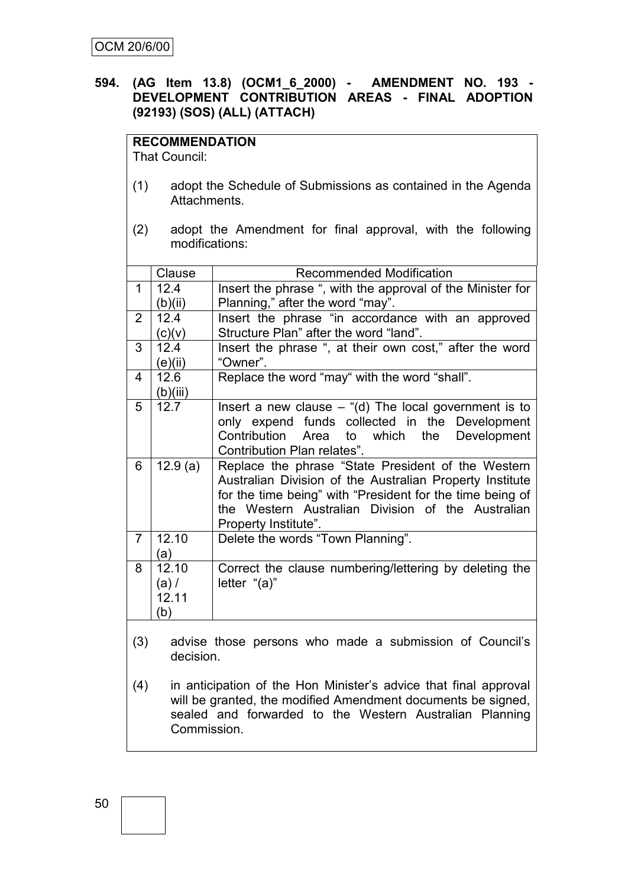## **594. (AG Item 13.8) (OCM1\_6\_2000) - AMENDMENT NO. 193 - DEVELOPMENT CONTRIBUTION AREAS - FINAL ADOPTION (92193) (SOS) (ALL) (ATTACH)**

# **RECOMMENDATION**

That Council:

- (1) adopt the Schedule of Submissions as contained in the Agenda Attachments.
- (2) adopt the Amendment for final approval, with the following modifications:

|                                                                    | Clause   | <b>Recommended Modification</b>                            |  |  |  |
|--------------------------------------------------------------------|----------|------------------------------------------------------------|--|--|--|
| 1                                                                  | 12.4     | Insert the phrase ", with the approval of the Minister for |  |  |  |
|                                                                    | (b)(ii)  | Planning," after the word "may".                           |  |  |  |
| $\overline{2}$                                                     | 12.4     | Insert the phrase "in accordance with an approved          |  |  |  |
|                                                                    | (c)(v)   | Structure Plan" after the word "land".                     |  |  |  |
| 3                                                                  | 12.4     | Insert the phrase ", at their own cost," after the word    |  |  |  |
|                                                                    | (e)(ii)  | "Owner".                                                   |  |  |  |
| 4                                                                  | 12.6     | Replace the word "may" with the word "shall".              |  |  |  |
|                                                                    | (b)(iii) |                                                            |  |  |  |
| 5                                                                  | 12.7     | Insert a new clause $-$ "(d) The local government is to    |  |  |  |
|                                                                    |          | only expend funds collected in the Development             |  |  |  |
|                                                                    |          | Contribution Area to which the<br>Development              |  |  |  |
|                                                                    |          | Contribution Plan relates".                                |  |  |  |
| 6<br>12.9(a)<br>Replace the phrase "State President of the Western |          |                                                            |  |  |  |
|                                                                    |          | Australian Division of the Australian Property Institute   |  |  |  |
|                                                                    |          | for the time being" with "President for the time being of  |  |  |  |
|                                                                    |          | the Western Australian Division of the Australian          |  |  |  |
|                                                                    |          | Property Institute".                                       |  |  |  |
| $\overline{7}$                                                     | 12.10    | Delete the words "Town Planning".                          |  |  |  |
|                                                                    | (a)      |                                                            |  |  |  |
| 8                                                                  | 12.10    | Correct the clause numbering/lettering by deleting the     |  |  |  |
|                                                                    | $(a)$ /  | letter "(a)"                                               |  |  |  |
|                                                                    | 12.11    |                                                            |  |  |  |
|                                                                    | (b)      |                                                            |  |  |  |

- (3) advise those persons who made a submission of Council"s decision.
- (4) in anticipation of the Hon Minister"s advice that final approval will be granted, the modified Amendment documents be signed, sealed and forwarded to the Western Australian Planning Commission.

50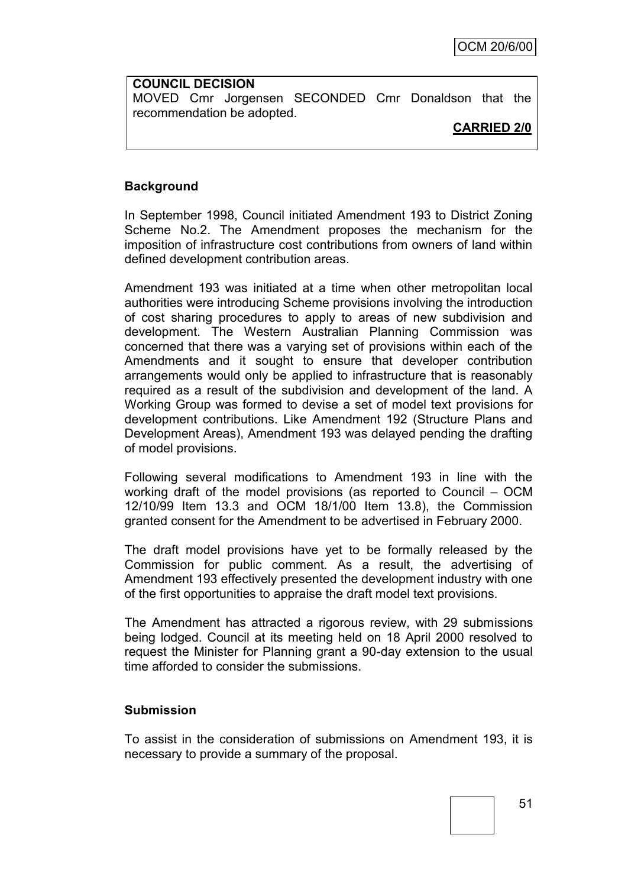**COUNCIL DECISION** MOVED Cmr Jorgensen SECONDED Cmr Donaldson that the recommendation be adopted.

## **CARRIED 2/0**

## **Background**

In September 1998, Council initiated Amendment 193 to District Zoning Scheme No.2. The Amendment proposes the mechanism for the imposition of infrastructure cost contributions from owners of land within defined development contribution areas.

Amendment 193 was initiated at a time when other metropolitan local authorities were introducing Scheme provisions involving the introduction of cost sharing procedures to apply to areas of new subdivision and development. The Western Australian Planning Commission was concerned that there was a varying set of provisions within each of the Amendments and it sought to ensure that developer contribution arrangements would only be applied to infrastructure that is reasonably required as a result of the subdivision and development of the land. A Working Group was formed to devise a set of model text provisions for development contributions. Like Amendment 192 (Structure Plans and Development Areas), Amendment 193 was delayed pending the drafting of model provisions.

Following several modifications to Amendment 193 in line with the working draft of the model provisions (as reported to Council – OCM 12/10/99 Item 13.3 and OCM 18/1/00 Item 13.8), the Commission granted consent for the Amendment to be advertised in February 2000.

The draft model provisions have yet to be formally released by the Commission for public comment. As a result, the advertising of Amendment 193 effectively presented the development industry with one of the first opportunities to appraise the draft model text provisions.

The Amendment has attracted a rigorous review, with 29 submissions being lodged. Council at its meeting held on 18 April 2000 resolved to request the Minister for Planning grant a 90-day extension to the usual time afforded to consider the submissions.

#### **Submission**

To assist in the consideration of submissions on Amendment 193, it is necessary to provide a summary of the proposal.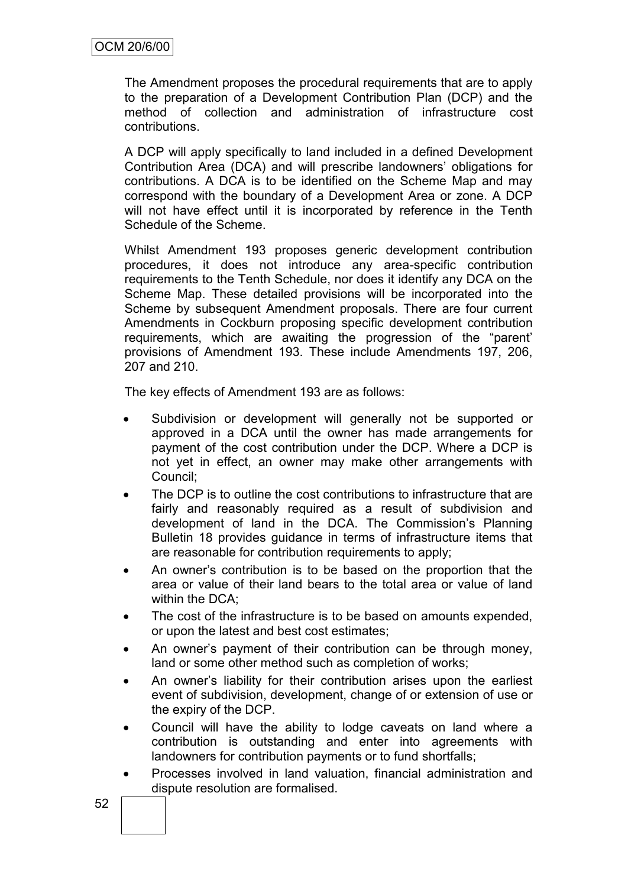The Amendment proposes the procedural requirements that are to apply to the preparation of a Development Contribution Plan (DCP) and the method of collection and administration of infrastructure cost contributions.

A DCP will apply specifically to land included in a defined Development Contribution Area (DCA) and will prescribe landowners" obligations for contributions. A DCA is to be identified on the Scheme Map and may correspond with the boundary of a Development Area or zone. A DCP will not have effect until it is incorporated by reference in the Tenth Schedule of the Scheme.

Whilst Amendment 193 proposes generic development contribution procedures, it does not introduce any area-specific contribution requirements to the Tenth Schedule, nor does it identify any DCA on the Scheme Map. These detailed provisions will be incorporated into the Scheme by subsequent Amendment proposals. There are four current Amendments in Cockburn proposing specific development contribution requirements, which are awaiting the progression of the "parent" provisions of Amendment 193. These include Amendments 197, 206, 207 and 210.

The key effects of Amendment 193 are as follows:

- Subdivision or development will generally not be supported or approved in a DCA until the owner has made arrangements for payment of the cost contribution under the DCP. Where a DCP is not yet in effect, an owner may make other arrangements with Council;
- The DCP is to outline the cost contributions to infrastructure that are fairly and reasonably required as a result of subdivision and development of land in the DCA. The Commission's Planning Bulletin 18 provides guidance in terms of infrastructure items that are reasonable for contribution requirements to apply;
- An owner"s contribution is to be based on the proportion that the area or value of their land bears to the total area or value of land within the DCA;
- The cost of the infrastructure is to be based on amounts expended, or upon the latest and best cost estimates;
- An owner's payment of their contribution can be through money, land or some other method such as completion of works;
- An owner"s liability for their contribution arises upon the earliest event of subdivision, development, change of or extension of use or the expiry of the DCP.
- Council will have the ability to lodge caveats on land where a contribution is outstanding and enter into agreements with landowners for contribution payments or to fund shortfalls;
- Processes involved in land valuation, financial administration and dispute resolution are formalised.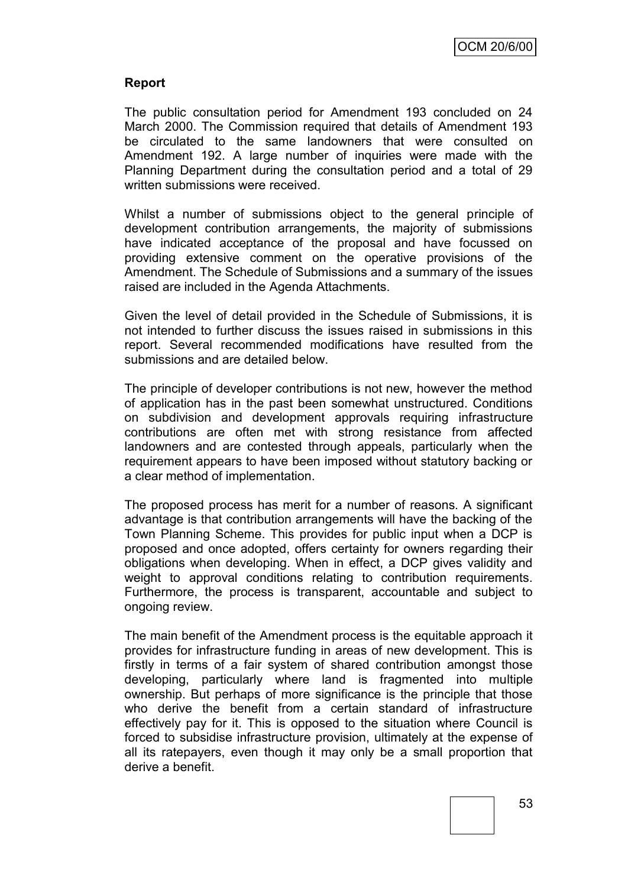## **Report**

The public consultation period for Amendment 193 concluded on 24 March 2000. The Commission required that details of Amendment 193 be circulated to the same landowners that were consulted on Amendment 192. A large number of inquiries were made with the Planning Department during the consultation period and a total of 29 written submissions were received.

Whilst a number of submissions object to the general principle of development contribution arrangements, the majority of submissions have indicated acceptance of the proposal and have focussed on providing extensive comment on the operative provisions of the Amendment. The Schedule of Submissions and a summary of the issues raised are included in the Agenda Attachments.

Given the level of detail provided in the Schedule of Submissions, it is not intended to further discuss the issues raised in submissions in this report. Several recommended modifications have resulted from the submissions and are detailed below.

The principle of developer contributions is not new, however the method of application has in the past been somewhat unstructured. Conditions on subdivision and development approvals requiring infrastructure contributions are often met with strong resistance from affected landowners and are contested through appeals, particularly when the requirement appears to have been imposed without statutory backing or a clear method of implementation.

The proposed process has merit for a number of reasons. A significant advantage is that contribution arrangements will have the backing of the Town Planning Scheme. This provides for public input when a DCP is proposed and once adopted, offers certainty for owners regarding their obligations when developing. When in effect, a DCP gives validity and weight to approval conditions relating to contribution requirements. Furthermore, the process is transparent, accountable and subject to ongoing review.

The main benefit of the Amendment process is the equitable approach it provides for infrastructure funding in areas of new development. This is firstly in terms of a fair system of shared contribution amongst those developing, particularly where land is fragmented into multiple ownership. But perhaps of more significance is the principle that those who derive the benefit from a certain standard of infrastructure effectively pay for it. This is opposed to the situation where Council is forced to subsidise infrastructure provision, ultimately at the expense of all its ratepayers, even though it may only be a small proportion that derive a benefit.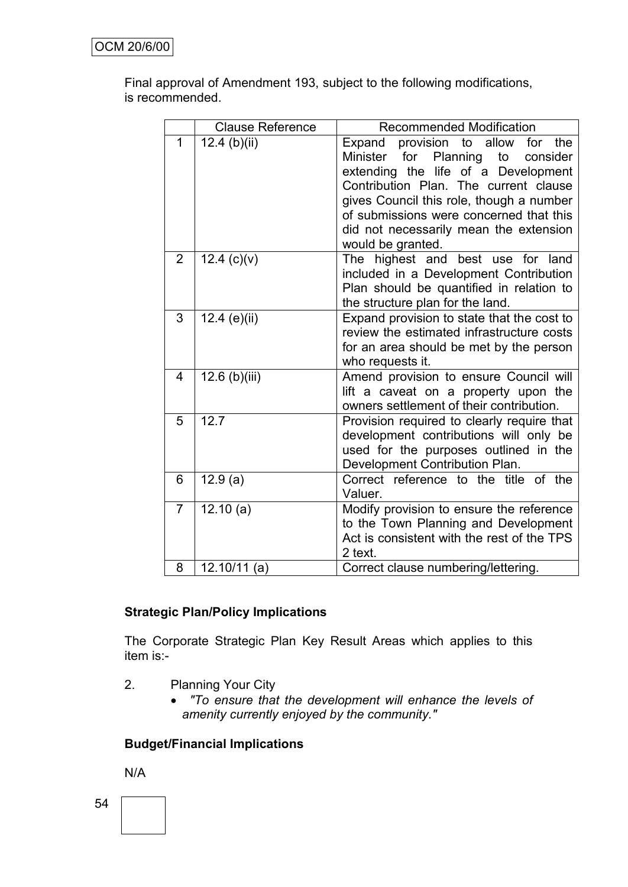Final approval of Amendment 193, subject to the following modifications, is recommended.

|                | <b>Clause Reference</b> | <b>Recommended Modification</b>                                                                                                                                                                                                                                                                                                   |
|----------------|-------------------------|-----------------------------------------------------------------------------------------------------------------------------------------------------------------------------------------------------------------------------------------------------------------------------------------------------------------------------------|
| 1              | $12.4$ (b)(ii)          | provision to allow<br>for<br>Expand<br>the<br>for<br>Planning<br>Minister<br>to<br>consider<br>extending the life of a Development<br>Contribution Plan. The current clause<br>gives Council this role, though a number<br>of submissions were concerned that this<br>did not necessarily mean the extension<br>would be granted. |
| $\overline{2}$ | 12.4 $(c)(v)$           | The highest and best use for land<br>included in a Development Contribution<br>Plan should be quantified in relation to<br>the structure plan for the land.                                                                                                                                                                       |
| 3              | 12.4 (e)(ii)            | Expand provision to state that the cost to<br>review the estimated infrastructure costs<br>for an area should be met by the person<br>who requests it.                                                                                                                                                                            |
| 4              | 12.6 (b)(iii)           | Amend provision to ensure Council will<br>lift a caveat on a property upon the<br>owners settlement of their contribution.                                                                                                                                                                                                        |
| 5              | 12.7                    | Provision required to clearly require that<br>development contributions will only be<br>used for the purposes outlined in the<br>Development Contribution Plan.                                                                                                                                                                   |
| 6              | 12.9(a)                 | Correct reference to the title of the<br>Valuer.                                                                                                                                                                                                                                                                                  |
| $\overline{7}$ | 12.10(a)                | Modify provision to ensure the reference<br>to the Town Planning and Development<br>Act is consistent with the rest of the TPS<br>2 text.                                                                                                                                                                                         |
| 8              | $12.10/11$ (a)          | Correct clause numbering/lettering.                                                                                                                                                                                                                                                                                               |

# **Strategic Plan/Policy Implications**

The Corporate Strategic Plan Key Result Areas which applies to this item is:-

- 2. Planning Your City
	- *"To ensure that the development will enhance the levels of amenity currently enjoyed by the community."*

#### **Budget/Financial Implications**

N/A

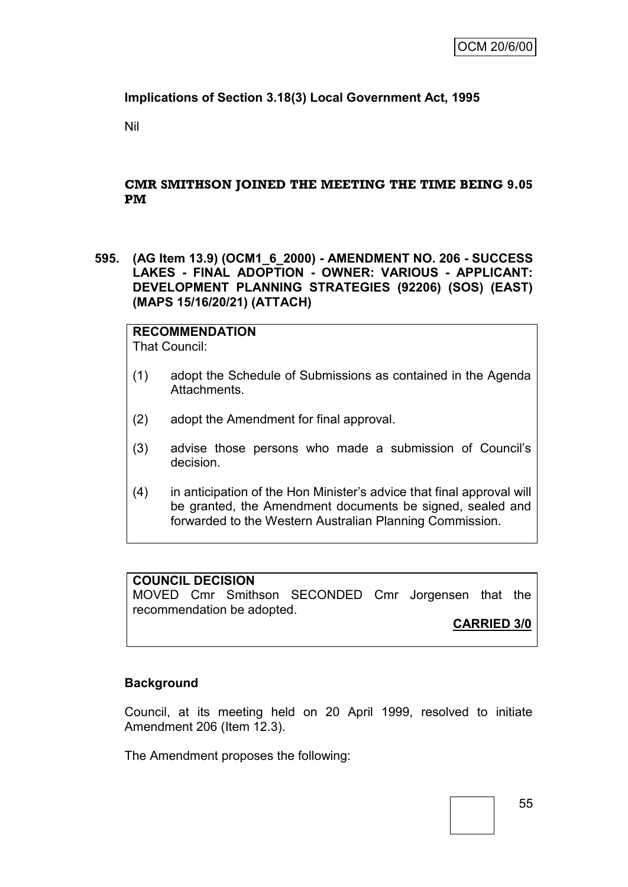# **Implications of Section 3.18(3) Local Government Act, 1995**

Nil

## **CMR SMITHSON JOINED THE MEETING THE TIME BEING 9.05 PM**

**595. (AG Item 13.9) (OCM1\_6\_2000) - AMENDMENT NO. 206 - SUCCESS LAKES - FINAL ADOPTION - OWNER: VARIOUS - APPLICANT: DEVELOPMENT PLANNING STRATEGIES (92206) (SOS) (EAST) (MAPS 15/16/20/21) (ATTACH)**

**RECOMMENDATION** That Council:

- (1) adopt the Schedule of Submissions as contained in the Agenda Attachments.
- (2) adopt the Amendment for final approval.
- (3) advise those persons who made a submission of Council"s decision.
- (4) in anticipation of the Hon Minister"s advice that final approval will be granted, the Amendment documents be signed, sealed and forwarded to the Western Australian Planning Commission.

## **COUNCIL DECISION**

MOVED Cmr Smithson SECONDED Cmr Jorgensen that the recommendation be adopted.

**CARRIED 3/0**

#### **Background**

Council, at its meeting held on 20 April 1999, resolved to initiate Amendment 206 (Item 12.3).

The Amendment proposes the following: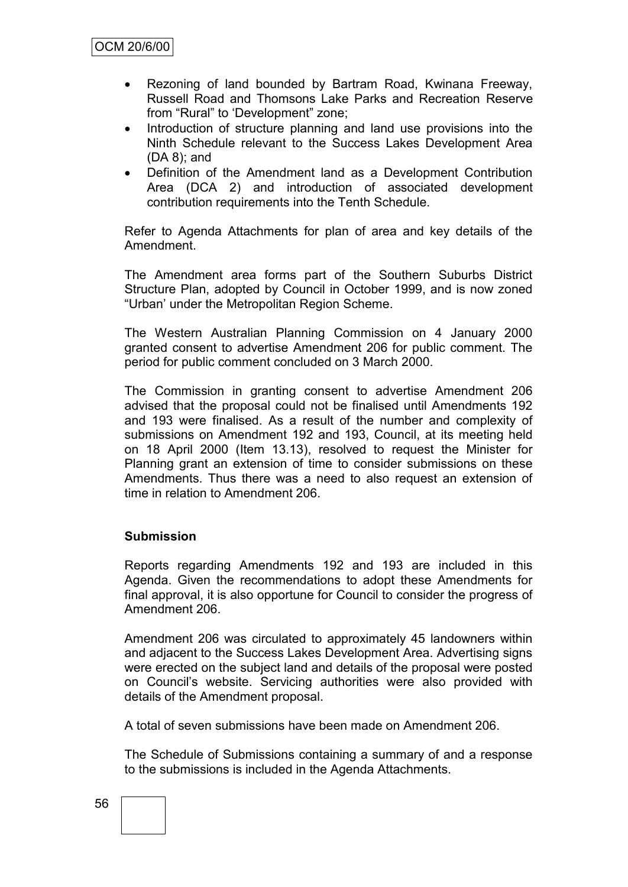- Rezoning of land bounded by Bartram Road, Kwinana Freeway, Russell Road and Thomsons Lake Parks and Recreation Reserve from "Rural" to "Development" zone;
- Introduction of structure planning and land use provisions into the Ninth Schedule relevant to the Success Lakes Development Area (DA 8); and
- Definition of the Amendment land as a Development Contribution Area (DCA 2) and introduction of associated development contribution requirements into the Tenth Schedule.

Refer to Agenda Attachments for plan of area and key details of the Amendment.

The Amendment area forms part of the Southern Suburbs District Structure Plan, adopted by Council in October 1999, and is now zoned "Urban" under the Metropolitan Region Scheme.

The Western Australian Planning Commission on 4 January 2000 granted consent to advertise Amendment 206 for public comment. The period for public comment concluded on 3 March 2000.

The Commission in granting consent to advertise Amendment 206 advised that the proposal could not be finalised until Amendments 192 and 193 were finalised. As a result of the number and complexity of submissions on Amendment 192 and 193, Council, at its meeting held on 18 April 2000 (Item 13.13), resolved to request the Minister for Planning grant an extension of time to consider submissions on these Amendments. Thus there was a need to also request an extension of time in relation to Amendment 206.

#### **Submission**

Reports regarding Amendments 192 and 193 are included in this Agenda. Given the recommendations to adopt these Amendments for final approval, it is also opportune for Council to consider the progress of Amendment 206.

Amendment 206 was circulated to approximately 45 landowners within and adjacent to the Success Lakes Development Area. Advertising signs were erected on the subject land and details of the proposal were posted on Council"s website. Servicing authorities were also provided with details of the Amendment proposal.

A total of seven submissions have been made on Amendment 206.

The Schedule of Submissions containing a summary of and a response to the submissions is included in the Agenda Attachments.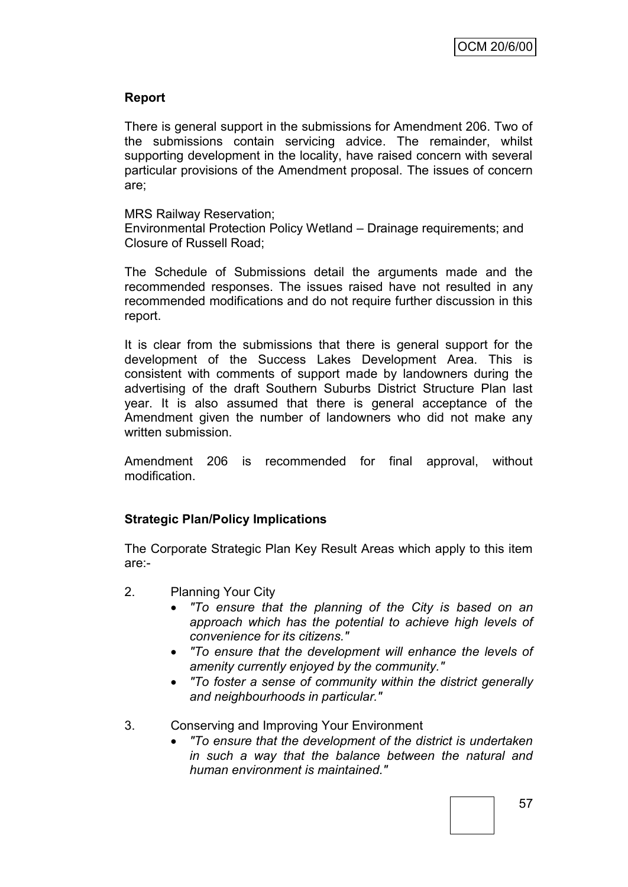## **Report**

There is general support in the submissions for Amendment 206. Two of the submissions contain servicing advice. The remainder, whilst supporting development in the locality, have raised concern with several particular provisions of the Amendment proposal. The issues of concern are;

MRS Railway Reservation;

Environmental Protection Policy Wetland – Drainage requirements; and Closure of Russell Road;

The Schedule of Submissions detail the arguments made and the recommended responses. The issues raised have not resulted in any recommended modifications and do not require further discussion in this report.

It is clear from the submissions that there is general support for the development of the Success Lakes Development Area. This is consistent with comments of support made by landowners during the advertising of the draft Southern Suburbs District Structure Plan last year. It is also assumed that there is general acceptance of the Amendment given the number of landowners who did not make any written submission.

Amendment 206 is recommended for final approval, without modification.

# **Strategic Plan/Policy Implications**

The Corporate Strategic Plan Key Result Areas which apply to this item are:-

- 2. Planning Your City
	- *"To ensure that the planning of the City is based on an approach which has the potential to achieve high levels of convenience for its citizens."*
	- *"To ensure that the development will enhance the levels of amenity currently enjoyed by the community."*
	- *"To foster a sense of community within the district generally and neighbourhoods in particular."*
- 3. Conserving and Improving Your Environment
	- *"To ensure that the development of the district is undertaken in such a way that the balance between the natural and human environment is maintained."*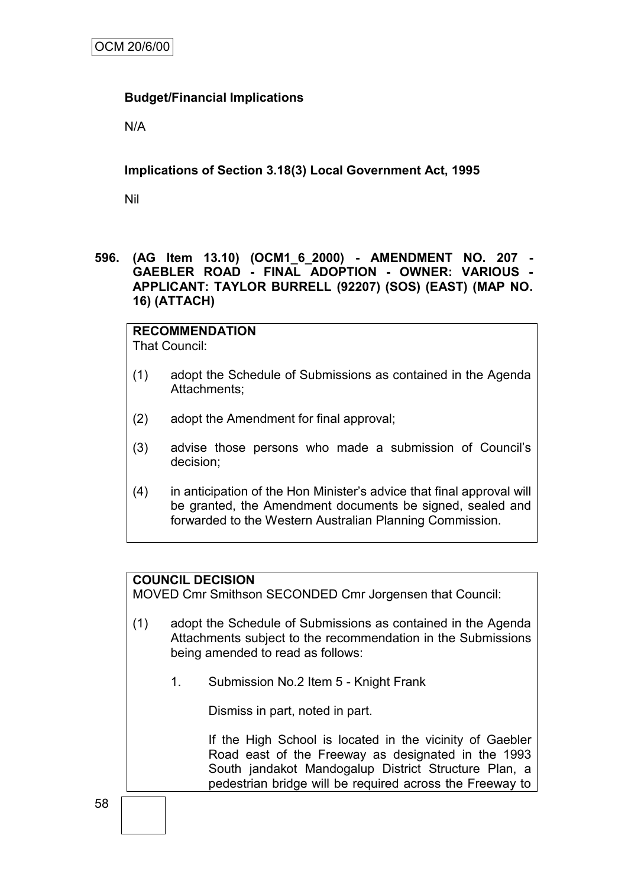# **Budget/Financial Implications**

N/A

**Implications of Section 3.18(3) Local Government Act, 1995**

Nil

**596. (AG Item 13.10) (OCM1\_6\_2000) - AMENDMENT NO. 207 - GAEBLER ROAD - FINAL ADOPTION - OWNER: VARIOUS - APPLICANT: TAYLOR BURRELL (92207) (SOS) (EAST) (MAP NO. 16) (ATTACH)**

#### **RECOMMENDATION** That Council:

- (1) adopt the Schedule of Submissions as contained in the Agenda Attachments;
- (2) adopt the Amendment for final approval;
- (3) advise those persons who made a submission of Council"s decision;
- (4) in anticipation of the Hon Minister"s advice that final approval will be granted, the Amendment documents be signed, sealed and forwarded to the Western Australian Planning Commission.

#### **COUNCIL DECISION**

MOVED Cmr Smithson SECONDED Cmr Jorgensen that Council:

- (1) adopt the Schedule of Submissions as contained in the Agenda Attachments subject to the recommendation in the Submissions being amended to read as follows:
	- 1. Submission No.2 Item 5 Knight Frank

Dismiss in part, noted in part.

If the High School is located in the vicinity of Gaebler Road east of the Freeway as designated in the 1993 South jandakot Mandogalup District Structure Plan, a pedestrian bridge will be required across the Freeway to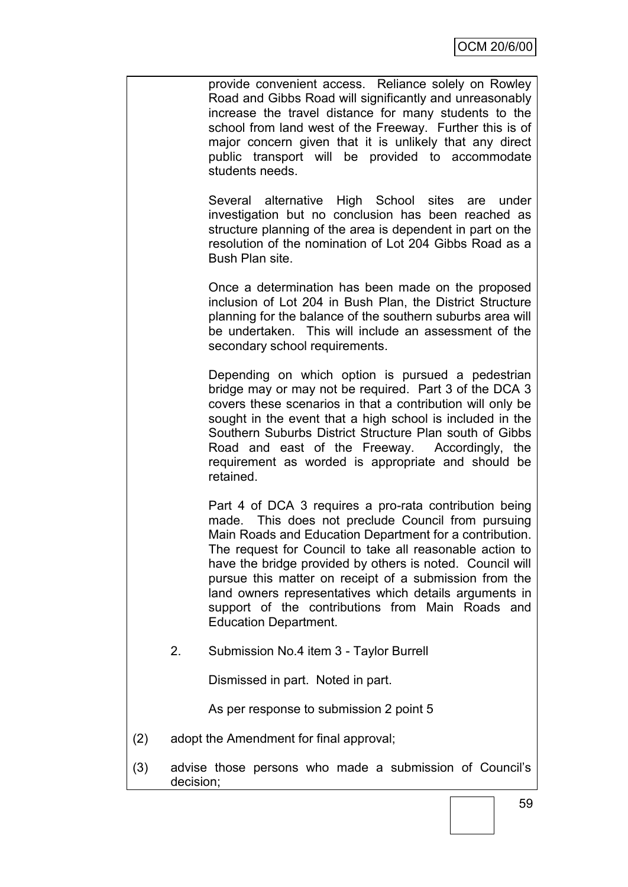provide convenient access. Reliance solely on Rowley Road and Gibbs Road will significantly and unreasonably increase the travel distance for many students to the school from land west of the Freeway. Further this is of major concern given that it is unlikely that any direct public transport will be provided to accommodate students needs.

Several alternative High School sites are under investigation but no conclusion has been reached as structure planning of the area is dependent in part on the resolution of the nomination of Lot 204 Gibbs Road as a Bush Plan site.

Once a determination has been made on the proposed inclusion of Lot 204 in Bush Plan, the District Structure planning for the balance of the southern suburbs area will be undertaken. This will include an assessment of the secondary school requirements.

Depending on which option is pursued a pedestrian bridge may or may not be required. Part 3 of the DCA 3 covers these scenarios in that a contribution will only be sought in the event that a high school is included in the Southern Suburbs District Structure Plan south of Gibbs Road and east of the Freeway. Accordingly, the requirement as worded is appropriate and should be retained.

Part 4 of DCA 3 requires a pro-rata contribution being made. This does not preclude Council from pursuing Main Roads and Education Department for a contribution. The request for Council to take all reasonable action to have the bridge provided by others is noted. Council will pursue this matter on receipt of a submission from the land owners representatives which details arguments in support of the contributions from Main Roads and Education Department.

2. Submission No.4 item 3 - Taylor Burrell

Dismissed in part. Noted in part.

As per response to submission 2 point 5

- (2) adopt the Amendment for final approval;
- (3) advise those persons who made a submission of Council"s decision;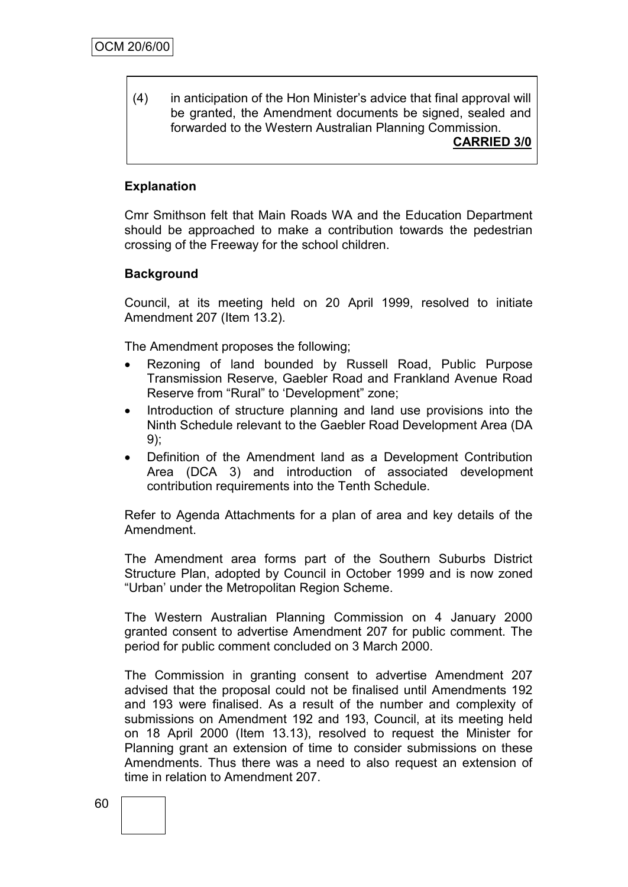(4) in anticipation of the Hon Minister"s advice that final approval will be granted, the Amendment documents be signed, sealed and forwarded to the Western Australian Planning Commission. **CARRIED 3/0**

# **Explanation**

Cmr Smithson felt that Main Roads WA and the Education Department should be approached to make a contribution towards the pedestrian crossing of the Freeway for the school children.

#### **Background**

Council, at its meeting held on 20 April 1999, resolved to initiate Amendment 207 (Item 13.2).

The Amendment proposes the following;

- Rezoning of land bounded by Russell Road, Public Purpose Transmission Reserve, Gaebler Road and Frankland Avenue Road Reserve from "Rural" to "Development" zone;
- Introduction of structure planning and land use provisions into the Ninth Schedule relevant to the Gaebler Road Development Area (DA 9);
- Definition of the Amendment land as a Development Contribution Area (DCA 3) and introduction of associated development contribution requirements into the Tenth Schedule.

Refer to Agenda Attachments for a plan of area and key details of the Amendment.

The Amendment area forms part of the Southern Suburbs District Structure Plan, adopted by Council in October 1999 and is now zoned "Urban" under the Metropolitan Region Scheme.

The Western Australian Planning Commission on 4 January 2000 granted consent to advertise Amendment 207 for public comment. The period for public comment concluded on 3 March 2000.

The Commission in granting consent to advertise Amendment 207 advised that the proposal could not be finalised until Amendments 192 and 193 were finalised. As a result of the number and complexity of submissions on Amendment 192 and 193, Council, at its meeting held on 18 April 2000 (Item 13.13), resolved to request the Minister for Planning grant an extension of time to consider submissions on these Amendments. Thus there was a need to also request an extension of time in relation to Amendment 207.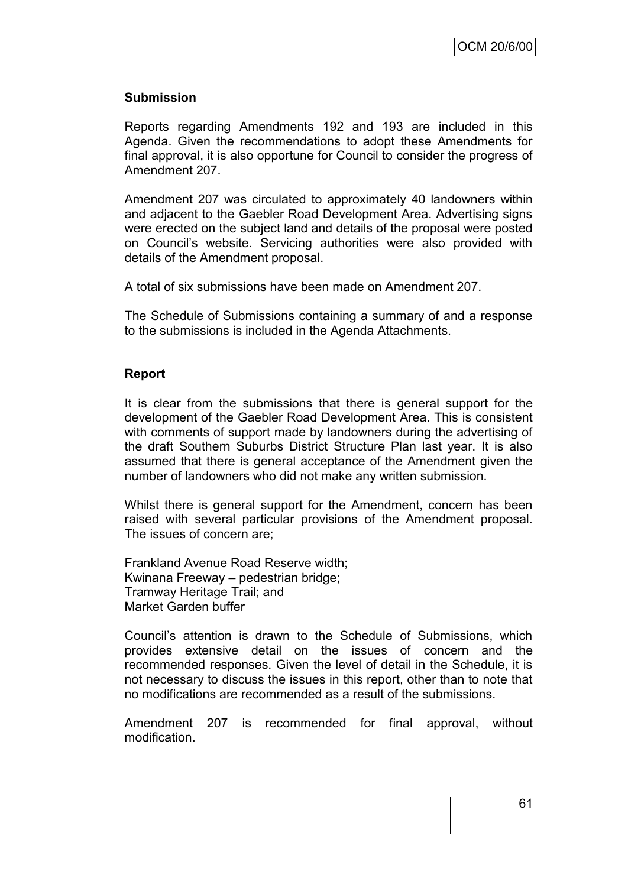#### **Submission**

Reports regarding Amendments 192 and 193 are included in this Agenda. Given the recommendations to adopt these Amendments for final approval, it is also opportune for Council to consider the progress of Amendment 207.

Amendment 207 was circulated to approximately 40 landowners within and adjacent to the Gaebler Road Development Area. Advertising signs were erected on the subject land and details of the proposal were posted on Council"s website. Servicing authorities were also provided with details of the Amendment proposal.

A total of six submissions have been made on Amendment 207.

The Schedule of Submissions containing a summary of and a response to the submissions is included in the Agenda Attachments.

#### **Report**

It is clear from the submissions that there is general support for the development of the Gaebler Road Development Area. This is consistent with comments of support made by landowners during the advertising of the draft Southern Suburbs District Structure Plan last year. It is also assumed that there is general acceptance of the Amendment given the number of landowners who did not make any written submission.

Whilst there is general support for the Amendment, concern has been raised with several particular provisions of the Amendment proposal. The issues of concern are;

Frankland Avenue Road Reserve width; Kwinana Freeway – pedestrian bridge; Tramway Heritage Trail; and Market Garden buffer

Council"s attention is drawn to the Schedule of Submissions, which provides extensive detail on the issues of concern and the recommended responses. Given the level of detail in the Schedule, it is not necessary to discuss the issues in this report, other than to note that no modifications are recommended as a result of the submissions.

Amendment 207 is recommended for final approval, without modification.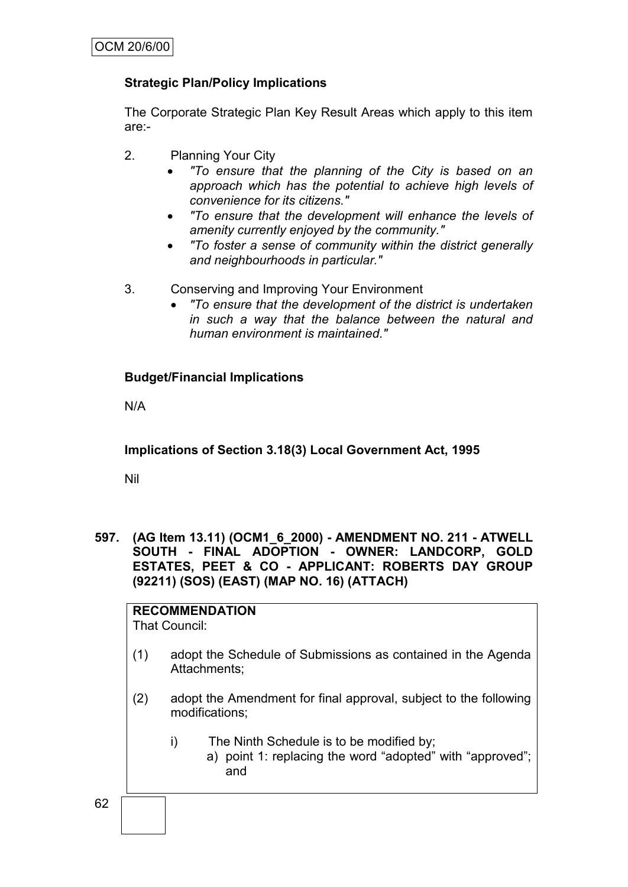# **Strategic Plan/Policy Implications**

The Corporate Strategic Plan Key Result Areas which apply to this item are:-

- 2. Planning Your City
	- *"To ensure that the planning of the City is based on an approach which has the potential to achieve high levels of convenience for its citizens."*
	- *"To ensure that the development will enhance the levels of amenity currently enjoyed by the community."*
	- *"To foster a sense of community within the district generally and neighbourhoods in particular."*
- 3. Conserving and Improving Your Environment
	- *"To ensure that the development of the district is undertaken in such a way that the balance between the natural and human environment is maintained."*

# **Budget/Financial Implications**

N/A

**Implications of Section 3.18(3) Local Government Act, 1995**

Nil

**597. (AG Item 13.11) (OCM1\_6\_2000) - AMENDMENT NO. 211 - ATWELL SOUTH - FINAL ADOPTION - OWNER: LANDCORP, GOLD ESTATES, PEET & CO - APPLICANT: ROBERTS DAY GROUP (92211) (SOS) (EAST) (MAP NO. 16) (ATTACH)**

**RECOMMENDATION** That Council:

- (1) adopt the Schedule of Submissions as contained in the Agenda Attachments;
- (2) adopt the Amendment for final approval, subject to the following modifications;
	- i) The Ninth Schedule is to be modified by;
		- a) point 1: replacing the word "adopted" with "approved"; and

62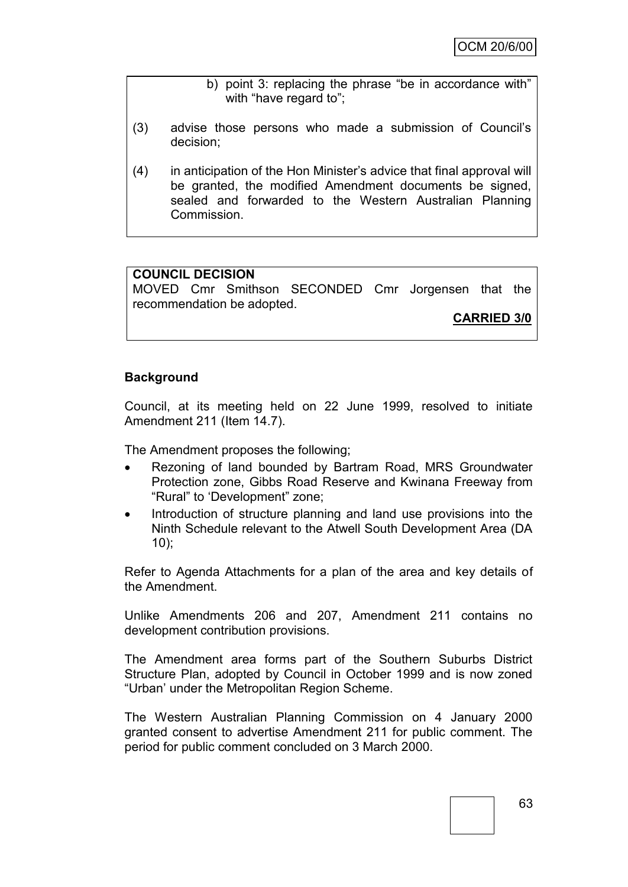#### b) point 3: replacing the phrase "be in accordance with" with "have regard to";

- (3) advise those persons who made a submission of Council"s decision;
- (4) in anticipation of the Hon Minister"s advice that final approval will be granted, the modified Amendment documents be signed, sealed and forwarded to the Western Australian Planning Commission.

# **COUNCIL DECISION**

MOVED Cmr Smithson SECONDED Cmr Jorgensen that the recommendation be adopted.

**CARRIED 3/0**

## **Background**

Council, at its meeting held on 22 June 1999, resolved to initiate Amendment 211 (Item 14.7).

The Amendment proposes the following;

- Rezoning of land bounded by Bartram Road, MRS Groundwater Protection zone, Gibbs Road Reserve and Kwinana Freeway from "Rural" to "Development" zone;
- Introduction of structure planning and land use provisions into the Ninth Schedule relevant to the Atwell South Development Area (DA 10);

Refer to Agenda Attachments for a plan of the area and key details of the Amendment.

Unlike Amendments 206 and 207, Amendment 211 contains no development contribution provisions.

The Amendment area forms part of the Southern Suburbs District Structure Plan, adopted by Council in October 1999 and is now zoned "Urban" under the Metropolitan Region Scheme.

The Western Australian Planning Commission on 4 January 2000 granted consent to advertise Amendment 211 for public comment. The period for public comment concluded on 3 March 2000.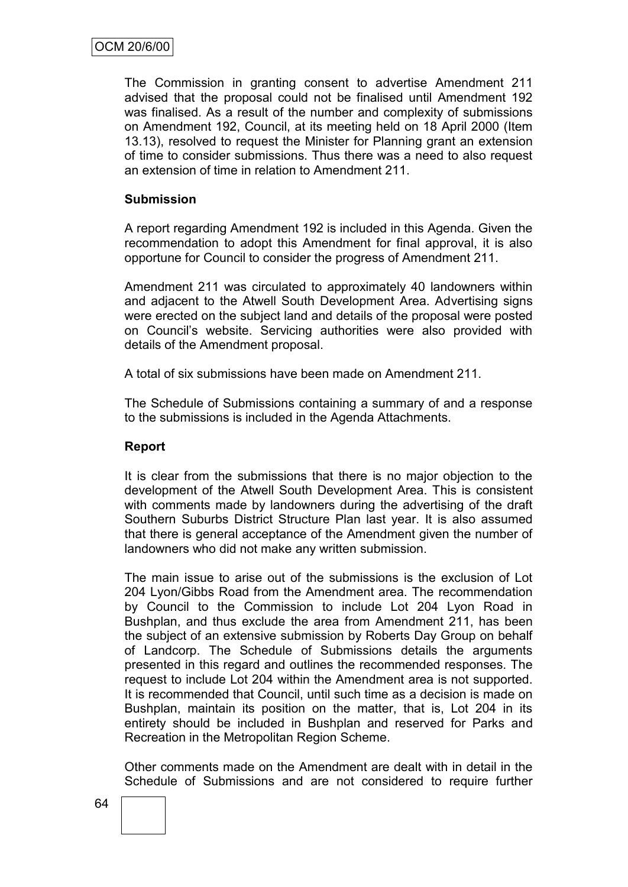The Commission in granting consent to advertise Amendment 211 advised that the proposal could not be finalised until Amendment 192 was finalised. As a result of the number and complexity of submissions on Amendment 192, Council, at its meeting held on 18 April 2000 (Item 13.13), resolved to request the Minister for Planning grant an extension of time to consider submissions. Thus there was a need to also request an extension of time in relation to Amendment 211.

## **Submission**

A report regarding Amendment 192 is included in this Agenda. Given the recommendation to adopt this Amendment for final approval, it is also opportune for Council to consider the progress of Amendment 211.

Amendment 211 was circulated to approximately 40 landowners within and adjacent to the Atwell South Development Area. Advertising signs were erected on the subject land and details of the proposal were posted on Council"s website. Servicing authorities were also provided with details of the Amendment proposal.

A total of six submissions have been made on Amendment 211.

The Schedule of Submissions containing a summary of and a response to the submissions is included in the Agenda Attachments.

#### **Report**

It is clear from the submissions that there is no major objection to the development of the Atwell South Development Area. This is consistent with comments made by landowners during the advertising of the draft Southern Suburbs District Structure Plan last year. It is also assumed that there is general acceptance of the Amendment given the number of landowners who did not make any written submission.

The main issue to arise out of the submissions is the exclusion of Lot 204 Lyon/Gibbs Road from the Amendment area. The recommendation by Council to the Commission to include Lot 204 Lyon Road in Bushplan, and thus exclude the area from Amendment 211, has been the subject of an extensive submission by Roberts Day Group on behalf of Landcorp. The Schedule of Submissions details the arguments presented in this regard and outlines the recommended responses. The request to include Lot 204 within the Amendment area is not supported. It is recommended that Council, until such time as a decision is made on Bushplan, maintain its position on the matter, that is, Lot 204 in its entirety should be included in Bushplan and reserved for Parks and Recreation in the Metropolitan Region Scheme.

Other comments made on the Amendment are dealt with in detail in the Schedule of Submissions and are not considered to require further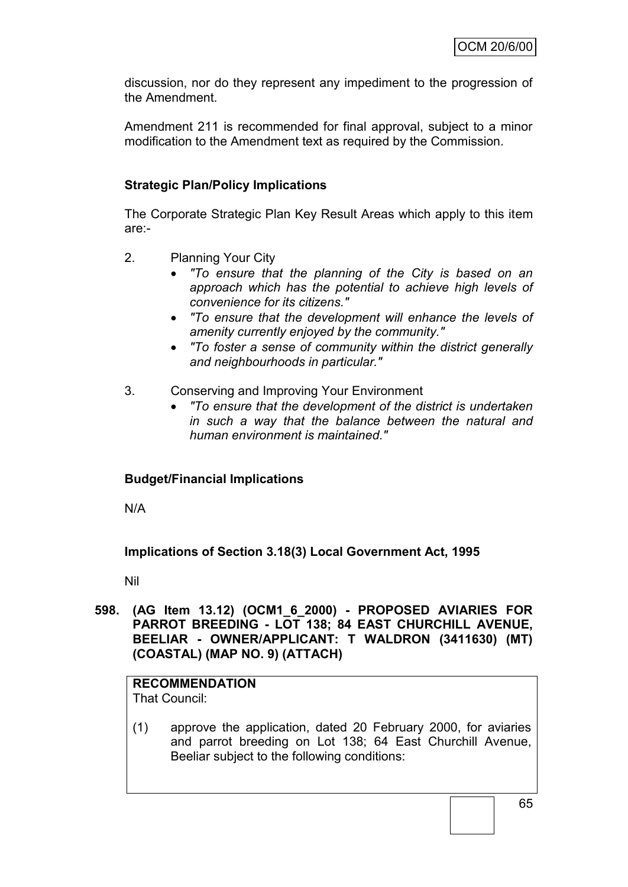discussion, nor do they represent any impediment to the progression of the Amendment.

Amendment 211 is recommended for final approval, subject to a minor modification to the Amendment text as required by the Commission.

# **Strategic Plan/Policy Implications**

The Corporate Strategic Plan Key Result Areas which apply to this item are:-

- 2. Planning Your City
	- *"To ensure that the planning of the City is based on an approach which has the potential to achieve high levels of convenience for its citizens."*
	- *"To ensure that the development will enhance the levels of amenity currently enjoyed by the community."*
	- *"To foster a sense of community within the district generally and neighbourhoods in particular."*
- 3. Conserving and Improving Your Environment
	- *"To ensure that the development of the district is undertaken in such a way that the balance between the natural and human environment is maintained."*

# **Budget/Financial Implications**

N/A

**Implications of Section 3.18(3) Local Government Act, 1995**

Nil

**598. (AG Item 13.12) (OCM1\_6\_2000) - PROPOSED AVIARIES FOR PARROT BREEDING - LOT 138; 84 EAST CHURCHILL AVENUE, BEELIAR - OWNER/APPLICANT: T WALDRON (3411630) (MT) (COASTAL) (MAP NO. 9) (ATTACH)**

# **RECOMMENDATION**

That Council:

(1) approve the application, dated 20 February 2000, for aviaries and parrot breeding on Lot 138; 64 East Churchill Avenue, Beeliar subject to the following conditions:

65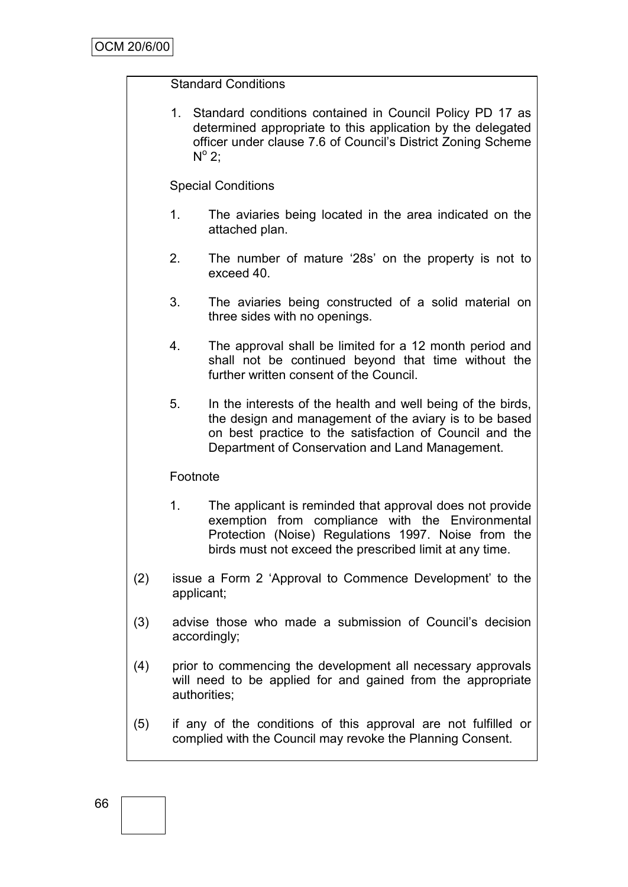## Standard Conditions

1. Standard conditions contained in Council Policy PD 17 as determined appropriate to this application by the delegated officer under clause 7.6 of Council"s District Zoning Scheme  $N^{\circ}$  2;

## Special Conditions

- 1. The aviaries being located in the area indicated on the attached plan.
- 2. The number of mature "28s" on the property is not to exceed 40.
- 3. The aviaries being constructed of a solid material on three sides with no openings.
- 4. The approval shall be limited for a 12 month period and shall not be continued beyond that time without the further written consent of the Council.
- 5. In the interests of the health and well being of the birds, the design and management of the aviary is to be based on best practice to the satisfaction of Council and the Department of Conservation and Land Management.

#### Footnote

- 1. The applicant is reminded that approval does not provide exemption from compliance with the Environmental Protection (Noise) Regulations 1997. Noise from the birds must not exceed the prescribed limit at any time.
- (2) issue a Form 2 "Approval to Commence Development" to the applicant;
- (3) advise those who made a submission of Council"s decision accordingly;
- (4) prior to commencing the development all necessary approvals will need to be applied for and gained from the appropriate authorities;
- (5) if any of the conditions of this approval are not fulfilled or complied with the Council may revoke the Planning Consent.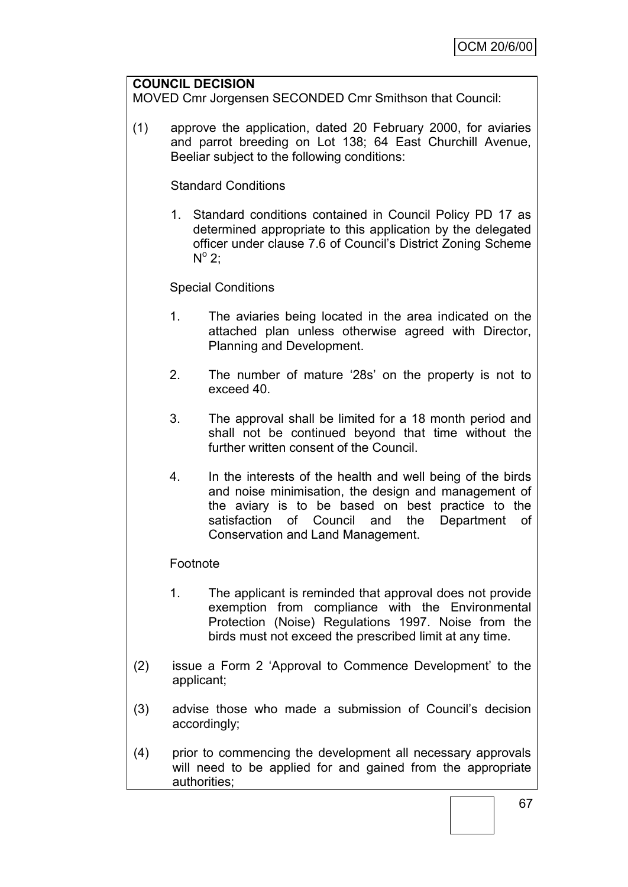#### **COUNCIL DECISION**

MOVED Cmr Jorgensen SECONDED Cmr Smithson that Council:

(1) approve the application, dated 20 February 2000, for aviaries and parrot breeding on Lot 138; 64 East Churchill Avenue, Beeliar subject to the following conditions:

#### Standard Conditions

1. Standard conditions contained in Council Policy PD 17 as determined appropriate to this application by the delegated officer under clause 7.6 of Council"s District Zoning Scheme  $N^{\circ}$  2;

## Special Conditions

- 1. The aviaries being located in the area indicated on the attached plan unless otherwise agreed with Director, Planning and Development.
- 2. The number of mature "28s" on the property is not to exceed 40.
- 3. The approval shall be limited for a 18 month period and shall not be continued beyond that time without the further written consent of the Council.
- 4. In the interests of the health and well being of the birds and noise minimisation, the design and management of the aviary is to be based on best practice to the satisfaction of Council and the Department of Conservation and Land Management.

#### Footnote

- 1. The applicant is reminded that approval does not provide exemption from compliance with the Environmental Protection (Noise) Regulations 1997. Noise from the birds must not exceed the prescribed limit at any time.
- (2) issue a Form 2 "Approval to Commence Development" to the applicant;
- (3) advise those who made a submission of Council"s decision accordingly;
- (4) prior to commencing the development all necessary approvals will need to be applied for and gained from the appropriate authorities;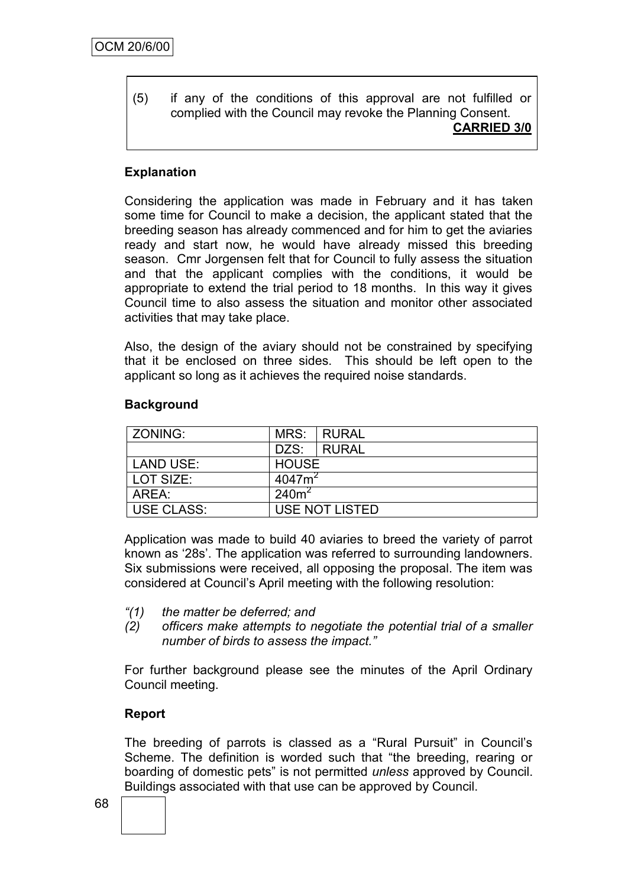(5) if any of the conditions of this approval are not fulfilled or complied with the Council may revoke the Planning Consent. **CARRIED 3/0**

# **Explanation**

Considering the application was made in February and it has taken some time for Council to make a decision, the applicant stated that the breeding season has already commenced and for him to get the aviaries ready and start now, he would have already missed this breeding season. Cmr Jorgensen felt that for Council to fully assess the situation and that the applicant complies with the conditions, it would be appropriate to extend the trial period to 18 months. In this way it gives Council time to also assess the situation and monitor other associated activities that may take place.

Also, the design of the aviary should not be constrained by specifying that it be enclosed on three sides. This should be left open to the applicant so long as it achieves the required noise standards.

#### **Background**

| ZONING:           |                    | MRS: RURAL     |  |
|-------------------|--------------------|----------------|--|
|                   | DZS:               | <b>I RURAL</b> |  |
| <b>LAND USE:</b>  | <b>HOUSE</b>       |                |  |
| LOT SIZE:         | 4047m <sup>2</sup> |                |  |
| AREA:             | 240m <sup>2</sup>  |                |  |
| <b>USE CLASS:</b> | USE NOT LISTED     |                |  |

Application was made to build 40 aviaries to breed the variety of parrot known as "28s". The application was referred to surrounding landowners. Six submissions were received, all opposing the proposal. The item was considered at Council"s April meeting with the following resolution:

- *"(1) the matter be deferred; and*
- *(2) officers make attempts to negotiate the potential trial of a smaller number of birds to assess the impact."*

For further background please see the minutes of the April Ordinary Council meeting.

#### **Report**

The breeding of parrots is classed as a "Rural Pursuit" in Council"s Scheme. The definition is worded such that "the breeding, rearing or boarding of domestic pets" is not permitted *unless* approved by Council. Buildings associated with that use can be approved by Council.

68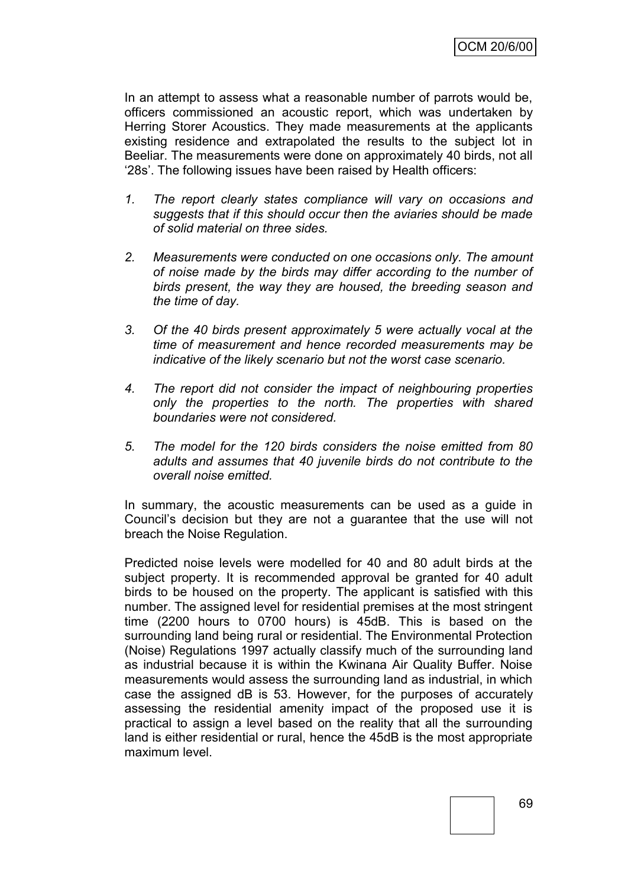In an attempt to assess what a reasonable number of parrots would be, officers commissioned an acoustic report, which was undertaken by Herring Storer Acoustics. They made measurements at the applicants existing residence and extrapolated the results to the subject lot in Beeliar. The measurements were done on approximately 40 birds, not all "28s". The following issues have been raised by Health officers:

- *1. The report clearly states compliance will vary on occasions and suggests that if this should occur then the aviaries should be made of solid material on three sides.*
- *2. Measurements were conducted on one occasions only. The amount of noise made by the birds may differ according to the number of birds present, the way they are housed, the breeding season and the time of day.*
- *3. Of the 40 birds present approximately 5 were actually vocal at the time of measurement and hence recorded measurements may be indicative of the likely scenario but not the worst case scenario.*
- *4. The report did not consider the impact of neighbouring properties only the properties to the north. The properties with shared boundaries were not considered.*
- *5. The model for the 120 birds considers the noise emitted from 80 adults and assumes that 40 juvenile birds do not contribute to the overall noise emitted.*

In summary, the acoustic measurements can be used as a guide in Council"s decision but they are not a guarantee that the use will not breach the Noise Regulation.

Predicted noise levels were modelled for 40 and 80 adult birds at the subject property. It is recommended approval be granted for 40 adult birds to be housed on the property. The applicant is satisfied with this number. The assigned level for residential premises at the most stringent time (2200 hours to 0700 hours) is 45dB. This is based on the surrounding land being rural or residential. The Environmental Protection (Noise) Regulations 1997 actually classify much of the surrounding land as industrial because it is within the Kwinana Air Quality Buffer. Noise measurements would assess the surrounding land as industrial, in which case the assigned dB is 53. However, for the purposes of accurately assessing the residential amenity impact of the proposed use it is practical to assign a level based on the reality that all the surrounding land is either residential or rural, hence the 45dB is the most appropriate maximum level.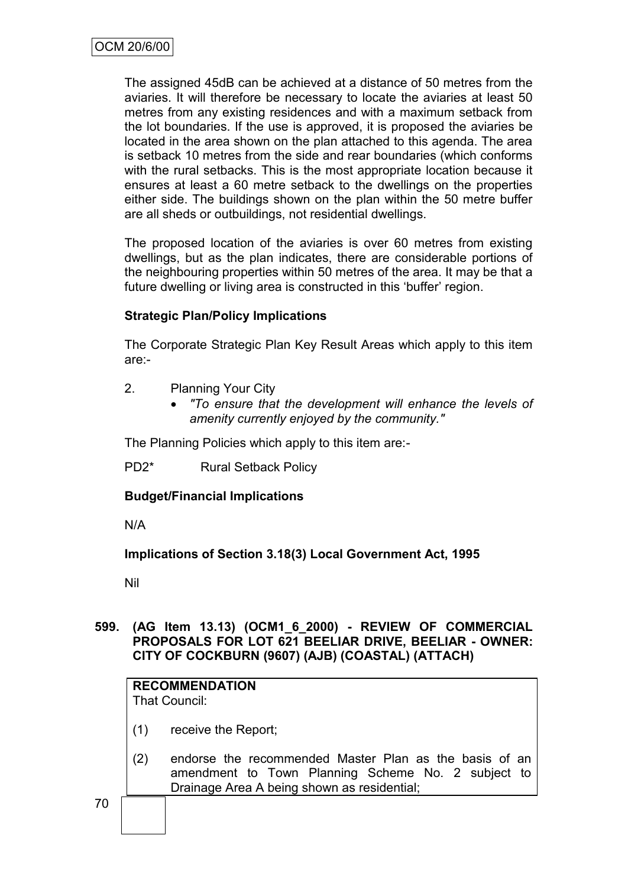The assigned 45dB can be achieved at a distance of 50 metres from the aviaries. It will therefore be necessary to locate the aviaries at least 50 metres from any existing residences and with a maximum setback from the lot boundaries. If the use is approved, it is proposed the aviaries be located in the area shown on the plan attached to this agenda. The area is setback 10 metres from the side and rear boundaries (which conforms with the rural setbacks. This is the most appropriate location because it ensures at least a 60 metre setback to the dwellings on the properties either side. The buildings shown on the plan within the 50 metre buffer are all sheds or outbuildings, not residential dwellings.

The proposed location of the aviaries is over 60 metres from existing dwellings, but as the plan indicates, there are considerable portions of the neighbouring properties within 50 metres of the area. It may be that a future dwelling or living area is constructed in this 'buffer' region.

## **Strategic Plan/Policy Implications**

The Corporate Strategic Plan Key Result Areas which apply to this item are:-

- 2. Planning Your City
	- *"To ensure that the development will enhance the levels of amenity currently enjoyed by the community."*

The Planning Policies which apply to this item are:-

PD2\* Rural Setback Policy

**Budget/Financial Implications**

N/A

**Implications of Section 3.18(3) Local Government Act, 1995**

Nil

#### **599. (AG Item 13.13) (OCM1\_6\_2000) - REVIEW OF COMMERCIAL PROPOSALS FOR LOT 621 BEELIAR DRIVE, BEELIAR - OWNER: CITY OF COCKBURN (9607) (AJB) (COASTAL) (ATTACH)**

# **RECOMMENDATION**

That Council:

- (1) receive the Report;
- (2) endorse the recommended Master Plan as the basis of an amendment to Town Planning Scheme No. 2 subject to Drainage Area A being shown as residential;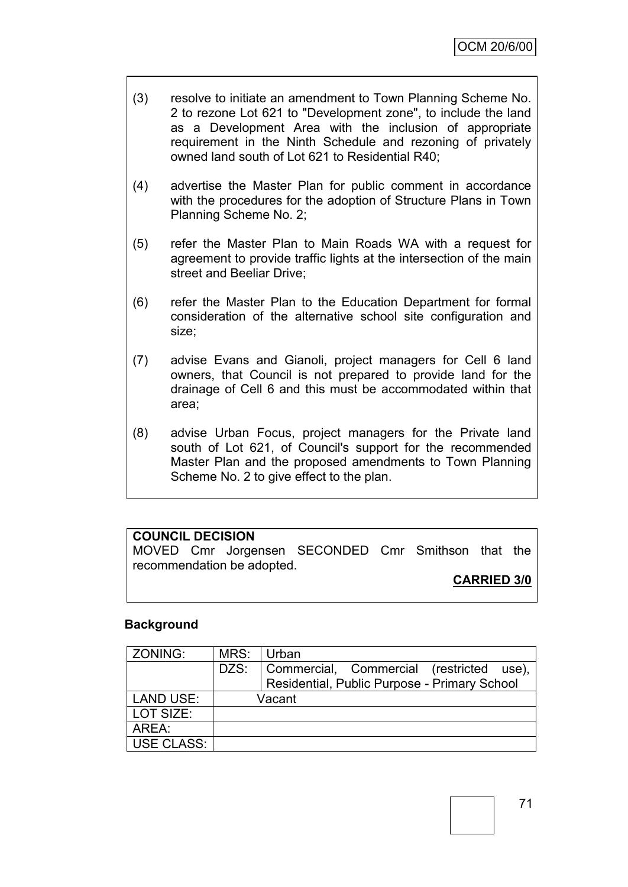- (3) resolve to initiate an amendment to Town Planning Scheme No. 2 to rezone Lot 621 to "Development zone", to include the land as a Development Area with the inclusion of appropriate requirement in the Ninth Schedule and rezoning of privately owned land south of Lot 621 to Residential R40;
- (4) advertise the Master Plan for public comment in accordance with the procedures for the adoption of Structure Plans in Town Planning Scheme No. 2;
- (5) refer the Master Plan to Main Roads WA with a request for agreement to provide traffic lights at the intersection of the main street and Beeliar Drive;
- (6) refer the Master Plan to the Education Department for formal consideration of the alternative school site configuration and size;
- (7) advise Evans and Gianoli, project managers for Cell 6 land owners, that Council is not prepared to provide land for the drainage of Cell 6 and this must be accommodated within that area;
- (8) advise Urban Focus, project managers for the Private land south of Lot 621, of Council's support for the recommended Master Plan and the proposed amendments to Town Planning Scheme No. 2 to give effect to the plan.

## **COUNCIL DECISION**

MOVED Cmr Jorgensen SECONDED Cmr Smithson that the recommendation be adopted.

**CARRIED 3/0**

#### **Background**

| ZONING:    | MRS: Urban |                                                                                          |
|------------|------------|------------------------------------------------------------------------------------------|
|            | DZS:       | Commercial, Commercial (restricted use),<br>Residential, Public Purpose - Primary School |
| LAND USE:  | Vacant     |                                                                                          |
| LOT SIZE:  |            |                                                                                          |
| AREA:      |            |                                                                                          |
| USE CLASS: |            |                                                                                          |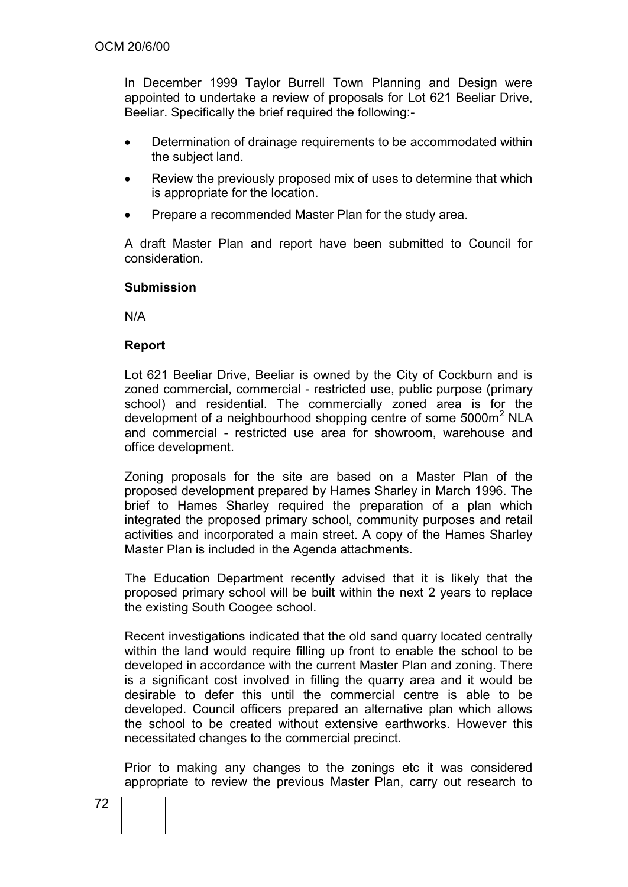In December 1999 Taylor Burrell Town Planning and Design were appointed to undertake a review of proposals for Lot 621 Beeliar Drive, Beeliar. Specifically the brief required the following:-

- Determination of drainage requirements to be accommodated within the subject land.
- Review the previously proposed mix of uses to determine that which is appropriate for the location.
- Prepare a recommended Master Plan for the study area.

A draft Master Plan and report have been submitted to Council for consideration.

#### **Submission**

N/A

#### **Report**

Lot 621 Beeliar Drive, Beeliar is owned by the City of Cockburn and is zoned commercial, commercial - restricted use, public purpose (primary school) and residential. The commercially zoned area is for the development of a neighbourhood shopping centre of some 5000m<sup>2</sup> NLA and commercial - restricted use area for showroom, warehouse and office development.

Zoning proposals for the site are based on a Master Plan of the proposed development prepared by Hames Sharley in March 1996. The brief to Hames Sharley required the preparation of a plan which integrated the proposed primary school, community purposes and retail activities and incorporated a main street. A copy of the Hames Sharley Master Plan is included in the Agenda attachments.

The Education Department recently advised that it is likely that the proposed primary school will be built within the next 2 years to replace the existing South Coogee school.

Recent investigations indicated that the old sand quarry located centrally within the land would require filling up front to enable the school to be developed in accordance with the current Master Plan and zoning. There is a significant cost involved in filling the quarry area and it would be desirable to defer this until the commercial centre is able to be developed. Council officers prepared an alternative plan which allows the school to be created without extensive earthworks. However this necessitated changes to the commercial precinct.

Prior to making any changes to the zonings etc it was considered appropriate to review the previous Master Plan, carry out research to

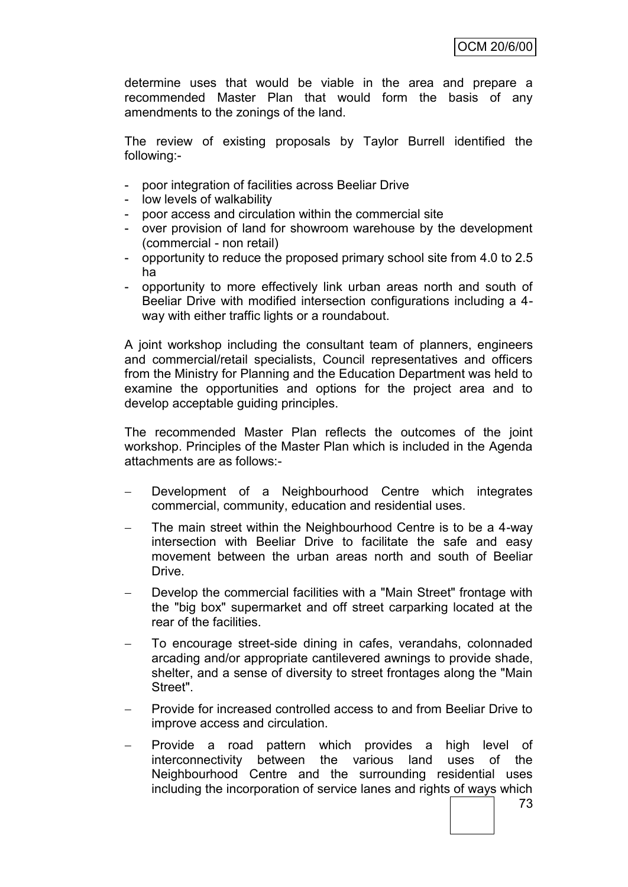determine uses that would be viable in the area and prepare a recommended Master Plan that would form the basis of any amendments to the zonings of the land.

The review of existing proposals by Taylor Burrell identified the following:-

- poor integration of facilities across Beeliar Drive
- low levels of walkability
- poor access and circulation within the commercial site
- over provision of land for showroom warehouse by the development (commercial - non retail)
- opportunity to reduce the proposed primary school site from 4.0 to 2.5 ha
- opportunity to more effectively link urban areas north and south of Beeliar Drive with modified intersection configurations including a 4 way with either traffic lights or a roundabout.

A joint workshop including the consultant team of planners, engineers and commercial/retail specialists, Council representatives and officers from the Ministry for Planning and the Education Department was held to examine the opportunities and options for the project area and to develop acceptable guiding principles.

The recommended Master Plan reflects the outcomes of the joint workshop. Principles of the Master Plan which is included in the Agenda attachments are as follows:-

- Development of a Neighbourhood Centre which integrates commercial, community, education and residential uses.
- The main street within the Neighbourhood Centre is to be a 4-way intersection with Beeliar Drive to facilitate the safe and easy movement between the urban areas north and south of Beeliar Drive.
- Develop the commercial facilities with a "Main Street" frontage with the "big box" supermarket and off street carparking located at the rear of the facilities.
- To encourage street-side dining in cafes, verandahs, colonnaded arcading and/or appropriate cantilevered awnings to provide shade, shelter, and a sense of diversity to street frontages along the "Main Street".
- Provide for increased controlled access to and from Beeliar Drive to improve access and circulation.
- Provide a road pattern which provides a high level of interconnectivity between the various land uses of the Neighbourhood Centre and the surrounding residential uses including the incorporation of service lanes and rights of ways which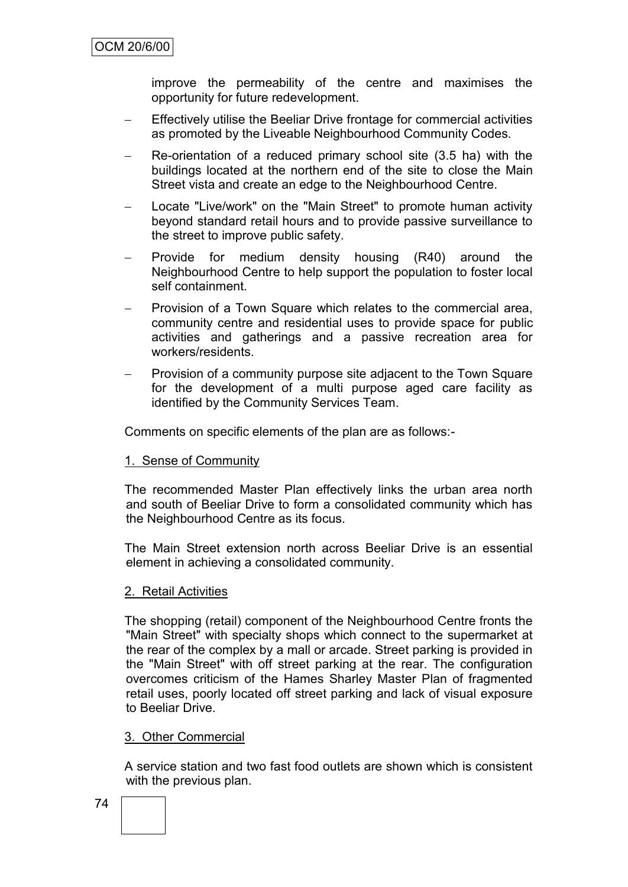improve the permeability of the centre and maximises the opportunity for future redevelopment.

- Effectively utilise the Beeliar Drive frontage for commercial activities as promoted by the Liveable Neighbourhood Community Codes.
- Re-orientation of a reduced primary school site (3.5 ha) with the buildings located at the northern end of the site to close the Main Street vista and create an edge to the Neighbourhood Centre.
- Locate "Live/work" on the "Main Street" to promote human activity beyond standard retail hours and to provide passive surveillance to the street to improve public safety.
- Provide for medium density housing (R40) around the Neighbourhood Centre to help support the population to foster local self containment.
- Provision of a Town Square which relates to the commercial area, community centre and residential uses to provide space for public activities and gatherings and a passive recreation area for workers/residents.
- Provision of a community purpose site adjacent to the Town Square for the development of a multi purpose aged care facility as identified by the Community Services Team.

Comments on specific elements of the plan are as follows:-

#### 1. Sense of Community

The recommended Master Plan effectively links the urban area north and south of Beeliar Drive to form a consolidated community which has the Neighbourhood Centre as its focus.

The Main Street extension north across Beeliar Drive is an essential element in achieving a consolidated community.

#### 2. Retail Activities

The shopping (retail) component of the Neighbourhood Centre fronts the "Main Street" with specialty shops which connect to the supermarket at the rear of the complex by a mall or arcade. Street parking is provided in the "Main Street" with off street parking at the rear. The configuration overcomes criticism of the Hames Sharley Master Plan of fragmented retail uses, poorly located off street parking and lack of visual exposure to Beeliar Drive.

#### 3. Other Commercial

A service station and two fast food outlets are shown which is consistent with the previous plan.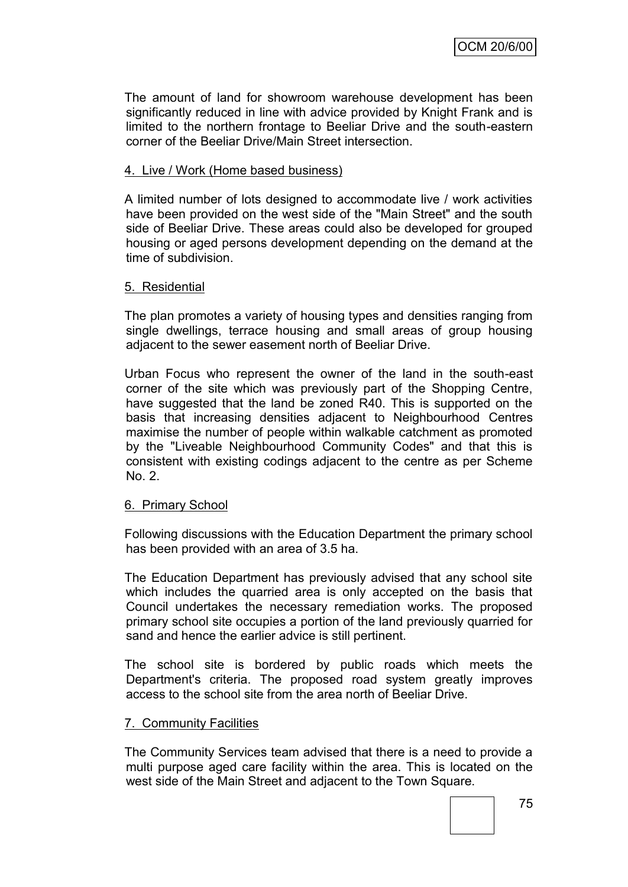The amount of land for showroom warehouse development has been significantly reduced in line with advice provided by Knight Frank and is limited to the northern frontage to Beeliar Drive and the south-eastern corner of the Beeliar Drive/Main Street intersection.

#### 4. Live / Work (Home based business)

A limited number of lots designed to accommodate live / work activities have been provided on the west side of the "Main Street" and the south side of Beeliar Drive. These areas could also be developed for grouped housing or aged persons development depending on the demand at the time of subdivision.

#### 5. Residential

The plan promotes a variety of housing types and densities ranging from single dwellings, terrace housing and small areas of group housing adjacent to the sewer easement north of Beeliar Drive.

Urban Focus who represent the owner of the land in the south-east corner of the site which was previously part of the Shopping Centre, have suggested that the land be zoned R40. This is supported on the basis that increasing densities adjacent to Neighbourhood Centres maximise the number of people within walkable catchment as promoted by the "Liveable Neighbourhood Community Codes" and that this is consistent with existing codings adjacent to the centre as per Scheme No. 2.

#### 6. Primary School

Following discussions with the Education Department the primary school has been provided with an area of 3.5 ha.

The Education Department has previously advised that any school site which includes the quarried area is only accepted on the basis that Council undertakes the necessary remediation works. The proposed primary school site occupies a portion of the land previously quarried for sand and hence the earlier advice is still pertinent.

The school site is bordered by public roads which meets the Department's criteria. The proposed road system greatly improves access to the school site from the area north of Beeliar Drive.

#### 7. Community Facilities

The Community Services team advised that there is a need to provide a multi purpose aged care facility within the area. This is located on the west side of the Main Street and adjacent to the Town Square.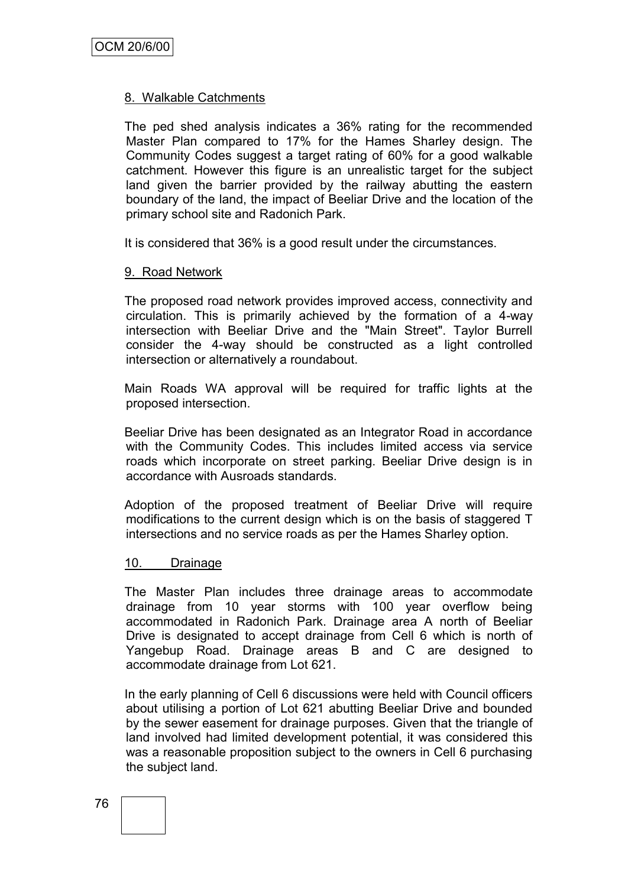#### 8. Walkable Catchments

The ped shed analysis indicates a 36% rating for the recommended Master Plan compared to 17% for the Hames Sharley design. The Community Codes suggest a target rating of 60% for a good walkable catchment. However this figure is an unrealistic target for the subject land given the barrier provided by the railway abutting the eastern boundary of the land, the impact of Beeliar Drive and the location of the primary school site and Radonich Park.

It is considered that 36% is a good result under the circumstances.

#### 9. Road Network

The proposed road network provides improved access, connectivity and circulation. This is primarily achieved by the formation of a 4-way intersection with Beeliar Drive and the "Main Street". Taylor Burrell consider the 4-way should be constructed as a light controlled intersection or alternatively a roundabout.

Main Roads WA approval will be required for traffic lights at the proposed intersection.

Beeliar Drive has been designated as an Integrator Road in accordance with the Community Codes. This includes limited access via service roads which incorporate on street parking. Beeliar Drive design is in accordance with Ausroads standards.

Adoption of the proposed treatment of Beeliar Drive will require modifications to the current design which is on the basis of staggered T intersections and no service roads as per the Hames Sharley option.

#### 10. Drainage

The Master Plan includes three drainage areas to accommodate drainage from 10 year storms with 100 year overflow being accommodated in Radonich Park. Drainage area A north of Beeliar Drive is designated to accept drainage from Cell 6 which is north of Yangebup Road. Drainage areas B and C are designed to accommodate drainage from Lot 621.

In the early planning of Cell 6 discussions were held with Council officers about utilising a portion of Lot 621 abutting Beeliar Drive and bounded by the sewer easement for drainage purposes. Given that the triangle of land involved had limited development potential, it was considered this was a reasonable proposition subject to the owners in Cell 6 purchasing the subject land.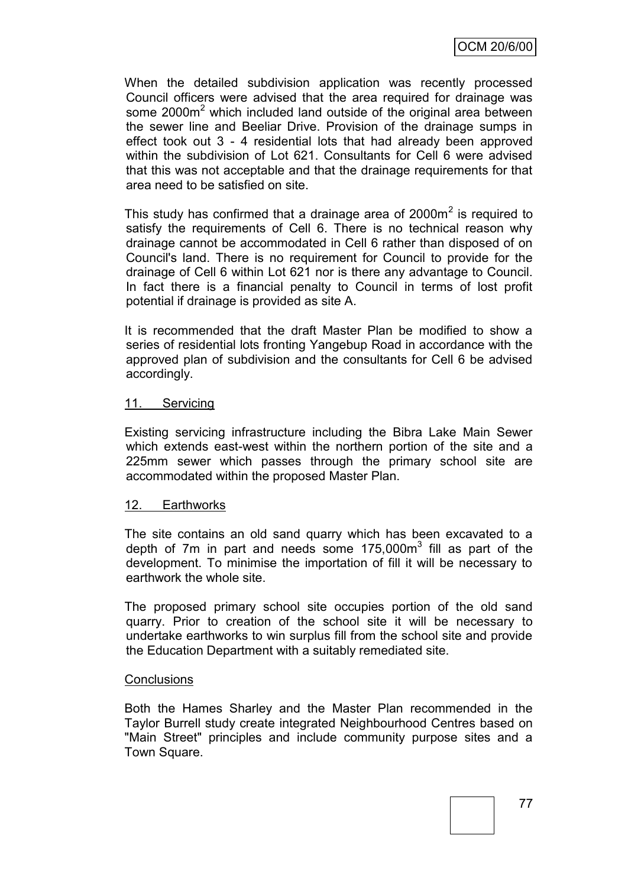When the detailed subdivision application was recently processed Council officers were advised that the area required for drainage was some 2000m<sup>2</sup> which included land outside of the original area between the sewer line and Beeliar Drive. Provision of the drainage sumps in effect took out 3 - 4 residential lots that had already been approved within the subdivision of Lot 621. Consultants for Cell 6 were advised that this was not acceptable and that the drainage requirements for that area need to be satisfied on site.

This study has confirmed that a drainage area of 2000 $m<sup>2</sup>$  is required to satisfy the requirements of Cell 6. There is no technical reason why drainage cannot be accommodated in Cell 6 rather than disposed of on Council's land. There is no requirement for Council to provide for the drainage of Cell 6 within Lot 621 nor is there any advantage to Council. In fact there is a financial penalty to Council in terms of lost profit potential if drainage is provided as site A.

It is recommended that the draft Master Plan be modified to show a series of residential lots fronting Yangebup Road in accordance with the approved plan of subdivision and the consultants for Cell 6 be advised accordingly.

#### 11. Servicing

Existing servicing infrastructure including the Bibra Lake Main Sewer which extends east-west within the northern portion of the site and a 225mm sewer which passes through the primary school site are accommodated within the proposed Master Plan.

#### 12. Earthworks

The site contains an old sand quarry which has been excavated to a depth of 7m in part and needs some  $175,000m^3$  fill as part of the development. To minimise the importation of fill it will be necessary to earthwork the whole site.

The proposed primary school site occupies portion of the old sand quarry. Prior to creation of the school site it will be necessary to undertake earthworks to win surplus fill from the school site and provide the Education Department with a suitably remediated site.

#### **Conclusions**

Both the Hames Sharley and the Master Plan recommended in the Taylor Burrell study create integrated Neighbourhood Centres based on "Main Street" principles and include community purpose sites and a Town Square.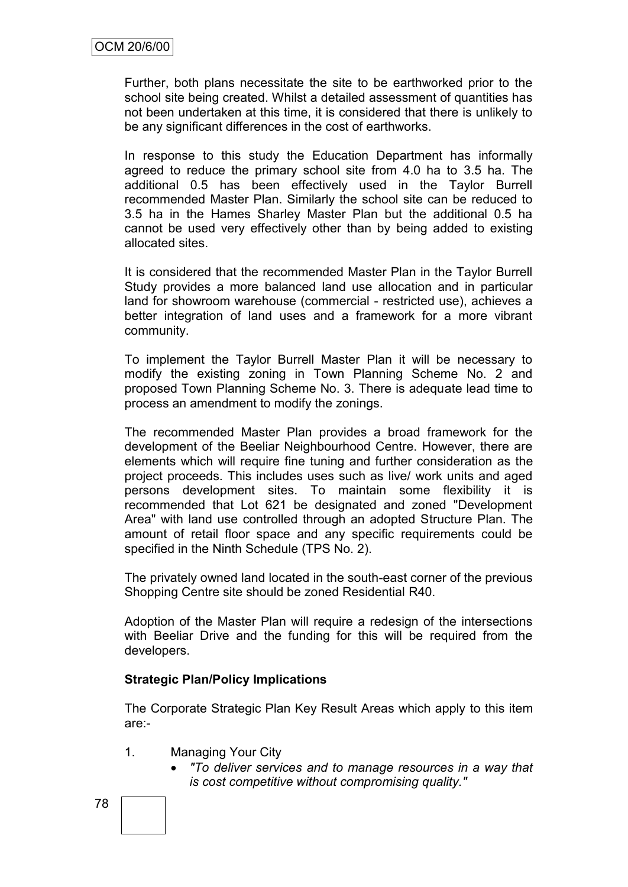Further, both plans necessitate the site to be earthworked prior to the school site being created. Whilst a detailed assessment of quantities has not been undertaken at this time, it is considered that there is unlikely to be any significant differences in the cost of earthworks.

In response to this study the Education Department has informally agreed to reduce the primary school site from 4.0 ha to 3.5 ha. The additional 0.5 has been effectively used in the Taylor Burrell recommended Master Plan. Similarly the school site can be reduced to 3.5 ha in the Hames Sharley Master Plan but the additional 0.5 ha cannot be used very effectively other than by being added to existing allocated sites.

It is considered that the recommended Master Plan in the Taylor Burrell Study provides a more balanced land use allocation and in particular land for showroom warehouse (commercial - restricted use), achieves a better integration of land uses and a framework for a more vibrant community.

To implement the Taylor Burrell Master Plan it will be necessary to modify the existing zoning in Town Planning Scheme No. 2 and proposed Town Planning Scheme No. 3. There is adequate lead time to process an amendment to modify the zonings.

The recommended Master Plan provides a broad framework for the development of the Beeliar Neighbourhood Centre. However, there are elements which will require fine tuning and further consideration as the project proceeds. This includes uses such as live/ work units and aged persons development sites. To maintain some flexibility it is recommended that Lot 621 be designated and zoned "Development Area" with land use controlled through an adopted Structure Plan. The amount of retail floor space and any specific requirements could be specified in the Ninth Schedule (TPS No. 2).

The privately owned land located in the south-east corner of the previous Shopping Centre site should be zoned Residential R40.

Adoption of the Master Plan will require a redesign of the intersections with Beeliar Drive and the funding for this will be required from the developers.

## **Strategic Plan/Policy Implications**

The Corporate Strategic Plan Key Result Areas which apply to this item are:-

- 1. Managing Your City
	- *"To deliver services and to manage resources in a way that is cost competitive without compromising quality."*

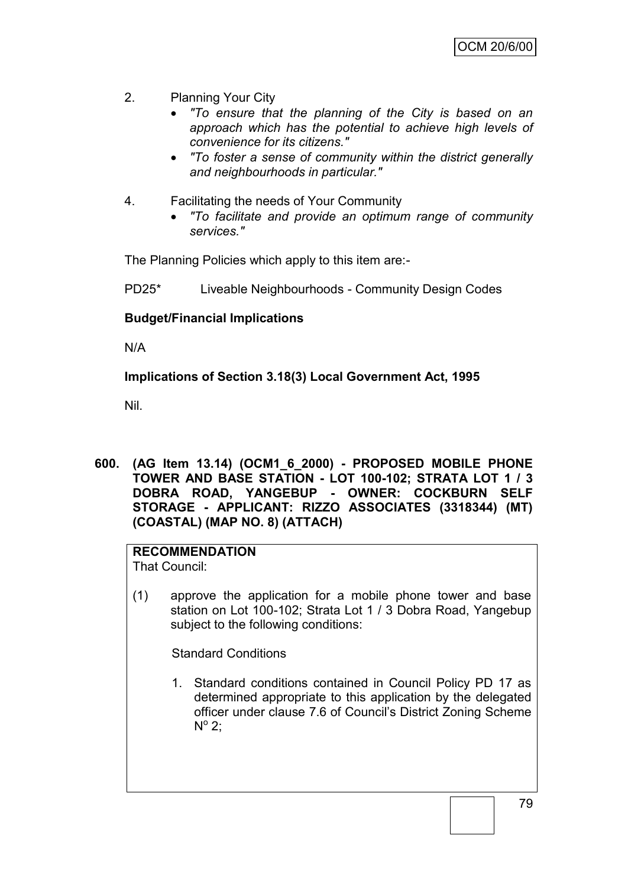- 2. Planning Your City
	- *"To ensure that the planning of the City is based on an approach which has the potential to achieve high levels of convenience for its citizens."*
	- *"To foster a sense of community within the district generally and neighbourhoods in particular."*
- 4. Facilitating the needs of Your Community
	- *"To facilitate and provide an optimum range of community services."*

The Planning Policies which apply to this item are:-

PD25\* Liveable Neighbourhoods - Community Design Codes

## **Budget/Financial Implications**

N/A

## **Implications of Section 3.18(3) Local Government Act, 1995**

Nil.

**600. (AG Item 13.14) (OCM1\_6\_2000) - PROPOSED MOBILE PHONE TOWER AND BASE STATION - LOT 100-102; STRATA LOT 1 / 3 DOBRA ROAD, YANGEBUP - OWNER: COCKBURN SELF STORAGE - APPLICANT: RIZZO ASSOCIATES (3318344) (MT) (COASTAL) (MAP NO. 8) (ATTACH)**

#### **RECOMMENDATION**

That Council:

(1) approve the application for a mobile phone tower and base station on Lot 100-102; Strata Lot 1 / 3 Dobra Road, Yangebup subject to the following conditions:

Standard Conditions

1. Standard conditions contained in Council Policy PD 17 as determined appropriate to this application by the delegated officer under clause 7.6 of Council"s District Zoning Scheme  $N^{\circ}$  2;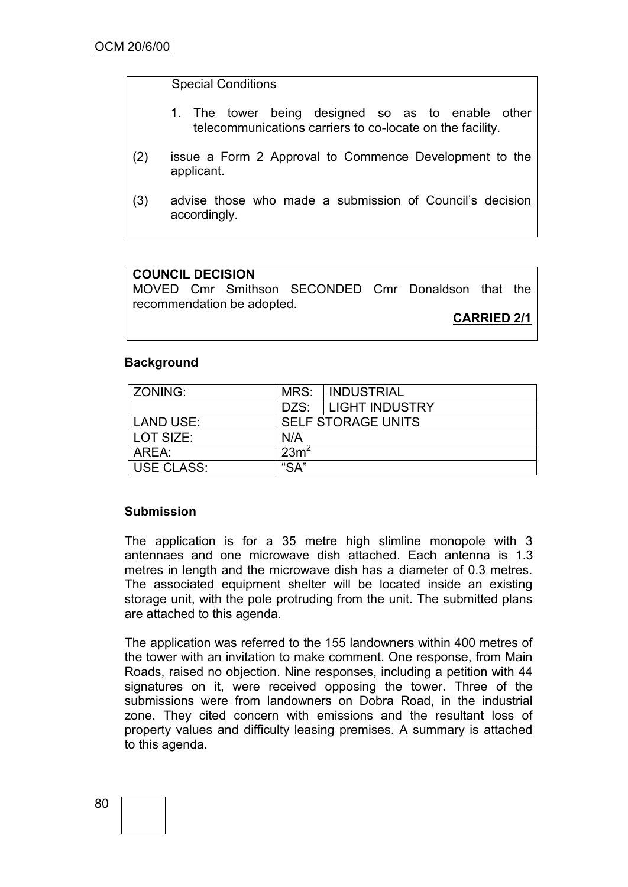#### Special Conditions

- 1. The tower being designed so as to enable other telecommunications carriers to co-locate on the facility.
- (2) issue a Form 2 Approval to Commence Development to the applicant.
- (3) advise those who made a submission of Council"s decision accordingly.

## **COUNCIL DECISION**

MOVED Cmr Smithson SECONDED Cmr Donaldson that the recommendation be adopted.

**CARRIED 2/1**

#### **Background**

| ZONING:           | MRS:             | <b>INDUSTRIAL</b>         |
|-------------------|------------------|---------------------------|
|                   |                  | DZS: LIGHT INDUSTRY       |
| LAND USE:         |                  | <b>SELF STORAGE UNITS</b> |
| LOT SIZE:         | N/A              |                           |
| AREA:             | 23m <sup>2</sup> |                           |
| <b>USE CLASS:</b> | "SA"             |                           |

#### **Submission**

The application is for a 35 metre high slimline monopole with 3 antennaes and one microwave dish attached. Each antenna is 1.3 metres in length and the microwave dish has a diameter of 0.3 metres. The associated equipment shelter will be located inside an existing storage unit, with the pole protruding from the unit. The submitted plans are attached to this agenda.

The application was referred to the 155 landowners within 400 metres of the tower with an invitation to make comment. One response, from Main Roads, raised no objection. Nine responses, including a petition with 44 signatures on it, were received opposing the tower. Three of the submissions were from landowners on Dobra Road, in the industrial zone. They cited concern with emissions and the resultant loss of property values and difficulty leasing premises. A summary is attached to this agenda.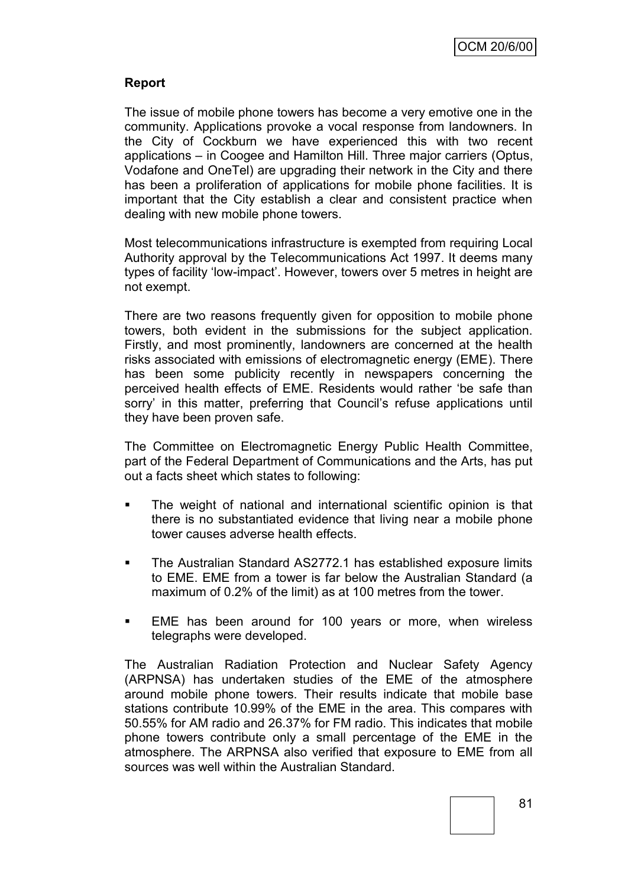## **Report**

The issue of mobile phone towers has become a very emotive one in the community. Applications provoke a vocal response from landowners. In the City of Cockburn we have experienced this with two recent applications – in Coogee and Hamilton Hill. Three major carriers (Optus, Vodafone and OneTel) are upgrading their network in the City and there has been a proliferation of applications for mobile phone facilities. It is important that the City establish a clear and consistent practice when dealing with new mobile phone towers.

Most telecommunications infrastructure is exempted from requiring Local Authority approval by the Telecommunications Act 1997. It deems many types of facility "low-impact". However, towers over 5 metres in height are not exempt.

There are two reasons frequently given for opposition to mobile phone towers, both evident in the submissions for the subject application. Firstly, and most prominently, landowners are concerned at the health risks associated with emissions of electromagnetic energy (EME). There has been some publicity recently in newspapers concerning the perceived health effects of EME. Residents would rather "be safe than sorry' in this matter, preferring that Council's refuse applications until they have been proven safe.

The Committee on Electromagnetic Energy Public Health Committee, part of the Federal Department of Communications and the Arts, has put out a facts sheet which states to following:

- The weight of national and international scientific opinion is that there is no substantiated evidence that living near a mobile phone tower causes adverse health effects.
- The Australian Standard AS2772.1 has established exposure limits to EME. EME from a tower is far below the Australian Standard (a maximum of 0.2% of the limit) as at 100 metres from the tower.
- EME has been around for 100 years or more, when wireless telegraphs were developed.

The Australian Radiation Protection and Nuclear Safety Agency (ARPNSA) has undertaken studies of the EME of the atmosphere around mobile phone towers. Their results indicate that mobile base stations contribute 10.99% of the EME in the area. This compares with 50.55% for AM radio and 26.37% for FM radio. This indicates that mobile phone towers contribute only a small percentage of the EME in the atmosphere. The ARPNSA also verified that exposure to EME from all sources was well within the Australian Standard.

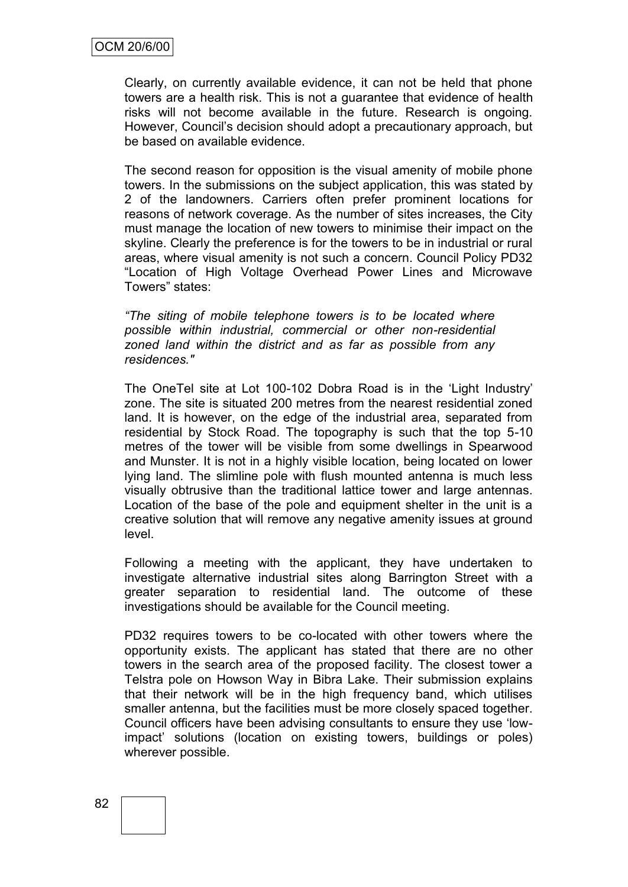Clearly, on currently available evidence, it can not be held that phone towers are a health risk. This is not a guarantee that evidence of health risks will not become available in the future. Research is ongoing. However, Council"s decision should adopt a precautionary approach, but be based on available evidence.

The second reason for opposition is the visual amenity of mobile phone towers. In the submissions on the subject application, this was stated by 2 of the landowners. Carriers often prefer prominent locations for reasons of network coverage. As the number of sites increases, the City must manage the location of new towers to minimise their impact on the skyline. Clearly the preference is for the towers to be in industrial or rural areas, where visual amenity is not such a concern. Council Policy PD32 "Location of High Voltage Overhead Power Lines and Microwave Towers" states:

*"The siting of mobile telephone towers is to be located where possible within industrial, commercial or other non-residential zoned land within the district and as far as possible from any residences."*

The OneTel site at Lot 100-102 Dobra Road is in the "Light Industry" zone. The site is situated 200 metres from the nearest residential zoned land. It is however, on the edge of the industrial area, separated from residential by Stock Road. The topography is such that the top 5-10 metres of the tower will be visible from some dwellings in Spearwood and Munster. It is not in a highly visible location, being located on lower lying land. The slimline pole with flush mounted antenna is much less visually obtrusive than the traditional lattice tower and large antennas. Location of the base of the pole and equipment shelter in the unit is a creative solution that will remove any negative amenity issues at ground level.

Following a meeting with the applicant, they have undertaken to investigate alternative industrial sites along Barrington Street with a greater separation to residential land. The outcome of these investigations should be available for the Council meeting.

PD32 requires towers to be co-located with other towers where the opportunity exists. The applicant has stated that there are no other towers in the search area of the proposed facility. The closest tower a Telstra pole on Howson Way in Bibra Lake. Their submission explains that their network will be in the high frequency band, which utilises smaller antenna, but the facilities must be more closely spaced together. Council officers have been advising consultants to ensure they use "lowimpact" solutions (location on existing towers, buildings or poles) wherever possible.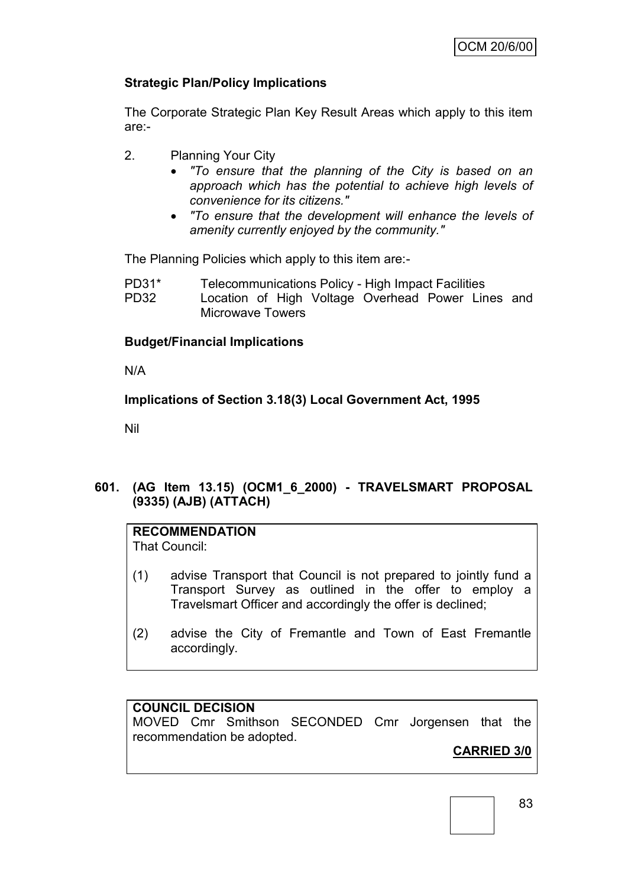## **Strategic Plan/Policy Implications**

The Corporate Strategic Plan Key Result Areas which apply to this item are:-

- 2. Planning Your City
	- *"To ensure that the planning of the City is based on an approach which has the potential to achieve high levels of convenience for its citizens."*
	- *"To ensure that the development will enhance the levels of amenity currently enjoyed by the community."*

The Planning Policies which apply to this item are:-

| $PD31*$     | Telecommunications Policy - High Impact Facilities |  |  |  |  |
|-------------|----------------------------------------------------|--|--|--|--|
| <b>PD32</b> | Location of High Voltage Overhead Power Lines and  |  |  |  |  |
|             | Microwave Towers                                   |  |  |  |  |

## **Budget/Financial Implications**

N/A

## **Implications of Section 3.18(3) Local Government Act, 1995**

Nil

## **601. (AG Item 13.15) (OCM1\_6\_2000) - TRAVELSMART PROPOSAL (9335) (AJB) (ATTACH)**

## **RECOMMENDATION**

That Council:

- (1) advise Transport that Council is not prepared to jointly fund a Transport Survey as outlined in the offer to employ a Travelsmart Officer and accordingly the offer is declined;
- (2) advise the City of Fremantle and Town of East Fremantle accordingly.

#### **COUNCIL DECISION**

MOVED Cmr Smithson SECONDED Cmr Jorgensen that the recommendation be adopted.

## **CARRIED 3/0**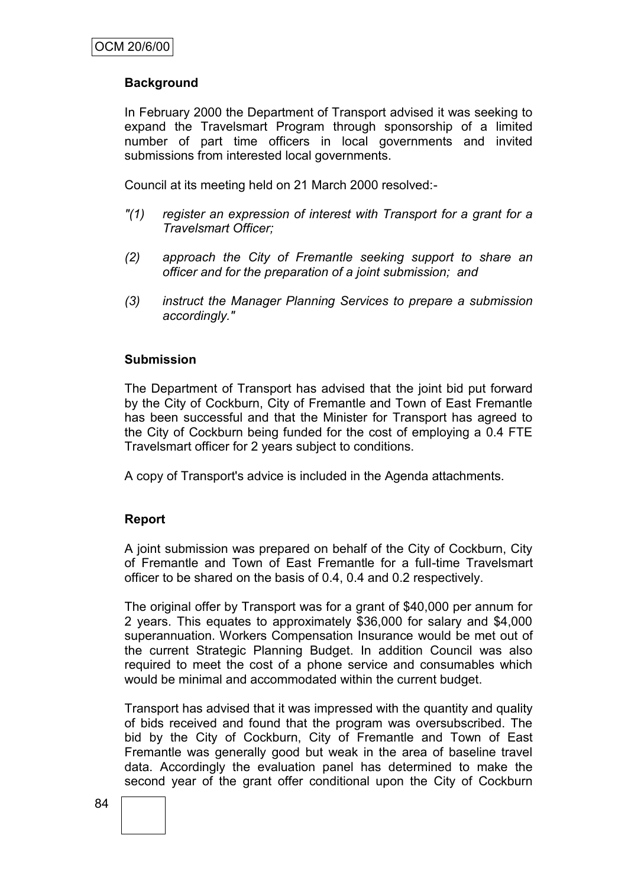## **Background**

In February 2000 the Department of Transport advised it was seeking to expand the Travelsmart Program through sponsorship of a limited number of part time officers in local governments and invited submissions from interested local governments.

Council at its meeting held on 21 March 2000 resolved:-

- *"(1) register an expression of interest with Transport for a grant for a Travelsmart Officer;*
- *(2) approach the City of Fremantle seeking support to share an officer and for the preparation of a joint submission; and*
- *(3) instruct the Manager Planning Services to prepare a submission accordingly."*

#### **Submission**

The Department of Transport has advised that the joint bid put forward by the City of Cockburn, City of Fremantle and Town of East Fremantle has been successful and that the Minister for Transport has agreed to the City of Cockburn being funded for the cost of employing a 0.4 FTE Travelsmart officer for 2 years subject to conditions.

A copy of Transport's advice is included in the Agenda attachments.

#### **Report**

A joint submission was prepared on behalf of the City of Cockburn, City of Fremantle and Town of East Fremantle for a full-time Travelsmart officer to be shared on the basis of 0.4, 0.4 and 0.2 respectively.

The original offer by Transport was for a grant of \$40,000 per annum for 2 years. This equates to approximately \$36,000 for salary and \$4,000 superannuation. Workers Compensation Insurance would be met out of the current Strategic Planning Budget. In addition Council was also required to meet the cost of a phone service and consumables which would be minimal and accommodated within the current budget.

Transport has advised that it was impressed with the quantity and quality of bids received and found that the program was oversubscribed. The bid by the City of Cockburn, City of Fremantle and Town of East Fremantle was generally good but weak in the area of baseline travel data. Accordingly the evaluation panel has determined to make the second year of the grant offer conditional upon the City of Cockburn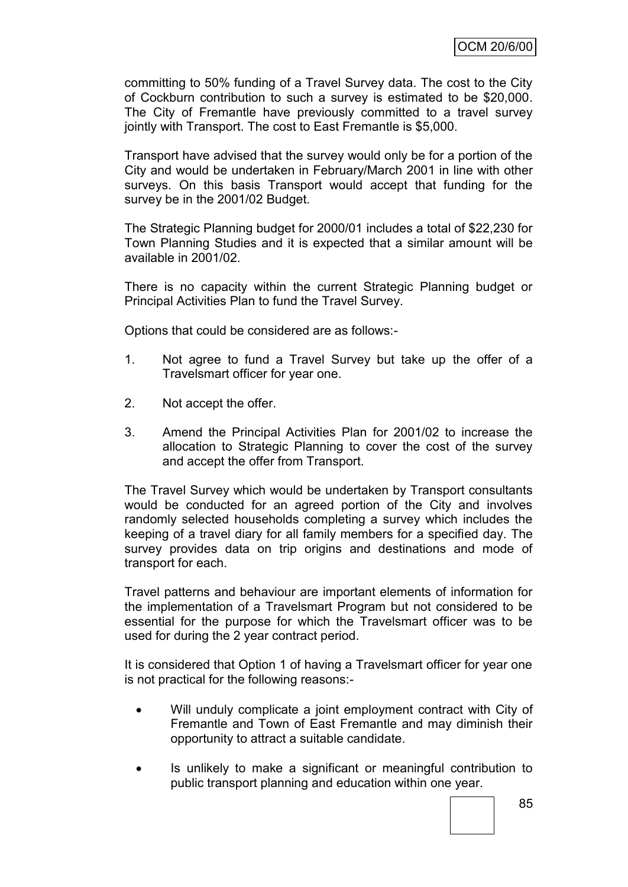committing to 50% funding of a Travel Survey data. The cost to the City of Cockburn contribution to such a survey is estimated to be \$20,000. The City of Fremantle have previously committed to a travel survey jointly with Transport. The cost to East Fremantle is \$5,000.

Transport have advised that the survey would only be for a portion of the City and would be undertaken in February/March 2001 in line with other surveys. On this basis Transport would accept that funding for the survey be in the 2001/02 Budget.

The Strategic Planning budget for 2000/01 includes a total of \$22,230 for Town Planning Studies and it is expected that a similar amount will be available in 2001/02.

There is no capacity within the current Strategic Planning budget or Principal Activities Plan to fund the Travel Survey.

Options that could be considered are as follows:-

- 1. Not agree to fund a Travel Survey but take up the offer of a Travelsmart officer for year one.
- 2. Not accept the offer.
- 3. Amend the Principal Activities Plan for 2001/02 to increase the allocation to Strategic Planning to cover the cost of the survey and accept the offer from Transport.

The Travel Survey which would be undertaken by Transport consultants would be conducted for an agreed portion of the City and involves randomly selected households completing a survey which includes the keeping of a travel diary for all family members for a specified day. The survey provides data on trip origins and destinations and mode of transport for each.

Travel patterns and behaviour are important elements of information for the implementation of a Travelsmart Program but not considered to be essential for the purpose for which the Travelsmart officer was to be used for during the 2 year contract period.

It is considered that Option 1 of having a Travelsmart officer for year one is not practical for the following reasons:-

- Will unduly complicate a joint employment contract with City of Fremantle and Town of East Fremantle and may diminish their opportunity to attract a suitable candidate.
- Is unlikely to make a significant or meaningful contribution to public transport planning and education within one year.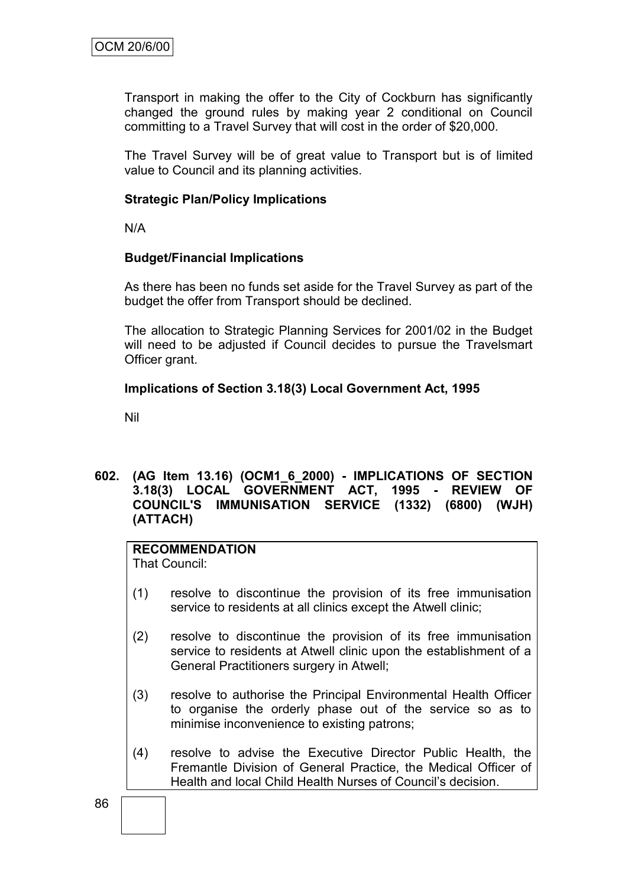Transport in making the offer to the City of Cockburn has significantly changed the ground rules by making year 2 conditional on Council committing to a Travel Survey that will cost in the order of \$20,000.

The Travel Survey will be of great value to Transport but is of limited value to Council and its planning activities.

#### **Strategic Plan/Policy Implications**

N/A

#### **Budget/Financial Implications**

As there has been no funds set aside for the Travel Survey as part of the budget the offer from Transport should be declined.

The allocation to Strategic Planning Services for 2001/02 in the Budget will need to be adjusted if Council decides to pursue the Travelsmart Officer grant.

#### **Implications of Section 3.18(3) Local Government Act, 1995**

Nil

#### **602. (AG Item 13.16) (OCM1\_6\_2000) - IMPLICATIONS OF SECTION 3.18(3) LOCAL GOVERNMENT ACT, 1995 - REVIEW OF COUNCIL'S IMMUNISATION SERVICE (1332) (6800) (WJH) (ATTACH)**

#### **RECOMMENDATION**

That Council:

- (1) resolve to discontinue the provision of its free immunisation service to residents at all clinics except the Atwell clinic;
- (2) resolve to discontinue the provision of its free immunisation service to residents at Atwell clinic upon the establishment of a General Practitioners surgery in Atwell;
- (3) resolve to authorise the Principal Environmental Health Officer to organise the orderly phase out of the service so as to minimise inconvenience to existing patrons;
- (4) resolve to advise the Executive Director Public Health, the Fremantle Division of General Practice, the Medical Officer of Health and local Child Health Nurses of Council"s decision.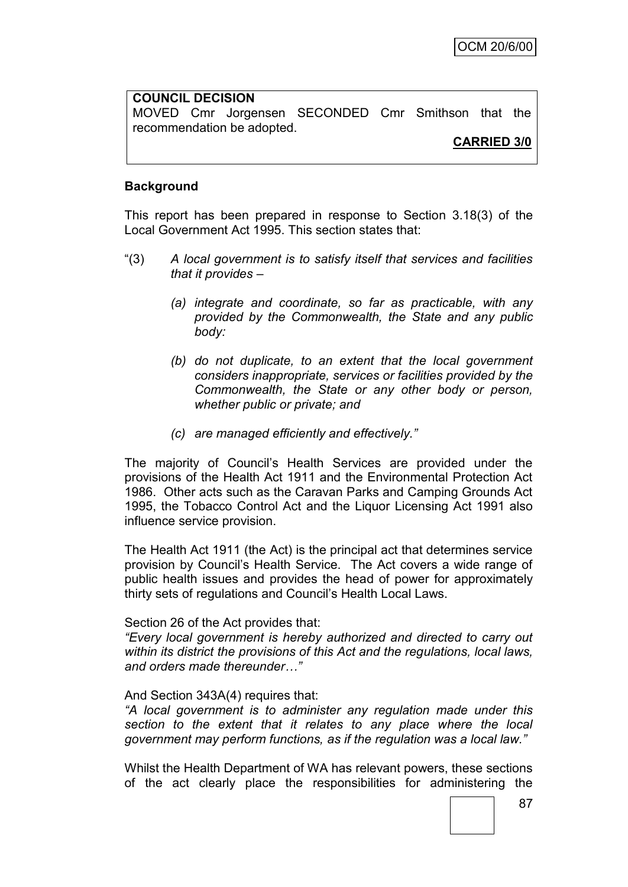## **COUNCIL DECISION** MOVED Cmr Jorgensen SECONDED Cmr Smithson that the recommendation be adopted.

**CARRIED 3/0**

#### **Background**

This report has been prepared in response to Section 3.18(3) of the Local Government Act 1995. This section states that:

- "(3) *A local government is to satisfy itself that services and facilities that it provides –*
	- *(a) integrate and coordinate, so far as practicable, with any provided by the Commonwealth, the State and any public body:*
	- *(b) do not duplicate, to an extent that the local government considers inappropriate, services or facilities provided by the Commonwealth, the State or any other body or person, whether public or private; and*
	- *(c) are managed efficiently and effectively."*

The majority of Council"s Health Services are provided under the provisions of the Health Act 1911 and the Environmental Protection Act 1986. Other acts such as the Caravan Parks and Camping Grounds Act 1995, the Tobacco Control Act and the Liquor Licensing Act 1991 also influence service provision.

The Health Act 1911 (the Act) is the principal act that determines service provision by Council"s Health Service. The Act covers a wide range of public health issues and provides the head of power for approximately thirty sets of regulations and Council"s Health Local Laws.

#### Section 26 of the Act provides that:

*"Every local government is hereby authorized and directed to carry out within its district the provisions of this Act and the regulations, local laws, and orders made thereunder…"*

#### And Section 343A(4) requires that:

*"A local government is to administer any regulation made under this section to the extent that it relates to any place where the local government may perform functions, as if the regulation was a local law."*

Whilst the Health Department of WA has relevant powers, these sections of the act clearly place the responsibilities for administering the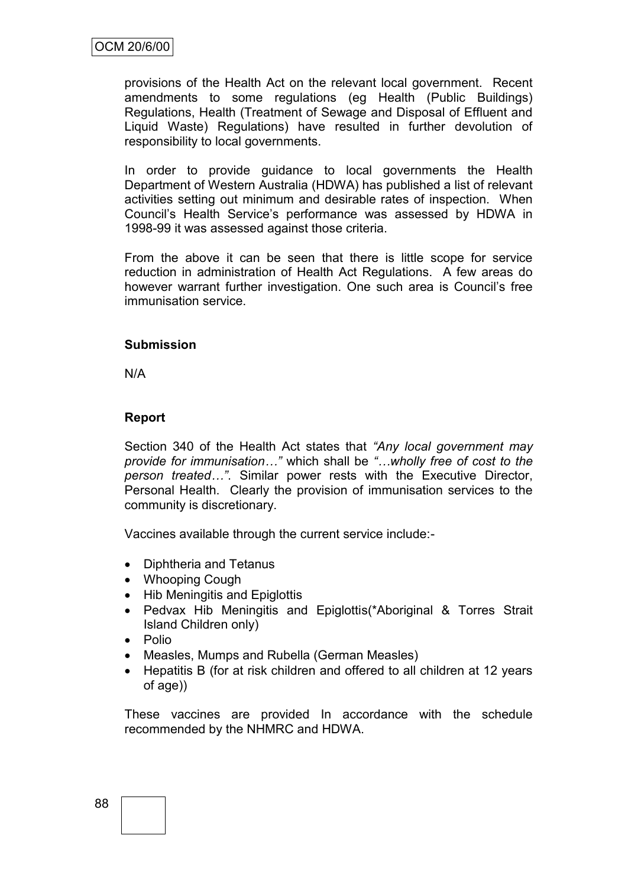provisions of the Health Act on the relevant local government. Recent amendments to some regulations (eg Health (Public Buildings) Regulations, Health (Treatment of Sewage and Disposal of Effluent and Liquid Waste) Regulations) have resulted in further devolution of responsibility to local governments.

In order to provide guidance to local governments the Health Department of Western Australia (HDWA) has published a list of relevant activities setting out minimum and desirable rates of inspection. When Council"s Health Service"s performance was assessed by HDWA in 1998-99 it was assessed against those criteria.

From the above it can be seen that there is little scope for service reduction in administration of Health Act Regulations. A few areas do however warrant further investigation. One such area is Council"s free immunisation service.

#### **Submission**

N/A

## **Report**

Section 340 of the Health Act states that *"Any local government may provide for immunisation…"* which shall be *"…wholly free of cost to the person treated…"*. Similar power rests with the Executive Director, Personal Health. Clearly the provision of immunisation services to the community is discretionary.

Vaccines available through the current service include:-

- Diphtheria and Tetanus
- Whooping Cough
- Hib Meningitis and Epiglottis
- Pedvax Hib Meningitis and Epiglottis(\*Aboriginal & Torres Strait Island Children only)
- Polio
- Measles, Mumps and Rubella (German Measles)
- Hepatitis B (for at risk children and offered to all children at 12 years of age))

These vaccines are provided In accordance with the schedule recommended by the NHMRC and HDWA.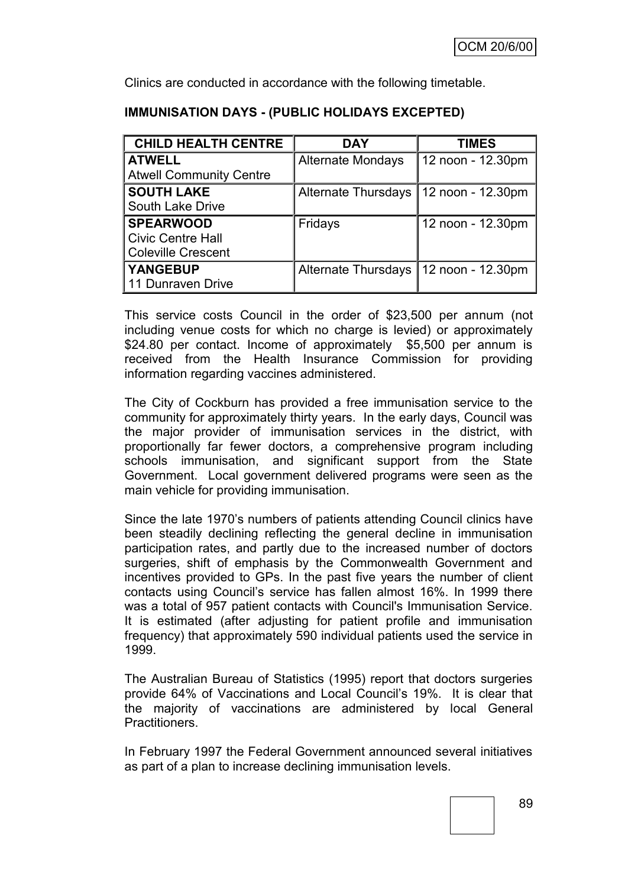Clinics are conducted in accordance with the following timetable.

| <b>CHILD HEALTH CENTRE</b>     | <b>DAY</b>                 | <b>TIMES</b>      |
|--------------------------------|----------------------------|-------------------|
| <b>ATWELL</b>                  | <b>Alternate Mondays</b>   | 12 noon - 12.30pm |
| <b>Atwell Community Centre</b> |                            |                   |
| <b>SOUTH LAKE</b>              | <b>Alternate Thursdays</b> | 12 noon - 12.30pm |
| South Lake Drive               |                            |                   |
| <b>SPEARWOOD</b>               | Fridays                    | 12 noon - 12.30pm |
| <b>Civic Centre Hall</b>       |                            |                   |
| <b>Coleville Crescent</b>      |                            |                   |
| <b>YANGEBUP</b>                | <b>Alternate Thursdays</b> | 12 noon - 12.30pm |
| 11 Dunraven Drive              |                            |                   |

## **IMMUNISATION DAYS - (PUBLIC HOLIDAYS EXCEPTED)**

This service costs Council in the order of \$23,500 per annum (not including venue costs for which no charge is levied) or approximately \$24.80 per contact. Income of approximately \$5,500 per annum is received from the Health Insurance Commission for providing information regarding vaccines administered.

The City of Cockburn has provided a free immunisation service to the community for approximately thirty years. In the early days, Council was the major provider of immunisation services in the district, with proportionally far fewer doctors, a comprehensive program including schools immunisation, and significant support from the State Government. Local government delivered programs were seen as the main vehicle for providing immunisation.

Since the late 1970"s numbers of patients attending Council clinics have been steadily declining reflecting the general decline in immunisation participation rates, and partly due to the increased number of doctors surgeries, shift of emphasis by the Commonwealth Government and incentives provided to GPs. In the past five years the number of client contacts using Council"s service has fallen almost 16%. In 1999 there was a total of 957 patient contacts with Council's Immunisation Service. It is estimated (after adjusting for patient profile and immunisation frequency) that approximately 590 individual patients used the service in 1999.

The Australian Bureau of Statistics (1995) report that doctors surgeries provide 64% of Vaccinations and Local Council"s 19%. It is clear that the majority of vaccinations are administered by local General Practitioners.

In February 1997 the Federal Government announced several initiatives as part of a plan to increase declining immunisation levels.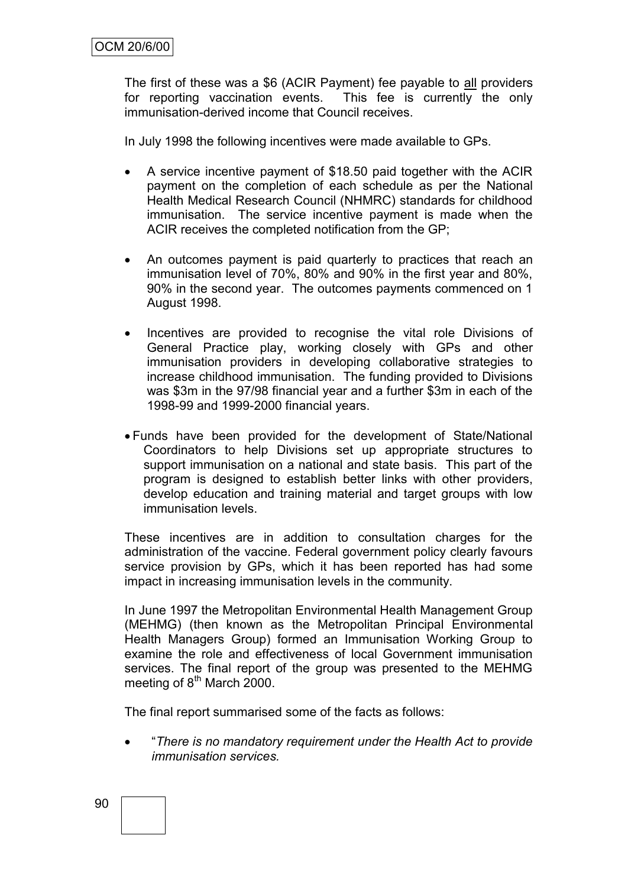The first of these was a \$6 (ACIR Payment) fee payable to all providers for reporting vaccination events. This fee is currently the only immunisation-derived income that Council receives.

In July 1998 the following incentives were made available to GPs.

- A service incentive payment of \$18.50 paid together with the ACIR payment on the completion of each schedule as per the National Health Medical Research Council (NHMRC) standards for childhood immunisation. The service incentive payment is made when the ACIR receives the completed notification from the GP;
- An outcomes payment is paid quarterly to practices that reach an immunisation level of 70%, 80% and 90% in the first year and 80%, 90% in the second year. The outcomes payments commenced on 1 August 1998.
- Incentives are provided to recognise the vital role Divisions of General Practice play, working closely with GPs and other immunisation providers in developing collaborative strategies to increase childhood immunisation. The funding provided to Divisions was \$3m in the 97/98 financial year and a further \$3m in each of the 1998-99 and 1999-2000 financial years.
- Funds have been provided for the development of State/National Coordinators to help Divisions set up appropriate structures to support immunisation on a national and state basis. This part of the program is designed to establish better links with other providers, develop education and training material and target groups with low immunisation levels.

These incentives are in addition to consultation charges for the administration of the vaccine. Federal government policy clearly favours service provision by GPs, which it has been reported has had some impact in increasing immunisation levels in the community.

In June 1997 the Metropolitan Environmental Health Management Group (MEHMG) (then known as the Metropolitan Principal Environmental Health Managers Group) formed an Immunisation Working Group to examine the role and effectiveness of local Government immunisation services. The final report of the group was presented to the MEHMG meeting of  $8<sup>th</sup>$  March 2000.

The final report summarised some of the facts as follows:

 "*There is no mandatory requirement under the Health Act to provide immunisation services.*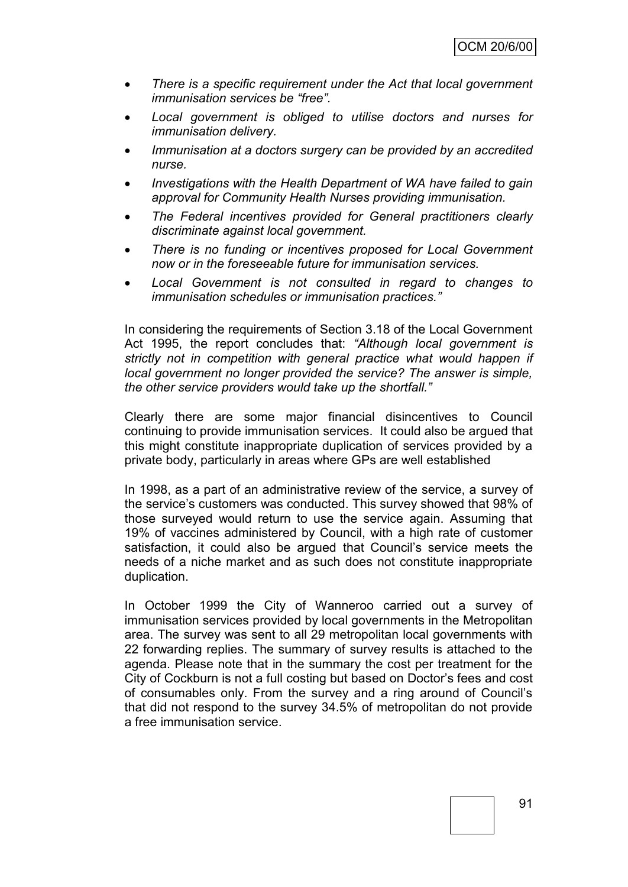- *There is a specific requirement under the Act that local government immunisation services be "free".*
- *Local government is obliged to utilise doctors and nurses for immunisation delivery.*
- *Immunisation at a doctors surgery can be provided by an accredited nurse.*
- *Investigations with the Health Department of WA have failed to gain approval for Community Health Nurses providing immunisation.*
- *The Federal incentives provided for General practitioners clearly discriminate against local government.*
- *There is no funding or incentives proposed for Local Government now or in the foreseeable future for immunisation services.*
- *Local Government is not consulted in regard to changes to immunisation schedules or immunisation practices."*

In considering the requirements of Section 3.18 of the Local Government Act 1995, the report concludes that: *"Although local government is strictly not in competition with general practice what would happen if local government no longer provided the service? The answer is simple, the other service providers would take up the shortfall."*

Clearly there are some major financial disincentives to Council continuing to provide immunisation services. It could also be argued that this might constitute inappropriate duplication of services provided by a private body, particularly in areas where GPs are well established

In 1998, as a part of an administrative review of the service, a survey of the service's customers was conducted. This survey showed that 98% of those surveyed would return to use the service again. Assuming that 19% of vaccines administered by Council, with a high rate of customer satisfaction, it could also be argued that Council's service meets the needs of a niche market and as such does not constitute inappropriate duplication.

In October 1999 the City of Wanneroo carried out a survey of immunisation services provided by local governments in the Metropolitan area. The survey was sent to all 29 metropolitan local governments with 22 forwarding replies. The summary of survey results is attached to the agenda. Please note that in the summary the cost per treatment for the City of Cockburn is not a full costing but based on Doctor"s fees and cost of consumables only. From the survey and a ring around of Council"s that did not respond to the survey 34.5% of metropolitan do not provide a free immunisation service.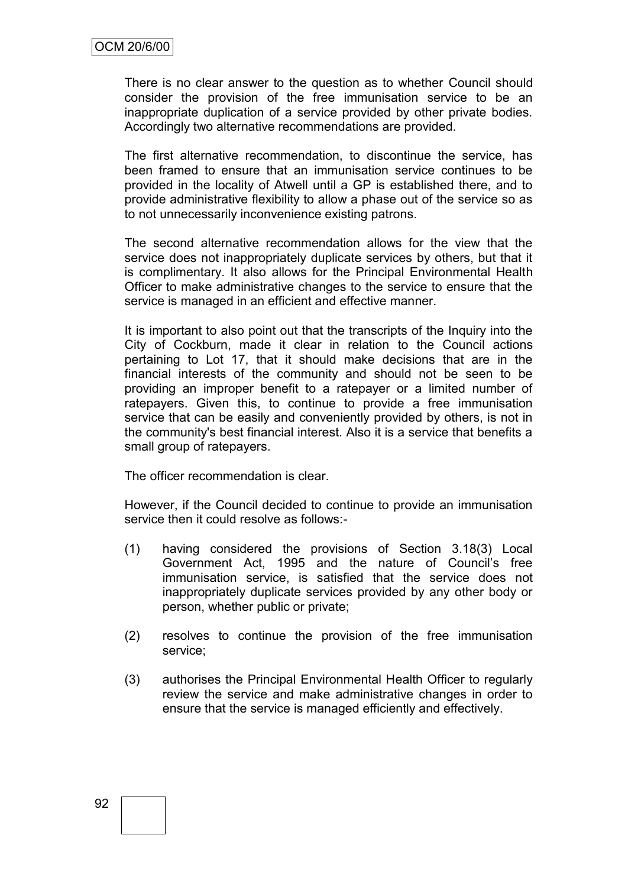There is no clear answer to the question as to whether Council should consider the provision of the free immunisation service to be an inappropriate duplication of a service provided by other private bodies. Accordingly two alternative recommendations are provided.

The first alternative recommendation, to discontinue the service, has been framed to ensure that an immunisation service continues to be provided in the locality of Atwell until a GP is established there, and to provide administrative flexibility to allow a phase out of the service so as to not unnecessarily inconvenience existing patrons.

The second alternative recommendation allows for the view that the service does not inappropriately duplicate services by others, but that it is complimentary. It also allows for the Principal Environmental Health Officer to make administrative changes to the service to ensure that the service is managed in an efficient and effective manner.

It is important to also point out that the transcripts of the Inquiry into the City of Cockburn, made it clear in relation to the Council actions pertaining to Lot 17, that it should make decisions that are in the financial interests of the community and should not be seen to be providing an improper benefit to a ratepayer or a limited number of ratepayers. Given this, to continue to provide a free immunisation service that can be easily and conveniently provided by others, is not in the community's best financial interest. Also it is a service that benefits a small group of ratepayers.

The officer recommendation is clear.

However, if the Council decided to continue to provide an immunisation service then it could resolve as follows:-

- (1) having considered the provisions of Section 3.18(3) Local Government Act, 1995 and the nature of Council"s free immunisation service, is satisfied that the service does not inappropriately duplicate services provided by any other body or person, whether public or private;
- (2) resolves to continue the provision of the free immunisation service;
- (3) authorises the Principal Environmental Health Officer to regularly review the service and make administrative changes in order to ensure that the service is managed efficiently and effectively.

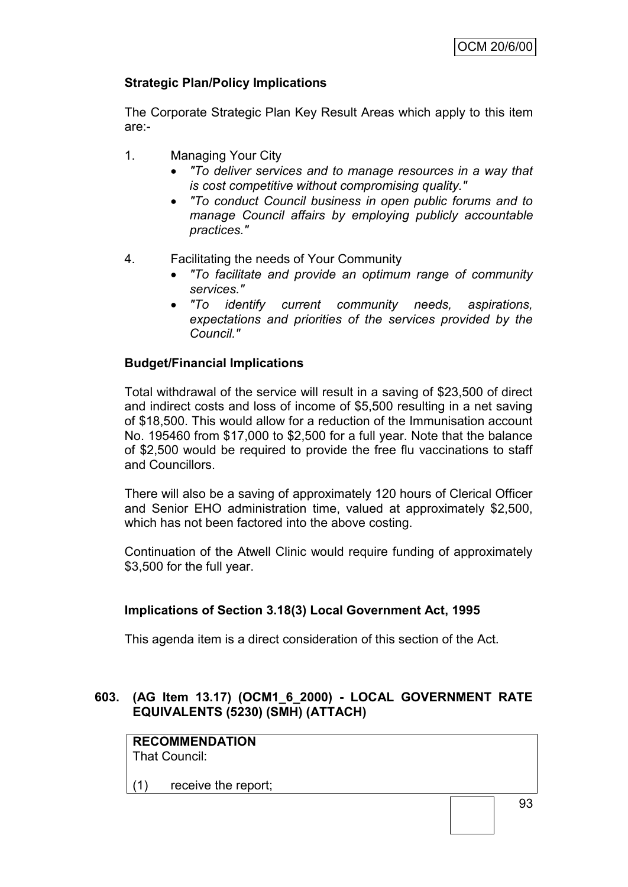## **Strategic Plan/Policy Implications**

The Corporate Strategic Plan Key Result Areas which apply to this item are:-

- 1. Managing Your City
	- *"To deliver services and to manage resources in a way that is cost competitive without compromising quality."*
	- *"To conduct Council business in open public forums and to manage Council affairs by employing publicly accountable practices."*
- 4. Facilitating the needs of Your Community
	- *"To facilitate and provide an optimum range of community services."*
	- *"To identify current community needs, aspirations, expectations and priorities of the services provided by the Council."*

## **Budget/Financial Implications**

Total withdrawal of the service will result in a saving of \$23,500 of direct and indirect costs and loss of income of \$5,500 resulting in a net saving of \$18,500. This would allow for a reduction of the Immunisation account No. 195460 from \$17,000 to \$2,500 for a full year. Note that the balance of \$2,500 would be required to provide the free flu vaccinations to staff and Councillors.

There will also be a saving of approximately 120 hours of Clerical Officer and Senior EHO administration time, valued at approximately \$2,500, which has not been factored into the above costing.

Continuation of the Atwell Clinic would require funding of approximately \$3,500 for the full year.

#### **Implications of Section 3.18(3) Local Government Act, 1995**

This agenda item is a direct consideration of this section of the Act.

## **603. (AG Item 13.17) (OCM1\_6\_2000) - LOCAL GOVERNMENT RATE EQUIVALENTS (5230) (SMH) (ATTACH)**

**RECOMMENDATION** That Council:

(1) receive the report;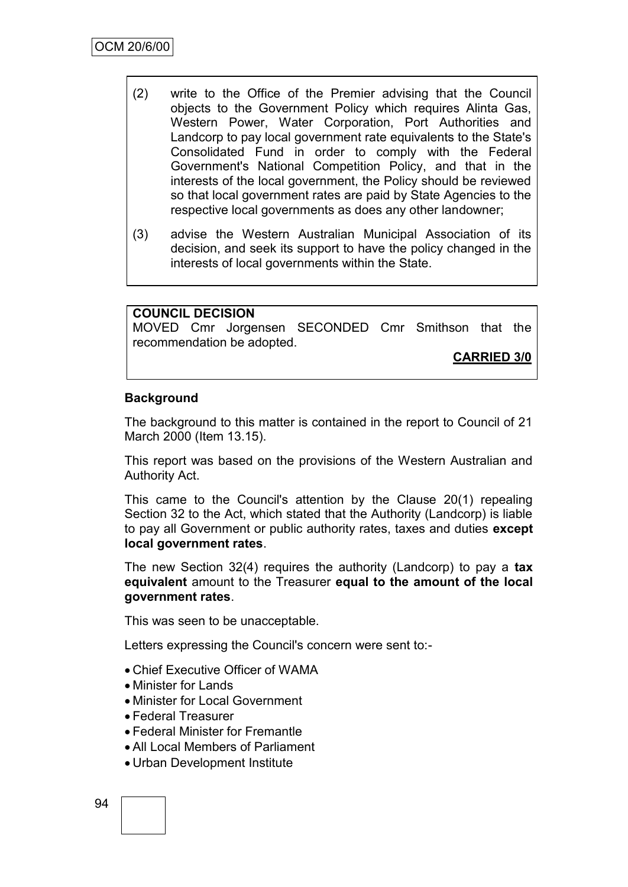- (2) write to the Office of the Premier advising that the Council objects to the Government Policy which requires Alinta Gas, Western Power, Water Corporation, Port Authorities and Landcorp to pay local government rate equivalents to the State's Consolidated Fund in order to comply with the Federal Government's National Competition Policy, and that in the interests of the local government, the Policy should be reviewed so that local government rates are paid by State Agencies to the respective local governments as does any other landowner;
- (3) advise the Western Australian Municipal Association of its decision, and seek its support to have the policy changed in the interests of local governments within the State.

## **COUNCIL DECISION**

MOVED Cmr Jorgensen SECONDED Cmr Smithson that the recommendation be adopted.

**CARRIED 3/0**

#### **Background**

The background to this matter is contained in the report to Council of 21 March 2000 (Item 13.15).

This report was based on the provisions of the Western Australian and Authority Act.

This came to the Council's attention by the Clause 20(1) repealing Section 32 to the Act, which stated that the Authority (Landcorp) is liable to pay all Government or public authority rates, taxes and duties **except local government rates**.

The new Section 32(4) requires the authority (Landcorp) to pay a **tax equivalent** amount to the Treasurer **equal to the amount of the local government rates**.

This was seen to be unacceptable.

Letters expressing the Council's concern were sent to:-

- Chief Executive Officer of WAMA
- Minister for Lands
- Minister for Local Government
- Federal Treasurer
- Federal Minister for Fremantle
- All Local Members of Parliament
- Urban Development Institute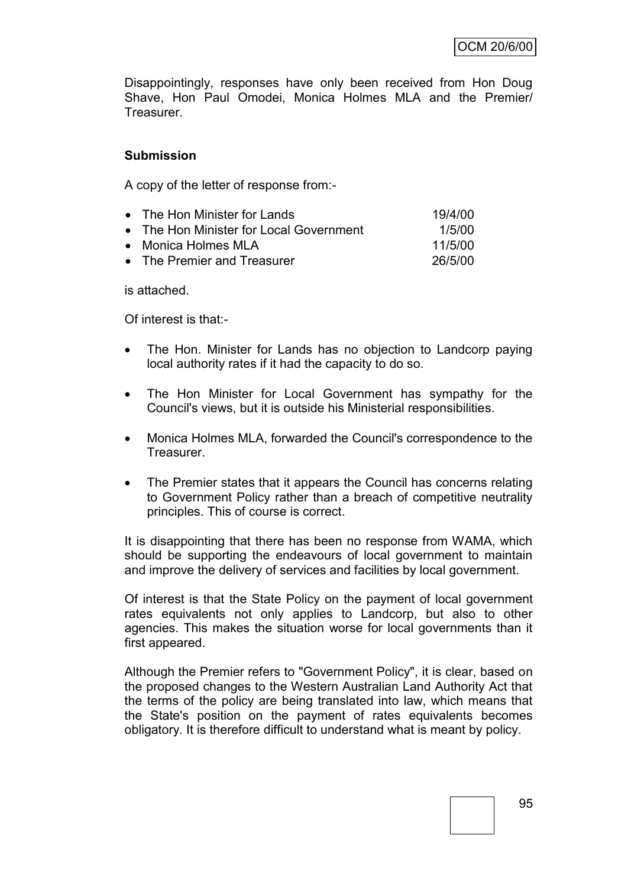Disappointingly, responses have only been received from Hon Doug Shave, Hon Paul Omodei, Monica Holmes MLA and the Premier/ Treasurer.

## **Submission**

A copy of the letter of response from:-

| • The Hon Minister for Lands            | 19/4/00 |
|-----------------------------------------|---------|
| • The Hon Minister for Local Government | 1/5/00  |
| • Monica Holmes MLA                     | 11/5/00 |
| • The Premier and Treasurer             | 26/5/00 |

is attached.

Of interest is that:-

- The Hon. Minister for Lands has no objection to Landcorp paying local authority rates if it had the capacity to do so.
- The Hon Minister for Local Government has sympathy for the Council's views, but it is outside his Ministerial responsibilities.
- Monica Holmes MLA, forwarded the Council's correspondence to the Treasurer.
- The Premier states that it appears the Council has concerns relating to Government Policy rather than a breach of competitive neutrality principles. This of course is correct.

It is disappointing that there has been no response from WAMA, which should be supporting the endeavours of local government to maintain and improve the delivery of services and facilities by local government.

Of interest is that the State Policy on the payment of local government rates equivalents not only applies to Landcorp, but also to other agencies. This makes the situation worse for local governments than it first appeared.

Although the Premier refers to "Government Policy", it is clear, based on the proposed changes to the Western Australian Land Authority Act that the terms of the policy are being translated into law, which means that the State's position on the payment of rates equivalents becomes obligatory. It is therefore difficult to understand what is meant by policy.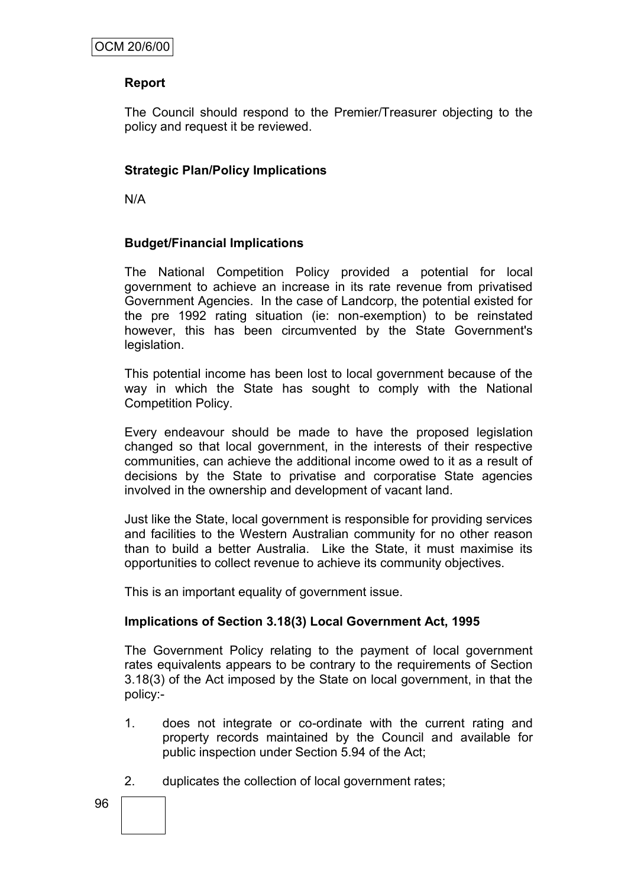## **Report**

The Council should respond to the Premier/Treasurer objecting to the policy and request it be reviewed.

## **Strategic Plan/Policy Implications**

N/A

#### **Budget/Financial Implications**

The National Competition Policy provided a potential for local government to achieve an increase in its rate revenue from privatised Government Agencies. In the case of Landcorp, the potential existed for the pre 1992 rating situation (ie: non-exemption) to be reinstated however, this has been circumvented by the State Government's legislation.

This potential income has been lost to local government because of the way in which the State has sought to comply with the National Competition Policy.

Every endeavour should be made to have the proposed legislation changed so that local government, in the interests of their respective communities, can achieve the additional income owed to it as a result of decisions by the State to privatise and corporatise State agencies involved in the ownership and development of vacant land.

Just like the State, local government is responsible for providing services and facilities to the Western Australian community for no other reason than to build a better Australia. Like the State, it must maximise its opportunities to collect revenue to achieve its community objectives.

This is an important equality of government issue.

#### **Implications of Section 3.18(3) Local Government Act, 1995**

The Government Policy relating to the payment of local government rates equivalents appears to be contrary to the requirements of Section 3.18(3) of the Act imposed by the State on local government, in that the policy:-

- 1. does not integrate or co-ordinate with the current rating and property records maintained by the Council and available for public inspection under Section 5.94 of the Act;
- 2. duplicates the collection of local government rates;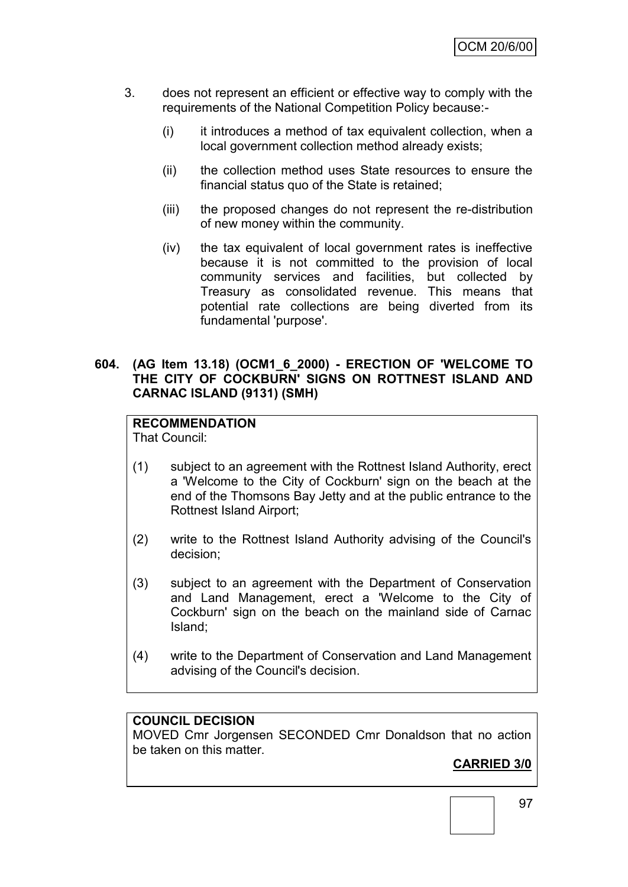- 3. does not represent an efficient or effective way to comply with the requirements of the National Competition Policy because:-
	- (i) it introduces a method of tax equivalent collection, when a local government collection method already exists;
	- (ii) the collection method uses State resources to ensure the financial status quo of the State is retained;
	- (iii) the proposed changes do not represent the re-distribution of new money within the community.
	- (iv) the tax equivalent of local government rates is ineffective because it is not committed to the provision of local community services and facilities, but collected by Treasury as consolidated revenue. This means that potential rate collections are being diverted from its fundamental 'purpose'.

#### **604. (AG Item 13.18) (OCM1\_6\_2000) - ERECTION OF 'WELCOME TO THE CITY OF COCKBURN' SIGNS ON ROTTNEST ISLAND AND CARNAC ISLAND (9131) (SMH)**

## **RECOMMENDATION**

That Council:

- (1) subject to an agreement with the Rottnest Island Authority, erect a 'Welcome to the City of Cockburn' sign on the beach at the end of the Thomsons Bay Jetty and at the public entrance to the Rottnest Island Airport;
- (2) write to the Rottnest Island Authority advising of the Council's decision;
- (3) subject to an agreement with the Department of Conservation and Land Management, erect a 'Welcome to the City of Cockburn' sign on the beach on the mainland side of Carnac Island;
- (4) write to the Department of Conservation and Land Management advising of the Council's decision.

## **COUNCIL DECISION**

MOVED Cmr Jorgensen SECONDED Cmr Donaldson that no action be taken on this matter.

## **CARRIED 3/0**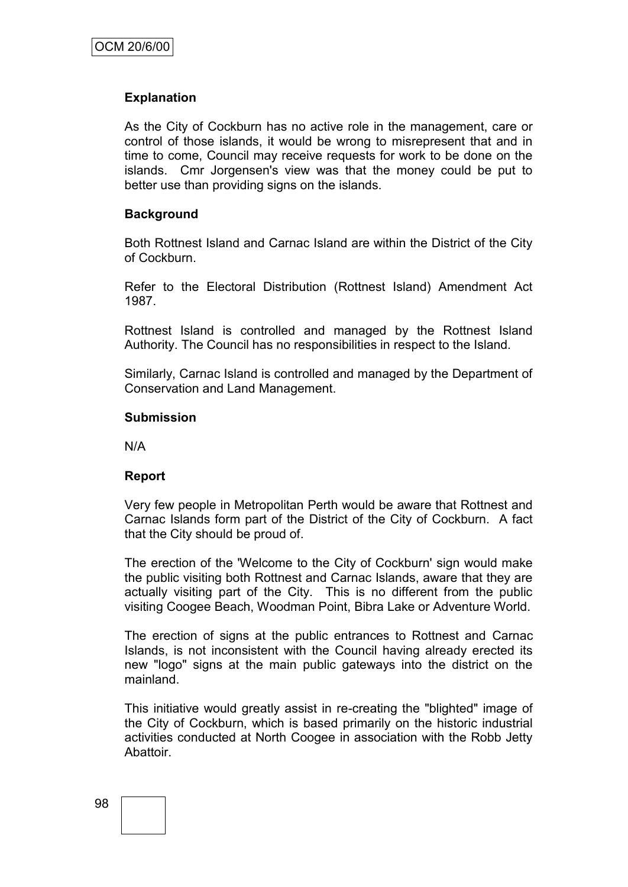## **Explanation**

As the City of Cockburn has no active role in the management, care or control of those islands, it would be wrong to misrepresent that and in time to come, Council may receive requests for work to be done on the islands. Cmr Jorgensen's view was that the money could be put to better use than providing signs on the islands.

#### **Background**

Both Rottnest Island and Carnac Island are within the District of the City of Cockburn.

Refer to the Electoral Distribution (Rottnest Island) Amendment Act 1987.

Rottnest Island is controlled and managed by the Rottnest Island Authority. The Council has no responsibilities in respect to the Island.

Similarly, Carnac Island is controlled and managed by the Department of Conservation and Land Management.

#### **Submission**

N/A

#### **Report**

Very few people in Metropolitan Perth would be aware that Rottnest and Carnac Islands form part of the District of the City of Cockburn. A fact that the City should be proud of.

The erection of the 'Welcome to the City of Cockburn' sign would make the public visiting both Rottnest and Carnac Islands, aware that they are actually visiting part of the City. This is no different from the public visiting Coogee Beach, Woodman Point, Bibra Lake or Adventure World.

The erection of signs at the public entrances to Rottnest and Carnac Islands, is not inconsistent with the Council having already erected its new "logo" signs at the main public gateways into the district on the mainland.

This initiative would greatly assist in re-creating the "blighted" image of the City of Cockburn, which is based primarily on the historic industrial activities conducted at North Coogee in association with the Robb Jetty Abattoir.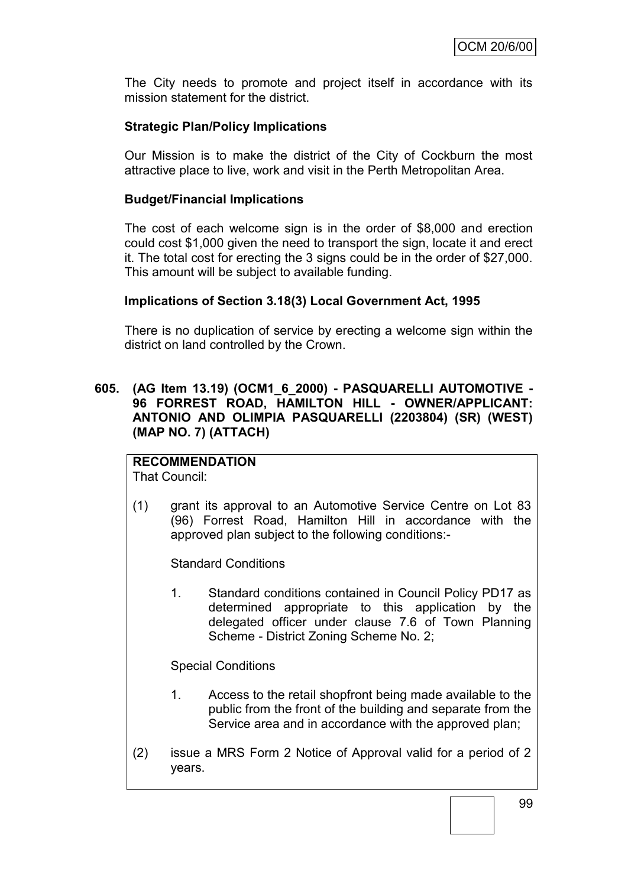The City needs to promote and project itself in accordance with its mission statement for the district.

## **Strategic Plan/Policy Implications**

Our Mission is to make the district of the City of Cockburn the most attractive place to live, work and visit in the Perth Metropolitan Area.

#### **Budget/Financial Implications**

The cost of each welcome sign is in the order of \$8,000 and erection could cost \$1,000 given the need to transport the sign, locate it and erect it. The total cost for erecting the 3 signs could be in the order of \$27,000. This amount will be subject to available funding.

#### **Implications of Section 3.18(3) Local Government Act, 1995**

There is no duplication of service by erecting a welcome sign within the district on land controlled by the Crown.

#### **605. (AG Item 13.19) (OCM1\_6\_2000) - PASQUARELLI AUTOMOTIVE - 96 FORREST ROAD, HAMILTON HILL - OWNER/APPLICANT: ANTONIO AND OLIMPIA PASQUARELLI (2203804) (SR) (WEST) (MAP NO. 7) (ATTACH)**

## **RECOMMENDATION**

That Council:

(1) grant its approval to an Automotive Service Centre on Lot 83 (96) Forrest Road, Hamilton Hill in accordance with the approved plan subject to the following conditions:-

Standard Conditions

1. Standard conditions contained in Council Policy PD17 as determined appropriate to this application by the delegated officer under clause 7.6 of Town Planning Scheme - District Zoning Scheme No. 2;

Special Conditions

- 1. Access to the retail shopfront being made available to the public from the front of the building and separate from the Service area and in accordance with the approved plan;
- (2) issue a MRS Form 2 Notice of Approval valid for a period of 2 years.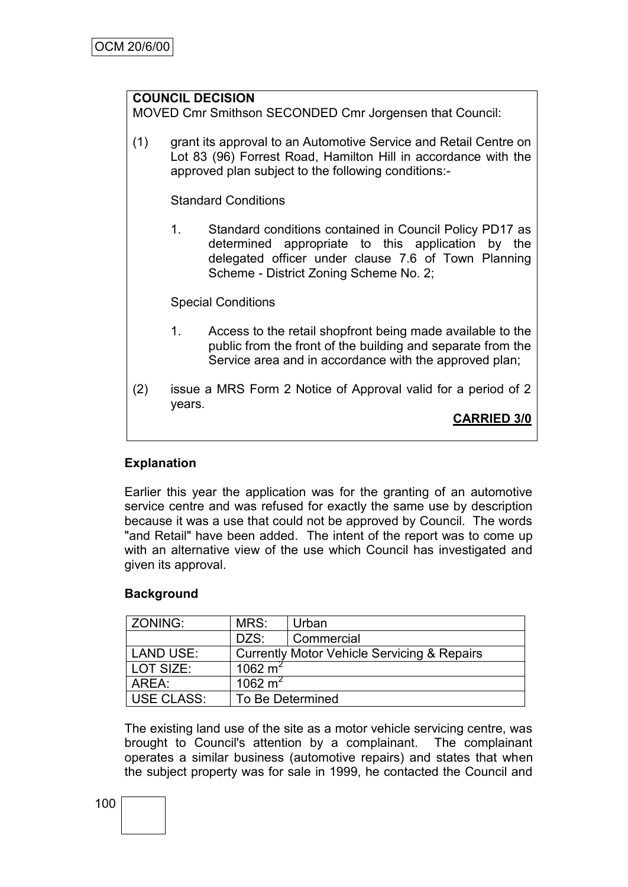## **COUNCIL DECISION**

MOVED Cmr Smithson SECONDED Cmr Jorgensen that Council:

(1) grant its approval to an Automotive Service and Retail Centre on Lot 83 (96) Forrest Road, Hamilton Hill in accordance with the approved plan subject to the following conditions:-

Standard Conditions

1. Standard conditions contained in Council Policy PD17 as determined appropriate to this application by the delegated officer under clause 7.6 of Town Planning Scheme - District Zoning Scheme No. 2;

Special Conditions

- 1. Access to the retail shopfront being made available to the public from the front of the building and separate from the Service area and in accordance with the approved plan;
- (2) issue a MRS Form 2 Notice of Approval valid for a period of 2 years.

**CARRIED 3/0**

## **Explanation**

Earlier this year the application was for the granting of an automotive service centre and was refused for exactly the same use by description because it was a use that could not be approved by Council. The words "and Retail" have been added. The intent of the report was to come up with an alternative view of the use which Council has investigated and given its approval.

#### **Background**

| ZONING:           | MRS:                                        | Urban      |  |
|-------------------|---------------------------------------------|------------|--|
|                   | DZS:                                        | Commercial |  |
| <b>LAND USE:</b>  | Currently Motor Vehicle Servicing & Repairs |            |  |
| LOT SIZE:         | 1062 $m2$                                   |            |  |
| AREA:             | 1062 $m2$                                   |            |  |
| <b>USE CLASS:</b> | To Be Determined                            |            |  |

The existing land use of the site as a motor vehicle servicing centre, was brought to Council's attention by a complainant. The complainant operates a similar business (automotive repairs) and states that when the subject property was for sale in 1999, he contacted the Council and

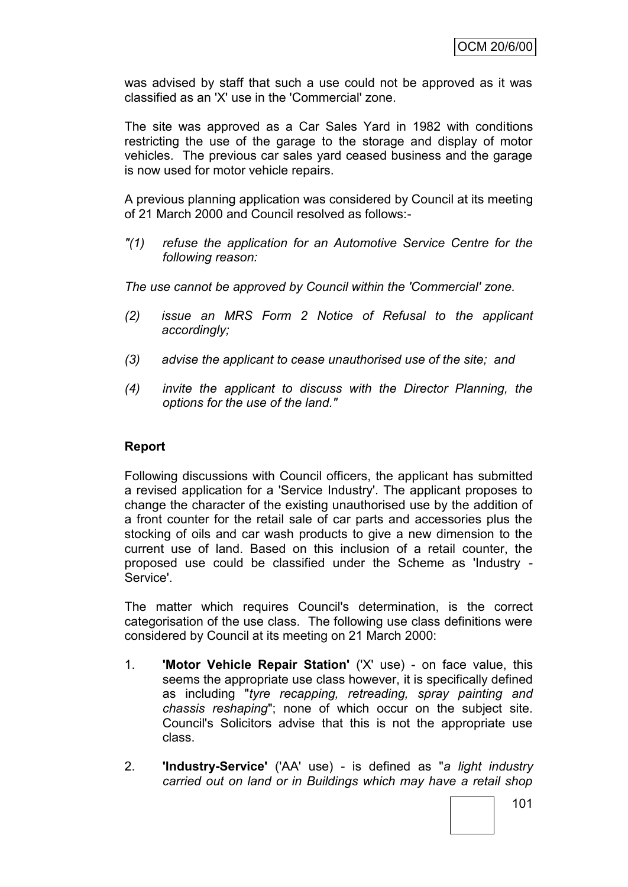was advised by staff that such a use could not be approved as it was classified as an 'X' use in the 'Commercial' zone.

The site was approved as a Car Sales Yard in 1982 with conditions restricting the use of the garage to the storage and display of motor vehicles. The previous car sales yard ceased business and the garage is now used for motor vehicle repairs.

A previous planning application was considered by Council at its meeting of 21 March 2000 and Council resolved as follows:-

*"(1) refuse the application for an Automotive Service Centre for the following reason:*

*The use cannot be approved by Council within the 'Commercial' zone.*

- *(2) issue an MRS Form 2 Notice of Refusal to the applicant accordingly;*
- *(3) advise the applicant to cease unauthorised use of the site; and*
- *(4) invite the applicant to discuss with the Director Planning, the options for the use of the land."*

#### **Report**

Following discussions with Council officers, the applicant has submitted a revised application for a 'Service Industry'. The applicant proposes to change the character of the existing unauthorised use by the addition of a front counter for the retail sale of car parts and accessories plus the stocking of oils and car wash products to give a new dimension to the current use of land. Based on this inclusion of a retail counter, the proposed use could be classified under the Scheme as 'Industry - Service'.

The matter which requires Council's determination, is the correct categorisation of the use class. The following use class definitions were considered by Council at its meeting on 21 March 2000:

- 1. **'Motor Vehicle Repair Station'** ('X' use) on face value, this seems the appropriate use class however, it is specifically defined as including "*tyre recapping, retreading, spray painting and chassis reshaping*"; none of which occur on the subject site. Council's Solicitors advise that this is not the appropriate use class.
- 2. **'Industry-Service'** ('AA' use) is defined as "*a light industry carried out on land or in Buildings which may have a retail shop*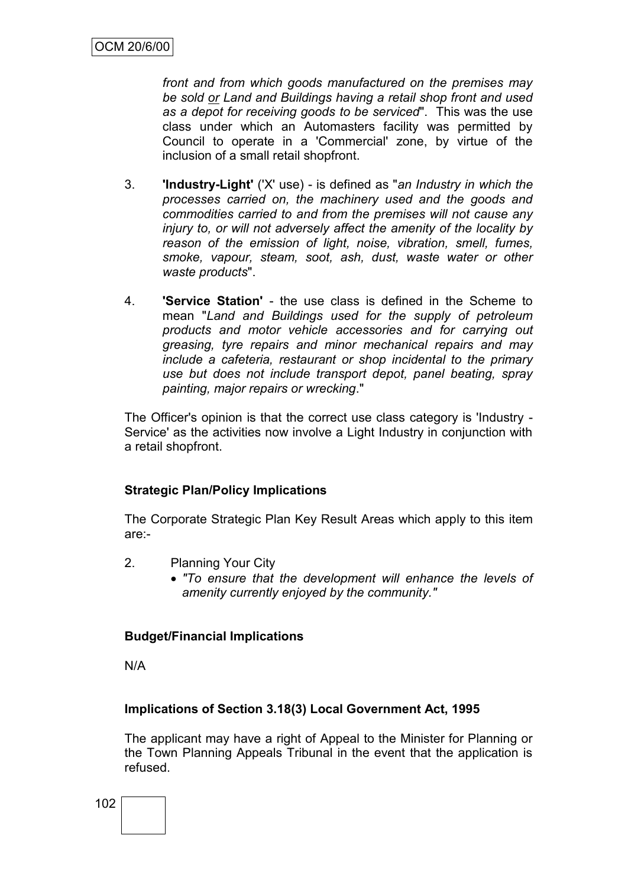*front and from which goods manufactured on the premises may be sold or Land and Buildings having a retail shop front and used as a depot for receiving goods to be serviced*". This was the use class under which an Automasters facility was permitted by Council to operate in a 'Commercial' zone, by virtue of the inclusion of a small retail shopfront.

- 3. **'Industry-Light'** ('X' use) is defined as "*an Industry in which the processes carried on, the machinery used and the goods and commodities carried to and from the premises will not cause any injury to, or will not adversely affect the amenity of the locality by reason of the emission of light, noise, vibration, smell, fumes, smoke, vapour, steam, soot, ash, dust, waste water or other waste products*".
- 4. **'Service Station'** the use class is defined in the Scheme to mean "*Land and Buildings used for the supply of petroleum products and motor vehicle accessories and for carrying out greasing, tyre repairs and minor mechanical repairs and may include a cafeteria, restaurant or shop incidental to the primary use but does not include transport depot, panel beating, spray painting, major repairs or wrecking*."

The Officer's opinion is that the correct use class category is 'Industry - Service' as the activities now involve a Light Industry in conjunction with a retail shopfront.

#### **Strategic Plan/Policy Implications**

The Corporate Strategic Plan Key Result Areas which apply to this item are:-

- 2. Planning Your City
	- *"To ensure that the development will enhance the levels of amenity currently enjoyed by the community."*

#### **Budget/Financial Implications**

N/A

#### **Implications of Section 3.18(3) Local Government Act, 1995**

The applicant may have a right of Appeal to the Minister for Planning or the Town Planning Appeals Tribunal in the event that the application is refused.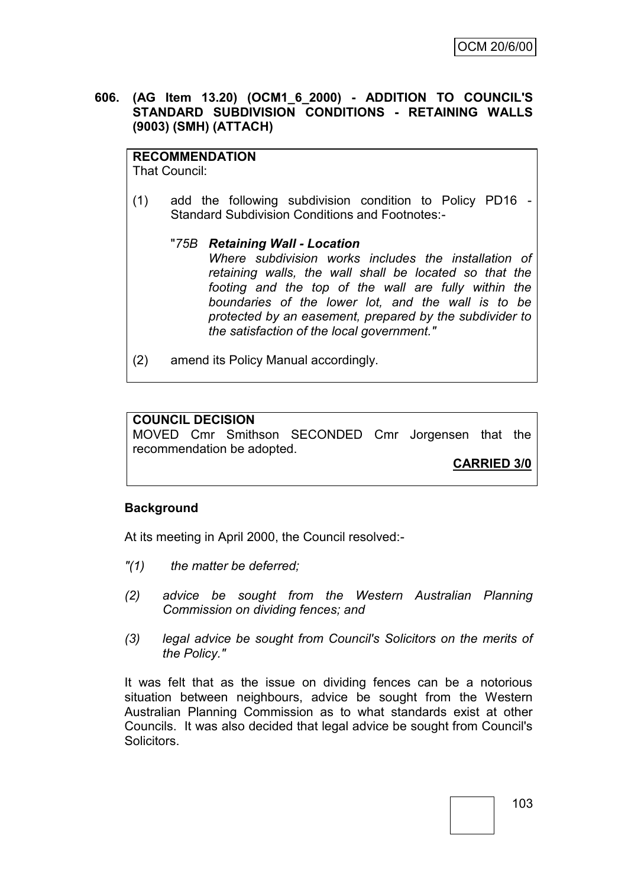#### **606. (AG Item 13.20) (OCM1\_6\_2000) - ADDITION TO COUNCIL'S STANDARD SUBDIVISION CONDITIONS - RETAINING WALLS (9003) (SMH) (ATTACH)**

## **RECOMMENDATION**

That Council:

- (1) add the following subdivision condition to Policy PD16 Standard Subdivision Conditions and Footnotes:-
	- "*75B Retaining Wall - Location Where subdivision works includes the installation of retaining walls, the wall shall be located so that the footing and the top of the wall are fully within the boundaries of the lower lot, and the wall is to be protected by an easement, prepared by the subdivider to the satisfaction of the local government."*
- (2) amend its Policy Manual accordingly.

#### **COUNCIL DECISION**

MOVED Cmr Smithson SECONDED Cmr Jorgensen that the recommendation be adopted.

**CARRIED 3/0**

#### **Background**

At its meeting in April 2000, the Council resolved:-

- *"(1) the matter be deferred;*
- *(2) advice be sought from the Western Australian Planning Commission on dividing fences; and*
- *(3) legal advice be sought from Council's Solicitors on the merits of the Policy."*

It was felt that as the issue on dividing fences can be a notorious situation between neighbours, advice be sought from the Western Australian Planning Commission as to what standards exist at other Councils. It was also decided that legal advice be sought from Council's **Solicitors**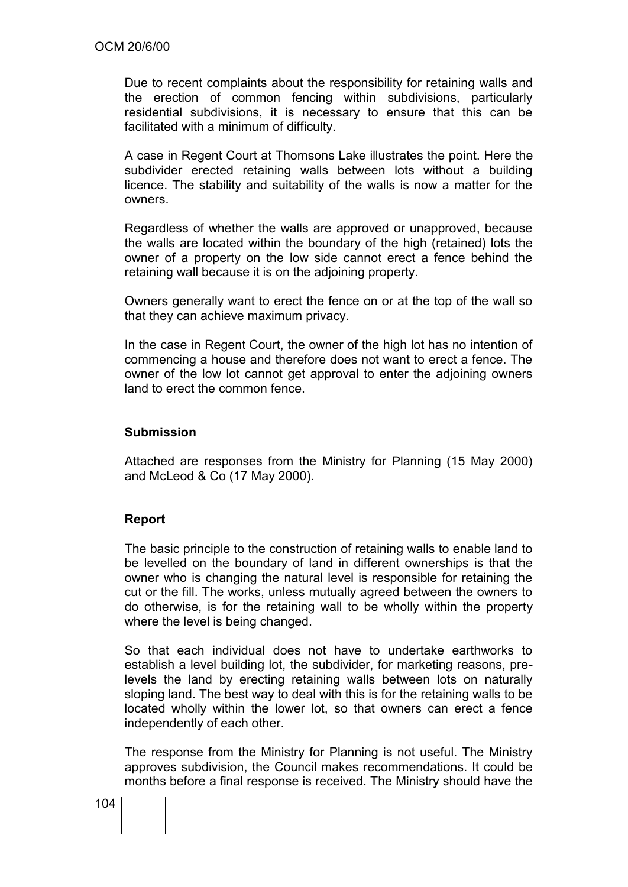Due to recent complaints about the responsibility for retaining walls and the erection of common fencing within subdivisions, particularly residential subdivisions, it is necessary to ensure that this can be facilitated with a minimum of difficulty.

A case in Regent Court at Thomsons Lake illustrates the point. Here the subdivider erected retaining walls between lots without a building licence. The stability and suitability of the walls is now a matter for the owners.

Regardless of whether the walls are approved or unapproved, because the walls are located within the boundary of the high (retained) lots the owner of a property on the low side cannot erect a fence behind the retaining wall because it is on the adjoining property.

Owners generally want to erect the fence on or at the top of the wall so that they can achieve maximum privacy.

In the case in Regent Court, the owner of the high lot has no intention of commencing a house and therefore does not want to erect a fence. The owner of the low lot cannot get approval to enter the adjoining owners land to erect the common fence.

#### **Submission**

Attached are responses from the Ministry for Planning (15 May 2000) and McLeod & Co (17 May 2000).

#### **Report**

The basic principle to the construction of retaining walls to enable land to be levelled on the boundary of land in different ownerships is that the owner who is changing the natural level is responsible for retaining the cut or the fill. The works, unless mutually agreed between the owners to do otherwise, is for the retaining wall to be wholly within the property where the level is being changed.

So that each individual does not have to undertake earthworks to establish a level building lot, the subdivider, for marketing reasons, prelevels the land by erecting retaining walls between lots on naturally sloping land. The best way to deal with this is for the retaining walls to be located wholly within the lower lot, so that owners can erect a fence independently of each other.

The response from the Ministry for Planning is not useful. The Ministry approves subdivision, the Council makes recommendations. It could be months before a final response is received. The Ministry should have the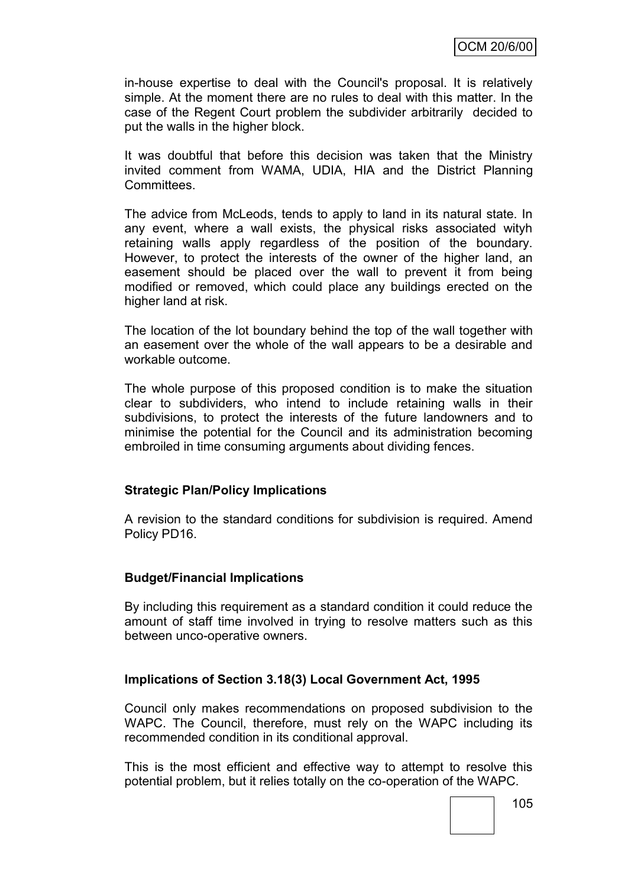in-house expertise to deal with the Council's proposal. It is relatively simple. At the moment there are no rules to deal with this matter. In the case of the Regent Court problem the subdivider arbitrarily decided to put the walls in the higher block.

It was doubtful that before this decision was taken that the Ministry invited comment from WAMA, UDIA, HIA and the District Planning Committees.

The advice from McLeods, tends to apply to land in its natural state. In any event, where a wall exists, the physical risks associated wityh retaining walls apply regardless of the position of the boundary. However, to protect the interests of the owner of the higher land, an easement should be placed over the wall to prevent it from being modified or removed, which could place any buildings erected on the higher land at risk.

The location of the lot boundary behind the top of the wall together with an easement over the whole of the wall appears to be a desirable and workable outcome.

The whole purpose of this proposed condition is to make the situation clear to subdividers, who intend to include retaining walls in their subdivisions, to protect the interests of the future landowners and to minimise the potential for the Council and its administration becoming embroiled in time consuming arguments about dividing fences.

## **Strategic Plan/Policy Implications**

A revision to the standard conditions for subdivision is required. Amend Policy PD16.

## **Budget/Financial Implications**

By including this requirement as a standard condition it could reduce the amount of staff time involved in trying to resolve matters such as this between unco-operative owners.

## **Implications of Section 3.18(3) Local Government Act, 1995**

Council only makes recommendations on proposed subdivision to the WAPC. The Council, therefore, must rely on the WAPC including its recommended condition in its conditional approval.

This is the most efficient and effective way to attempt to resolve this potential problem, but it relies totally on the co-operation of the WAPC.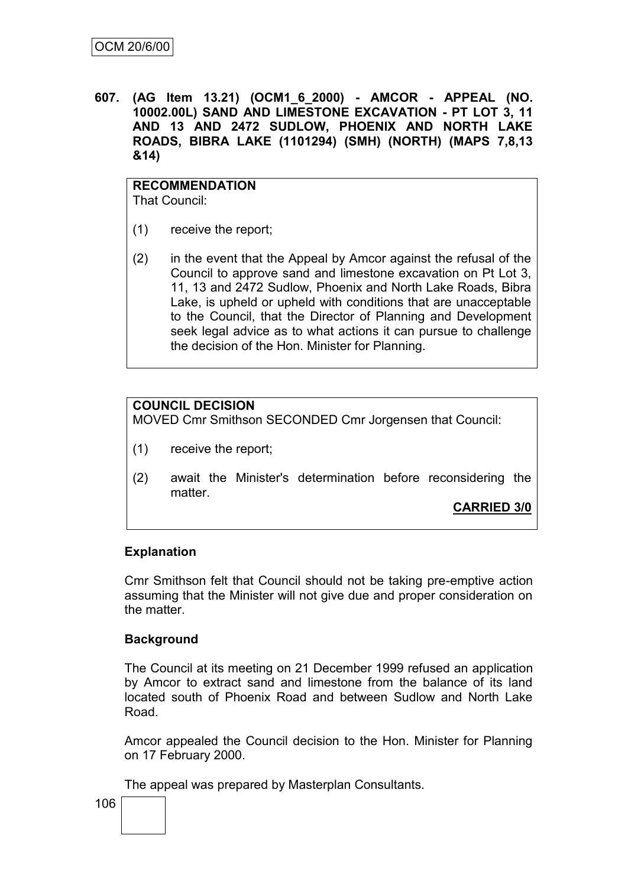**607. (AG Item 13.21) (OCM1\_6\_2000) - AMCOR - APPEAL (NO. 10002.00L) SAND AND LIMESTONE EXCAVATION - PT LOT 3, 11 AND 13 AND 2472 SUDLOW, PHOENIX AND NORTH LAKE ROADS, BIBRA LAKE (1101294) (SMH) (NORTH) (MAPS 7,8,13 &14)**

#### **RECOMMENDATION** That Council:

- (1) receive the report;
- (2) in the event that the Appeal by Amcor against the refusal of the Council to approve sand and limestone excavation on Pt Lot 3, 11, 13 and 2472 Sudlow, Phoenix and North Lake Roads, Bibra Lake, is upheld or upheld with conditions that are unacceptable to the Council, that the Director of Planning and Development seek legal advice as to what actions it can pursue to challenge the decision of the Hon. Minister for Planning.

## **COUNCIL DECISION**

MOVED Cmr Smithson SECONDED Cmr Jorgensen that Council:

- (1) receive the report;
- (2) await the Minister's determination before reconsidering the matter.

**CARRIED 3/0**

## **Explanation**

Cmr Smithson felt that Council should not be taking pre-emptive action assuming that the Minister will not give due and proper consideration on the matter.

## **Background**

The Council at its meeting on 21 December 1999 refused an application by Amcor to extract sand and limestone from the balance of its land located south of Phoenix Road and between Sudlow and North Lake Road.

Amcor appealed the Council decision to the Hon. Minister for Planning on 17 February 2000.

The appeal was prepared by Masterplan Consultants.

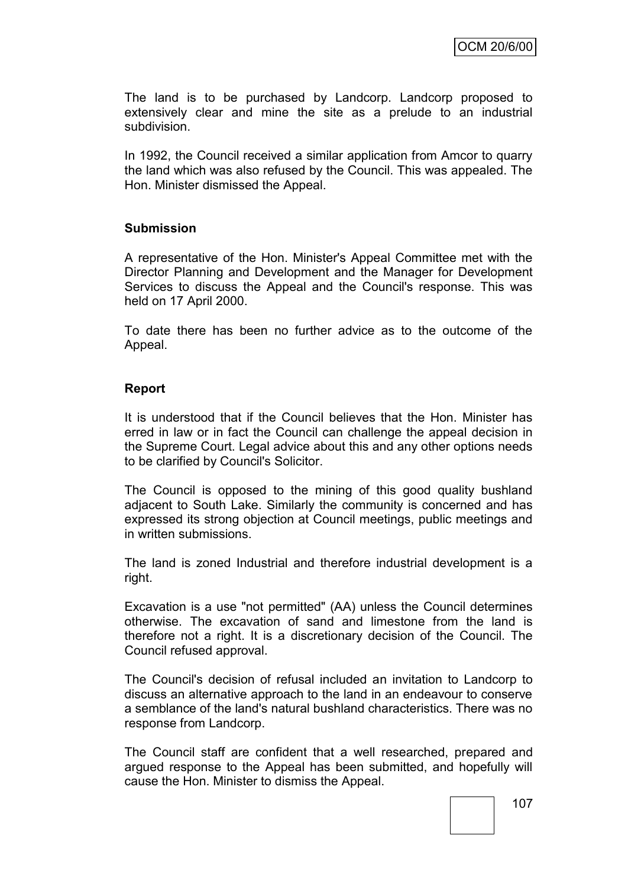The land is to be purchased by Landcorp. Landcorp proposed to extensively clear and mine the site as a prelude to an industrial subdivision.

In 1992, the Council received a similar application from Amcor to quarry the land which was also refused by the Council. This was appealed. The Hon. Minister dismissed the Appeal.

## **Submission**

A representative of the Hon. Minister's Appeal Committee met with the Director Planning and Development and the Manager for Development Services to discuss the Appeal and the Council's response. This was held on 17 April 2000.

To date there has been no further advice as to the outcome of the Appeal.

## **Report**

It is understood that if the Council believes that the Hon. Minister has erred in law or in fact the Council can challenge the appeal decision in the Supreme Court. Legal advice about this and any other options needs to be clarified by Council's Solicitor.

The Council is opposed to the mining of this good quality bushland adjacent to South Lake. Similarly the community is concerned and has expressed its strong objection at Council meetings, public meetings and in written submissions.

The land is zoned Industrial and therefore industrial development is a right.

Excavation is a use "not permitted" (AA) unless the Council determines otherwise. The excavation of sand and limestone from the land is therefore not a right. It is a discretionary decision of the Council. The Council refused approval.

The Council's decision of refusal included an invitation to Landcorp to discuss an alternative approach to the land in an endeavour to conserve a semblance of the land's natural bushland characteristics. There was no response from Landcorp.

The Council staff are confident that a well researched, prepared and argued response to the Appeal has been submitted, and hopefully will cause the Hon. Minister to dismiss the Appeal.

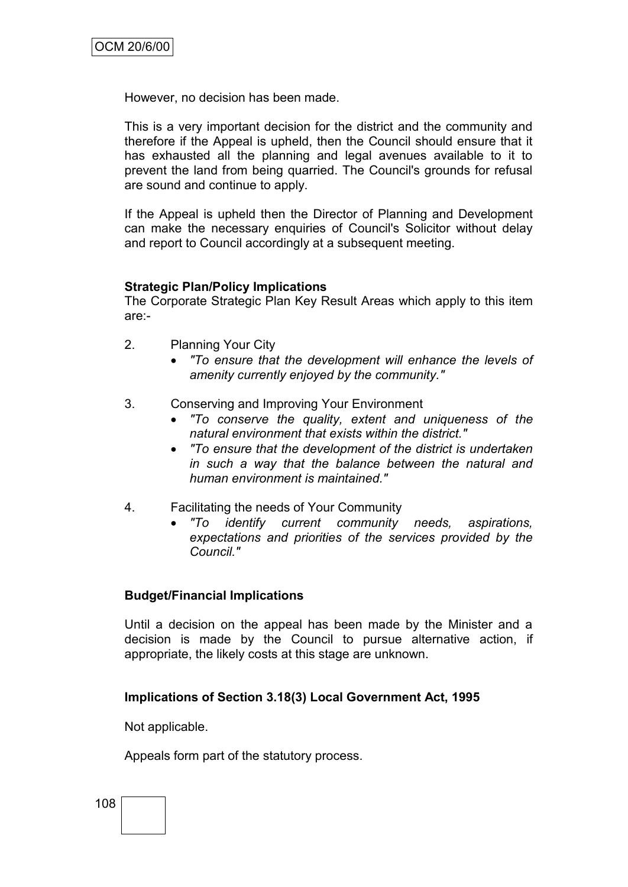However, no decision has been made.

This is a very important decision for the district and the community and therefore if the Appeal is upheld, then the Council should ensure that it has exhausted all the planning and legal avenues available to it to prevent the land from being quarried. The Council's grounds for refusal are sound and continue to apply.

If the Appeal is upheld then the Director of Planning and Development can make the necessary enquiries of Council's Solicitor without delay and report to Council accordingly at a subsequent meeting.

## **Strategic Plan/Policy Implications**

The Corporate Strategic Plan Key Result Areas which apply to this item are:-

- 2. Planning Your City
	- *"To ensure that the development will enhance the levels of amenity currently enjoyed by the community."*
- 3. Conserving and Improving Your Environment
	- *"To conserve the quality, extent and uniqueness of the natural environment that exists within the district."*
	- *"To ensure that the development of the district is undertaken in such a way that the balance between the natural and human environment is maintained."*
- 4. Facilitating the needs of Your Community
	- *"To identify current community needs, aspirations, expectations and priorities of the services provided by the Council."*

## **Budget/Financial Implications**

Until a decision on the appeal has been made by the Minister and a decision is made by the Council to pursue alternative action, if appropriate, the likely costs at this stage are unknown.

## **Implications of Section 3.18(3) Local Government Act, 1995**

Not applicable.

Appeals form part of the statutory process.

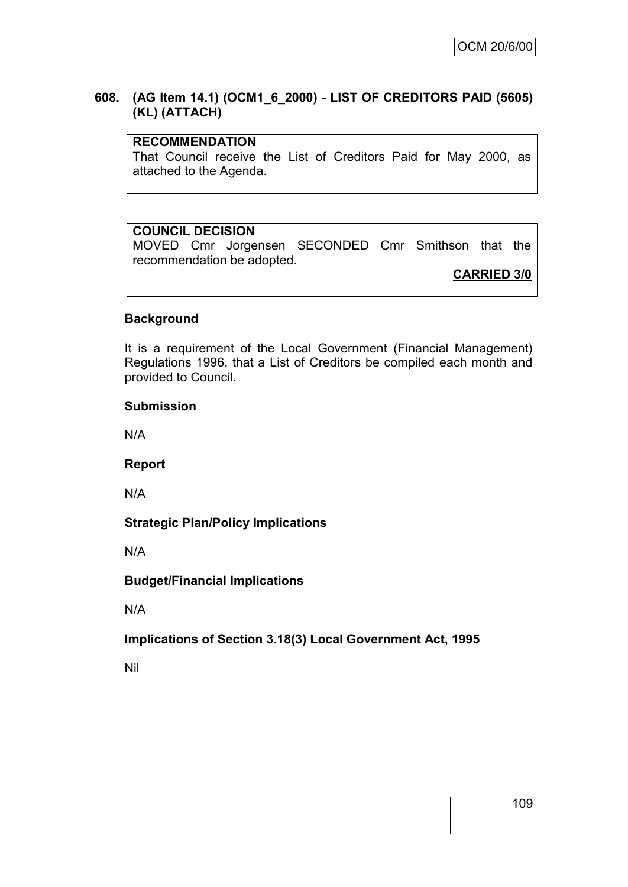## **608. (AG Item 14.1) (OCM1\_6\_2000) - LIST OF CREDITORS PAID (5605) (KL) (ATTACH)**

## **RECOMMENDATION**

That Council receive the List of Creditors Paid for May 2000, as attached to the Agenda.

## **COUNCIL DECISION**

MOVED Cmr Jorgensen SECONDED Cmr Smithson that the recommendation be adopted.

**CARRIED 3/0**

## **Background**

It is a requirement of the Local Government (Financial Management) Regulations 1996, that a List of Creditors be compiled each month and provided to Council.

#### **Submission**

N/A

**Report**

N/A

## **Strategic Plan/Policy Implications**

N/A

## **Budget/Financial Implications**

N/A

## **Implications of Section 3.18(3) Local Government Act, 1995**

Nil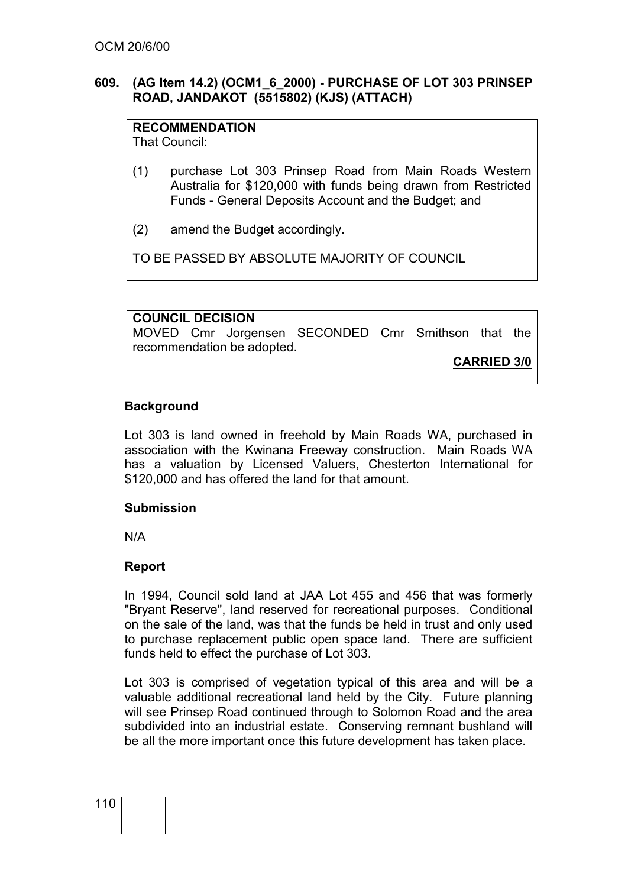## **609. (AG Item 14.2) (OCM1\_6\_2000) - PURCHASE OF LOT 303 PRINSEP ROAD, JANDAKOT (5515802) (KJS) (ATTACH)**

## **RECOMMENDATION**

That Council:

- (1) purchase Lot 303 Prinsep Road from Main Roads Western Australia for \$120,000 with funds being drawn from Restricted Funds - General Deposits Account and the Budget; and
- (2) amend the Budget accordingly.

TO BE PASSED BY ABSOLUTE MAJORITY OF COUNCIL

## **COUNCIL DECISION**

MOVED Cmr Jorgensen SECONDED Cmr Smithson that the recommendation be adopted.

**CARRIED 3/0**

## **Background**

Lot 303 is land owned in freehold by Main Roads WA, purchased in association with the Kwinana Freeway construction. Main Roads WA has a valuation by Licensed Valuers, Chesterton International for \$120,000 and has offered the land for that amount.

## **Submission**

N/A

## **Report**

In 1994, Council sold land at JAA Lot 455 and 456 that was formerly "Bryant Reserve", land reserved for recreational purposes. Conditional on the sale of the land, was that the funds be held in trust and only used to purchase replacement public open space land. There are sufficient funds held to effect the purchase of Lot 303.

Lot 303 is comprised of vegetation typical of this area and will be a valuable additional recreational land held by the City. Future planning will see Prinsep Road continued through to Solomon Road and the area subdivided into an industrial estate. Conserving remnant bushland will be all the more important once this future development has taken place.

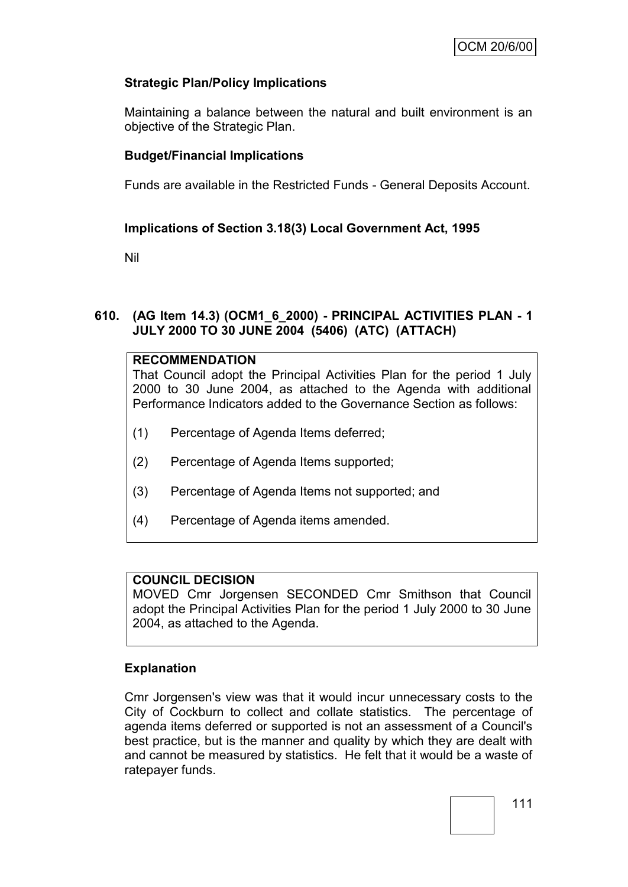## **Strategic Plan/Policy Implications**

Maintaining a balance between the natural and built environment is an objective of the Strategic Plan.

## **Budget/Financial Implications**

Funds are available in the Restricted Funds - General Deposits Account.

## **Implications of Section 3.18(3) Local Government Act, 1995**

Nil

## **610. (AG Item 14.3) (OCM1\_6\_2000) - PRINCIPAL ACTIVITIES PLAN - 1 JULY 2000 TO 30 JUNE 2004 (5406) (ATC) (ATTACH)**

## **RECOMMENDATION**

That Council adopt the Principal Activities Plan for the period 1 July 2000 to 30 June 2004, as attached to the Agenda with additional Performance Indicators added to the Governance Section as follows:

- (1) Percentage of Agenda Items deferred;
- (2) Percentage of Agenda Items supported;
- (3) Percentage of Agenda Items not supported; and
- (4) Percentage of Agenda items amended.

## **COUNCIL DECISION**

MOVED Cmr Jorgensen SECONDED Cmr Smithson that Council adopt the Principal Activities Plan for the period 1 July 2000 to 30 June 2004, as attached to the Agenda.

## **Explanation**

Cmr Jorgensen's view was that it would incur unnecessary costs to the City of Cockburn to collect and collate statistics. The percentage of agenda items deferred or supported is not an assessment of a Council's best practice, but is the manner and quality by which they are dealt with and cannot be measured by statistics. He felt that it would be a waste of ratepayer funds.

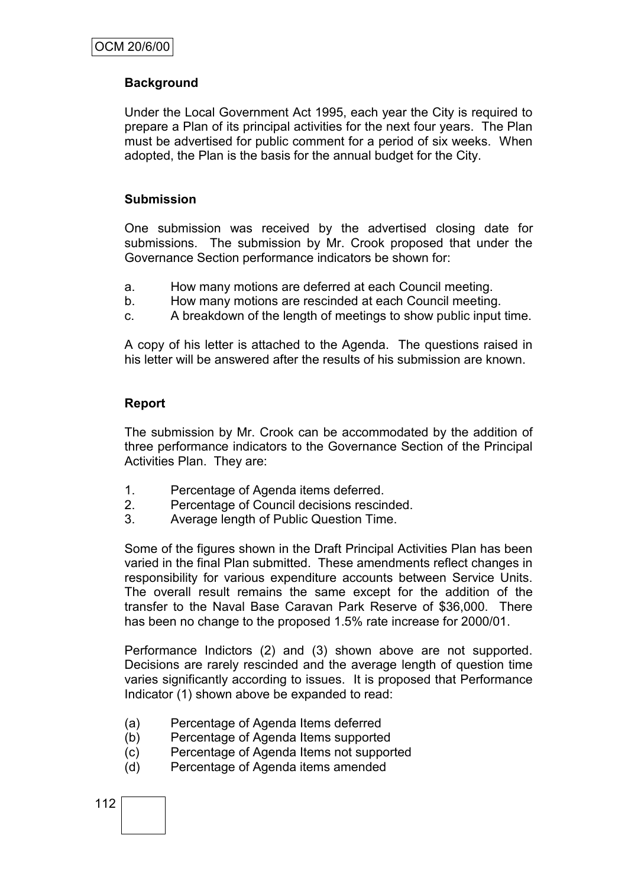## **Background**

Under the Local Government Act 1995, each year the City is required to prepare a Plan of its principal activities for the next four years. The Plan must be advertised for public comment for a period of six weeks. When adopted, the Plan is the basis for the annual budget for the City.

#### **Submission**

One submission was received by the advertised closing date for submissions. The submission by Mr. Crook proposed that under the Governance Section performance indicators be shown for:

- a. How many motions are deferred at each Council meeting.
- b. How many motions are rescinded at each Council meeting.
- c. A breakdown of the length of meetings to show public input time.

A copy of his letter is attached to the Agenda. The questions raised in his letter will be answered after the results of his submission are known.

#### **Report**

The submission by Mr. Crook can be accommodated by the addition of three performance indicators to the Governance Section of the Principal Activities Plan. They are:

- 1. Percentage of Agenda items deferred.
- 2. Percentage of Council decisions rescinded.
- 3. Average length of Public Question Time.

Some of the figures shown in the Draft Principal Activities Plan has been varied in the final Plan submitted. These amendments reflect changes in responsibility for various expenditure accounts between Service Units. The overall result remains the same except for the addition of the transfer to the Naval Base Caravan Park Reserve of \$36,000. There has been no change to the proposed 1.5% rate increase for 2000/01.

Performance Indictors (2) and (3) shown above are not supported. Decisions are rarely rescinded and the average length of question time varies significantly according to issues. It is proposed that Performance Indicator (1) shown above be expanded to read:

- (a) Percentage of Agenda Items deferred
- (b) Percentage of Agenda Items supported
- (c) Percentage of Agenda Items not supported
- (d) Percentage of Agenda items amended

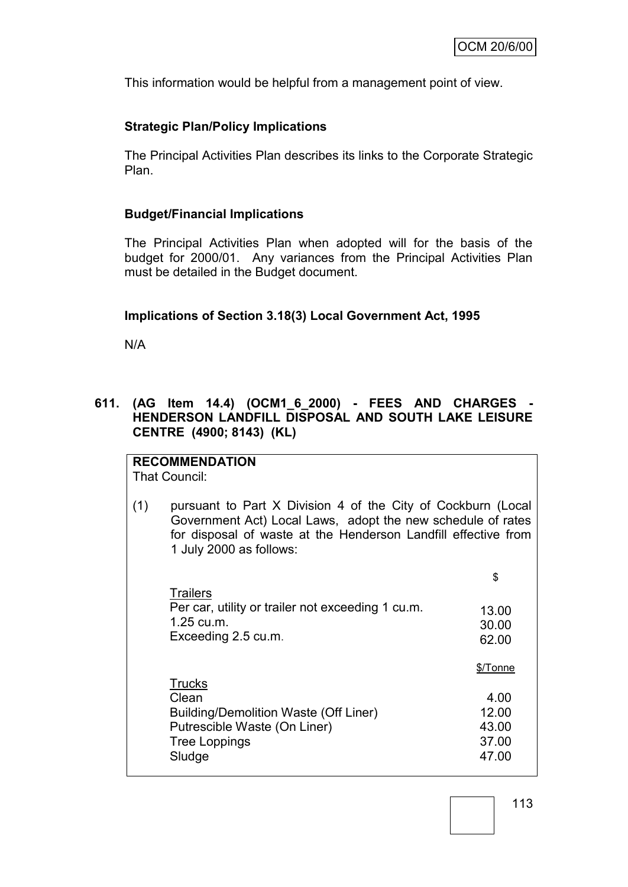This information would be helpful from a management point of view.

## **Strategic Plan/Policy Implications**

The Principal Activities Plan describes its links to the Corporate Strategic Plan.

## **Budget/Financial Implications**

The Principal Activities Plan when adopted will for the basis of the budget for 2000/01. Any variances from the Principal Activities Plan must be detailed in the Budget document.

## **Implications of Section 3.18(3) Local Government Act, 1995**

N/A

## **611. (AG Item 14.4) (OCM1\_6\_2000) - FEES AND CHARGES - HENDERSON LANDFILL DISPOSAL AND SOUTH LAKE LEISURE CENTRE (4900; 8143) (KL)**

**RECOMMENDATION** That Council:

(1) pursuant to Part X Division 4 of the City of Cockburn (Local Government Act) Local Laws, adopt the new schedule of rates for disposal of waste at the Henderson Landfill effective from 1 July 2000 as follows:

|                                                                                                           | \$                      |
|-----------------------------------------------------------------------------------------------------------|-------------------------|
| <b>Trailers</b><br>Per car, utility or trailer not exceeding 1 cu.m.<br>1.25 cu.m.<br>Exceeding 2.5 cu.m. | 13.00<br>30.00<br>62.00 |
|                                                                                                           | \$/Tonne                |
| <b>Trucks</b>                                                                                             |                         |
| Clean                                                                                                     | 4.00                    |
| <b>Building/Demolition Waste (Off Liner)</b>                                                              | 12.00                   |
| Putrescible Waste (On Liner)                                                                              | 43.00                   |
| <b>Tree Loppings</b>                                                                                      | 37.00                   |
| Sludge                                                                                                    | 47 OO                   |

113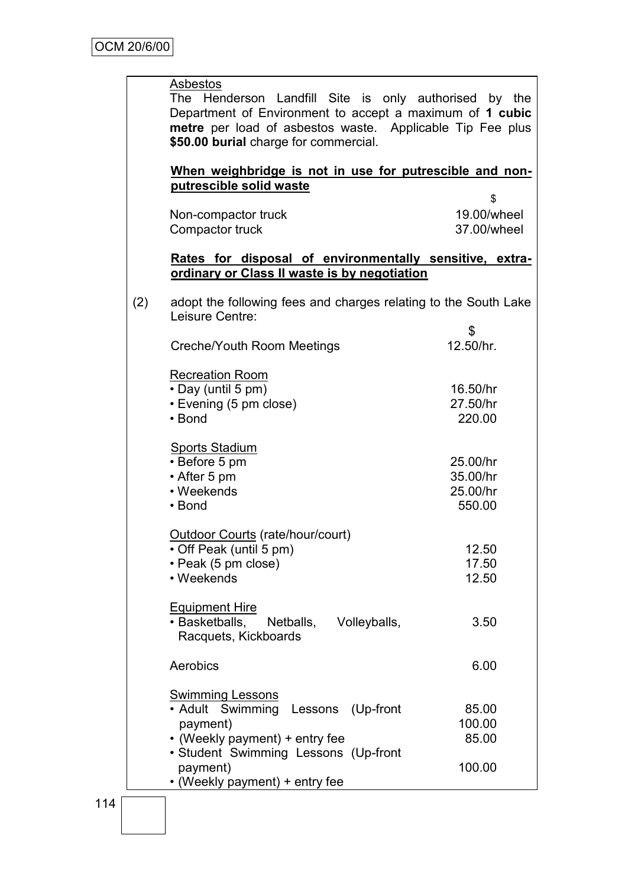## Asbestos

The Henderson Landfill Site is only authorised by the Department of Environment to accept a maximum of **1 cubic metre** per load of asbestos waste. Applicable Tip Fee plus **\$50.00 burial** charge for commercial.

#### **When weighbridge is not in use for putrescible and nonputrescible solid waste**

| Non-compactor truck | 19.00/wheel |
|---------------------|-------------|
| Compactor truck     | 37.00/wheel |

#### **Rates for disposal of environmentally sensitive, extraordinary or Class II waste is by negotiation**

(2) adopt the following fees and charges relating to the South Lake Leisure Centre:

| LUBULU UUHUU.<br>Creche/Youth Room Meetings                                               | \$<br>12.50/hr.                            |
|-------------------------------------------------------------------------------------------|--------------------------------------------|
| <b>Recreation Room</b><br>• Day (until 5 pm)<br>• Evening (5 pm close)<br>• Bond          | 16.50/hr<br>27.50/hr<br>220.00             |
| <b>Sports Stadium</b><br>• Before 5 pm<br>• After 5 pm<br>• Weekends<br>$\cdot$ Bond      | 25.00/hr<br>35.00/hr<br>25.00/hr<br>550.00 |
| <b>Outdoor Courts (rate/hour/court)</b><br>• Off Peak (until 5 pm)<br>• Peak (5 pm close) | 12.50<br>17.50                             |

| $\sim$ . $\sim$ $\sim$ $\sim$ $\sim$<br>• Weekends                                     | 12.50 |
|----------------------------------------------------------------------------------------|-------|
| <b>Equipment Hire</b><br>• Basketballs, Netballs, Volleyballs,<br>Racquets, Kickboards | 3.50  |
| Aerobics                                                                               | 6.00  |

| <b>Swimming Lessons</b>               |        |
|---------------------------------------|--------|
| • Adult Swimming<br>Lessons (Up-front | 85.00  |
| payment)                              | 100.00 |
| • (Weekly payment) + entry fee        | 85.00  |
| · Student Swimming Lessons (Up-front  |        |
| payment)                              | 100.00 |
| • (Weekly payment) + entry fee        |        |

12.50

3.50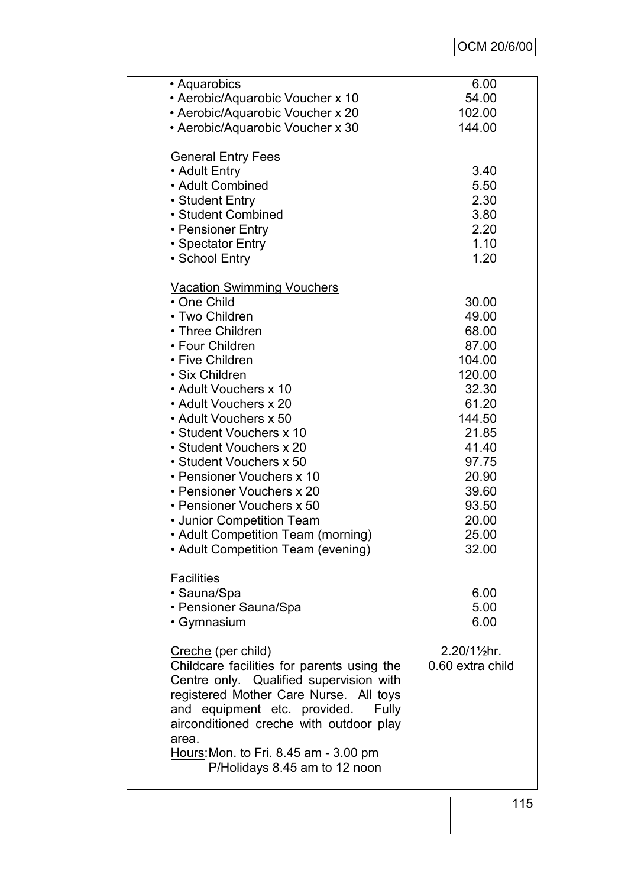# OCM 20/6/00

| • Aquarobics                               | 6.00                    |
|--------------------------------------------|-------------------------|
| • Aerobic/Aquarobic Voucher x 10           | 54.00                   |
| • Aerobic/Aquarobic Voucher x 20           | 102.00                  |
| • Aerobic/Aquarobic Voucher x 30           | 144.00                  |
|                                            |                         |
| <b>General Entry Fees</b>                  |                         |
| • Adult Entry                              | 3.40                    |
|                                            |                         |
| • Adult Combined                           | 5.50                    |
| • Student Entry                            | 2.30                    |
| • Student Combined                         | 3.80                    |
| • Pensioner Entry                          | 2.20                    |
| • Spectator Entry                          | 1.10                    |
| • School Entry                             | 1.20                    |
|                                            |                         |
|                                            |                         |
| <b>Vacation Swimming Vouchers</b>          |                         |
| • One Child                                | 30.00                   |
| • Two Children                             | 49.00                   |
| • Three Children                           | 68.00                   |
| • Four Children                            | 87.00                   |
| • Five Children                            | 104.00                  |
| • Six Children                             | 120.00                  |
| • Adult Vouchers x 10                      | 32.30                   |
|                                            |                         |
| • Adult Vouchers x 20                      | 61.20                   |
| • Adult Vouchers x 50                      | 144.50                  |
| • Student Vouchers x 10                    | 21.85                   |
| • Student Vouchers x 20                    | 41.40                   |
| • Student Vouchers x 50                    | 97.75                   |
| • Pensioner Vouchers x 10                  | 20.90                   |
| • Pensioner Vouchers x 20                  | 39.60                   |
| • Pensioner Vouchers x 50                  | 93.50                   |
|                                            |                         |
| • Junior Competition Team                  | 20.00                   |
| • Adult Competition Team (morning)         | 25.00                   |
| <b>Adult Competition Team (evening)</b>    | 32.00                   |
|                                            |                         |
| <b>Facilities</b>                          |                         |
| • Sauna/Spa                                | 6.00                    |
| • Pensioner Sauna/Spa                      | 5.00                    |
|                                            | 6.00                    |
| • Gymnasium                                |                         |
|                                            |                         |
| Creche (per child)                         | $2.20/1\frac{1}{2}$ hr. |
| Childcare facilities for parents using the | 0.60 extra child        |
| Centre only. Qualified supervision with    |                         |
| registered Mother Care Nurse. All toys     |                         |
| and equipment etc. provided.<br>Fully      |                         |
| airconditioned creche with outdoor play    |                         |
| area.                                      |                         |
|                                            |                         |
| Hours: Mon. to Fri. 8.45 am - 3.00 pm      |                         |
| P/Holidays 8.45 am to 12 noon              |                         |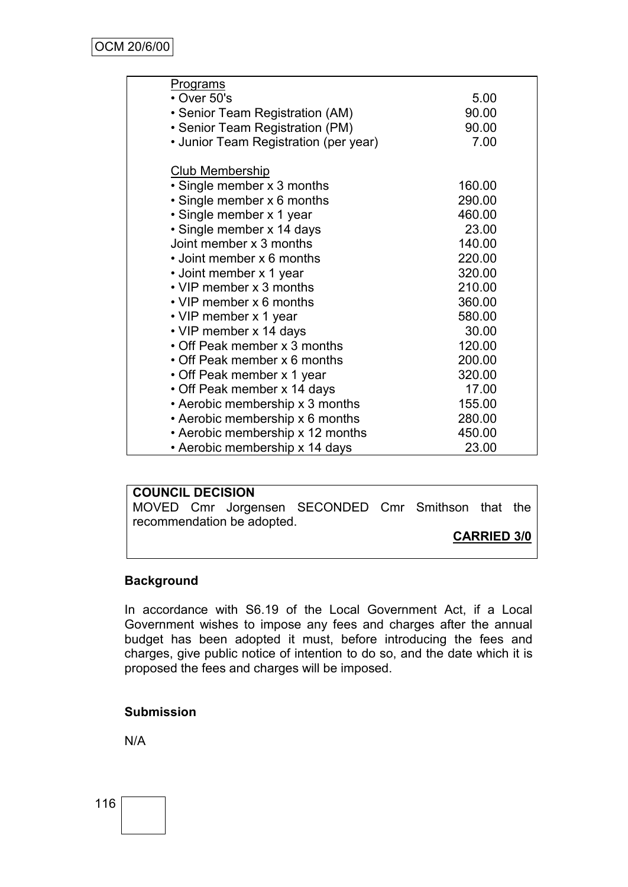| Programs                              |        |
|---------------------------------------|--------|
| $\cdot$ Over 50's                     | 5.00   |
| • Senior Team Registration (AM)       | 90.00  |
| • Senior Team Registration (PM)       | 90.00  |
| • Junior Team Registration (per year) | 7.00   |
| <b>Club Membership</b>                |        |
| • Single member x 3 months            | 160.00 |
| · Single member x 6 months            | 290.00 |
| • Single member x 1 year              | 460.00 |
| · Single member x 14 days             | 23.00  |
| Joint member x 3 months               | 140.00 |
| • Joint member x 6 months             | 220.00 |
| • Joint member x 1 year               | 320.00 |
| • VIP member x 3 months               | 210.00 |
| • VIP member x 6 months               | 360.00 |
| • VIP member x 1 year                 | 580.00 |
| • VIP member x 14 days                | 30.00  |
| • Off Peak member x 3 months          | 120.00 |
| • Off Peak member x 6 months          | 200.00 |
| • Off Peak member x 1 year            | 320.00 |
| • Off Peak member x 14 days           | 17.00  |
| • Aerobic membership x 3 months       | 155.00 |
| • Aerobic membership x 6 months       | 280.00 |
| • Aerobic membership x 12 months      | 450.00 |
| • Aerobic membership x 14 days        | 23.00  |

## **COUNCIL DECISION**

MOVED Cmr Jorgensen SECONDED Cmr Smithson that the recommendation be adopted.

#### **CARRIED 3/0**

## **Background**

In accordance with S6.19 of the Local Government Act, if a Local Government wishes to impose any fees and charges after the annual budget has been adopted it must, before introducing the fees and charges, give public notice of intention to do so, and the date which it is proposed the fees and charges will be imposed.

#### **Submission**

N/A

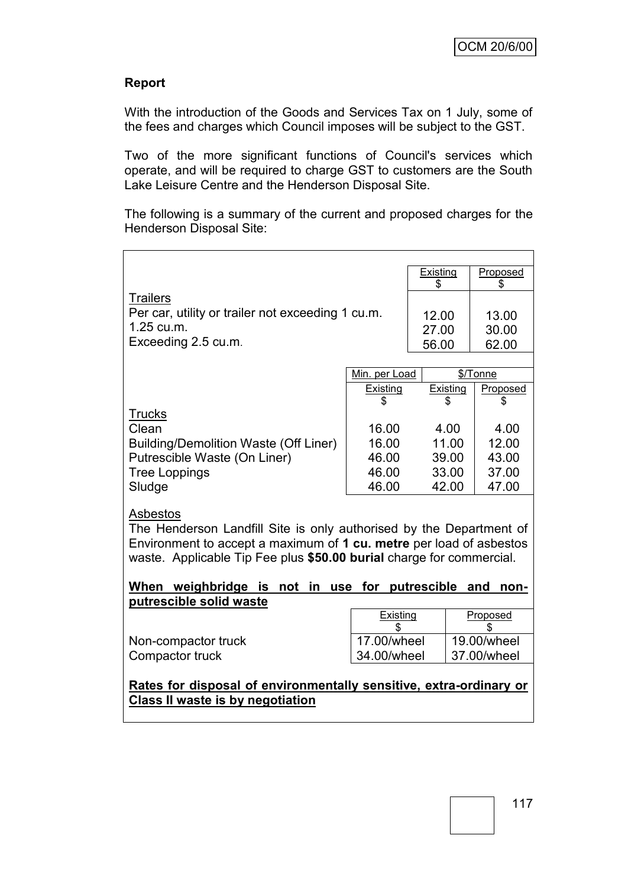## **Report**

With the introduction of the Goods and Services Tax on 1 July, some of the fees and charges which Council imposes will be subject to the GST.

Two of the more significant functions of Council's services which operate, and will be required to charge GST to customers are the South Lake Leisure Centre and the Henderson Disposal Site.

The following is a summary of the current and proposed charges for the Henderson Disposal Site:

|                                                                                                                                                                                                                                |                         | <b>Existing</b><br>\$ | Proposed<br>S |  |
|--------------------------------------------------------------------------------------------------------------------------------------------------------------------------------------------------------------------------------|-------------------------|-----------------------|---------------|--|
| <b>Trailers</b>                                                                                                                                                                                                                |                         |                       |               |  |
| Per car, utility or trailer not exceeding 1 cu.m.                                                                                                                                                                              |                         | 12.00                 | 13.00         |  |
| 1.25 cu.m.                                                                                                                                                                                                                     |                         | 27.00                 | 30.00         |  |
| Exceeding 2.5 cu.m.                                                                                                                                                                                                            |                         | 56.00                 | 62.00         |  |
|                                                                                                                                                                                                                                |                         |                       |               |  |
|                                                                                                                                                                                                                                | Min. per Load           |                       | \$/Tonne      |  |
|                                                                                                                                                                                                                                | <b>Existing</b>         | Existing              | Proposed      |  |
|                                                                                                                                                                                                                                | S                       |                       | S             |  |
| <u>Trucks</u>                                                                                                                                                                                                                  |                         |                       |               |  |
| Clean                                                                                                                                                                                                                          | 16.00                   | 4.00                  | 4.00          |  |
| <b>Building/Demolition Waste (Off Liner)</b>                                                                                                                                                                                   | 16.00                   | 11.00                 | 12.00         |  |
| Putrescible Waste (On Liner)                                                                                                                                                                                                   | 46.00                   | 39.00                 | 43.00         |  |
| <b>Tree Loppings</b>                                                                                                                                                                                                           | 46.00                   | 33.00                 | 37.00         |  |
| Sludge                                                                                                                                                                                                                         | 46.00                   | 42.00                 | 47.00         |  |
| Asbestos<br>The Henderson Landfill Site is only authorised by the Department of<br>Environment to accept a maximum of 1 cu. metre per load of asbestos<br>waste. Applicable Tip Fee plus \$50.00 burial charge for commercial. |                         |                       |               |  |
| When weighbridge is not in                                                                                                                                                                                                     | use for putrescible and |                       | non-          |  |
| putrescible solid waste                                                                                                                                                                                                        |                         |                       |               |  |
|                                                                                                                                                                                                                                | Existing                |                       | Proposed      |  |
| Non-compactor truck                                                                                                                                                                                                            | 17.00/wheel             |                       | 19.00/wheel   |  |
| Compactor truck                                                                                                                                                                                                                | 34.00/wheel             |                       | 37.00/wheel   |  |
| Rates for disposal of environmentally sensitive, extra-ordinary or<br>Class II waste is by negotiation                                                                                                                         |                         |                       |               |  |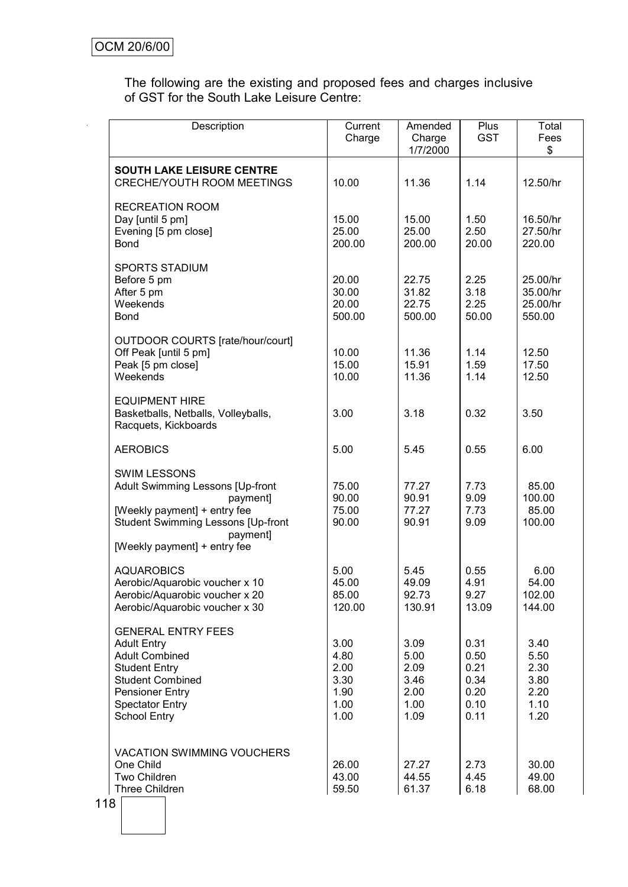The following are the existing and proposed fees and charges inclusive of GST for the South Lake Leisure Centre:

| Description                                                                                                                                                                                            | Current<br>Charge                                    | Amended<br>Charge<br>1/7/2000                        | Plus<br><b>GST</b>                                   | Total<br>Fees<br>\$                                  |
|--------------------------------------------------------------------------------------------------------------------------------------------------------------------------------------------------------|------------------------------------------------------|------------------------------------------------------|------------------------------------------------------|------------------------------------------------------|
| <b>SOUTH LAKE LEISURE CENTRE</b><br><b>CRECHE/YOUTH ROOM MEETINGS</b>                                                                                                                                  | 10.00                                                | 11.36                                                | 1.14                                                 | 12.50/hr                                             |
| <b>RECREATION ROOM</b><br>Day [until 5 pm]<br>Evening [5 pm close]<br><b>Bond</b>                                                                                                                      | 15.00<br>25.00<br>200.00                             | 15.00<br>25.00<br>200.00                             | 1.50<br>2.50<br>20.00                                | 16.50/hr<br>27.50/hr<br>220.00                       |
| SPORTS STADIUM<br>Before 5 pm<br>After 5 pm<br>Weekends<br><b>Bond</b>                                                                                                                                 | 20.00<br>30.00<br>20.00<br>500.00                    | 22.75<br>31.82<br>22.75<br>500.00                    | 2.25<br>3.18<br>2.25<br>50.00                        | 25.00/hr<br>35.00/hr<br>25.00/hr<br>550.00           |
| OUTDOOR COURTS [rate/hour/court]<br>Off Peak [until 5 pm]<br>Peak [5 pm close]<br>Weekends                                                                                                             | 10.00<br>15.00<br>10.00                              | 11.36<br>15.91<br>11.36                              | 1.14<br>1.59<br>1.14                                 | 12.50<br>17.50<br>12.50                              |
| <b>EQUIPMENT HIRE</b><br>Basketballs, Netballs, Volleyballs,<br>Racquets, Kickboards                                                                                                                   | 3.00                                                 | 3.18                                                 | 0.32                                                 | 3.50                                                 |
| <b>AEROBICS</b>                                                                                                                                                                                        | 5.00                                                 | 5.45                                                 | 0.55                                                 | 6.00                                                 |
| <b>SWIM LESSONS</b><br>Adult Swimming Lessons [Up-front<br>payment]<br>[Weekly payment] + entry fee<br><b>Student Swimming Lessons [Up-front</b><br>payment]<br>[Weekly payment] + entry fee           | 75.00<br>90.00<br>75.00<br>90.00                     | 77.27<br>90.91<br>77.27<br>90.91                     | 7.73<br>9.09<br>7.73<br>9.09                         | 85.00<br>100.00<br>85.00<br>100.00                   |
| <b>AQUAROBICS</b><br>Aerobic/Aquarobic voucher x 10<br>Aerobic/Aquarobic voucher x 20<br>Aerobic/Aquarobic voucher x 30                                                                                | 5.00<br>45.00<br>85.00<br>120.00                     | 5.45<br>49.09<br>92.73<br>130.91                     | 0.55<br>4.91<br>9.27<br>13.09                        | 6.00<br>54.00<br>102.00<br>144.00                    |
| <b>GENERAL ENTRY FEES</b><br><b>Adult Entry</b><br><b>Adult Combined</b><br><b>Student Entry</b><br><b>Student Combined</b><br><b>Pensioner Entry</b><br><b>Spectator Entry</b><br><b>School Entry</b> | 3.00<br>4.80<br>2.00<br>3.30<br>1.90<br>1.00<br>1.00 | 3.09<br>5.00<br>2.09<br>3.46<br>2.00<br>1.00<br>1.09 | 0.31<br>0.50<br>0.21<br>0.34<br>0.20<br>0.10<br>0.11 | 3.40<br>5.50<br>2.30<br>3.80<br>2.20<br>1.10<br>1.20 |
| <b>VACATION SWIMMING VOUCHERS</b><br>One Child<br>Two Children<br>Three Children                                                                                                                       | 26.00<br>43.00<br>59.50                              | 27.27<br>44.55<br>61.37                              | 2.73<br>4.45<br>6.18                                 | 30.00<br>49.00<br>68.00                              |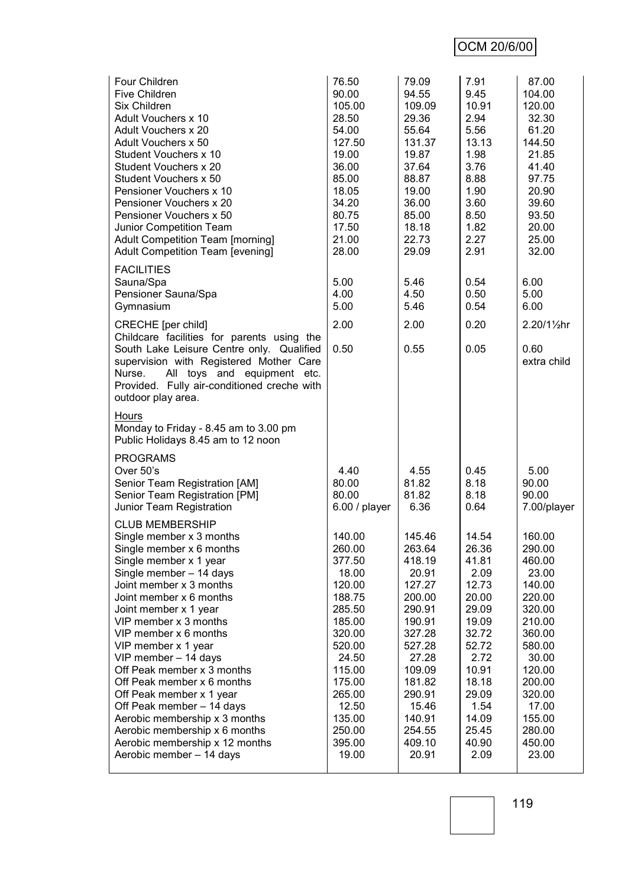# OCM 20/6/00

| Four Children<br><b>Five Children</b><br>Six Children<br>Adult Vouchers x 10<br>Adult Vouchers x 20<br>Adult Vouchers x 50<br>Student Vouchers x 10<br>Student Vouchers x 20<br>Student Vouchers x 50<br>Pensioner Vouchers x 10<br>Pensioner Vouchers x 20<br>Pensioner Vouchers x 50<br>Junior Competition Team<br><b>Adult Competition Team [morning]</b><br><b>Adult Competition Team [evening]</b>                                                                                                                                                                  | 76.50<br>90.00<br>105.00<br>28.50<br>54.00<br>127.50<br>19.00<br>36.00<br>85.00<br>18.05<br>34.20<br>80.75<br>17.50<br>21.00<br>28.00                                                  | 79.09<br>94.55<br>109.09<br>29.36<br>55.64<br>131.37<br>19.87<br>37.64<br>88.87<br>19.00<br>36.00<br>85.00<br>18.18<br>22.73<br>29.09                                                  | 7.91<br>9.45<br>10.91<br>2.94<br>5.56<br>13.13<br>1.98<br>3.76<br>8.88<br>1.90<br>3.60<br>8.50<br>1.82<br>2.27<br>2.91                                              | 87.00<br>104.00<br>120.00<br>32.30<br>61.20<br>144.50<br>21.85<br>41.40<br>97.75<br>20.90<br>39.60<br>93.50<br>20.00<br>25.00<br>32.00                                                 |
|--------------------------------------------------------------------------------------------------------------------------------------------------------------------------------------------------------------------------------------------------------------------------------------------------------------------------------------------------------------------------------------------------------------------------------------------------------------------------------------------------------------------------------------------------------------------------|----------------------------------------------------------------------------------------------------------------------------------------------------------------------------------------|----------------------------------------------------------------------------------------------------------------------------------------------------------------------------------------|---------------------------------------------------------------------------------------------------------------------------------------------------------------------|----------------------------------------------------------------------------------------------------------------------------------------------------------------------------------------|
| <b>FACILITIES</b><br>Sauna/Spa<br>Pensioner Sauna/Spa<br>Gymnasium                                                                                                                                                                                                                                                                                                                                                                                                                                                                                                       | 5.00<br>4.00<br>5.00                                                                                                                                                                   | 5.46<br>4.50<br>5.46                                                                                                                                                                   | 0.54<br>0.50<br>0.54                                                                                                                                                | 6.00<br>5.00<br>6.00                                                                                                                                                                   |
| <b>CRECHE</b> [per child]<br>Childcare facilities for parents using the<br>South Lake Leisure Centre only. Qualified<br>supervision with Registered Mother Care<br>All toys and equipment etc.<br>Nurse.<br>Provided. Fully air-conditioned creche with<br>outdoor play area.                                                                                                                                                                                                                                                                                            | 2.00<br>0.50                                                                                                                                                                           | 2.00<br>0.55                                                                                                                                                                           | 0.20<br>0.05                                                                                                                                                        | 2.20/11/2hr<br>0.60<br>extra child                                                                                                                                                     |
| Hours<br>Monday to Friday - 8.45 am to 3.00 pm<br>Public Holidays 8.45 am to 12 noon                                                                                                                                                                                                                                                                                                                                                                                                                                                                                     |                                                                                                                                                                                        |                                                                                                                                                                                        |                                                                                                                                                                     |                                                                                                                                                                                        |
| <b>PROGRAMS</b><br>Over 50's<br>Senior Team Registration [AM]<br>Senior Team Registration [PM]<br>Junior Team Registration                                                                                                                                                                                                                                                                                                                                                                                                                                               | 4.40<br>80.00<br>80.00<br>6.00 / player                                                                                                                                                | 4.55<br>81.82<br>81.82<br>6.36                                                                                                                                                         | 0.45<br>8.18<br>8.18<br>0.64                                                                                                                                        | 5.00<br>90.00<br>90.00<br>7.00/player                                                                                                                                                  |
| <b>CLUB MEMBERSHIP</b><br>Single member x 3 months<br>Single member x 6 months<br>Single member x 1 year<br>Single member - 14 days<br>Joint member x 3 months<br>Joint member x 6 months<br>Joint member x 1 year<br>VIP member x 3 months<br>VIP member x 6 months<br>VIP member x 1 year<br>VIP member - 14 days<br>Off Peak member x 3 months<br>Off Peak member x 6 months<br>Off Peak member x 1 year<br>Off Peak member - 14 days<br>Aerobic membership x 3 months<br>Aerobic membership x 6 months<br>Aerobic membership x 12 months<br>Aerobic member - 14 days | 140.00<br>260.00<br>377.50<br>18.00<br>120.00<br>188.75<br>285.50<br>185.00<br>320.00<br>520.00<br>24.50<br>115.00<br>175.00<br>265.00<br>12.50<br>135.00<br>250.00<br>395.00<br>19.00 | 145.46<br>263.64<br>418.19<br>20.91<br>127.27<br>200.00<br>290.91<br>190.91<br>327.28<br>527.28<br>27.28<br>109.09<br>181.82<br>290.91<br>15.46<br>140.91<br>254.55<br>409.10<br>20.91 | 14.54<br>26.36<br>41.81<br>2.09<br>12.73<br>20.00<br>29.09<br>19.09<br>32.72<br>52.72<br>2.72<br>10.91<br>18.18<br>29.09<br>1.54<br>14.09<br>25.45<br>40.90<br>2.09 | 160.00<br>290.00<br>460.00<br>23.00<br>140.00<br>220.00<br>320.00<br>210.00<br>360.00<br>580.00<br>30.00<br>120.00<br>200.00<br>320.00<br>17.00<br>155.00<br>280.00<br>450.00<br>23.00 |

119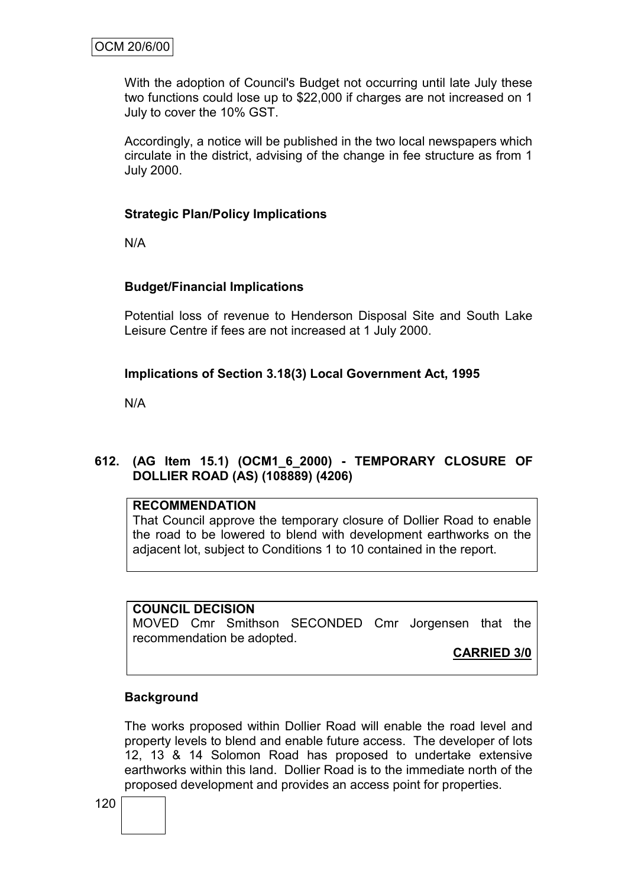With the adoption of Council's Budget not occurring until late July these two functions could lose up to \$22,000 if charges are not increased on 1 July to cover the 10% GST.

Accordingly, a notice will be published in the two local newspapers which circulate in the district, advising of the change in fee structure as from 1 July 2000.

## **Strategic Plan/Policy Implications**

N/A

## **Budget/Financial Implications**

Potential loss of revenue to Henderson Disposal Site and South Lake Leisure Centre if fees are not increased at 1 July 2000.

## **Implications of Section 3.18(3) Local Government Act, 1995**

N/A

## **612. (AG Item 15.1) (OCM1\_6\_2000) - TEMPORARY CLOSURE OF DOLLIER ROAD (AS) (108889) (4206)**

## **RECOMMENDATION**

That Council approve the temporary closure of Dollier Road to enable the road to be lowered to blend with development earthworks on the adjacent lot, subject to Conditions 1 to 10 contained in the report.

## **COUNCIL DECISION**

MOVED Cmr Smithson SECONDED Cmr Jorgensen that the recommendation be adopted.

**CARRIED 3/0**

## **Background**

The works proposed within Dollier Road will enable the road level and property levels to blend and enable future access. The developer of lots 12, 13 & 14 Solomon Road has proposed to undertake extensive earthworks within this land. Dollier Road is to the immediate north of the proposed development and provides an access point for properties.

120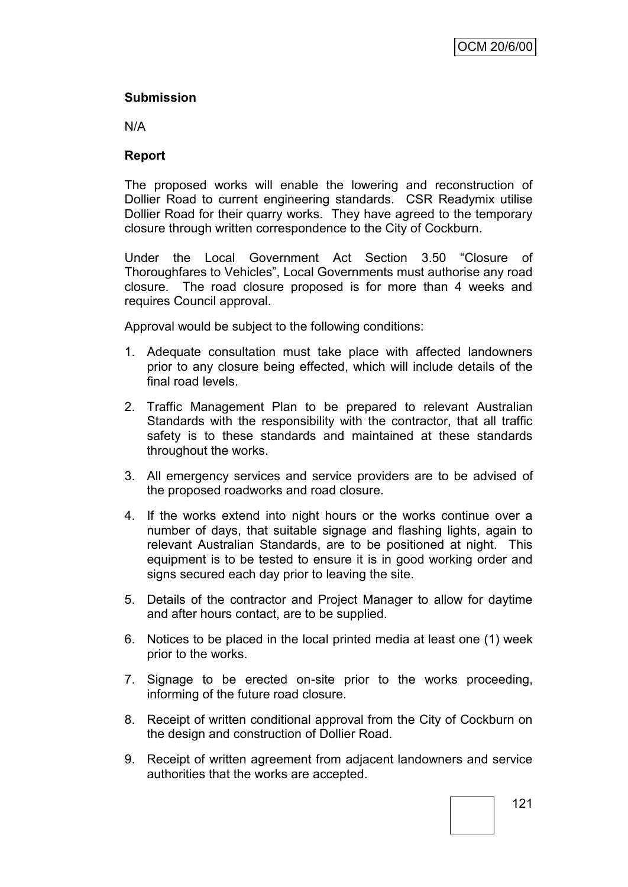## **Submission**

N/A

## **Report**

The proposed works will enable the lowering and reconstruction of Dollier Road to current engineering standards. CSR Readymix utilise Dollier Road for their quarry works. They have agreed to the temporary closure through written correspondence to the City of Cockburn.

Under the Local Government Act Section 3.50 "Closure of Thoroughfares to Vehicles", Local Governments must authorise any road closure. The road closure proposed is for more than 4 weeks and requires Council approval.

Approval would be subject to the following conditions:

- 1. Adequate consultation must take place with affected landowners prior to any closure being effected, which will include details of the final road levels.
- 2. Traffic Management Plan to be prepared to relevant Australian Standards with the responsibility with the contractor, that all traffic safety is to these standards and maintained at these standards throughout the works.
- 3. All emergency services and service providers are to be advised of the proposed roadworks and road closure.
- 4. If the works extend into night hours or the works continue over a number of days, that suitable signage and flashing lights, again to relevant Australian Standards, are to be positioned at night. This equipment is to be tested to ensure it is in good working order and signs secured each day prior to leaving the site.
- 5. Details of the contractor and Project Manager to allow for daytime and after hours contact, are to be supplied.
- 6. Notices to be placed in the local printed media at least one (1) week prior to the works.
- 7. Signage to be erected on-site prior to the works proceeding, informing of the future road closure.
- 8. Receipt of written conditional approval from the City of Cockburn on the design and construction of Dollier Road.
- 9. Receipt of written agreement from adjacent landowners and service authorities that the works are accepted.

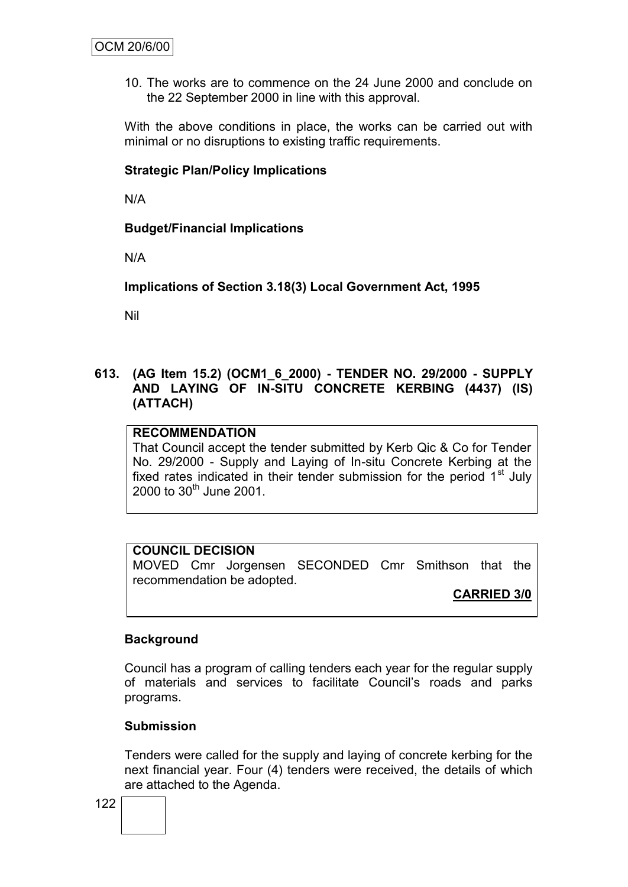10. The works are to commence on the 24 June 2000 and conclude on the 22 September 2000 in line with this approval.

With the above conditions in place, the works can be carried out with minimal or no disruptions to existing traffic requirements.

#### **Strategic Plan/Policy Implications**

N/A

**Budget/Financial Implications**

N/A

**Implications of Section 3.18(3) Local Government Act, 1995**

Nil

## **613. (AG Item 15.2) (OCM1\_6\_2000) - TENDER NO. 29/2000 - SUPPLY AND LAYING OF IN-SITU CONCRETE KERBING (4437) (IS) (ATTACH)**

## **RECOMMENDATION**

That Council accept the tender submitted by Kerb Qic & Co for Tender No. 29/2000 - Supply and Laying of In-situ Concrete Kerbing at the fixed rates indicated in their tender submission for the period  $1<sup>st</sup>$  July 2000 to  $30^{th}$  June 2001.

## **COUNCIL DECISION**

MOVED Cmr Jorgensen SECONDED Cmr Smithson that the recommendation be adopted.

**CARRIED 3/0**

#### **Background**

Council has a program of calling tenders each year for the regular supply of materials and services to facilitate Council"s roads and parks programs.

#### **Submission**

Tenders were called for the supply and laying of concrete kerbing for the next financial year. Four (4) tenders were received, the details of which are attached to the Agenda.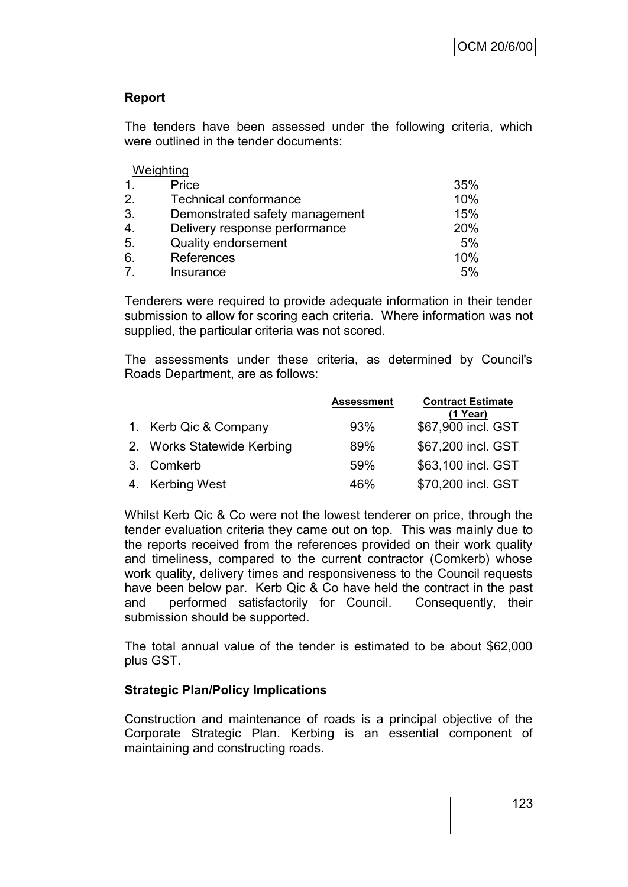## **Report**

The tenders have been assessed under the following criteria, which were outlined in the tender documents:

|                  | Weighting                      |     |
|------------------|--------------------------------|-----|
| $\mathbf 1$      | Price                          | 35% |
| 2.               | <b>Technical conformance</b>   | 10% |
| 3.               | Demonstrated safety management | 15% |
| $\overline{4}$ . | Delivery response performance  | 20% |
| 5.               | <b>Quality endorsement</b>     | 5%  |
| 6.               | References                     | 10% |
| $\overline{7}$   | Insurance                      | 5%  |

Tenderers were required to provide adequate information in their tender submission to allow for scoring each criteria. Where information was not supplied, the particular criteria was not scored.

The assessments under these criteria, as determined by Council's Roads Department, are as follows:

|                            | <b>Assessment</b> | <b>Contract Estimate</b><br>$(1$ Year) |
|----------------------------|-------------------|----------------------------------------|
| 1. Kerb Qic & Company      | 93%               | \$67,900 incl. GST                     |
| 2. Works Statewide Kerbing | 89%               | \$67,200 incl. GST                     |
| 3. Comkerb                 | 59%               | \$63,100 incl. GST                     |
| 4. Kerbing West            | 46%               | \$70,200 incl. GST                     |

Whilst Kerb Qic & Co were not the lowest tenderer on price, through the tender evaluation criteria they came out on top. This was mainly due to the reports received from the references provided on their work quality and timeliness, compared to the current contractor (Comkerb) whose work quality, delivery times and responsiveness to the Council requests have been below par. Kerb Qic & Co have held the contract in the past and performed satisfactorily for Council. Consequently, their submission should be supported.

The total annual value of the tender is estimated to be about \$62,000 plus GST.

## **Strategic Plan/Policy Implications**

Construction and maintenance of roads is a principal objective of the Corporate Strategic Plan. Kerbing is an essential component of maintaining and constructing roads.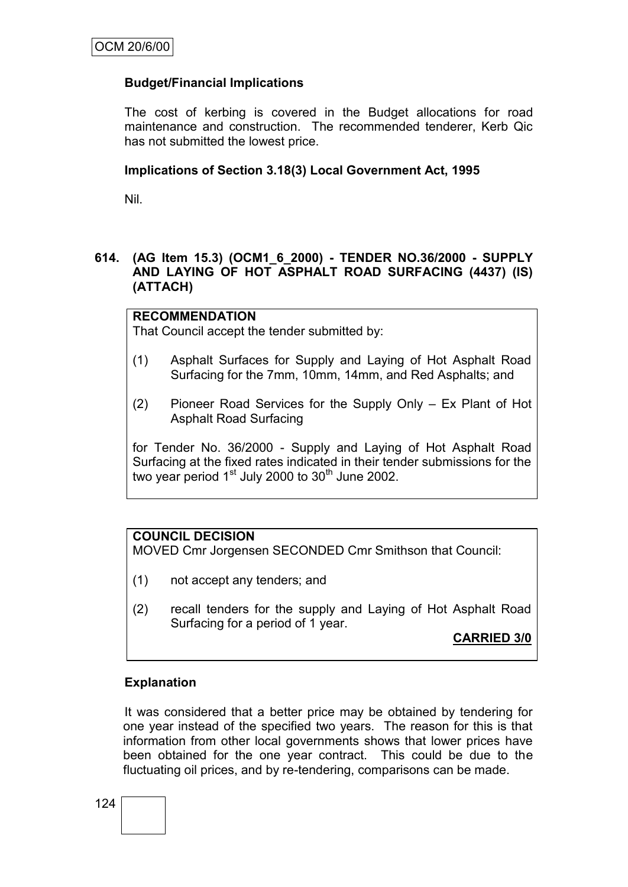## **Budget/Financial Implications**

The cost of kerbing is covered in the Budget allocations for road maintenance and construction. The recommended tenderer, Kerb Qic has not submitted the lowest price.

## **Implications of Section 3.18(3) Local Government Act, 1995**

Nil.

## **614. (AG Item 15.3) (OCM1\_6\_2000) - TENDER NO.36/2000 - SUPPLY AND LAYING OF HOT ASPHALT ROAD SURFACING (4437) (IS) (ATTACH)**

## **RECOMMENDATION**

That Council accept the tender submitted by:

- (1) Asphalt Surfaces for Supply and Laying of Hot Asphalt Road Surfacing for the 7mm, 10mm, 14mm, and Red Asphalts; and
- (2) Pioneer Road Services for the Supply Only Ex Plant of Hot Asphalt Road Surfacing

for Tender No. 36/2000 - Supply and Laying of Hot Asphalt Road Surfacing at the fixed rates indicated in their tender submissions for the two year period  $1<sup>st</sup>$  July 2000 to  $30<sup>th</sup>$  June 2002.

## **COUNCIL DECISION**

MOVED Cmr Jorgensen SECONDED Cmr Smithson that Council:

- (1) not accept any tenders; and
- (2) recall tenders for the supply and Laying of Hot Asphalt Road Surfacing for a period of 1 year.

**CARRIED 3/0**

## **Explanation**

It was considered that a better price may be obtained by tendering for one year instead of the specified two years. The reason for this is that information from other local governments shows that lower prices have been obtained for the one year contract. This could be due to the fluctuating oil prices, and by re-tendering, comparisons can be made.

124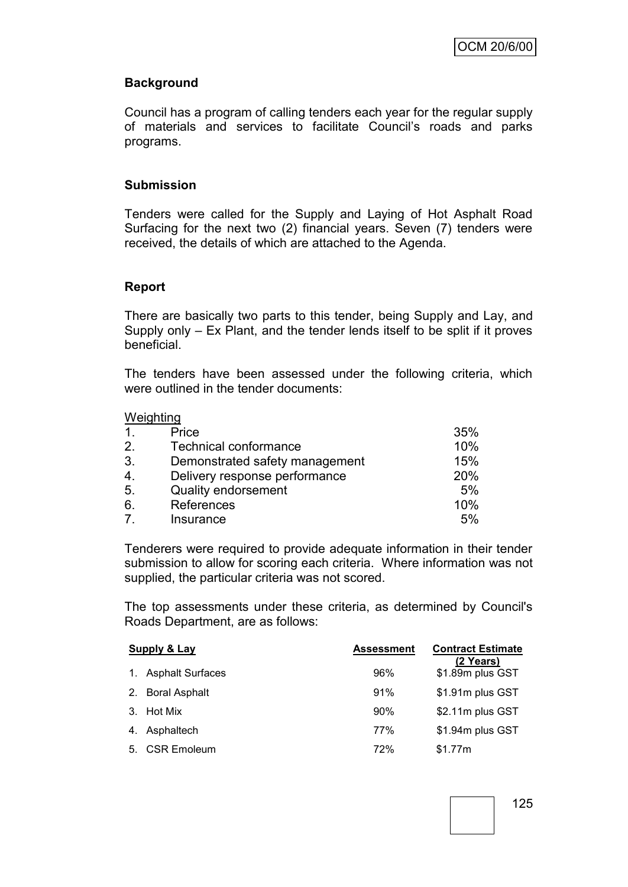## **Background**

Council has a program of calling tenders each year for the regular supply of materials and services to facilitate Council"s roads and parks programs.

#### **Submission**

Tenders were called for the Supply and Laying of Hot Asphalt Road Surfacing for the next two (2) financial years. Seven (7) tenders were received, the details of which are attached to the Agenda.

#### **Report**

There are basically two parts to this tender, being Supply and Lay, and Supply only – Ex Plant, and the tender lends itself to be split if it proves beneficial.

The tenders have been assessed under the following criteria, which were outlined in the tender documents:

#### Weighting

| $\mathbf{1}$ . | Price                          | 35% |
|----------------|--------------------------------|-----|
| 2.             | <b>Technical conformance</b>   | 10% |
| 3.             | Demonstrated safety management | 15% |
| 4.             | Delivery response performance  | 20% |
| 5.             | <b>Quality endorsement</b>     | 5%  |
| 6.             | References                     | 10% |
| $\overline{7}$ | Insurance                      | 5%  |

Tenderers were required to provide adequate information in their tender submission to allow for scoring each criteria. Where information was not supplied, the particular criteria was not scored.

The top assessments under these criteria, as determined by Council's Roads Department, are as follows:

| <b>Supply &amp; Lay</b> |                         | <b>Assessment</b> | <b>Contract Estimate</b><br>(2 Years) |
|-------------------------|-------------------------|-------------------|---------------------------------------|
| $\mathbf{1}$ .          | <b>Asphalt Surfaces</b> | 96%               | \$1.89m plus GST                      |
|                         | 2. Boral Asphalt        | 91%               | \$1.91m plus GST                      |
|                         | 3. Hot Mix              | 90%               | \$2.11m plus GST                      |
|                         | 4. Asphaltech           | 77%               | \$1.94m plus GST                      |
|                         | 5. CSR Emoleum          | 72%               | \$1.77m                               |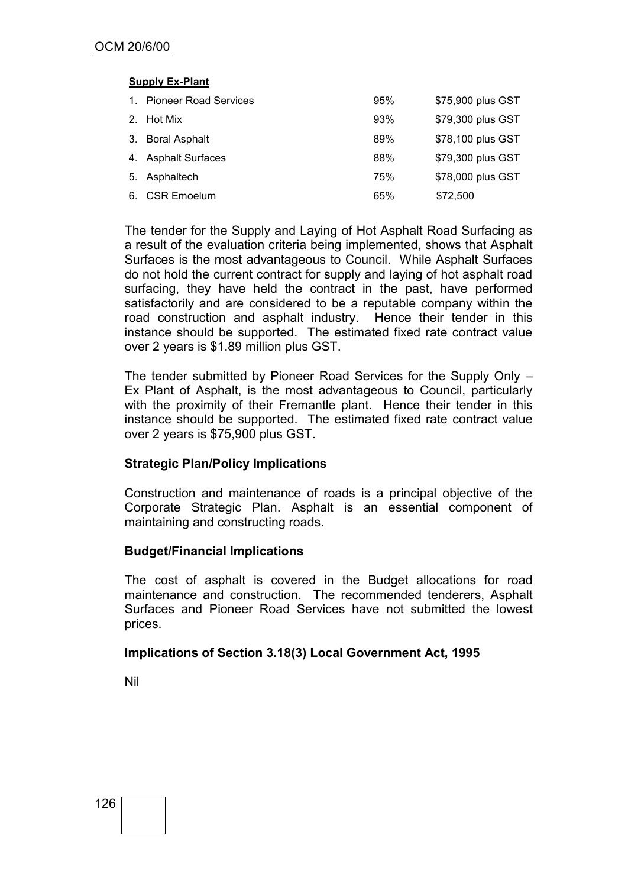#### **Supply Ex-Plant**

| $1_{\cdot}$ | <b>Pioneer Road Services</b> | 95% | \$75,900 plus GST |
|-------------|------------------------------|-----|-------------------|
|             | 2. Hot Mix                   | 93% | \$79,300 plus GST |
|             | 3. Boral Asphalt             | 89% | \$78,100 plus GST |
|             | 4. Asphalt Surfaces          | 88% | \$79,300 plus GST |
|             | 5. Asphaltech                | 75% | \$78,000 plus GST |
| 6.          | <b>CSR Emoelum</b>           | 65% | \$72,500          |

The tender for the Supply and Laying of Hot Asphalt Road Surfacing as a result of the evaluation criteria being implemented, shows that Asphalt Surfaces is the most advantageous to Council. While Asphalt Surfaces do not hold the current contract for supply and laying of hot asphalt road surfacing, they have held the contract in the past, have performed satisfactorily and are considered to be a reputable company within the road construction and asphalt industry. Hence their tender in this instance should be supported. The estimated fixed rate contract value over 2 years is \$1.89 million plus GST.

The tender submitted by Pioneer Road Services for the Supply Only – Ex Plant of Asphalt, is the most advantageous to Council, particularly with the proximity of their Fremantle plant. Hence their tender in this instance should be supported. The estimated fixed rate contract value over 2 years is \$75,900 plus GST.

## **Strategic Plan/Policy Implications**

Construction and maintenance of roads is a principal objective of the Corporate Strategic Plan. Asphalt is an essential component of maintaining and constructing roads.

## **Budget/Financial Implications**

The cost of asphalt is covered in the Budget allocations for road maintenance and construction. The recommended tenderers, Asphalt Surfaces and Pioneer Road Services have not submitted the lowest prices.

## **Implications of Section 3.18(3) Local Government Act, 1995**

Nil

126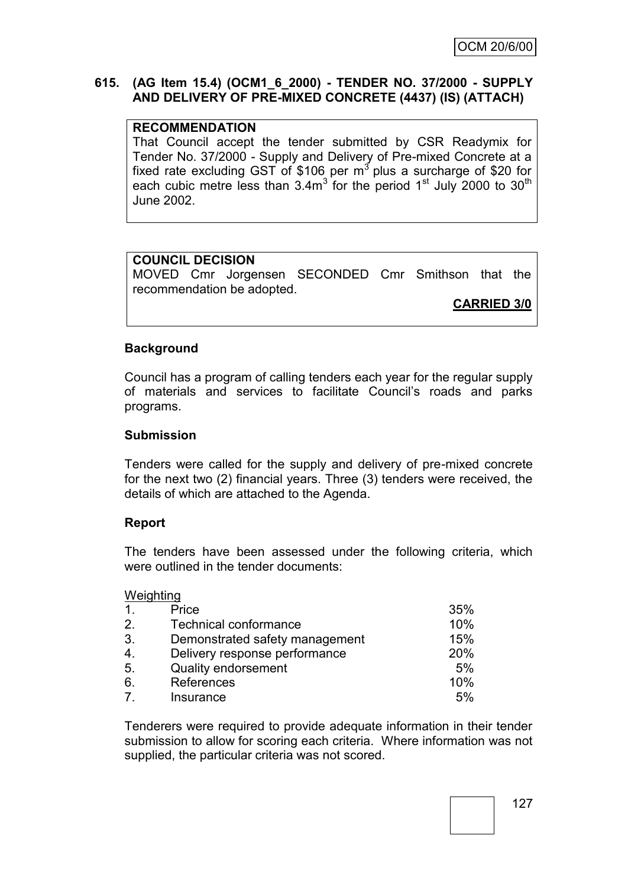## **615. (AG Item 15.4) (OCM1\_6\_2000) - TENDER NO. 37/2000 - SUPPLY AND DELIVERY OF PRE-MIXED CONCRETE (4437) (IS) (ATTACH)**

#### **RECOMMENDATION**

That Council accept the tender submitted by CSR Readymix for Tender No. 37/2000 - Supply and Delivery of Pre-mixed Concrete at a fixed rate excluding GST of \$106 per  $m<sup>3</sup>$  plus a surcharge of \$20 for each cubic metre less than  $3.4m<sup>3</sup>$  for the period 1<sup>st</sup> July 2000 to 30<sup>th</sup> June 2002.

#### **COUNCIL DECISION**

MOVED Cmr Jorgensen SECONDED Cmr Smithson that the recommendation be adopted.

**CARRIED 3/0**

#### **Background**

Council has a program of calling tenders each year for the regular supply of materials and services to facilitate Council"s roads and parks programs.

#### **Submission**

Tenders were called for the supply and delivery of pre-mixed concrete for the next two (2) financial years. Three (3) tenders were received, the details of which are attached to the Agenda.

#### **Report**

The tenders have been assessed under the following criteria, which were outlined in the tender documents:

#### **Weighting**

| $\mathbf{1}$ .   | Price                          | 35% |
|------------------|--------------------------------|-----|
| 2.               | <b>Technical conformance</b>   | 10% |
| 3.               | Demonstrated safety management | 15% |
| $\overline{4}$ . | Delivery response performance  | 20% |
| 5.               | Quality endorsement            | 5%  |
| 6.               | References                     | 10% |
| $\overline{7}$   | Insurance                      | 5%  |

Tenderers were required to provide adequate information in their tender submission to allow for scoring each criteria. Where information was not supplied, the particular criteria was not scored.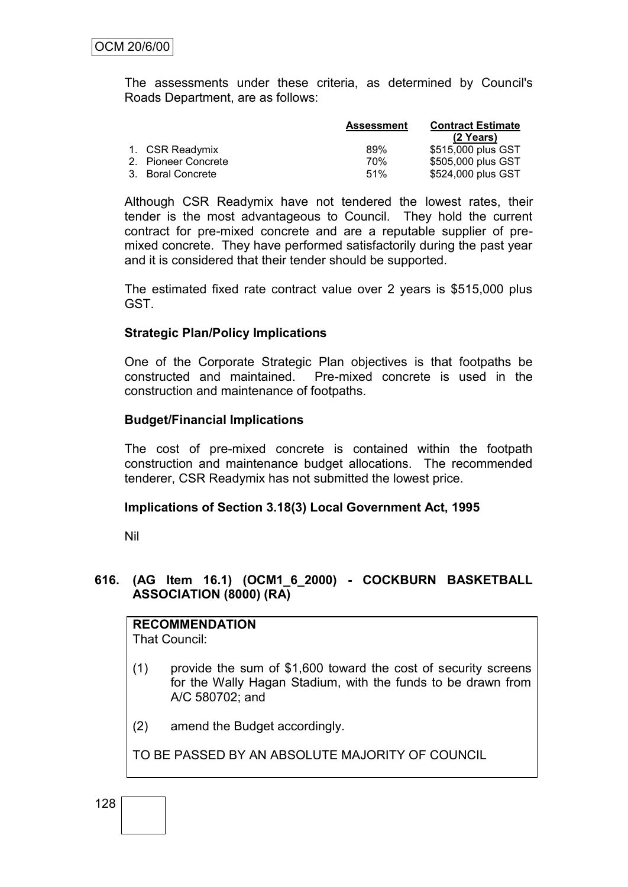The assessments under these criteria, as determined by Council's Roads Department, are as follows:

|                     | <b>Assessment</b> | <b>Contract Estimate</b> |
|---------------------|-------------------|--------------------------|
|                     |                   | (2 Years)                |
| 1. CSR Readymix     | 89%               | \$515,000 plus GST       |
| 2. Pioneer Concrete | 70%               | \$505,000 plus GST       |
| 3. Boral Concrete   | 51%               | \$524,000 plus GST       |

Although CSR Readymix have not tendered the lowest rates, their tender is the most advantageous to Council. They hold the current contract for pre-mixed concrete and are a reputable supplier of premixed concrete. They have performed satisfactorily during the past year and it is considered that their tender should be supported.

The estimated fixed rate contract value over 2 years is \$515,000 plus GST.

#### **Strategic Plan/Policy Implications**

One of the Corporate Strategic Plan objectives is that footpaths be constructed and maintained. Pre-mixed concrete is used in the construction and maintenance of footpaths.

#### **Budget/Financial Implications**

The cost of pre-mixed concrete is contained within the footpath construction and maintenance budget allocations. The recommended tenderer, CSR Readymix has not submitted the lowest price.

#### **Implications of Section 3.18(3) Local Government Act, 1995**

Nil

#### **616. (AG Item 16.1) (OCM1\_6\_2000) - COCKBURN BASKETBALL ASSOCIATION (8000) (RA)**

# **RECOMMENDATION**

That Council:

- (1) provide the sum of \$1,600 toward the cost of security screens for the Wally Hagan Stadium, with the funds to be drawn from A/C 580702; and
- (2) amend the Budget accordingly.

TO BE PASSED BY AN ABSOLUTE MAJORITY OF COUNCIL

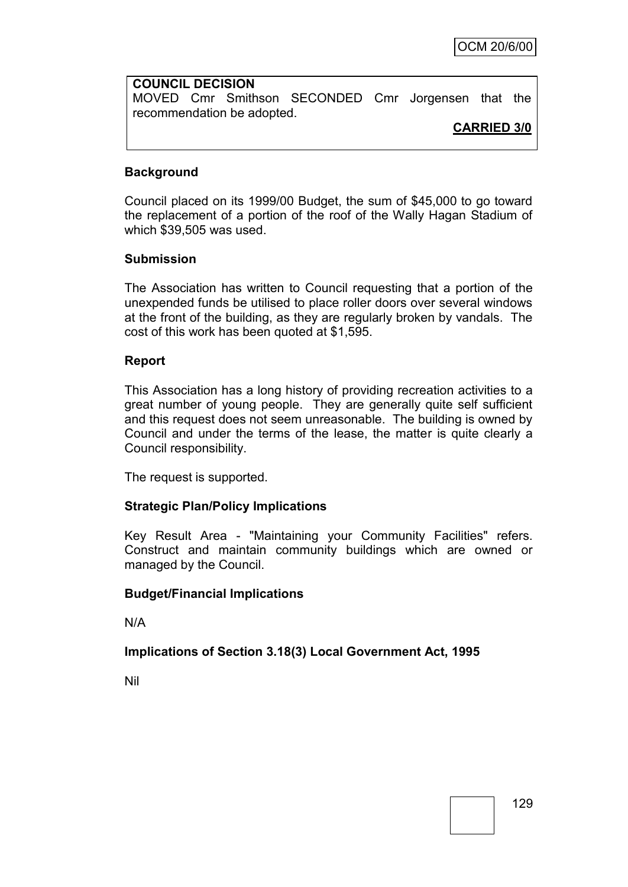# **COUNCIL DECISION** MOVED Cmr Smithson SECONDED Cmr Jorgensen that the recommendation be adopted.

## **CARRIED 3/0**

## **Background**

Council placed on its 1999/00 Budget, the sum of \$45,000 to go toward the replacement of a portion of the roof of the Wally Hagan Stadium of which \$39,505 was used.

## **Submission**

The Association has written to Council requesting that a portion of the unexpended funds be utilised to place roller doors over several windows at the front of the building, as they are regularly broken by vandals. The cost of this work has been quoted at \$1,595.

#### **Report**

This Association has a long history of providing recreation activities to a great number of young people. They are generally quite self sufficient and this request does not seem unreasonable. The building is owned by Council and under the terms of the lease, the matter is quite clearly a Council responsibility.

The request is supported.

## **Strategic Plan/Policy Implications**

Key Result Area - "Maintaining your Community Facilities" refers. Construct and maintain community buildings which are owned or managed by the Council.

#### **Budget/Financial Implications**

N/A

## **Implications of Section 3.18(3) Local Government Act, 1995**

Nil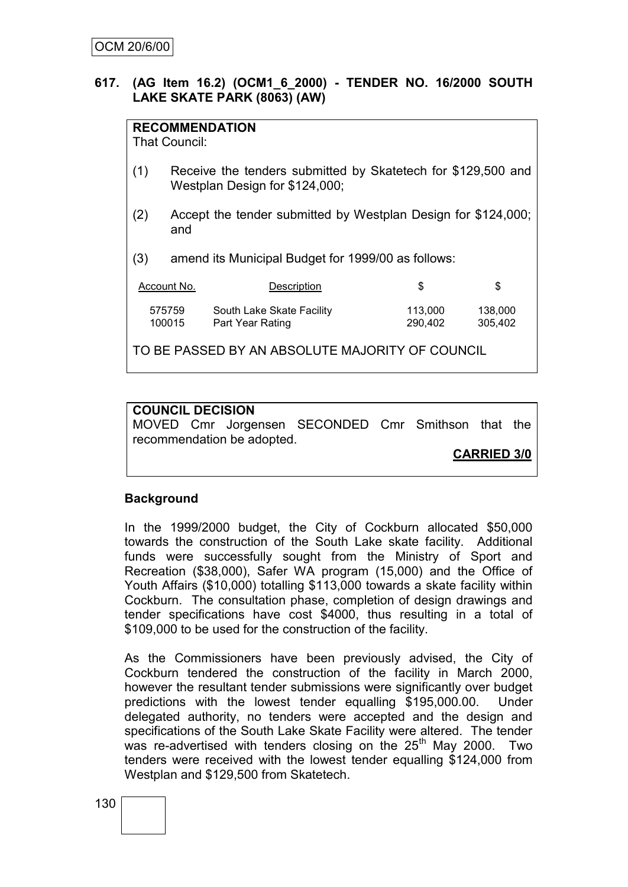## **617. (AG Item 16.2) (OCM1\_6\_2000) - TENDER NO. 16/2000 SOUTH LAKE SKATE PARK (8063) (AW)**

| <b>RECOMMENDATION</b><br>That Council:                    |                                                                                                |                                               |                    |                    |
|-----------------------------------------------------------|------------------------------------------------------------------------------------------------|-----------------------------------------------|--------------------|--------------------|
| (1)                                                       | Receive the tenders submitted by Skatetech for \$129,500 and<br>Westplan Design for \$124,000; |                                               |                    |                    |
| (2)                                                       | Accept the tender submitted by Westplan Design for \$124,000;<br>and                           |                                               |                    |                    |
| amend its Municipal Budget for 1999/00 as follows:<br>(3) |                                                                                                |                                               |                    |                    |
| Account No.<br>\$<br>\$<br>Description                    |                                                                                                |                                               |                    |                    |
|                                                           | 575759<br>100015                                                                               | South Lake Skate Facility<br>Part Year Rating | 113,000<br>290,402 | 138,000<br>305,402 |
| TO BE PASSED BY AN ABSOLUTE MAJORITY OF COUNCIL           |                                                                                                |                                               |                    |                    |

## **COUNCIL DECISION**

MOVED Cmr Jorgensen SECONDED Cmr Smithson that the recommendation be adopted.

**CARRIED 3/0**

## **Background**

In the 1999/2000 budget, the City of Cockburn allocated \$50,000 towards the construction of the South Lake skate facility. Additional funds were successfully sought from the Ministry of Sport and Recreation (\$38,000), Safer WA program (15,000) and the Office of Youth Affairs (\$10,000) totalling \$113,000 towards a skate facility within Cockburn. The consultation phase, completion of design drawings and tender specifications have cost \$4000, thus resulting in a total of \$109,000 to be used for the construction of the facility.

As the Commissioners have been previously advised, the City of Cockburn tendered the construction of the facility in March 2000, however the resultant tender submissions were significantly over budget predictions with the lowest tender equalling \$195,000.00. Under delegated authority, no tenders were accepted and the design and specifications of the South Lake Skate Facility were altered. The tender was re-advertised with tenders closing on the 25<sup>th</sup> May 2000. Two tenders were received with the lowest tender equalling \$124,000 from Westplan and \$129,500 from Skatetech.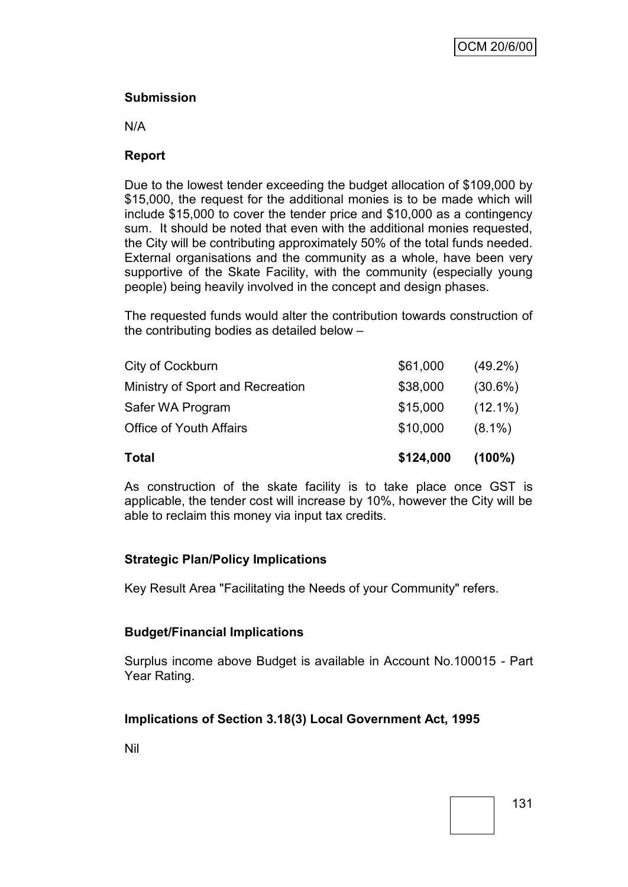## **Submission**

N/A

## **Report**

Due to the lowest tender exceeding the budget allocation of \$109,000 by \$15,000, the request for the additional monies is to be made which will include \$15,000 to cover the tender price and \$10,000 as a contingency sum. It should be noted that even with the additional monies requested, the City will be contributing approximately 50% of the total funds needed. External organisations and the community as a whole, have been very supportive of the Skate Facility, with the community (especially young people) being heavily involved in the concept and design phases.

The requested funds would alter the contribution towards construction of the contributing bodies as detailed below –

| Total                            | \$124,000 | $(100\%)$  |
|----------------------------------|-----------|------------|
| <b>Office of Youth Affairs</b>   | \$10,000  | $(8.1\%)$  |
| Safer WA Program                 | \$15,000  | $(12.1\%)$ |
| Ministry of Sport and Recreation | \$38,000  | $(30.6\%)$ |
| City of Cockburn                 | \$61,000  | $(49.2\%)$ |

As construction of the skate facility is to take place once GST is applicable, the tender cost will increase by 10%, however the City will be able to reclaim this money via input tax credits.

## **Strategic Plan/Policy Implications**

Key Result Area "Facilitating the Needs of your Community" refers.

## **Budget/Financial Implications**

Surplus income above Budget is available in Account No.100015 - Part Year Rating.

## **Implications of Section 3.18(3) Local Government Act, 1995**

Nil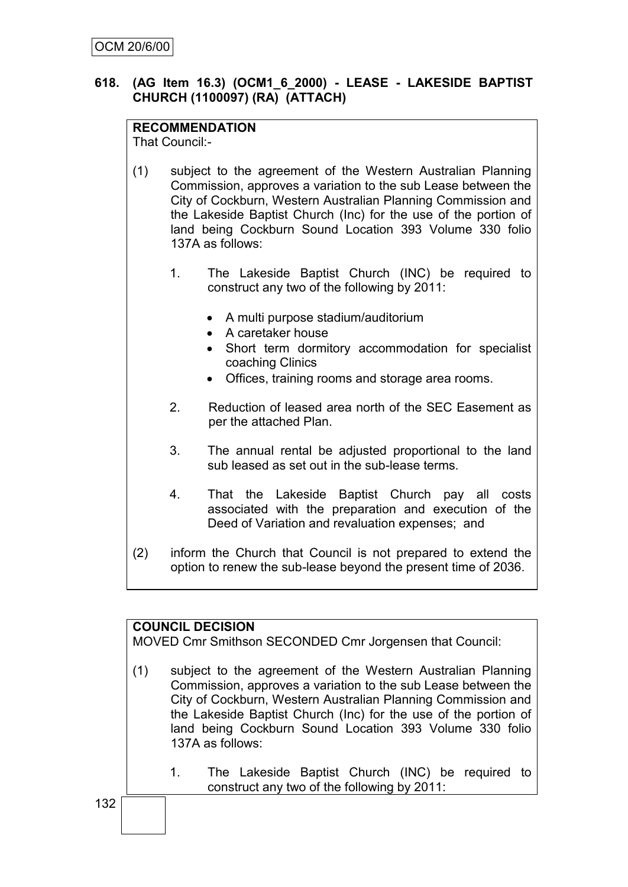## **618. (AG Item 16.3) (OCM1\_6\_2000) - LEASE - LAKESIDE BAPTIST CHURCH (1100097) (RA) (ATTACH)**

## **RECOMMENDATION**

That Council:-

- (1) subject to the agreement of the Western Australian Planning Commission, approves a variation to the sub Lease between the City of Cockburn, Western Australian Planning Commission and the Lakeside Baptist Church (Inc) for the use of the portion of land being Cockburn Sound Location 393 Volume 330 folio 137A as follows:
	- 1. The Lakeside Baptist Church (INC) be required to construct any two of the following by 2011:
		- A multi purpose stadium/auditorium
		- A caretaker house
		- Short term dormitory accommodation for specialist coaching Clinics
		- Offices, training rooms and storage area rooms.
	- 2. Reduction of leased area north of the SEC Easement as per the attached Plan.
	- 3. The annual rental be adjusted proportional to the land sub leased as set out in the sub-lease terms.
	- 4. That the Lakeside Baptist Church pay all costs associated with the preparation and execution of the Deed of Variation and revaluation expenses; and
- (2) inform the Church that Council is not prepared to extend the option to renew the sub-lease beyond the present time of 2036.

## **COUNCIL DECISION**

MOVED Cmr Smithson SECONDED Cmr Jorgensen that Council:

- (1) subject to the agreement of the Western Australian Planning Commission, approves a variation to the sub Lease between the City of Cockburn, Western Australian Planning Commission and the Lakeside Baptist Church (Inc) for the use of the portion of land being Cockburn Sound Location 393 Volume 330 folio 137A as follows:
	- 1. The Lakeside Baptist Church (INC) be required to construct any two of the following by 2011: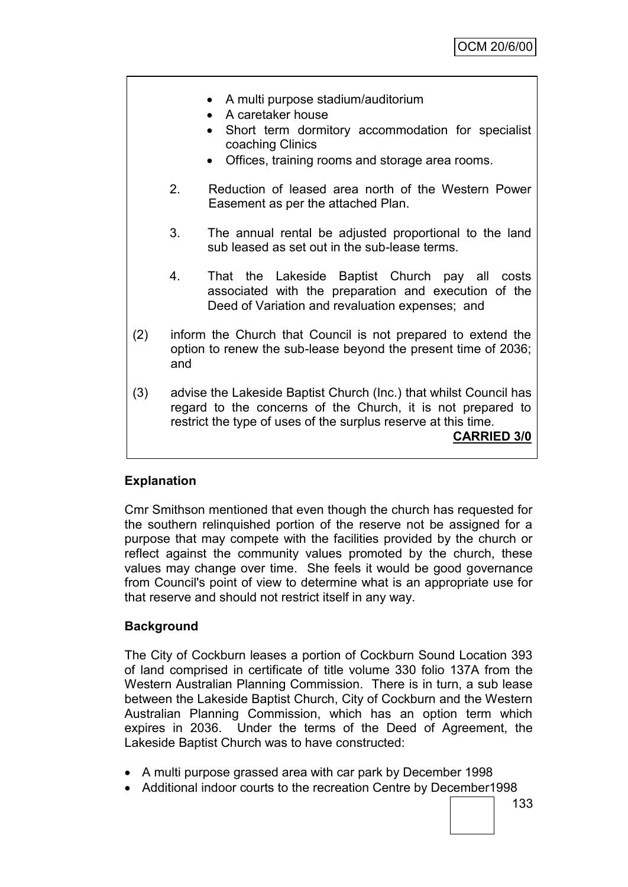- A multi purpose stadium/auditorium
- A caretaker house
- Short term dormitory accommodation for specialist coaching Clinics
- Offices, training rooms and storage area rooms.
- 2. Reduction of leased area north of the Western Power Easement as per the attached Plan.
- 3. The annual rental be adjusted proportional to the land sub leased as set out in the sub-lease terms.
- 4. That the Lakeside Baptist Church pay all costs associated with the preparation and execution of the Deed of Variation and revaluation expenses; and
- (2) inform the Church that Council is not prepared to extend the option to renew the sub-lease beyond the present time of 2036; and
- (3) advise the Lakeside Baptist Church (Inc.) that whilst Council has regard to the concerns of the Church, it is not prepared to restrict the type of uses of the surplus reserve at this time. **CARRIED 3/0**

## **Explanation**

Cmr Smithson mentioned that even though the church has requested for the southern relinquished portion of the reserve not be assigned for a purpose that may compete with the facilities provided by the church or reflect against the community values promoted by the church, these values may change over time. She feels it would be good governance from Council's point of view to determine what is an appropriate use for that reserve and should not restrict itself in any way.

## **Background**

The City of Cockburn leases a portion of Cockburn Sound Location 393 of land comprised in certificate of title volume 330 folio 137A from the Western Australian Planning Commission. There is in turn, a sub lease between the Lakeside Baptist Church, City of Cockburn and the Western Australian Planning Commission, which has an option term which expires in 2036. Under the terms of the Deed of Agreement, the Lakeside Baptist Church was to have constructed:

- A multi purpose grassed area with car park by December 1998
- Additional indoor courts to the recreation Centre by December1998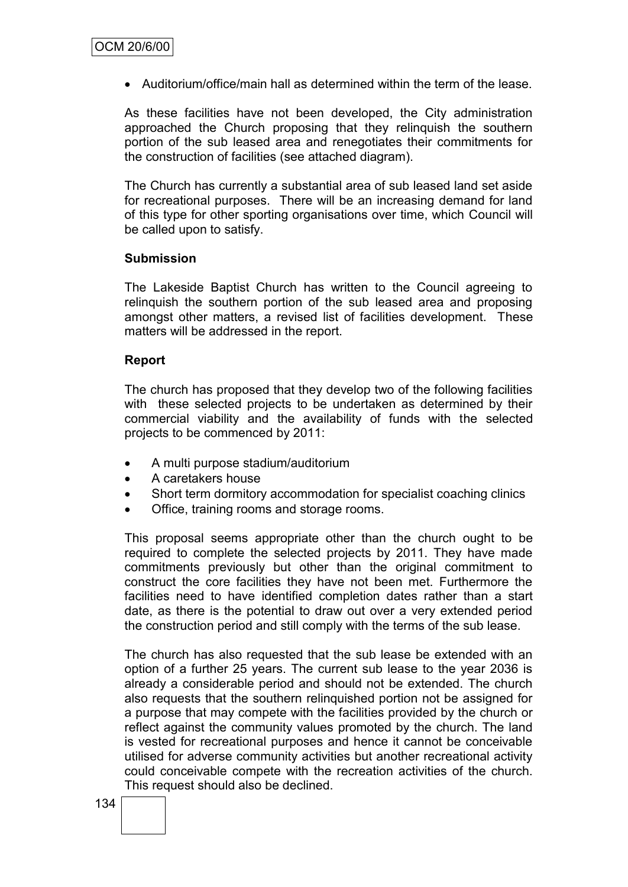Auditorium/office/main hall as determined within the term of the lease.

As these facilities have not been developed, the City administration approached the Church proposing that they relinquish the southern portion of the sub leased area and renegotiates their commitments for the construction of facilities (see attached diagram).

The Church has currently a substantial area of sub leased land set aside for recreational purposes. There will be an increasing demand for land of this type for other sporting organisations over time, which Council will be called upon to satisfy.

#### **Submission**

The Lakeside Baptist Church has written to the Council agreeing to relinquish the southern portion of the sub leased area and proposing amongst other matters, a revised list of facilities development. These matters will be addressed in the report.

## **Report**

The church has proposed that they develop two of the following facilities with these selected projects to be undertaken as determined by their commercial viability and the availability of funds with the selected projects to be commenced by 2011:

- A multi purpose stadium/auditorium
- A caretakers house
- Short term dormitory accommodation for specialist coaching clinics
- Office, training rooms and storage rooms.

This proposal seems appropriate other than the church ought to be required to complete the selected projects by 2011. They have made commitments previously but other than the original commitment to construct the core facilities they have not been met. Furthermore the facilities need to have identified completion dates rather than a start date, as there is the potential to draw out over a very extended period the construction period and still comply with the terms of the sub lease.

The church has also requested that the sub lease be extended with an option of a further 25 years. The current sub lease to the year 2036 is already a considerable period and should not be extended. The church also requests that the southern relinquished portion not be assigned for a purpose that may compete with the facilities provided by the church or reflect against the community values promoted by the church. The land is vested for recreational purposes and hence it cannot be conceivable utilised for adverse community activities but another recreational activity could conceivable compete with the recreation activities of the church. This request should also be declined.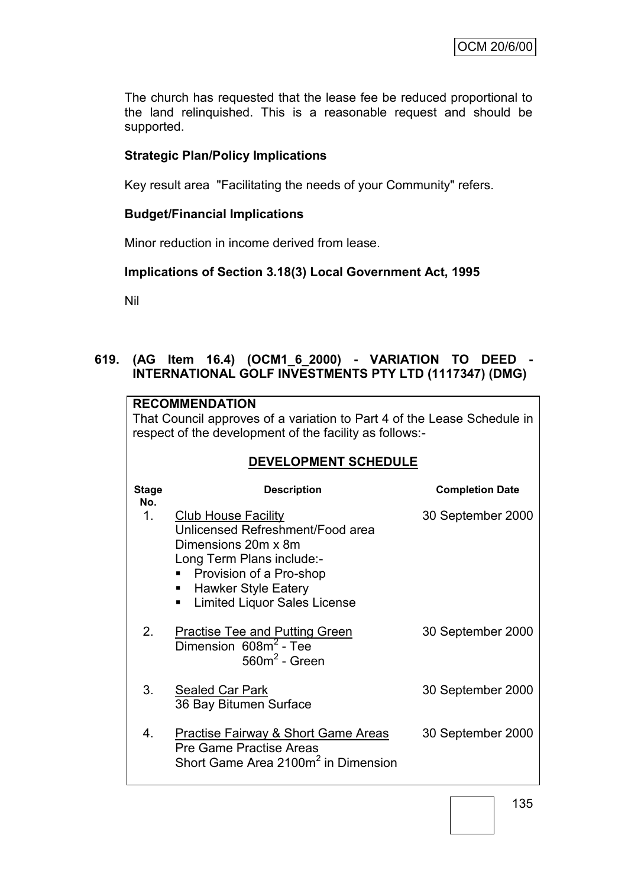The church has requested that the lease fee be reduced proportional to the land relinquished. This is a reasonable request and should be supported.

## **Strategic Plan/Policy Implications**

Key result area "Facilitating the needs of your Community" refers.

## **Budget/Financial Implications**

Minor reduction in income derived from lease.

## **Implications of Section 3.18(3) Local Government Act, 1995**

Nil

## **619. (AG Item 16.4) (OCM1\_6\_2000) - VARIATION TO DEED - INTERNATIONAL GOLF INVESTMENTS PTY LTD (1117347) (DMG)**

|                                                                                                                                    | <b>RECOMMENDATION</b>                                                                                                                                                                                                   |                        |  |
|------------------------------------------------------------------------------------------------------------------------------------|-------------------------------------------------------------------------------------------------------------------------------------------------------------------------------------------------------------------------|------------------------|--|
| That Council approves of a variation to Part 4 of the Lease Schedule in<br>respect of the development of the facility as follows:- |                                                                                                                                                                                                                         |                        |  |
|                                                                                                                                    |                                                                                                                                                                                                                         |                        |  |
|                                                                                                                                    | DEVELOPMENT SCHEDULE                                                                                                                                                                                                    |                        |  |
| <b>Stage</b><br>No.                                                                                                                | <b>Description</b>                                                                                                                                                                                                      | <b>Completion Date</b> |  |
| 1 <sub>1</sub>                                                                                                                     | <b>Club House Facility</b><br>Unlicensed Refreshment/Food area<br>Dimensions 20m x 8m<br>Long Term Plans include:-<br>Provision of a Pro-shop<br><b>Hawker Style Eatery</b><br><b>Limited Liquor Sales License</b><br>٠ | 30 September 2000      |  |
| $2_{-}$                                                                                                                            | <b>Practise Tee and Putting Green</b><br>Dimension $608m^2$ - Tee<br>$560m2$ - Green                                                                                                                                    | 30 September 2000      |  |
| 3.                                                                                                                                 | Sealed Car Park<br>36 Bay Bitumen Surface                                                                                                                                                                               | 30 September 2000      |  |
| 4.                                                                                                                                 | <b>Practise Fairway &amp; Short Game Areas</b><br><b>Pre Game Practise Areas</b><br>Short Game Area 2100m <sup>2</sup> in Dimension                                                                                     | 30 September 2000      |  |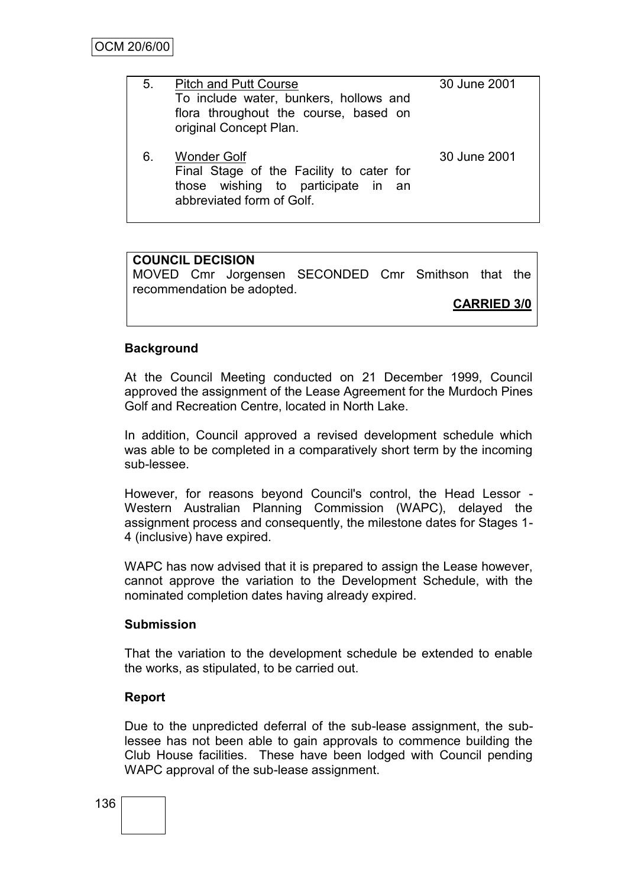| 5. | <b>Pitch and Putt Course</b><br>To include water, bunkers, hollows and<br>flora throughout the course, based on<br>original Concept Plan. | 30 June 2001 |
|----|-------------------------------------------------------------------------------------------------------------------------------------------|--------------|
| 6. | <b>Wonder Golf</b><br>Final Stage of the Facility to cater for<br>those wishing to participate in an<br>abbreviated form of Golf.         | 30 June 2001 |

## **COUNCIL DECISION**

MOVED Cmr Jorgensen SECONDED Cmr Smithson that the recommendation be adopted.

**CARRIED 3/0**

## **Background**

At the Council Meeting conducted on 21 December 1999, Council approved the assignment of the Lease Agreement for the Murdoch Pines Golf and Recreation Centre, located in North Lake.

In addition, Council approved a revised development schedule which was able to be completed in a comparatively short term by the incoming sub-lessee.

However, for reasons beyond Council's control, the Head Lessor - Western Australian Planning Commission (WAPC), delayed the assignment process and consequently, the milestone dates for Stages 1- 4 (inclusive) have expired.

WAPC has now advised that it is prepared to assign the Lease however, cannot approve the variation to the Development Schedule, with the nominated completion dates having already expired.

## **Submission**

That the variation to the development schedule be extended to enable the works, as stipulated, to be carried out.

## **Report**

Due to the unpredicted deferral of the sub-lease assignment, the sublessee has not been able to gain approvals to commence building the Club House facilities. These have been lodged with Council pending WAPC approval of the sub-lease assignment.

136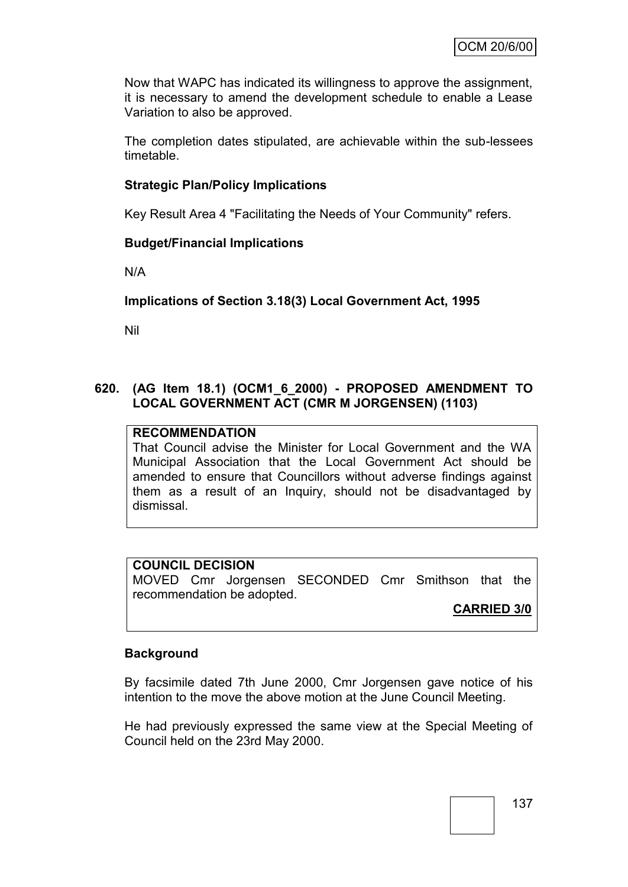Now that WAPC has indicated its willingness to approve the assignment, it is necessary to amend the development schedule to enable a Lease Variation to also be approved.

The completion dates stipulated, are achievable within the sub-lessees timetable.

## **Strategic Plan/Policy Implications**

Key Result Area 4 "Facilitating the Needs of Your Community" refers.

## **Budget/Financial Implications**

N/A

## **Implications of Section 3.18(3) Local Government Act, 1995**

Nil

#### **620. (AG Item 18.1) (OCM1\_6\_2000) - PROPOSED AMENDMENT TO LOCAL GOVERNMENT ACT (CMR M JORGENSEN) (1103)**

## **RECOMMENDATION**

That Council advise the Minister for Local Government and the WA Municipal Association that the Local Government Act should be amended to ensure that Councillors without adverse findings against them as a result of an Inquiry, should not be disadvantaged by dismissal.

#### **COUNCIL DECISION**

MOVED Cmr Jorgensen SECONDED Cmr Smithson that the recommendation be adopted.

## **CARRIED 3/0**

## **Background**

By facsimile dated 7th June 2000, Cmr Jorgensen gave notice of his intention to the move the above motion at the June Council Meeting.

He had previously expressed the same view at the Special Meeting of Council held on the 23rd May 2000.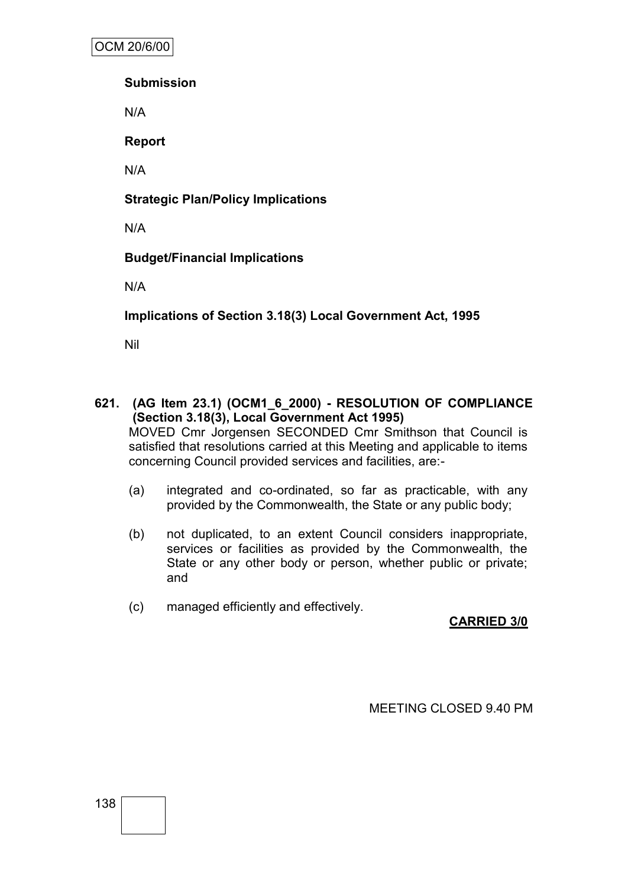OCM 20/6/00

**Submission**

N/A

**Report**

N/A

**Strategic Plan/Policy Implications**

N/A

**Budget/Financial Implications**

N/A

**Implications of Section 3.18(3) Local Government Act, 1995**

Nil

- **621. (AG Item 23.1) (OCM1\_6\_2000) - RESOLUTION OF COMPLIANCE (Section 3.18(3), Local Government Act 1995)** MOVED Cmr Jorgensen SECONDED Cmr Smithson that Council is satisfied that resolutions carried at this Meeting and applicable to items concerning Council provided services and facilities, are:-
	- (a) integrated and co-ordinated, so far as practicable, with any provided by the Commonwealth, the State or any public body;
	- (b) not duplicated, to an extent Council considers inappropriate, services or facilities as provided by the Commonwealth, the State or any other body or person, whether public or private; and
	- (c) managed efficiently and effectively.

# **CARRIED 3/0**

MEETING CLOSED 9.40 PM

138